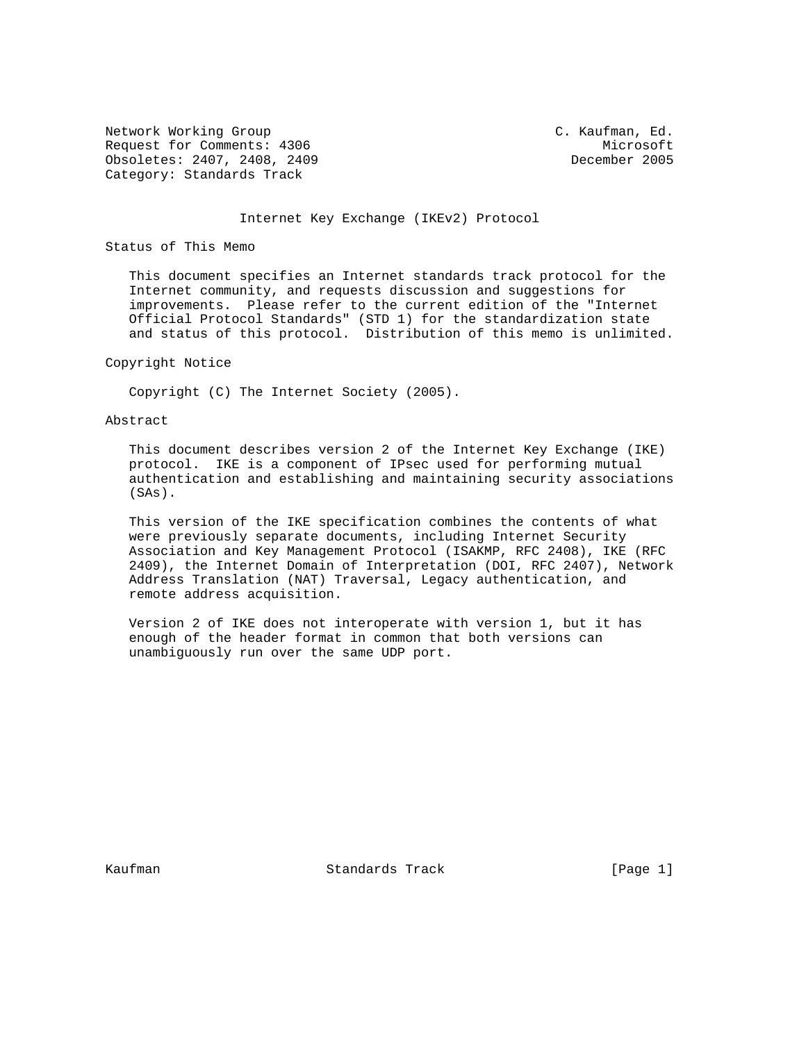Network Working Group C. Kaufman, Ed. Request for Comments: 4306 Microsoft Microsoft Microsoft Microsoft<br>
Obsoletes: 2407, 2408, 2409 Mecember 2005 Obsoletes: 2407, 2408, 2409 Category: Standards Track

#### Internet Key Exchange (IKEv2) Protocol

Status of This Memo

 This document specifies an Internet standards track protocol for the Internet community, and requests discussion and suggestions for improvements. Please refer to the current edition of the "Internet Official Protocol Standards" (STD 1) for the standardization state and status of this protocol. Distribution of this memo is unlimited.

#### Copyright Notice

Copyright (C) The Internet Society (2005).

## Abstract

 This document describes version 2 of the Internet Key Exchange (IKE) protocol. IKE is a component of IPsec used for performing mutual authentication and establishing and maintaining security associations (SAs).

 This version of the IKE specification combines the contents of what were previously separate documents, including Internet Security Association and Key Management Protocol (ISAKMP, RFC 2408), IKE (RFC 2409), the Internet Domain of Interpretation (DOI, RFC 2407), Network Address Translation (NAT) Traversal, Legacy authentication, and remote address acquisition.

 Version 2 of IKE does not interoperate with version 1, but it has enough of the header format in common that both versions can unambiguously run over the same UDP port.

Kaufman Standards Track [Page 1]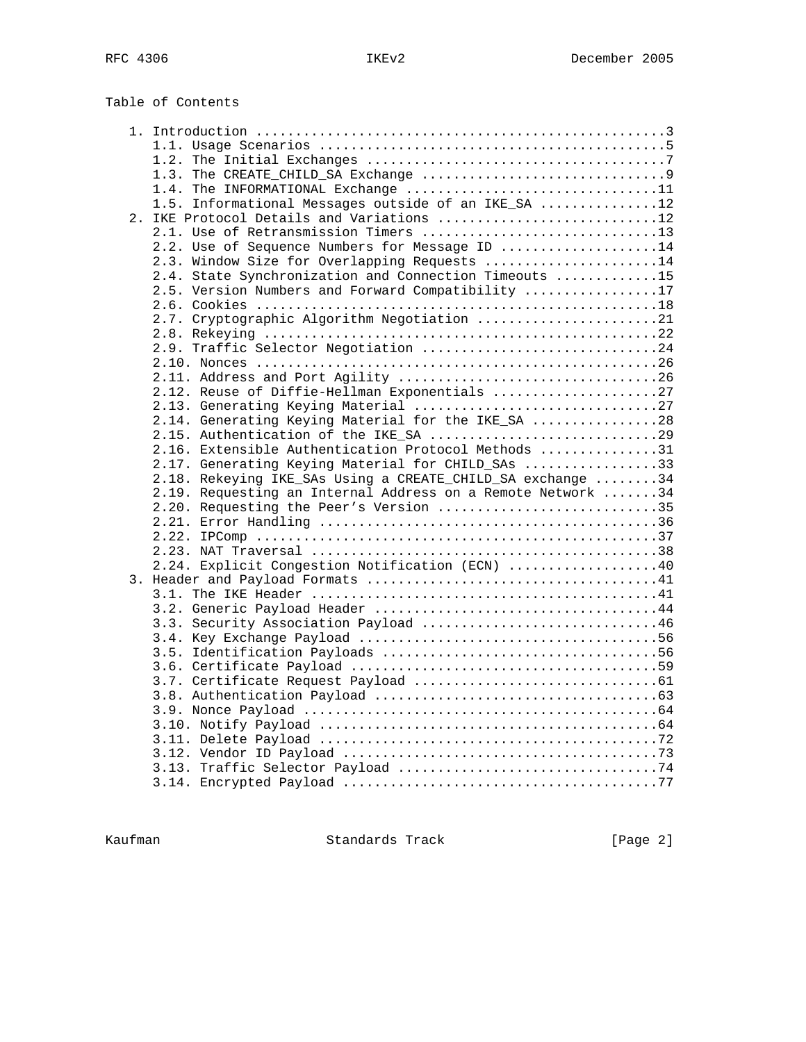| Table of Contents |  |
|-------------------|--|
|-------------------|--|

| 1.4. The INFORMATIONAL Exchange 11                          |  |
|-------------------------------------------------------------|--|
| 1.5. Informational Messages outside of an IKE SA 12         |  |
| 2. IKE Protocol Details and Variations 12                   |  |
| 2.1. Use of Retransmission Timers 13                        |  |
| 2.2. Use of Sequence Numbers for Message ID 14              |  |
| 2.3. Window Size for Overlapping Requests 14                |  |
| 2.4. State Synchronization and Connection Timeouts 15       |  |
| 2.5. Version Numbers and Forward Compatibility 17           |  |
|                                                             |  |
| 2.7. Cryptographic Algorithm Negotiation 21                 |  |
|                                                             |  |
| 2.9. Traffic Selector Negotiation 24                        |  |
|                                                             |  |
|                                                             |  |
| 2.12. Reuse of Diffie-Hellman Exponentials 27               |  |
|                                                             |  |
| 2.14. Generating Keying Material for the IKE_SA 28          |  |
|                                                             |  |
| 2.16. Extensible Authentication Protocol Methods 31         |  |
| 2.17. Generating Keying Material for CHILD_SAs 33           |  |
| 2.18. Rekeying IKE_SAs Using a CREATE_CHILD_SA exchange 34  |  |
| 2.19. Requesting an Internal Address on a Remote Network 34 |  |
| 2.20. Requesting the Peer's Version 35                      |  |
|                                                             |  |
|                                                             |  |
|                                                             |  |
| 2.24. Explicit Congestion Notification (ECN) 40             |  |
|                                                             |  |
|                                                             |  |
|                                                             |  |
| 3.3. Security Association Payload 46                        |  |
|                                                             |  |
|                                                             |  |
|                                                             |  |
|                                                             |  |
|                                                             |  |
|                                                             |  |
|                                                             |  |
|                                                             |  |
|                                                             |  |
|                                                             |  |
|                                                             |  |

Kaufman **Standards Track** [Page 2]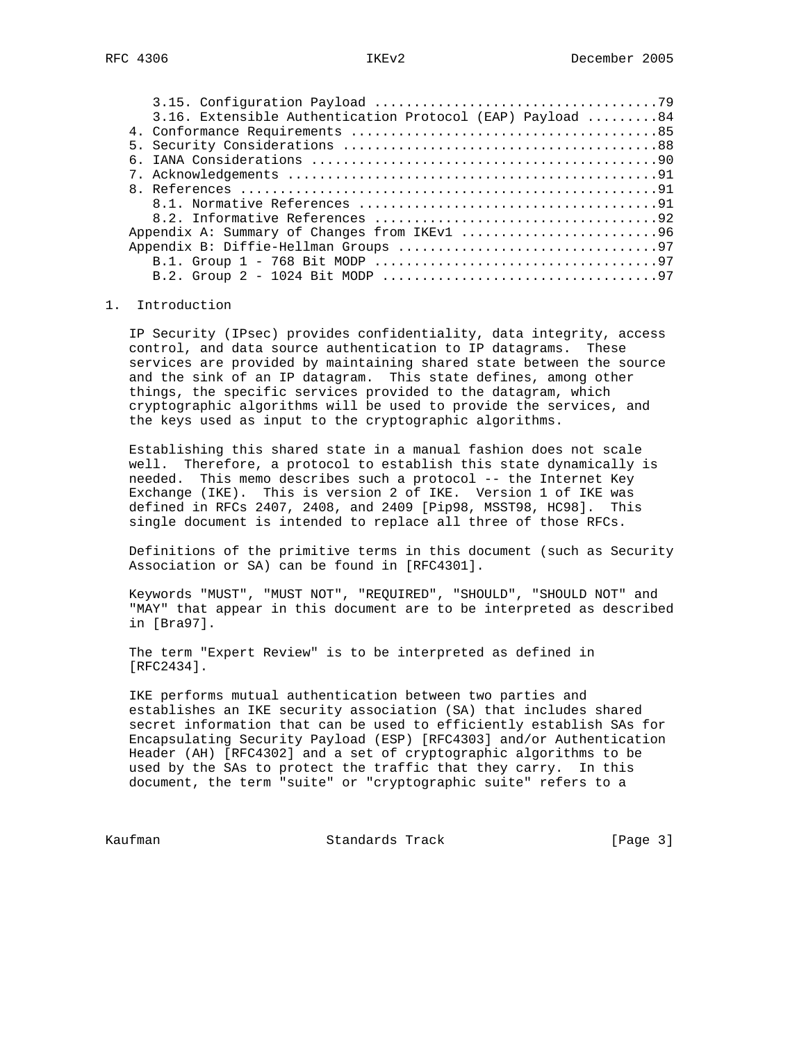| 3.16. Extensible Authentication Protocol (EAP) Payload 84 |  |
|-----------------------------------------------------------|--|
|                                                           |  |
|                                                           |  |
|                                                           |  |
|                                                           |  |
|                                                           |  |
|                                                           |  |
|                                                           |  |
| Appendix A: Summary of Changes from IKEv1 96              |  |
|                                                           |  |
|                                                           |  |
|                                                           |  |

#### 1. Introduction

 IP Security (IPsec) provides confidentiality, data integrity, access control, and data source authentication to IP datagrams. These services are provided by maintaining shared state between the source and the sink of an IP datagram. This state defines, among other things, the specific services provided to the datagram, which cryptographic algorithms will be used to provide the services, and the keys used as input to the cryptographic algorithms.

 Establishing this shared state in a manual fashion does not scale well. Therefore, a protocol to establish this state dynamically is needed. This memo describes such a protocol -- the Internet Key Exchange (IKE). This is version 2 of IKE. Version 1 of IKE was defined in RFCs 2407, 2408, and 2409 [Pip98, MSST98, HC98]. This single document is intended to replace all three of those RFCs.

 Definitions of the primitive terms in this document (such as Security Association or SA) can be found in [RFC4301].

 Keywords "MUST", "MUST NOT", "REQUIRED", "SHOULD", "SHOULD NOT" and "MAY" that appear in this document are to be interpreted as described in [Bra97].

 The term "Expert Review" is to be interpreted as defined in [RFC2434].

 IKE performs mutual authentication between two parties and establishes an IKE security association (SA) that includes shared secret information that can be used to efficiently establish SAs for Encapsulating Security Payload (ESP) [RFC4303] and/or Authentication Header (AH) [RFC4302] and a set of cryptographic algorithms to be used by the SAs to protect the traffic that they carry. In this document, the term "suite" or "cryptographic suite" refers to a

Kaufman Standards Track [Page 3]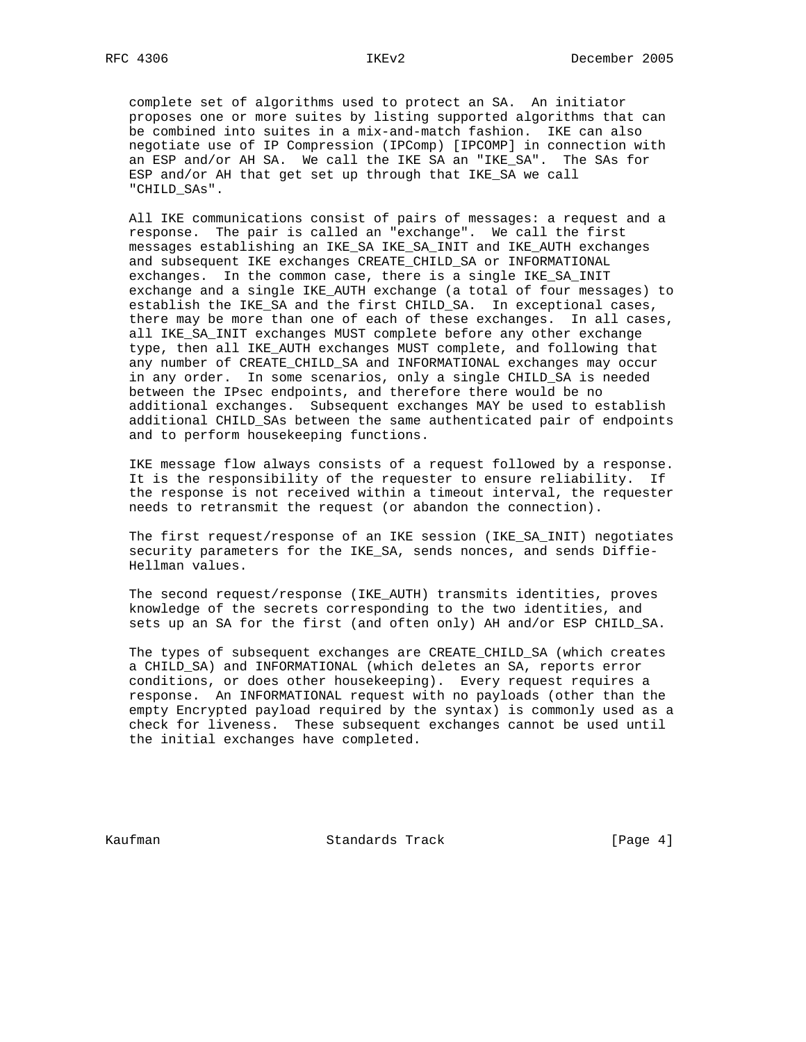complete set of algorithms used to protect an SA. An initiator proposes one or more suites by listing supported algorithms that can be combined into suites in a mix-and-match fashion. IKE can also negotiate use of IP Compression (IPComp) [IPCOMP] in connection with an ESP and/or AH SA. We call the IKE SA an "IKE\_SA". The SAs for ESP and/or AH that get set up through that IKE\_SA we call "CHILD\_SAs".

 All IKE communications consist of pairs of messages: a request and a response. The pair is called an "exchange". We call the first messages establishing an IKE\_SA IKE\_SA\_INIT and IKE\_AUTH exchanges and subsequent IKE exchanges CREATE\_CHILD\_SA or INFORMATIONAL exchanges. In the common case, there is a single IKE\_SA\_INIT exchange and a single IKE\_AUTH exchange (a total of four messages) to establish the IKE\_SA and the first CHILD\_SA. In exceptional cases, there may be more than one of each of these exchanges. In all cases, all IKE\_SA\_INIT exchanges MUST complete before any other exchange type, then all IKE\_AUTH exchanges MUST complete, and following that any number of CREATE\_CHILD\_SA and INFORMATIONAL exchanges may occur in any order. In some scenarios, only a single CHILD\_SA is needed between the IPsec endpoints, and therefore there would be no additional exchanges. Subsequent exchanges MAY be used to establish additional CHILD\_SAs between the same authenticated pair of endpoints and to perform housekeeping functions.

 IKE message flow always consists of a request followed by a response. It is the responsibility of the requester to ensure reliability. If the response is not received within a timeout interval, the requester needs to retransmit the request (or abandon the connection).

 The first request/response of an IKE session (IKE\_SA\_INIT) negotiates security parameters for the IKE\_SA, sends nonces, and sends Diffie- Hellman values.

 The second request/response (IKE\_AUTH) transmits identities, proves knowledge of the secrets corresponding to the two identities, and sets up an SA for the first (and often only) AH and/or ESP CHILD\_SA.

 The types of subsequent exchanges are CREATE\_CHILD\_SA (which creates a CHILD\_SA) and INFORMATIONAL (which deletes an SA, reports error conditions, or does other housekeeping). Every request requires a response. An INFORMATIONAL request with no payloads (other than the empty Encrypted payload required by the syntax) is commonly used as a check for liveness. These subsequent exchanges cannot be used until the initial exchanges have completed.

Kaufman Standards Track [Page 4]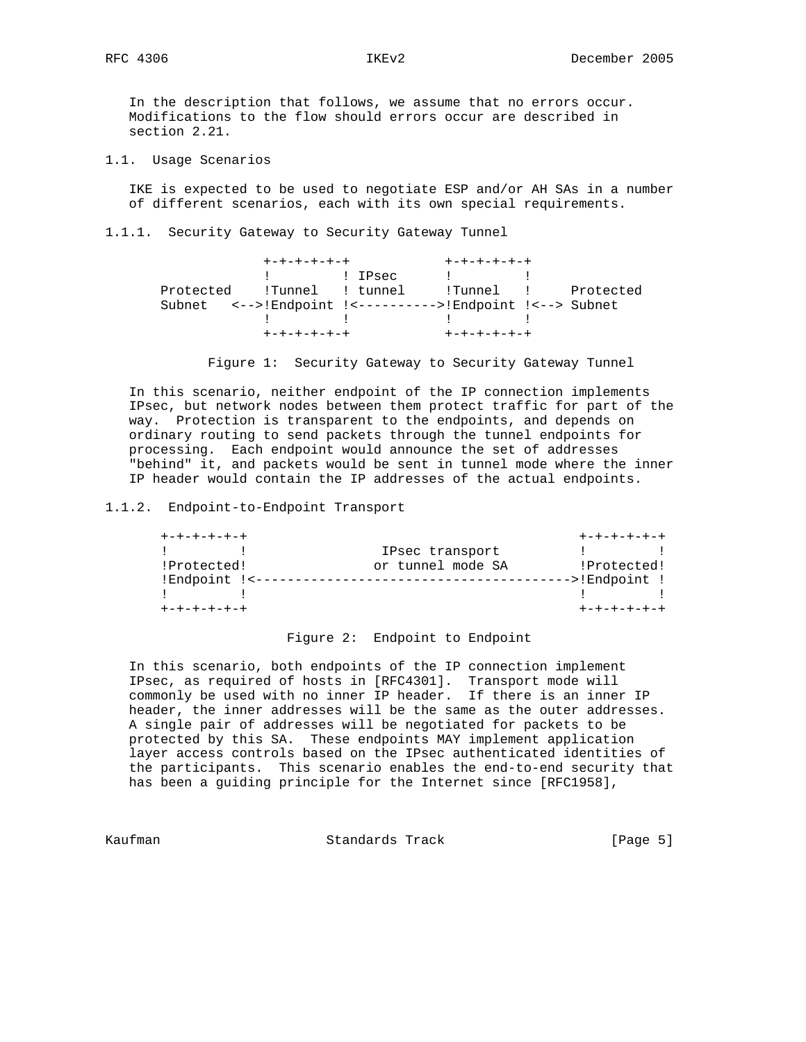In the description that follows, we assume that no errors occur. Modifications to the flow should errors occur are described in section 2.21.

1.1. Usage Scenarios

 IKE is expected to be used to negotiate ESP and/or AH SAs in a number of different scenarios, each with its own special requirements.

1.1.1. Security Gateway to Security Gateway Tunnel

|  |             | +-+-+-+-+-+ | $+ - + - + - + - + - +$                                                                                                |  |
|--|-------------|-------------|------------------------------------------------------------------------------------------------------------------------|--|
|  |             | ! ! IPsec   | and the company of the company of the                                                                                  |  |
|  |             |             | Protected !Tunnel ! tunnel ! Tunnel ! Protected                                                                        |  |
|  |             |             | Subnet <-->!Endpoint !<---------->!Endpoint !<--> Subnet                                                               |  |
|  |             |             | $\mathbf{I}$ , and the set of $\mathbf{I}$ , and $\mathbf{I}$ , and $\mathbf{I}$ , and $\mathbf{I}$ , and $\mathbf{I}$ |  |
|  | +-+-+-+-+-+ |             | $+ - + - + - + - + - +$                                                                                                |  |

Figure 1: Security Gateway to Security Gateway Tunnel

 In this scenario, neither endpoint of the IP connection implements IPsec, but network nodes between them protect traffic for part of the way. Protection is transparent to the endpoints, and depends on ordinary routing to send packets through the tunnel endpoints for processing. Each endpoint would announce the set of addresses "behind" it, and packets would be sent in tunnel mode where the inner IP header would contain the IP addresses of the actual endpoints.

1.1.2. Endpoint-to-Endpoint Transport

| $+ - + - + - + - + - +$ |                   | $+ - + - + - + - + - +$                        |  |
|-------------------------|-------------------|------------------------------------------------|--|
|                         | IPsec transport   | $\mathbf{1}$ and $\mathbf{1}$ and $\mathbf{1}$ |  |
| !Protected!             | or tunnel mode SA | !Protected!                                    |  |
| !Endpoint !<--          |                   | -->!Endpoint !                                 |  |
|                         |                   |                                                |  |
| +-+-+-+-+-+             |                   | +-+-+-+-+-+                                    |  |

Figure 2: Endpoint to Endpoint

 In this scenario, both endpoints of the IP connection implement IPsec, as required of hosts in [RFC4301]. Transport mode will commonly be used with no inner IP header. If there is an inner IP header, the inner addresses will be the same as the outer addresses. A single pair of addresses will be negotiated for packets to be protected by this SA. These endpoints MAY implement application layer access controls based on the IPsec authenticated identities of the participants. This scenario enables the end-to-end security that has been a guiding principle for the Internet since [RFC1958],

Kaufman Standards Track [Page 5]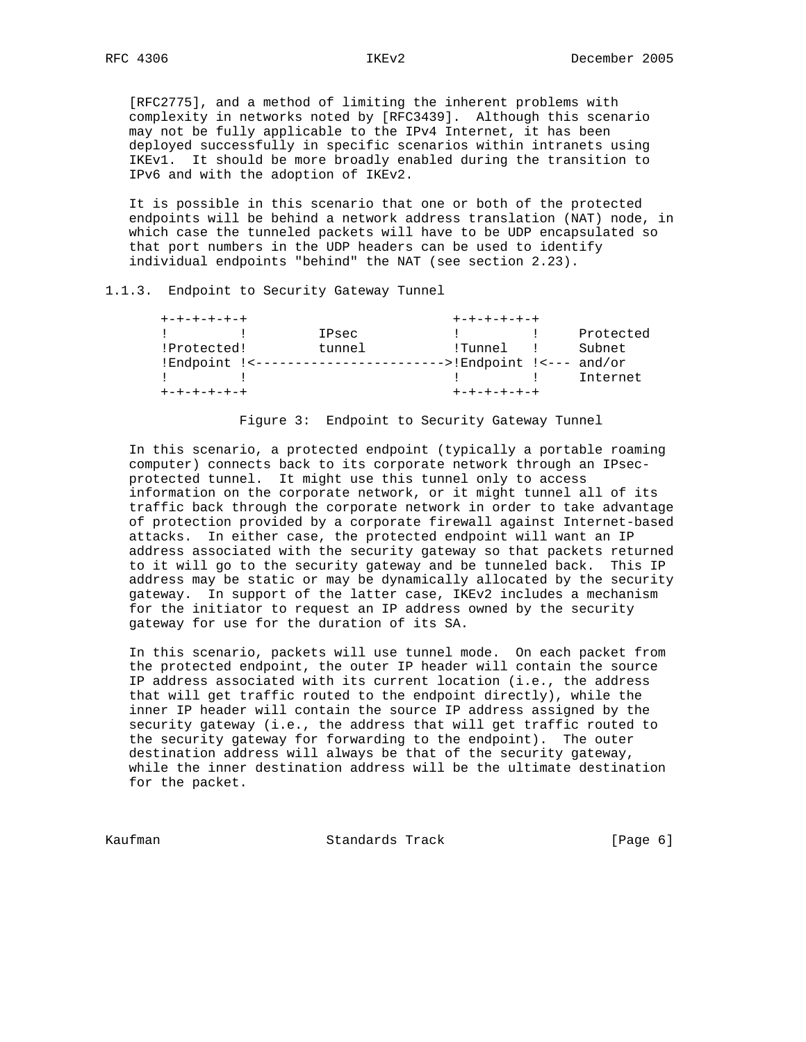[RFC2775], and a method of limiting the inherent problems with complexity in networks noted by [RFC3439]. Although this scenario may not be fully applicable to the IPv4 Internet, it has been deployed successfully in specific scenarios within intranets using IKEv1. It should be more broadly enabled during the transition to IPv6 and with the adoption of IKEv2.

 It is possible in this scenario that one or both of the protected endpoints will be behind a network address translation (NAT) node, in which case the tunneled packets will have to be UDP encapsulated so that port numbers in the UDP headers can be used to identify individual endpoints "behind" the NAT (see section 2.23).

### 1.1.3. Endpoint to Security Gateway Tunnel

| $+ - + - + - + - + - +$ |        | $+ - + - + - + - + - +$                                                                                                                                                                                                              |  |           |  |
|-------------------------|--------|--------------------------------------------------------------------------------------------------------------------------------------------------------------------------------------------------------------------------------------|--|-----------|--|
|                         | IPsec  |                                                                                                                                                                                                                                      |  | Protected |  |
| !Protected!             | tunnel | !Tunnel !                                                                                                                                                                                                                            |  | Subnet    |  |
|                         |        | $---$ :Endpoint !<--- and/or                                                                                                                                                                                                         |  |           |  |
|                         |        | <b>The contract of the contract of the contract of the contract of the contract of the contract of the contract of the contract of the contract of the contract of the contract of the contract of the contract of the contract </b> |  | Internet  |  |
| $+ - + - + - + - + - +$ |        | +-+-+-+-+-+                                                                                                                                                                                                                          |  |           |  |

## Figure 3: Endpoint to Security Gateway Tunnel

 In this scenario, a protected endpoint (typically a portable roaming computer) connects back to its corporate network through an IPsec protected tunnel. It might use this tunnel only to access information on the corporate network, or it might tunnel all of its traffic back through the corporate network in order to take advantage of protection provided by a corporate firewall against Internet-based attacks. In either case, the protected endpoint will want an IP address associated with the security gateway so that packets returned to it will go to the security gateway and be tunneled back. This IP address may be static or may be dynamically allocated by the security gateway. In support of the latter case, IKEv2 includes a mechanism for the initiator to request an IP address owned by the security gateway for use for the duration of its SA.

 In this scenario, packets will use tunnel mode. On each packet from the protected endpoint, the outer IP header will contain the source IP address associated with its current location (i.e., the address that will get traffic routed to the endpoint directly), while the inner IP header will contain the source IP address assigned by the security gateway (i.e., the address that will get traffic routed to the security gateway for forwarding to the endpoint). The outer destination address will always be that of the security gateway, while the inner destination address will be the ultimate destination for the packet.

Kaufman Standards Track [Page 6]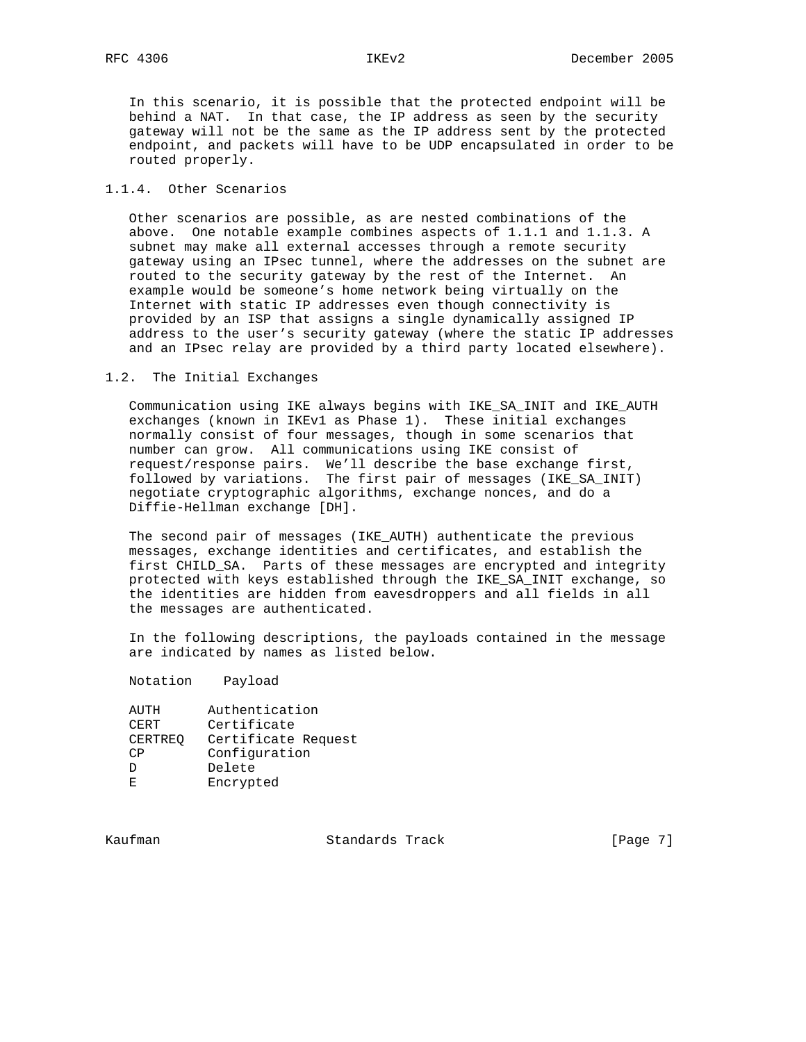In this scenario, it is possible that the protected endpoint will be behind a NAT. In that case, the IP address as seen by the security gateway will not be the same as the IP address sent by the protected endpoint, and packets will have to be UDP encapsulated in order to be routed properly.

# 1.1.4. Other Scenarios

 Other scenarios are possible, as are nested combinations of the above. One notable example combines aspects of 1.1.1 and 1.1.3. A subnet may make all external accesses through a remote security gateway using an IPsec tunnel, where the addresses on the subnet are routed to the security gateway by the rest of the Internet. An example would be someone's home network being virtually on the Internet with static IP addresses even though connectivity is provided by an ISP that assigns a single dynamically assigned IP address to the user's security gateway (where the static IP addresses and an IPsec relay are provided by a third party located elsewhere).

#### 1.2. The Initial Exchanges

 Communication using IKE always begins with IKE\_SA\_INIT and IKE\_AUTH exchanges (known in IKEv1 as Phase 1). These initial exchanges normally consist of four messages, though in some scenarios that number can grow. All communications using IKE consist of request/response pairs. We'll describe the base exchange first, followed by variations. The first pair of messages (IKE\_SA\_INIT) negotiate cryptographic algorithms, exchange nonces, and do a Diffie-Hellman exchange [DH].

 The second pair of messages (IKE\_AUTH) authenticate the previous messages, exchange identities and certificates, and establish the first CHILD\_SA. Parts of these messages are encrypted and integrity protected with keys established through the IKE\_SA\_INIT exchange, so the identities are hidden from eavesdroppers and all fields in all the messages are authenticated.

 In the following descriptions, the payloads contained in the message are indicated by names as listed below.

Notation Payload

| AUTH           | Authentication      |
|----------------|---------------------|
| CERT           | Certificate         |
| <b>CERTREO</b> | Certificate Request |
| CΡ             | Configuration       |
| D              | Delete              |
| E.             | Encrypted           |

Kaufman Standards Track [Page 7]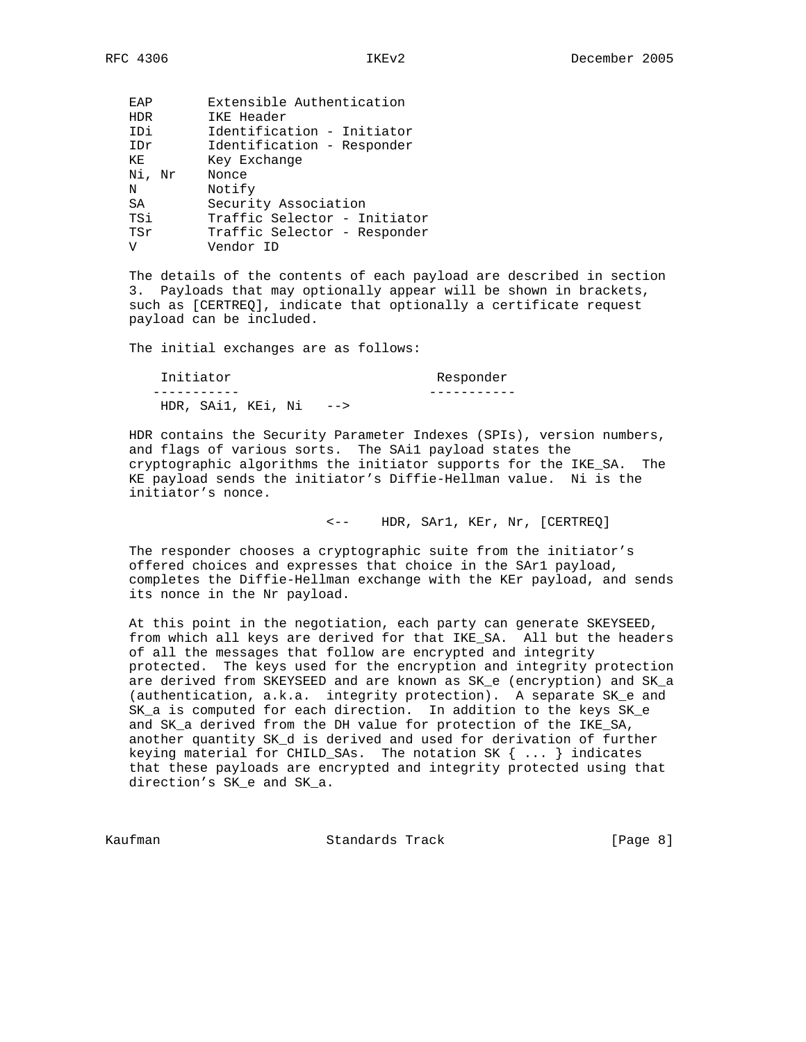| FAP        | Extensible Authentication    |
|------------|------------------------------|
| <b>HDR</b> | IKE Header                   |
| IDi        | Identification - Initiator   |
| IDr        | Identification - Responder   |
| ΚE         | Key Exchange                 |
| Ni, Nr     | Nonce                        |
| Ν          | Notify                       |
| SA         | Security Association         |
| TSi        | Traffic Selector - Initiator |
| TSr        | Traffic Selector - Responder |
| ٦T         | Vendor ID                    |

 The details of the contents of each payload are described in section 3. Payloads that may optionally appear will be shown in brackets, such as [CERTREQ], indicate that optionally a certificate request payload can be included.

The initial exchanges are as follows:

| Initiator                  | Responder |
|----------------------------|-----------|
|                            |           |
| HDR. $SAi1$ . KEi. Ni $--$ |           |

 HDR contains the Security Parameter Indexes (SPIs), version numbers, and flags of various sorts. The SAi1 payload states the cryptographic algorithms the initiator supports for the IKE\_SA. The KE payload sends the initiator's Diffie-Hellman value. Ni is the initiator's nonce.

<-- HDR, SAr1, KEr, Nr, [CERTREQ]

 The responder chooses a cryptographic suite from the initiator's offered choices and expresses that choice in the SAr1 payload, completes the Diffie-Hellman exchange with the KEr payload, and sends its nonce in the Nr payload.

 At this point in the negotiation, each party can generate SKEYSEED, from which all keys are derived for that IKE\_SA. All but the headers of all the messages that follow are encrypted and integrity protected. The keys used for the encryption and integrity protection are derived from SKEYSEED and are known as SK\_e (encryption) and SK\_a (authentication, a.k.a. integrity protection). A separate SK\_e and SK\_a is computed for each direction. In addition to the keys SK\_e and SK\_a derived from the DH value for protection of the IKE\_SA, another quantity SK\_d is derived and used for derivation of further keying material for CHILD\_SAs. The notation SK  $\{ \ldots \}$  indicates that these payloads are encrypted and integrity protected using that direction's SK\_e and SK\_a.

Kaufman **Standards Track** (Page 8)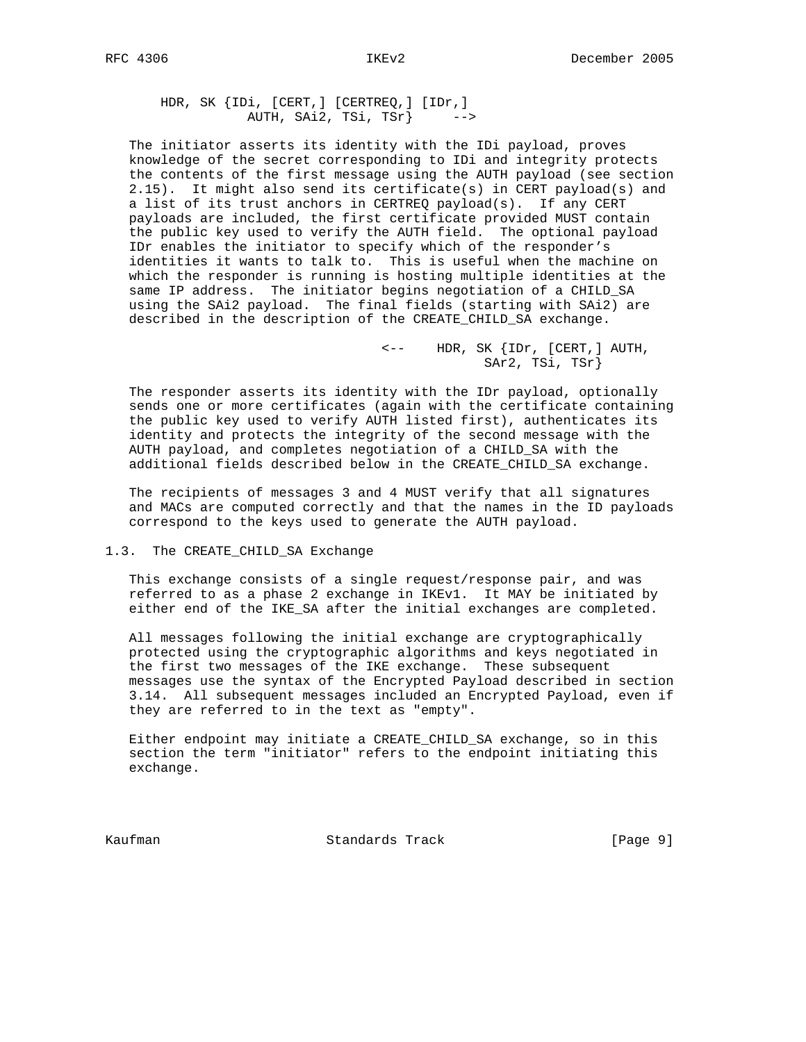HDR, SK {IDi, [CERT,] [CERTREQ,] [IDr,] AUTH, SAi2, TSi, TSr} -->

 The initiator asserts its identity with the IDi payload, proves knowledge of the secret corresponding to IDi and integrity protects the contents of the first message using the AUTH payload (see section 2.15). It might also send its certificate(s) in CERT payload(s) and a list of its trust anchors in CERTREQ payload(s). If any CERT payloads are included, the first certificate provided MUST contain the public key used to verify the AUTH field. The optional payload IDr enables the initiator to specify which of the responder's identities it wants to talk to. This is useful when the machine on which the responder is running is hosting multiple identities at the same IP address. The initiator begins negotiation of a CHILD\_SA using the SAi2 payload. The final fields (starting with SAi2) are described in the description of the CREATE\_CHILD\_SA exchange.

> <-- HDR, SK {IDr, [CERT,] AUTH, SAr2, TSi, TSr}

 The responder asserts its identity with the IDr payload, optionally sends one or more certificates (again with the certificate containing the public key used to verify AUTH listed first), authenticates its identity and protects the integrity of the second message with the AUTH payload, and completes negotiation of a CHILD\_SA with the additional fields described below in the CREATE\_CHILD\_SA exchange.

 The recipients of messages 3 and 4 MUST verify that all signatures and MACs are computed correctly and that the names in the ID payloads correspond to the keys used to generate the AUTH payload.

#### 1.3. The CREATE\_CHILD\_SA Exchange

 This exchange consists of a single request/response pair, and was referred to as a phase 2 exchange in IKEv1. It MAY be initiated by either end of the IKE\_SA after the initial exchanges are completed.

 All messages following the initial exchange are cryptographically protected using the cryptographic algorithms and keys negotiated in the first two messages of the IKE exchange. These subsequent messages use the syntax of the Encrypted Payload described in section 3.14. All subsequent messages included an Encrypted Payload, even if they are referred to in the text as "empty".

 Either endpoint may initiate a CREATE\_CHILD\_SA exchange, so in this section the term "initiator" refers to the endpoint initiating this exchange.

Kaufman Standards Track [Page 9]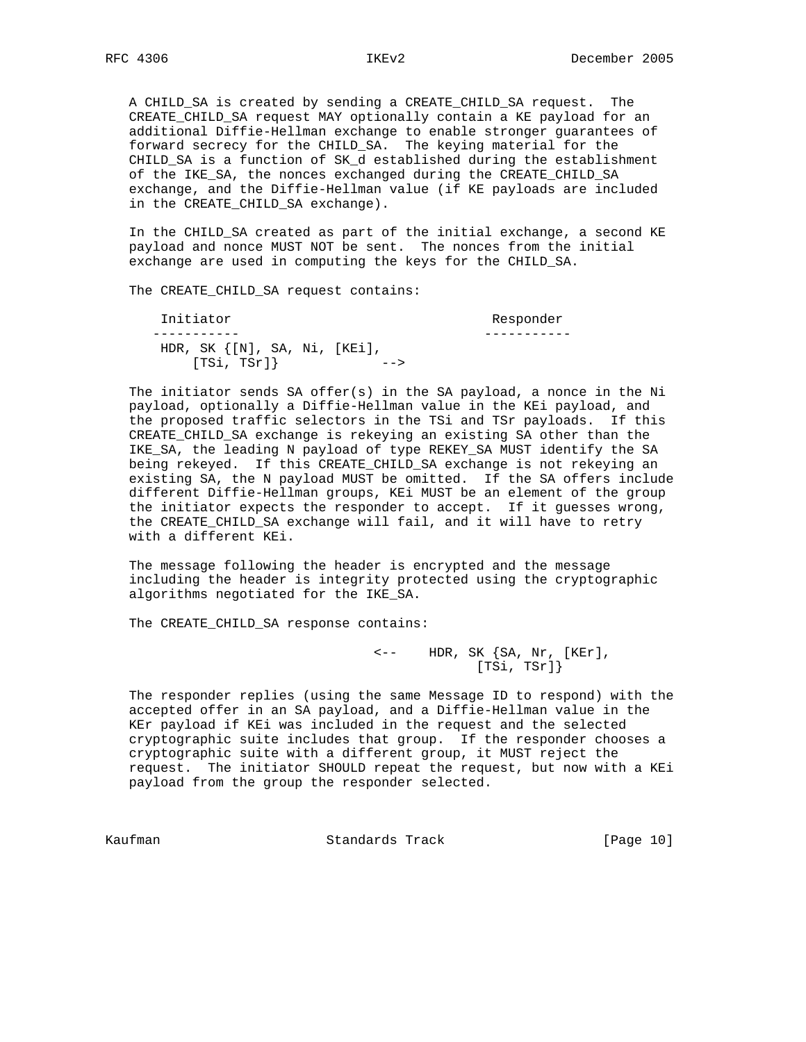A CHILD\_SA is created by sending a CREATE\_CHILD\_SA request. The CREATE\_CHILD\_SA request MAY optionally contain a KE payload for an additional Diffie-Hellman exchange to enable stronger guarantees of forward secrecy for the CHILD\_SA. The keying material for the CHILD\_SA is a function of SK\_d established during the establishment of the IKE\_SA, the nonces exchanged during the CREATE\_CHILD\_SA exchange, and the Diffie-Hellman value (if KE payloads are included in the CREATE\_CHILD\_SA exchange).

 In the CHILD\_SA created as part of the initial exchange, a second KE payload and nonce MUST NOT be sent. The nonces from the initial exchange are used in computing the keys for the CHILD\_SA.

The CREATE\_CHILD\_SA request contains:

Initiator **Responder**  ----------- ----------- HDR, SK {[N], SA, Ni, [KEi], [TSi, TSr]} -->

 The initiator sends SA offer(s) in the SA payload, a nonce in the Ni payload, optionally a Diffie-Hellman value in the KEi payload, and the proposed traffic selectors in the TSi and TSr payloads. If this CREATE\_CHILD\_SA exchange is rekeying an existing SA other than the IKE\_SA, the leading N payload of type REKEY\_SA MUST identify the SA being rekeyed. If this CREATE\_CHILD\_SA exchange is not rekeying an existing SA, the N payload MUST be omitted. If the SA offers include different Diffie-Hellman groups, KEi MUST be an element of the group the initiator expects the responder to accept. If it guesses wrong, the CREATE\_CHILD\_SA exchange will fail, and it will have to retry with a different KEi.

 The message following the header is encrypted and the message including the header is integrity protected using the cryptographic algorithms negotiated for the IKE\_SA.

The CREATE\_CHILD\_SA response contains:

 $\leftarrow$  -- HDR, SK  $\{SA, Nr, [KEr],$ [TSi, TSr]}

 The responder replies (using the same Message ID to respond) with the accepted offer in an SA payload, and a Diffie-Hellman value in the KEr payload if KEi was included in the request and the selected cryptographic suite includes that group. If the responder chooses a cryptographic suite with a different group, it MUST reject the request. The initiator SHOULD repeat the request, but now with a KEi payload from the group the responder selected.

Kaufman **Standards Track** [Page 10]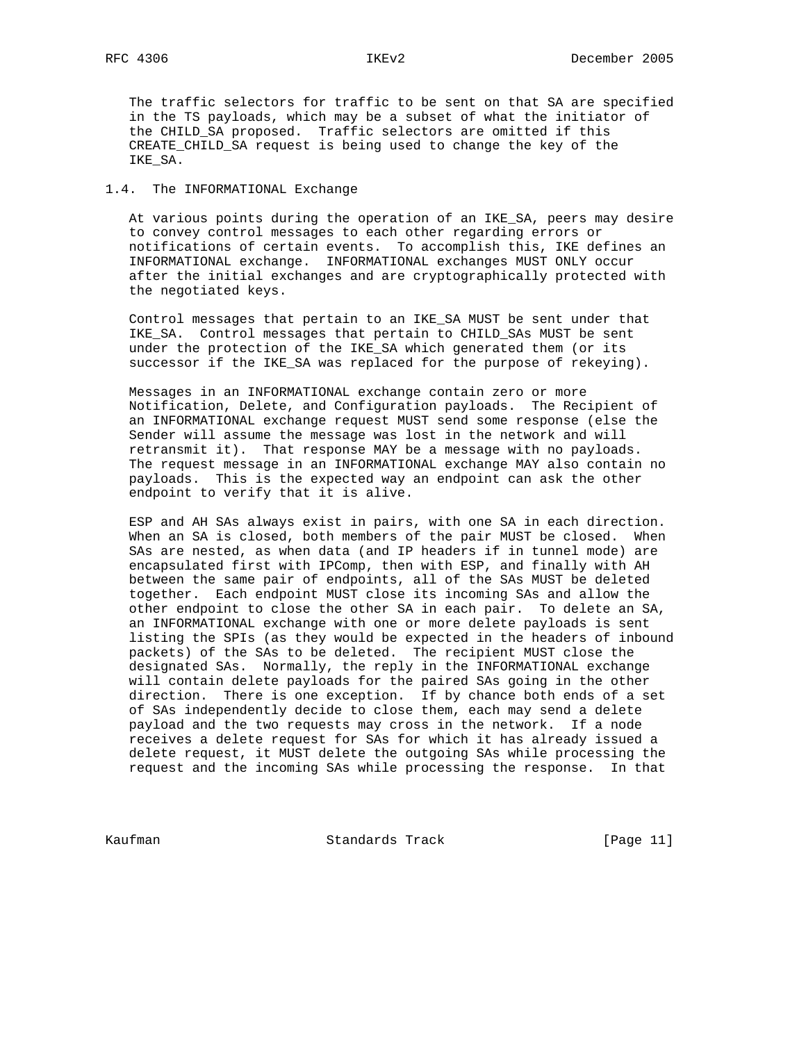The traffic selectors for traffic to be sent on that SA are specified in the TS payloads, which may be a subset of what the initiator of the CHILD\_SA proposed. Traffic selectors are omitted if this CREATE CHILD SA request is being used to change the key of the IKE\_SA.

# 1.4. The INFORMATIONAL Exchange

 At various points during the operation of an IKE\_SA, peers may desire to convey control messages to each other regarding errors or notifications of certain events. To accomplish this, IKE defines an INFORMATIONAL exchange. INFORMATIONAL exchanges MUST ONLY occur after the initial exchanges and are cryptographically protected with the negotiated keys.

 Control messages that pertain to an IKE\_SA MUST be sent under that IKE\_SA. Control messages that pertain to CHILD\_SAs MUST be sent under the protection of the IKE\_SA which generated them (or its successor if the IKE\_SA was replaced for the purpose of rekeying).

 Messages in an INFORMATIONAL exchange contain zero or more Notification, Delete, and Configuration payloads. The Recipient of an INFORMATIONAL exchange request MUST send some response (else the Sender will assume the message was lost in the network and will retransmit it). That response MAY be a message with no payloads. The request message in an INFORMATIONAL exchange MAY also contain no payloads. This is the expected way an endpoint can ask the other endpoint to verify that it is alive.

 ESP and AH SAs always exist in pairs, with one SA in each direction. When an SA is closed, both members of the pair MUST be closed. When SAs are nested, as when data (and IP headers if in tunnel mode) are encapsulated first with IPComp, then with ESP, and finally with AH between the same pair of endpoints, all of the SAs MUST be deleted together. Each endpoint MUST close its incoming SAs and allow the other endpoint to close the other SA in each pair. To delete an SA, an INFORMATIONAL exchange with one or more delete payloads is sent listing the SPIs (as they would be expected in the headers of inbound packets) of the SAs to be deleted. The recipient MUST close the designated SAs. Normally, the reply in the INFORMATIONAL exchange will contain delete payloads for the paired SAs going in the other direction. There is one exception. If by chance both ends of a set of SAs independently decide to close them, each may send a delete payload and the two requests may cross in the network. If a node receives a delete request for SAs for which it has already issued a delete request, it MUST delete the outgoing SAs while processing the request and the incoming SAs while processing the response. In that

Kaufman **Standards Track** [Page 11]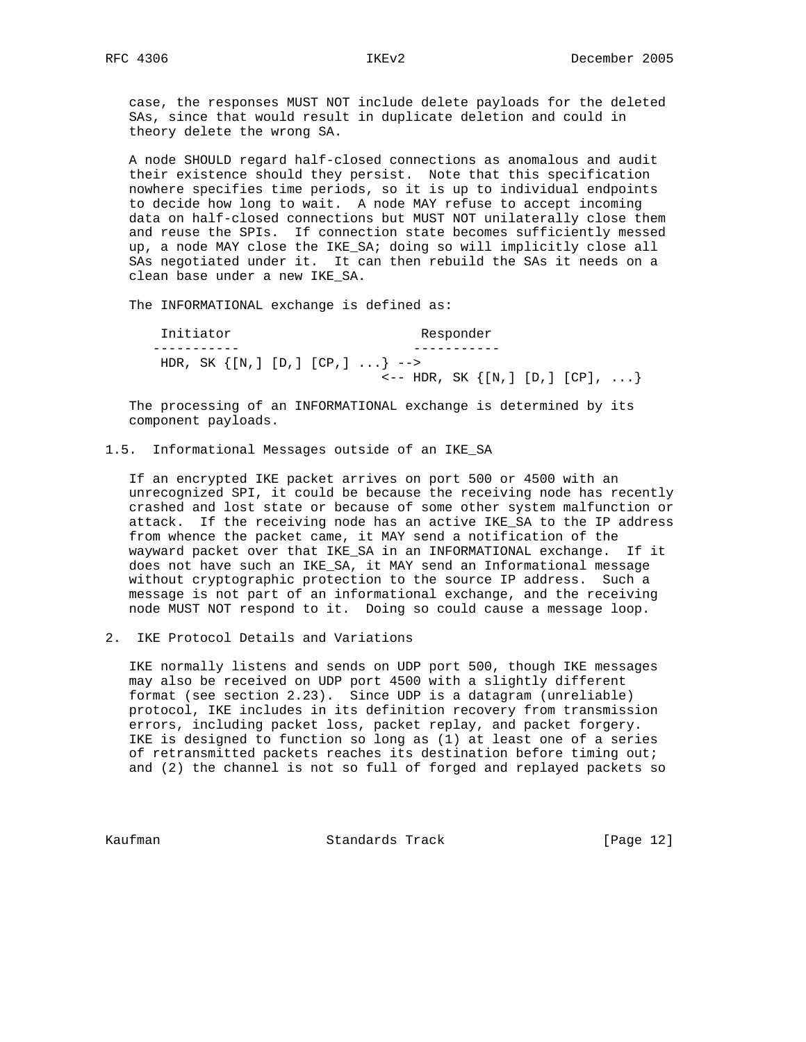case, the responses MUST NOT include delete payloads for the deleted SAs, since that would result in duplicate deletion and could in theory delete the wrong SA.

 A node SHOULD regard half-closed connections as anomalous and audit their existence should they persist. Note that this specification nowhere specifies time periods, so it is up to individual endpoints to decide how long to wait. A node MAY refuse to accept incoming data on half-closed connections but MUST NOT unilaterally close them and reuse the SPIs. If connection state becomes sufficiently messed up, a node MAY close the IKE\_SA; doing so will implicitly close all SAs negotiated under it. It can then rebuild the SAs it needs on a clean base under a new IKE\_SA.

The INFORMATIONAL exchange is defined as:

Initiator Responder ----------- ----------- HDR, SK  $\{[N, ] [D, ] [CP, ] ... \}$  -->  $\left\{ - - \text{ HDR}, \text{ SK} \right\}$  [N, ] [D, ] [CP], ...}

 The processing of an INFORMATIONAL exchange is determined by its component payloads.

# 1.5. Informational Messages outside of an IKE\_SA

 If an encrypted IKE packet arrives on port 500 or 4500 with an unrecognized SPI, it could be because the receiving node has recently crashed and lost state or because of some other system malfunction or attack. If the receiving node has an active IKE\_SA to the IP address from whence the packet came, it MAY send a notification of the wayward packet over that IKE\_SA in an INFORMATIONAL exchange. If it does not have such an IKE\_SA, it MAY send an Informational message without cryptographic protection to the source IP address. Such a message is not part of an informational exchange, and the receiving node MUST NOT respond to it. Doing so could cause a message loop.

2. IKE Protocol Details and Variations

 IKE normally listens and sends on UDP port 500, though IKE messages may also be received on UDP port 4500 with a slightly different format (see section 2.23). Since UDP is a datagram (unreliable) protocol, IKE includes in its definition recovery from transmission errors, including packet loss, packet replay, and packet forgery. IKE is designed to function so long as (1) at least one of a series of retransmitted packets reaches its destination before timing out; and (2) the channel is not so full of forged and replayed packets so

Kaufman Standards Track [Page 12]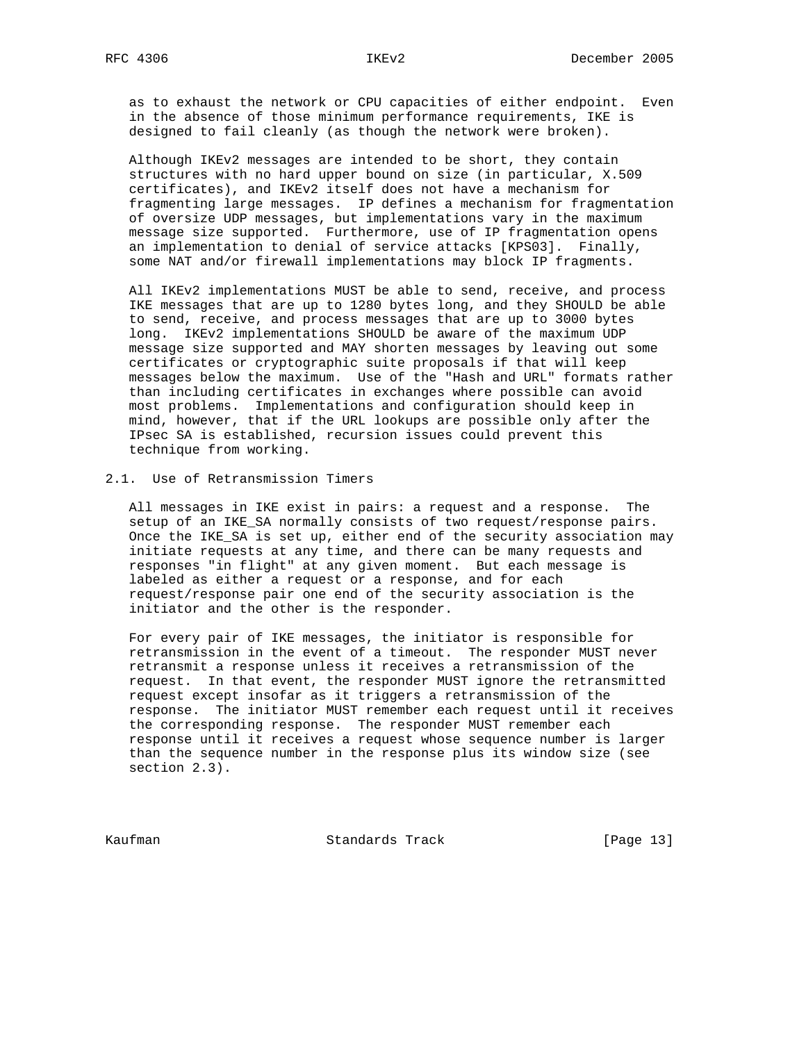as to exhaust the network or CPU capacities of either endpoint. Even in the absence of those minimum performance requirements, IKE is designed to fail cleanly (as though the network were broken).

 Although IKEv2 messages are intended to be short, they contain structures with no hard upper bound on size (in particular, X.509 certificates), and IKEv2 itself does not have a mechanism for fragmenting large messages. IP defines a mechanism for fragmentation of oversize UDP messages, but implementations vary in the maximum message size supported. Furthermore, use of IP fragmentation opens an implementation to denial of service attacks [KPS03]. Finally, some NAT and/or firewall implementations may block IP fragments.

 All IKEv2 implementations MUST be able to send, receive, and process IKE messages that are up to 1280 bytes long, and they SHOULD be able to send, receive, and process messages that are up to 3000 bytes long. IKEv2 implementations SHOULD be aware of the maximum UDP message size supported and MAY shorten messages by leaving out some certificates or cryptographic suite proposals if that will keep messages below the maximum. Use of the "Hash and URL" formats rather than including certificates in exchanges where possible can avoid most problems. Implementations and configuration should keep in mind, however, that if the URL lookups are possible only after the IPsec SA is established, recursion issues could prevent this technique from working.

# 2.1. Use of Retransmission Timers

 All messages in IKE exist in pairs: a request and a response. The setup of an IKE\_SA normally consists of two request/response pairs. Once the IKE\_SA is set up, either end of the security association may initiate requests at any time, and there can be many requests and responses "in flight" at any given moment. But each message is labeled as either a request or a response, and for each request/response pair one end of the security association is the initiator and the other is the responder.

 For every pair of IKE messages, the initiator is responsible for retransmission in the event of a timeout. The responder MUST never retransmit a response unless it receives a retransmission of the request. In that event, the responder MUST ignore the retransmitted request except insofar as it triggers a retransmission of the response. The initiator MUST remember each request until it receives the corresponding response. The responder MUST remember each response until it receives a request whose sequence number is larger than the sequence number in the response plus its window size (see section 2.3).

Kaufman Standards Track [Page 13]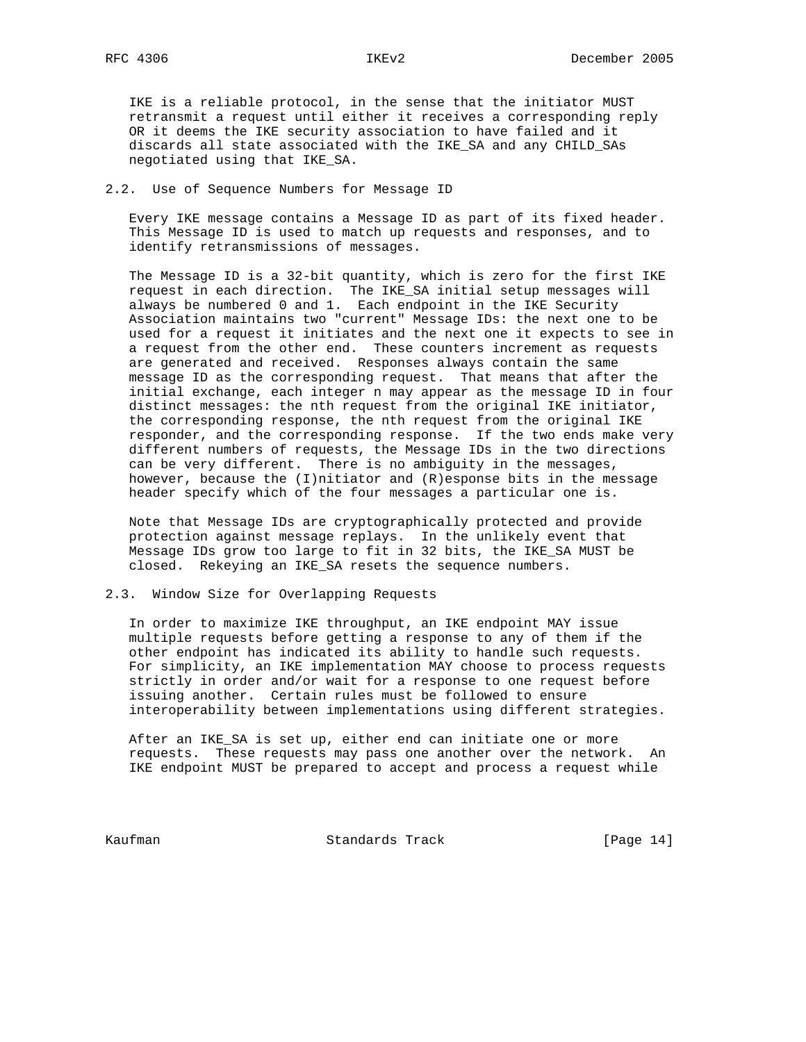IKE is a reliable protocol, in the sense that the initiator MUST retransmit a request until either it receives a corresponding reply OR it deems the IKE security association to have failed and it discards all state associated with the IKE\_SA and any CHILD\_SAs negotiated using that IKE\_SA.

## 2.2. Use of Sequence Numbers for Message ID

 Every IKE message contains a Message ID as part of its fixed header. This Message ID is used to match up requests and responses, and to identify retransmissions of messages.

 The Message ID is a 32-bit quantity, which is zero for the first IKE request in each direction. The IKE\_SA initial setup messages will always be numbered 0 and 1. Each endpoint in the IKE Security Association maintains two "current" Message IDs: the next one to be used for a request it initiates and the next one it expects to see in a request from the other end. These counters increment as requests are generated and received. Responses always contain the same message ID as the corresponding request. That means that after the initial exchange, each integer n may appear as the message ID in four distinct messages: the nth request from the original IKE initiator, the corresponding response, the nth request from the original IKE responder, and the corresponding response. If the two ends make very different numbers of requests, the Message IDs in the two directions can be very different. There is no ambiguity in the messages, however, because the  $(I)$ nitiator and  $(R)$ esponse bits in the message header specify which of the four messages a particular one is.

 Note that Message IDs are cryptographically protected and provide protection against message replays. In the unlikely event that Message IDs grow too large to fit in 32 bits, the IKE\_SA MUST be closed. Rekeying an IKE\_SA resets the sequence numbers.

### 2.3. Window Size for Overlapping Requests

 In order to maximize IKE throughput, an IKE endpoint MAY issue multiple requests before getting a response to any of them if the other endpoint has indicated its ability to handle such requests. For simplicity, an IKE implementation MAY choose to process requests strictly in order and/or wait for a response to one request before issuing another. Certain rules must be followed to ensure interoperability between implementations using different strategies.

 After an IKE\_SA is set up, either end can initiate one or more requests. These requests may pass one another over the network. An IKE endpoint MUST be prepared to accept and process a request while

Kaufman **Standards Track** [Page 14]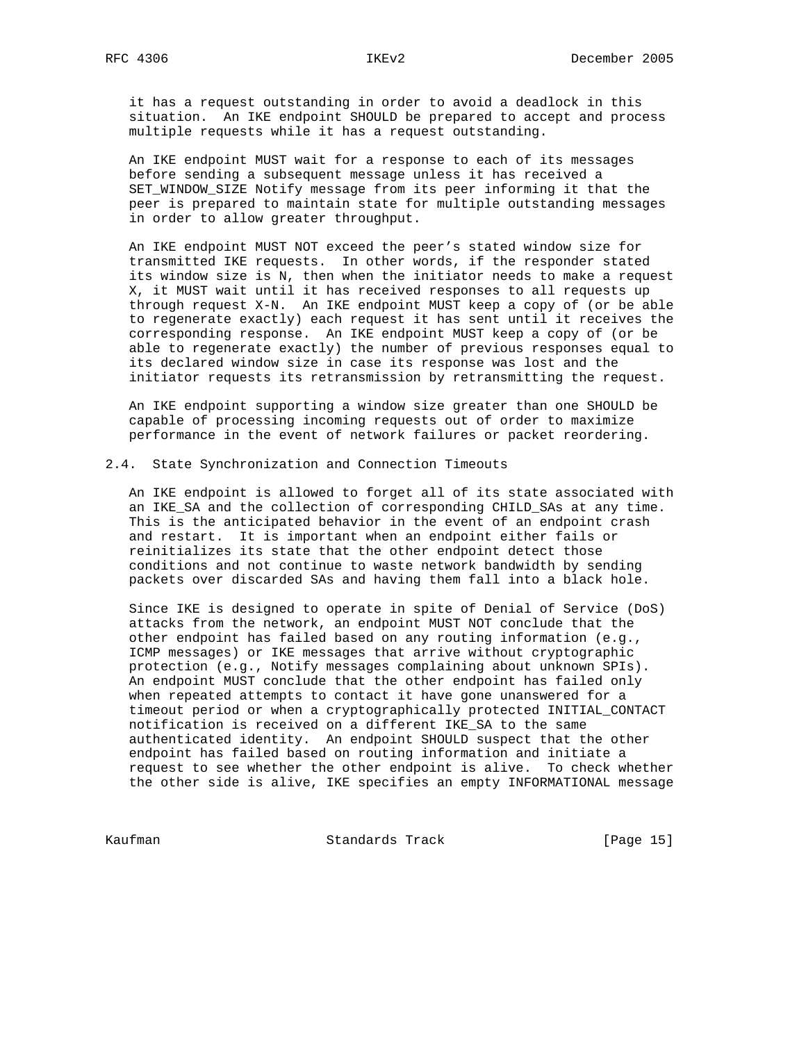it has a request outstanding in order to avoid a deadlock in this situation. An IKE endpoint SHOULD be prepared to accept and process multiple requests while it has a request outstanding.

 An IKE endpoint MUST wait for a response to each of its messages before sending a subsequent message unless it has received a SET\_WINDOW\_SIZE Notify message from its peer informing it that the peer is prepared to maintain state for multiple outstanding messages in order to allow greater throughput.

 An IKE endpoint MUST NOT exceed the peer's stated window size for transmitted IKE requests. In other words, if the responder stated its window size is N, then when the initiator needs to make a request X, it MUST wait until it has received responses to all requests up through request X-N. An IKE endpoint MUST keep a copy of (or be able to regenerate exactly) each request it has sent until it receives the corresponding response. An IKE endpoint MUST keep a copy of (or be able to regenerate exactly) the number of previous responses equal to its declared window size in case its response was lost and the initiator requests its retransmission by retransmitting the request.

 An IKE endpoint supporting a window size greater than one SHOULD be capable of processing incoming requests out of order to maximize performance in the event of network failures or packet reordering.

### 2.4. State Synchronization and Connection Timeouts

 An IKE endpoint is allowed to forget all of its state associated with an IKE\_SA and the collection of corresponding CHILD\_SAs at any time. This is the anticipated behavior in the event of an endpoint crash and restart. It is important when an endpoint either fails or reinitializes its state that the other endpoint detect those conditions and not continue to waste network bandwidth by sending packets over discarded SAs and having them fall into a black hole.

 Since IKE is designed to operate in spite of Denial of Service (DoS) attacks from the network, an endpoint MUST NOT conclude that the other endpoint has failed based on any routing information (e.g., ICMP messages) or IKE messages that arrive without cryptographic protection (e.g., Notify messages complaining about unknown SPIs). An endpoint MUST conclude that the other endpoint has failed only when repeated attempts to contact it have gone unanswered for a timeout period or when a cryptographically protected INITIAL\_CONTACT notification is received on a different IKE\_SA to the same authenticated identity. An endpoint SHOULD suspect that the other endpoint has failed based on routing information and initiate a request to see whether the other endpoint is alive. To check whether the other side is alive, IKE specifies an empty INFORMATIONAL message

Kaufman **Standards Track** [Page 15]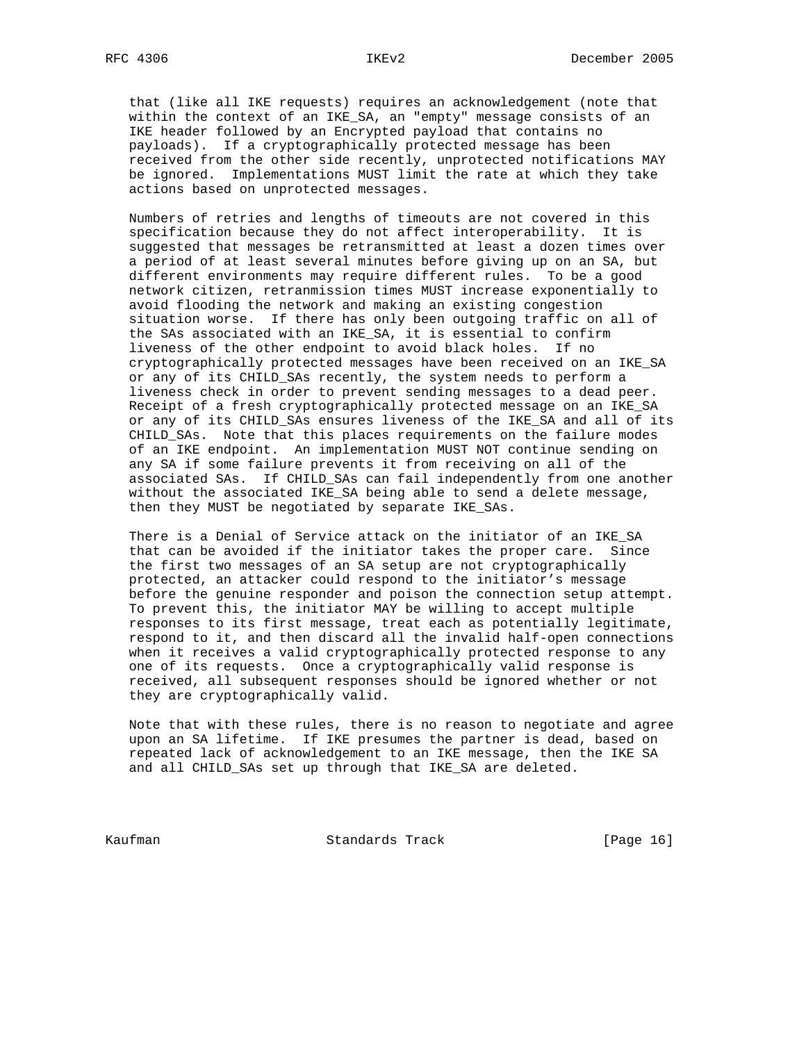that (like all IKE requests) requires an acknowledgement (note that within the context of an IKE\_SA, an "empty" message consists of an IKE header followed by an Encrypted payload that contains no payloads). If a cryptographically protected message has been received from the other side recently, unprotected notifications MAY be ignored. Implementations MUST limit the rate at which they take actions based on unprotected messages.

 Numbers of retries and lengths of timeouts are not covered in this specification because they do not affect interoperability. It is suggested that messages be retransmitted at least a dozen times over a period of at least several minutes before giving up on an SA, but different environments may require different rules. To be a good network citizen, retranmission times MUST increase exponentially to avoid flooding the network and making an existing congestion situation worse. If there has only been outgoing traffic on all of the SAs associated with an IKE\_SA, it is essential to confirm liveness of the other endpoint to avoid black holes. If no cryptographically protected messages have been received on an IKE\_SA or any of its CHILD\_SAs recently, the system needs to perform a liveness check in order to prevent sending messages to a dead peer. Receipt of a fresh cryptographically protected message on an IKE\_SA or any of its CHILD\_SAs ensures liveness of the IKE\_SA and all of its CHILD\_SAs. Note that this places requirements on the failure modes of an IKE endpoint. An implementation MUST NOT continue sending on any SA if some failure prevents it from receiving on all of the associated SAs. If CHILD\_SAs can fail independently from one another without the associated IKE\_SA being able to send a delete message, then they MUST be negotiated by separate IKE\_SAs.

 There is a Denial of Service attack on the initiator of an IKE\_SA that can be avoided if the initiator takes the proper care. Since the first two messages of an SA setup are not cryptographically protected, an attacker could respond to the initiator's message before the genuine responder and poison the connection setup attempt. To prevent this, the initiator MAY be willing to accept multiple responses to its first message, treat each as potentially legitimate, respond to it, and then discard all the invalid half-open connections when it receives a valid cryptographically protected response to any one of its requests. Once a cryptographically valid response is received, all subsequent responses should be ignored whether or not they are cryptographically valid.

 Note that with these rules, there is no reason to negotiate and agree upon an SA lifetime. If IKE presumes the partner is dead, based on repeated lack of acknowledgement to an IKE message, then the IKE SA and all CHILD\_SAs set up through that IKE\_SA are deleted.

Kaufman **Standards Track** [Page 16]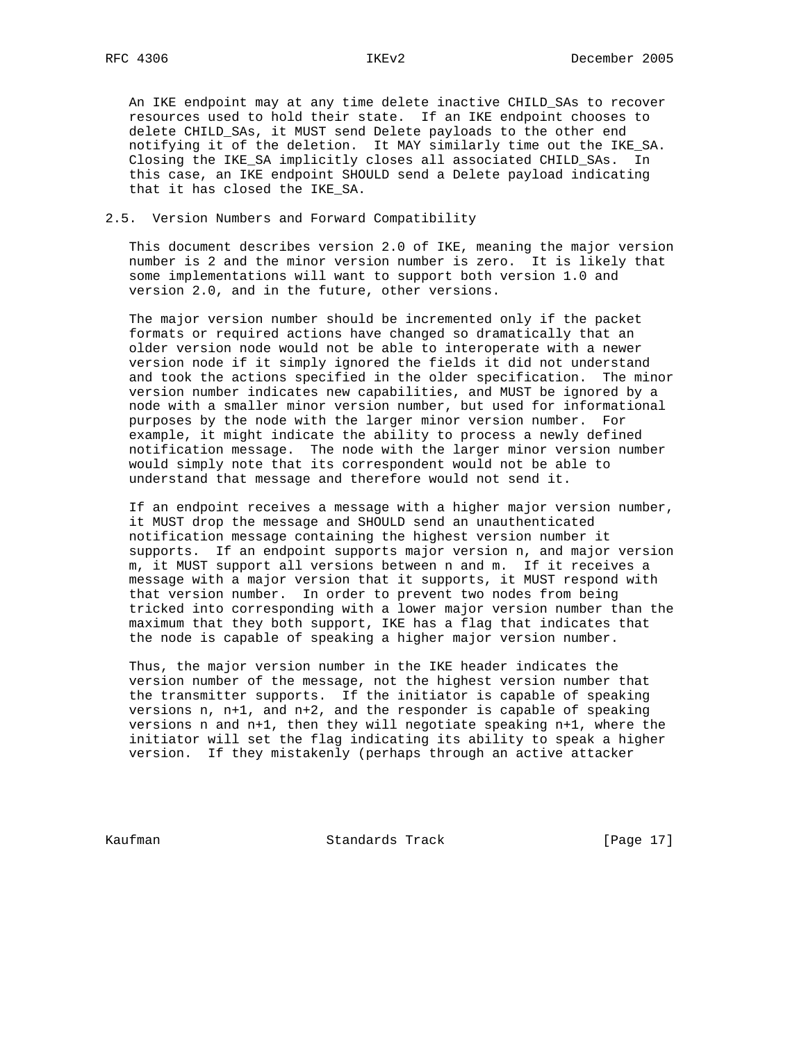An IKE endpoint may at any time delete inactive CHILD\_SAs to recover resources used to hold their state. If an IKE endpoint chooses to delete CHILD\_SAs, it MUST send Delete payloads to the other end notifying it of the deletion. It MAY similarly time out the IKE\_SA. Closing the IKE\_SA implicitly closes all associated CHILD\_SAs. In this case, an IKE endpoint SHOULD send a Delete payload indicating that it has closed the IKE\_SA.

### 2.5. Version Numbers and Forward Compatibility

 This document describes version 2.0 of IKE, meaning the major version number is 2 and the minor version number is zero. It is likely that some implementations will want to support both version 1.0 and version 2.0, and in the future, other versions.

 The major version number should be incremented only if the packet formats or required actions have changed so dramatically that an older version node would not be able to interoperate with a newer version node if it simply ignored the fields it did not understand and took the actions specified in the older specification. The minor version number indicates new capabilities, and MUST be ignored by a node with a smaller minor version number, but used for informational purposes by the node with the larger minor version number. For example, it might indicate the ability to process a newly defined notification message. The node with the larger minor version number would simply note that its correspondent would not be able to understand that message and therefore would not send it.

 If an endpoint receives a message with a higher major version number, it MUST drop the message and SHOULD send an unauthenticated notification message containing the highest version number it supports. If an endpoint supports major version n, and major version m, it MUST support all versions between n and m. If it receives a message with a major version that it supports, it MUST respond with that version number. In order to prevent two nodes from being tricked into corresponding with a lower major version number than the maximum that they both support, IKE has a flag that indicates that the node is capable of speaking a higher major version number.

 Thus, the major version number in the IKE header indicates the version number of the message, not the highest version number that the transmitter supports. If the initiator is capable of speaking versions n, n+1, and n+2, and the responder is capable of speaking versions n and n+1, then they will negotiate speaking n+1, where the initiator will set the flag indicating its ability to speak a higher version. If they mistakenly (perhaps through an active attacker

Kaufman **Standards Track** [Page 17]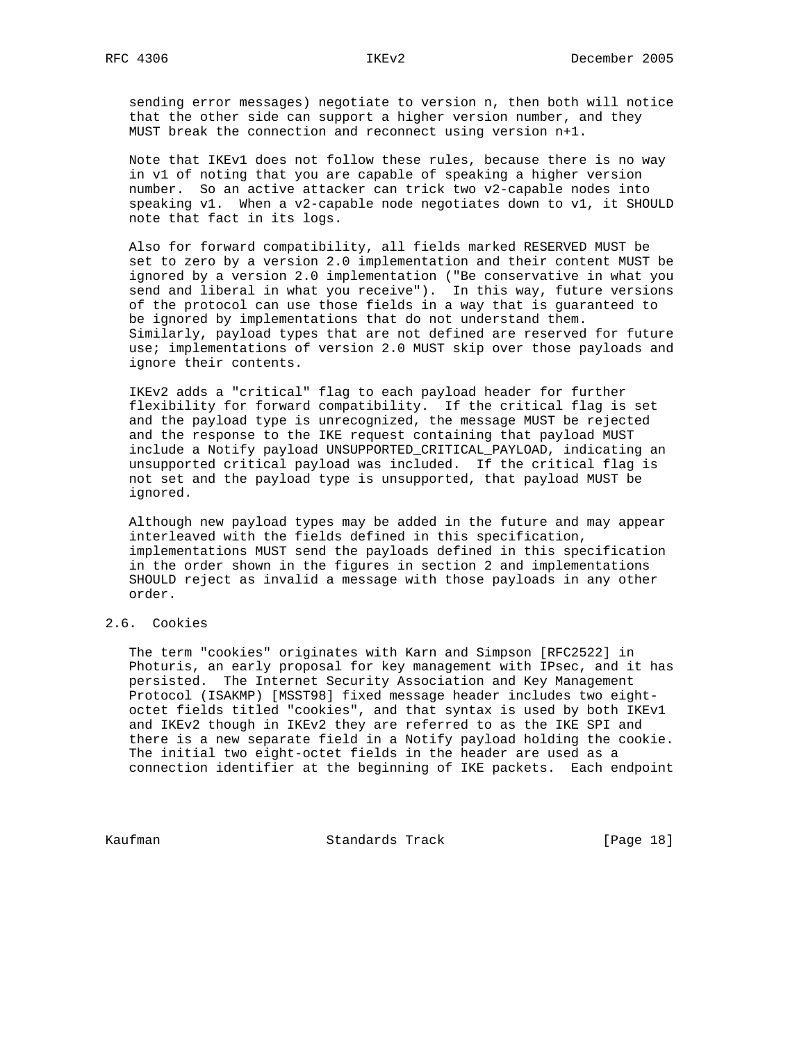sending error messages) negotiate to version n, then both will notice that the other side can support a higher version number, and they MUST break the connection and reconnect using version n+1.

 Note that IKEv1 does not follow these rules, because there is no way in v1 of noting that you are capable of speaking a higher version number. So an active attacker can trick two v2-capable nodes into speaking v1. When a v2-capable node negotiates down to v1, it SHOULD note that fact in its logs.

 Also for forward compatibility, all fields marked RESERVED MUST be set to zero by a version 2.0 implementation and their content MUST be ignored by a version 2.0 implementation ("Be conservative in what you send and liberal in what you receive"). In this way, future versions of the protocol can use those fields in a way that is guaranteed to be ignored by implementations that do not understand them. Similarly, payload types that are not defined are reserved for future use; implementations of version 2.0 MUST skip over those payloads and ignore their contents.

 IKEv2 adds a "critical" flag to each payload header for further flexibility for forward compatibility. If the critical flag is set and the payload type is unrecognized, the message MUST be rejected and the response to the IKE request containing that payload MUST include a Notify payload UNSUPPORTED\_CRITICAL\_PAYLOAD, indicating an unsupported critical payload was included. If the critical flag is not set and the payload type is unsupported, that payload MUST be ignored.

 Although new payload types may be added in the future and may appear interleaved with the fields defined in this specification, implementations MUST send the payloads defined in this specification in the order shown in the figures in section 2 and implementations SHOULD reject as invalid a message with those payloads in any other order.

# 2.6. Cookies

 The term "cookies" originates with Karn and Simpson [RFC2522] in Photuris, an early proposal for key management with IPsec, and it has persisted. The Internet Security Association and Key Management Protocol (ISAKMP) [MSST98] fixed message header includes two eight octet fields titled "cookies", and that syntax is used by both IKEv1 and IKEv2 though in IKEv2 they are referred to as the IKE SPI and there is a new separate field in a Notify payload holding the cookie. The initial two eight-octet fields in the header are used as a connection identifier at the beginning of IKE packets. Each endpoint

Kaufman **Standards Track** [Page 18]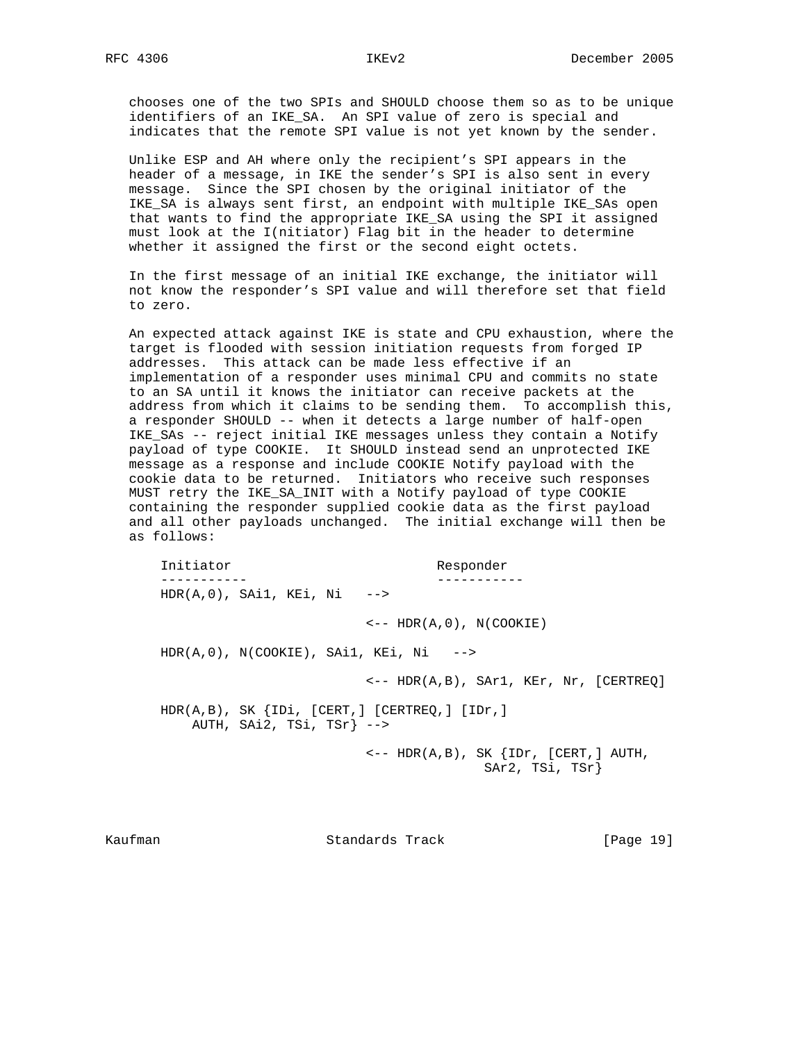chooses one of the two SPIs and SHOULD choose them so as to be unique identifiers of an IKE\_SA. An SPI value of zero is special and indicates that the remote SPI value is not yet known by the sender.

 Unlike ESP and AH where only the recipient's SPI appears in the header of a message, in IKE the sender's SPI is also sent in every message. Since the SPI chosen by the original initiator of the IKE\_SA is always sent first, an endpoint with multiple IKE\_SAs open that wants to find the appropriate IKE\_SA using the SPI it assigned must look at the I(nitiator) Flag bit in the header to determine whether it assigned the first or the second eight octets.

 In the first message of an initial IKE exchange, the initiator will not know the responder's SPI value and will therefore set that field to zero.

 An expected attack against IKE is state and CPU exhaustion, where the target is flooded with session initiation requests from forged IP addresses. This attack can be made less effective if an implementation of a responder uses minimal CPU and commits no state to an SA until it knows the initiator can receive packets at the address from which it claims to be sending them. To accomplish this, a responder SHOULD -- when it detects a large number of half-open IKE\_SAs -- reject initial IKE messages unless they contain a Notify payload of type COOKIE. It SHOULD instead send an unprotected IKE message as a response and include COOKIE Notify payload with the cookie data to be returned. Initiators who receive such responses MUST retry the IKE\_SA\_INIT with a Notify payload of type COOKIE containing the responder supplied cookie data as the first payload and all other payloads unchanged. The initial exchange will then be as follows:

Initiator Responder ----------- -----------  $HDR(A, 0)$ , SAi1, KEi, Ni  $- \leftarrow$  -- HDR(A,0), N(COOKIE)  $HDR(A,0)$ ,  $N(COOKIE)$ ,  $SAI$ ,  $KEi$ ,  $Ni$  --> <-- HDR(A,B), SAr1, KEr, Nr, [CERTREQ] HDR(A,B), SK {IDi, [CERT,] [CERTREQ,] [IDr,] AUTH, SAi2, TSi, TSr} -->  $\leftarrow -$  HDR(A,B), SK  $\{IDr, [CERT, ] AUTH,$ SAr2, TSi, TSr}

Kaufman **Standards Track** [Page 19]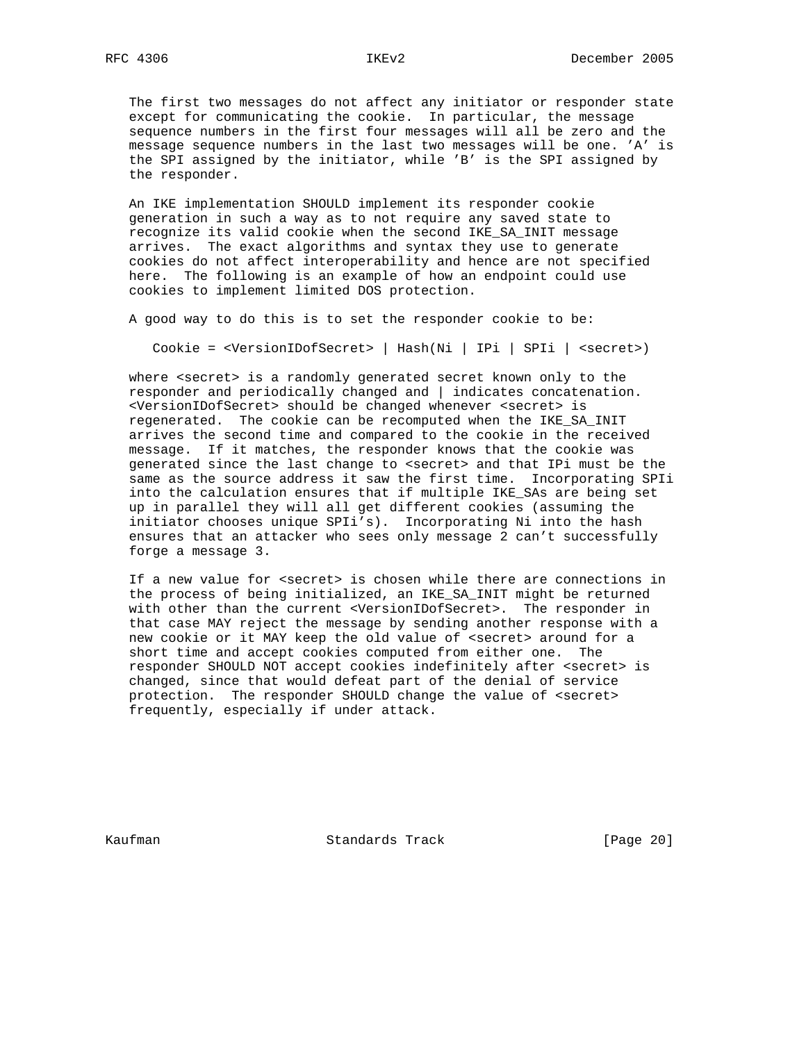The first two messages do not affect any initiator or responder state except for communicating the cookie. In particular, the message sequence numbers in the first four messages will all be zero and the message sequence numbers in the last two messages will be one. 'A' is the SPI assigned by the initiator, while 'B' is the SPI assigned by the responder.

 An IKE implementation SHOULD implement its responder cookie generation in such a way as to not require any saved state to recognize its valid cookie when the second IKE\_SA\_INIT message arrives. The exact algorithms and syntax they use to generate cookies do not affect interoperability and hence are not specified here. The following is an example of how an endpoint could use cookies to implement limited DOS protection.

A good way to do this is to set the responder cookie to be:

Cookie = <VersionIDofSecret> | Hash(Ni | IPi | SPIi | <secret>)

where <secret> is a randomly generated secret known only to the responder and periodically changed and | indicates concatenation. <VersionIDofSecret> should be changed whenever <secret> is regenerated. The cookie can be recomputed when the IKE\_SA\_INIT arrives the second time and compared to the cookie in the received message. If it matches, the responder knows that the cookie was generated since the last change to <secret> and that IPi must be the same as the source address it saw the first time. Incorporating SPIi into the calculation ensures that if multiple IKE\_SAs are being set up in parallel they will all get different cookies (assuming the initiator chooses unique SPIi's). Incorporating Ni into the hash ensures that an attacker who sees only message 2 can't successfully forge a message 3.

If a new value for <secret> is chosen while there are connections in the process of being initialized, an IKE\_SA\_INIT might be returned with other than the current <VersionIDofSecret>. The responder in that case MAY reject the message by sending another response with a new cookie or it MAY keep the old value of <secret> around for a short time and accept cookies computed from either one. The responder SHOULD NOT accept cookies indefinitely after <secret> is changed, since that would defeat part of the denial of service protection. The responder SHOULD change the value of <secret> frequently, especially if under attack.

Kaufman **Standards Track** [Page 20]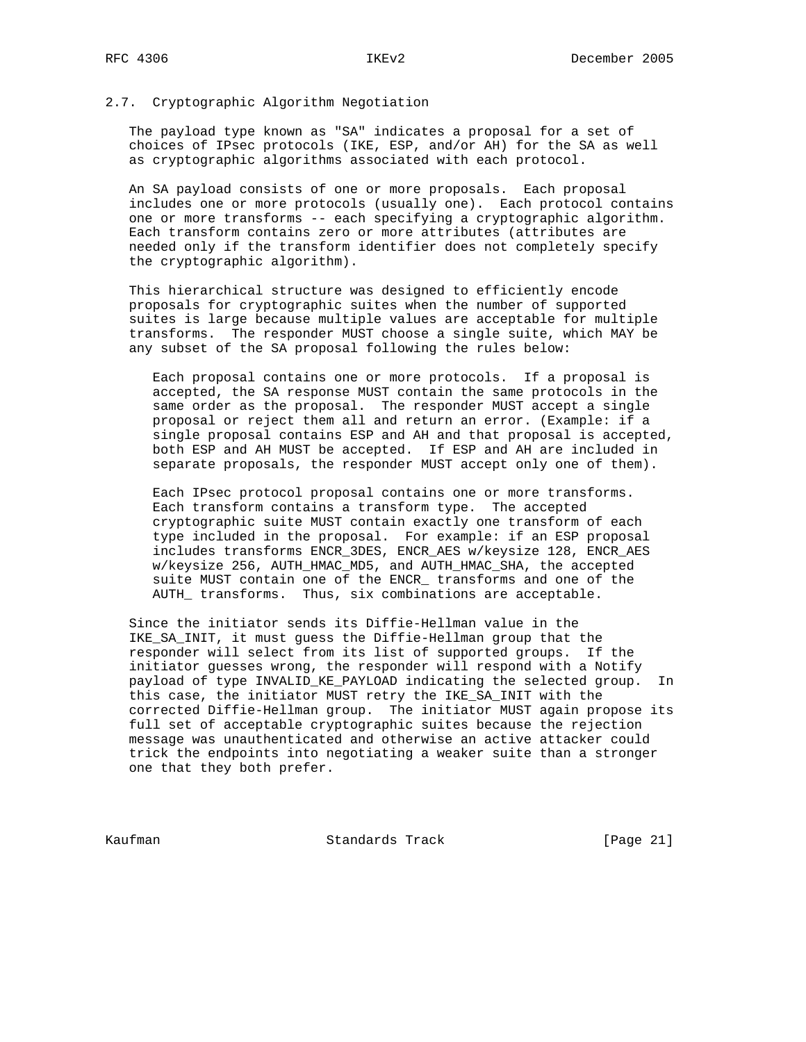### 2.7. Cryptographic Algorithm Negotiation

 The payload type known as "SA" indicates a proposal for a set of choices of IPsec protocols (IKE, ESP, and/or AH) for the SA as well as cryptographic algorithms associated with each protocol.

 An SA payload consists of one or more proposals. Each proposal includes one or more protocols (usually one). Each protocol contains one or more transforms -- each specifying a cryptographic algorithm. Each transform contains zero or more attributes (attributes are needed only if the transform identifier does not completely specify the cryptographic algorithm).

 This hierarchical structure was designed to efficiently encode proposals for cryptographic suites when the number of supported suites is large because multiple values are acceptable for multiple transforms. The responder MUST choose a single suite, which MAY be any subset of the SA proposal following the rules below:

 Each proposal contains one or more protocols. If a proposal is accepted, the SA response MUST contain the same protocols in the same order as the proposal. The responder MUST accept a single proposal or reject them all and return an error. (Example: if a single proposal contains ESP and AH and that proposal is accepted, both ESP and AH MUST be accepted. If ESP and AH are included in separate proposals, the responder MUST accept only one of them).

 Each IPsec protocol proposal contains one or more transforms. Each transform contains a transform type. The accepted cryptographic suite MUST contain exactly one transform of each type included in the proposal. For example: if an ESP proposal includes transforms ENCR\_3DES, ENCR\_AES w/keysize 128, ENCR\_AES w/keysize 256, AUTH\_HMAC\_MD5, and AUTH\_HMAC\_SHA, the accepted suite MUST contain one of the ENCR\_ transforms and one of the AUTH\_ transforms. Thus, six combinations are acceptable.

 Since the initiator sends its Diffie-Hellman value in the IKE\_SA\_INIT, it must guess the Diffie-Hellman group that the responder will select from its list of supported groups. If the initiator guesses wrong, the responder will respond with a Notify payload of type INVALID\_KE\_PAYLOAD indicating the selected group. In this case, the initiator MUST retry the IKE\_SA\_INIT with the corrected Diffie-Hellman group. The initiator MUST again propose its full set of acceptable cryptographic suites because the rejection message was unauthenticated and otherwise an active attacker could trick the endpoints into negotiating a weaker suite than a stronger one that they both prefer.

Kaufman **Standards Track** [Page 21]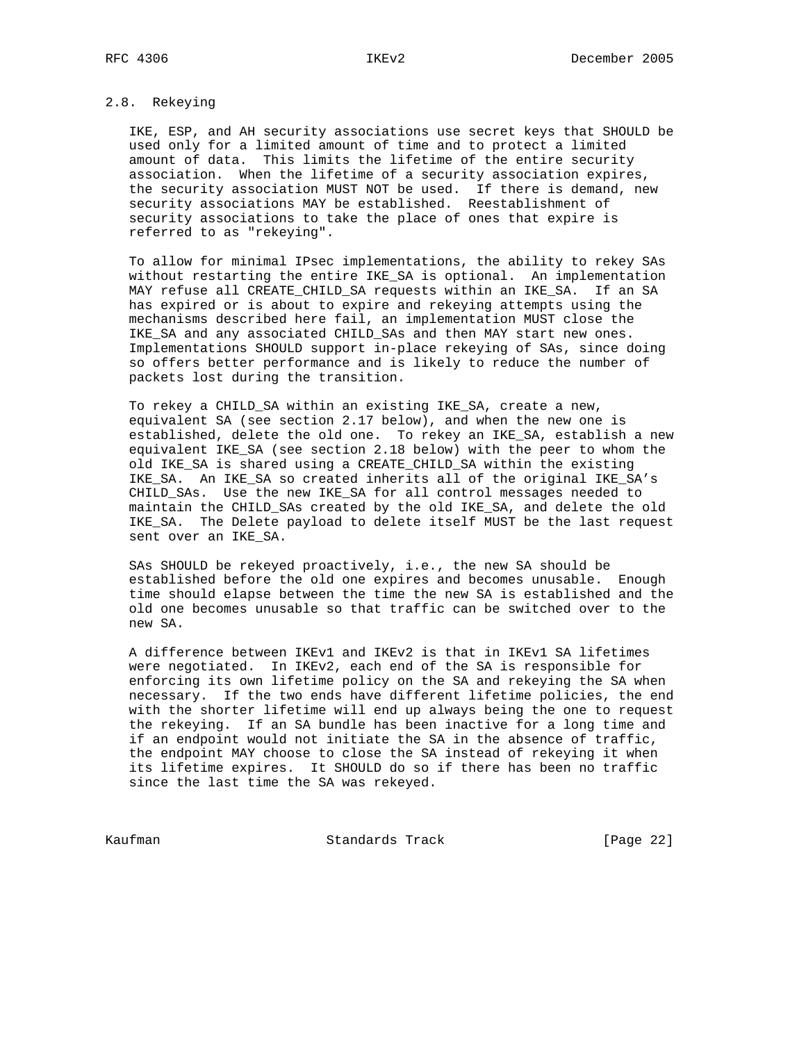# 2.8. Rekeying

 IKE, ESP, and AH security associations use secret keys that SHOULD be used only for a limited amount of time and to protect a limited amount of data. This limits the lifetime of the entire security association. When the lifetime of a security association expires, the security association MUST NOT be used. If there is demand, new security associations MAY be established. Reestablishment of security associations to take the place of ones that expire is referred to as "rekeying".

 To allow for minimal IPsec implementations, the ability to rekey SAs without restarting the entire IKE SA is optional. An implementation MAY refuse all CREATE\_CHILD\_SA requests within an IKE\_SA. If an SA has expired or is about to expire and rekeying attempts using the mechanisms described here fail, an implementation MUST close the IKE\_SA and any associated CHILD\_SAs and then MAY start new ones. Implementations SHOULD support in-place rekeying of SAs, since doing so offers better performance and is likely to reduce the number of packets lost during the transition.

 To rekey a CHILD\_SA within an existing IKE\_SA, create a new, equivalent SA (see section 2.17 below), and when the new one is established, delete the old one. To rekey an IKE\_SA, establish a new equivalent IKE\_SA (see section 2.18 below) with the peer to whom the old IKE\_SA is shared using a CREATE\_CHILD\_SA within the existing IKE\_SA. An IKE\_SA so created inherits all of the original IKE\_SA's CHILD\_SAs. Use the new IKE\_SA for all control messages needed to maintain the CHILD\_SAs created by the old IKE\_SA, and delete the old IKE\_SA. The Delete payload to delete itself MUST be the last request sent over an IKE\_SA.

 SAs SHOULD be rekeyed proactively, i.e., the new SA should be established before the old one expires and becomes unusable. Enough time should elapse between the time the new SA is established and the old one becomes unusable so that traffic can be switched over to the new SA.

 A difference between IKEv1 and IKEv2 is that in IKEv1 SA lifetimes were negotiated. In IKEv2, each end of the SA is responsible for enforcing its own lifetime policy on the SA and rekeying the SA when necessary. If the two ends have different lifetime policies, the end with the shorter lifetime will end up always being the one to request the rekeying. If an SA bundle has been inactive for a long time and if an endpoint would not initiate the SA in the absence of traffic, the endpoint MAY choose to close the SA instead of rekeying it when its lifetime expires. It SHOULD do so if there has been no traffic since the last time the SA was rekeyed.

Kaufman **Standards Track** [Page 22]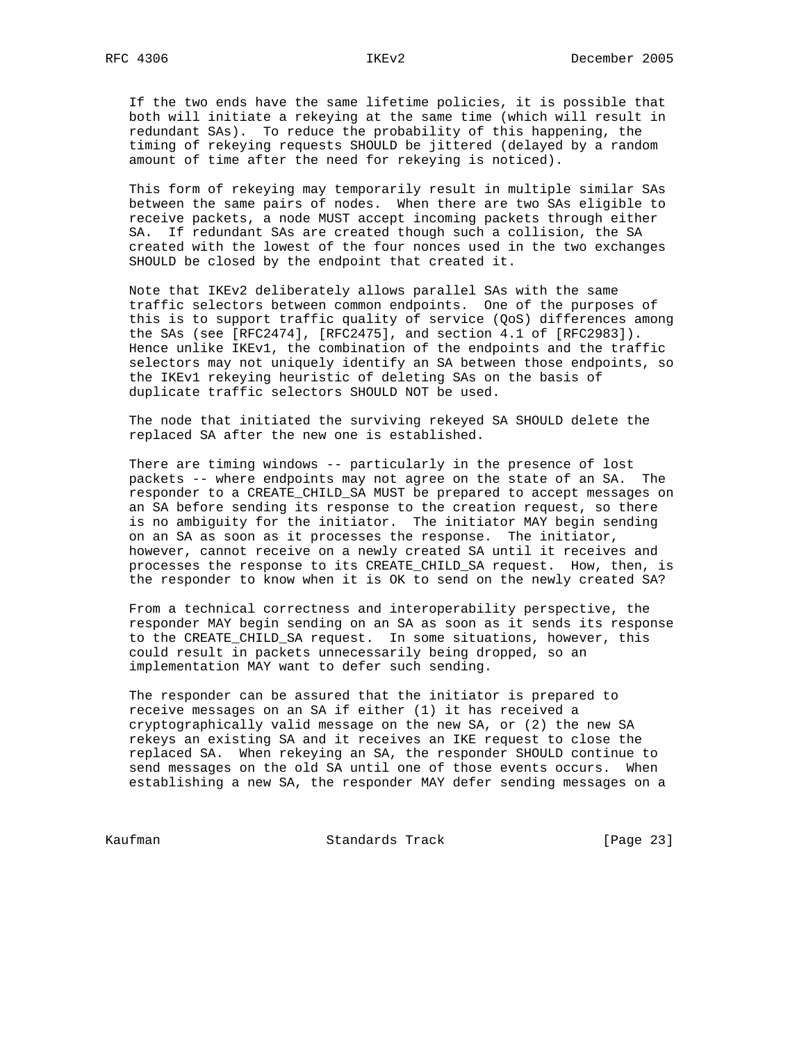If the two ends have the same lifetime policies, it is possible that both will initiate a rekeying at the same time (which will result in redundant SAs). To reduce the probability of this happening, the timing of rekeying requests SHOULD be jittered (delayed by a random amount of time after the need for rekeying is noticed).

 This form of rekeying may temporarily result in multiple similar SAs between the same pairs of nodes. When there are two SAs eligible to receive packets, a node MUST accept incoming packets through either SA. If redundant SAs are created though such a collision, the SA created with the lowest of the four nonces used in the two exchanges SHOULD be closed by the endpoint that created it.

 Note that IKEv2 deliberately allows parallel SAs with the same traffic selectors between common endpoints. One of the purposes of this is to support traffic quality of service (QoS) differences among the SAs (see [RFC2474], [RFC2475], and section 4.1 of [RFC2983]). Hence unlike IKEv1, the combination of the endpoints and the traffic selectors may not uniquely identify an SA between those endpoints, so the IKEv1 rekeying heuristic of deleting SAs on the basis of duplicate traffic selectors SHOULD NOT be used.

 The node that initiated the surviving rekeyed SA SHOULD delete the replaced SA after the new one is established.

 There are timing windows -- particularly in the presence of lost packets -- where endpoints may not agree on the state of an SA. The responder to a CREATE\_CHILD\_SA MUST be prepared to accept messages on an SA before sending its response to the creation request, so there is no ambiguity for the initiator. The initiator MAY begin sending on an SA as soon as it processes the response. The initiator, however, cannot receive on a newly created SA until it receives and processes the response to its CREATE\_CHILD\_SA request. How, then, is the responder to know when it is OK to send on the newly created SA?

 From a technical correctness and interoperability perspective, the responder MAY begin sending on an SA as soon as it sends its response to the CREATE\_CHILD\_SA request. In some situations, however, this could result in packets unnecessarily being dropped, so an implementation MAY want to defer such sending.

 The responder can be assured that the initiator is prepared to receive messages on an SA if either (1) it has received a cryptographically valid message on the new SA, or (2) the new SA rekeys an existing SA and it receives an IKE request to close the replaced SA. When rekeying an SA, the responder SHOULD continue to send messages on the old SA until one of those events occurs. When establishing a new SA, the responder MAY defer sending messages on a

Kaufman **Standards Track** [Page 23]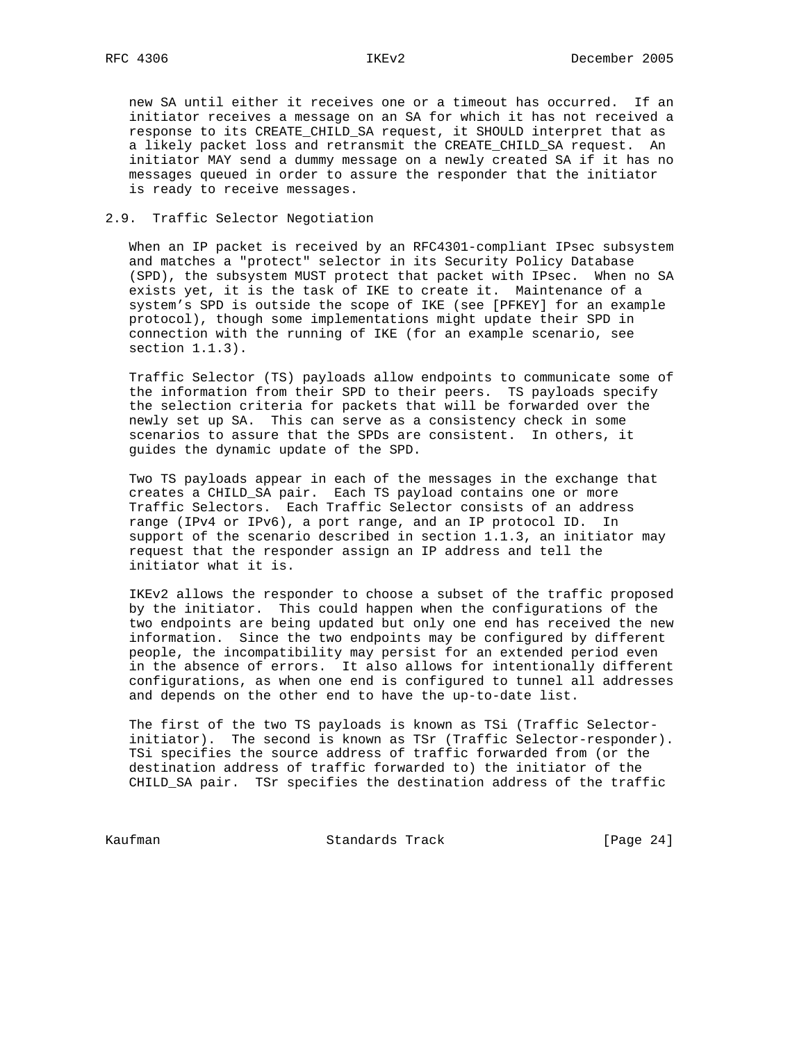new SA until either it receives one or a timeout has occurred. If an initiator receives a message on an SA for which it has not received a response to its CREATE\_CHILD\_SA request, it SHOULD interpret that as a likely packet loss and retransmit the CREATE\_CHILD\_SA request. An initiator MAY send a dummy message on a newly created SA if it has no messages queued in order to assure the responder that the initiator is ready to receive messages.

## 2.9. Traffic Selector Negotiation

 When an IP packet is received by an RFC4301-compliant IPsec subsystem and matches a "protect" selector in its Security Policy Database (SPD), the subsystem MUST protect that packet with IPsec. When no SA exists yet, it is the task of IKE to create it. Maintenance of a system's SPD is outside the scope of IKE (see [PFKEY] for an example protocol), though some implementations might update their SPD in connection with the running of IKE (for an example scenario, see section 1.1.3).

 Traffic Selector (TS) payloads allow endpoints to communicate some of the information from their SPD to their peers. TS payloads specify the selection criteria for packets that will be forwarded over the newly set up SA. This can serve as a consistency check in some scenarios to assure that the SPDs are consistent. In others, it guides the dynamic update of the SPD.

 Two TS payloads appear in each of the messages in the exchange that creates a CHILD\_SA pair. Each TS payload contains one or more Traffic Selectors. Each Traffic Selector consists of an address range (IPv4 or IPv6), a port range, and an IP protocol ID. In support of the scenario described in section 1.1.3, an initiator may request that the responder assign an IP address and tell the initiator what it is.

 IKEv2 allows the responder to choose a subset of the traffic proposed by the initiator. This could happen when the configurations of the two endpoints are being updated but only one end has received the new information. Since the two endpoints may be configured by different people, the incompatibility may persist for an extended period even in the absence of errors. It also allows for intentionally different configurations, as when one end is configured to tunnel all addresses and depends on the other end to have the up-to-date list.

 The first of the two TS payloads is known as TSi (Traffic Selector initiator). The second is known as TSr (Traffic Selector-responder). TSi specifies the source address of traffic forwarded from (or the destination address of traffic forwarded to) the initiator of the CHILD\_SA pair. TSr specifies the destination address of the traffic

Kaufman Standards Track [Page 24]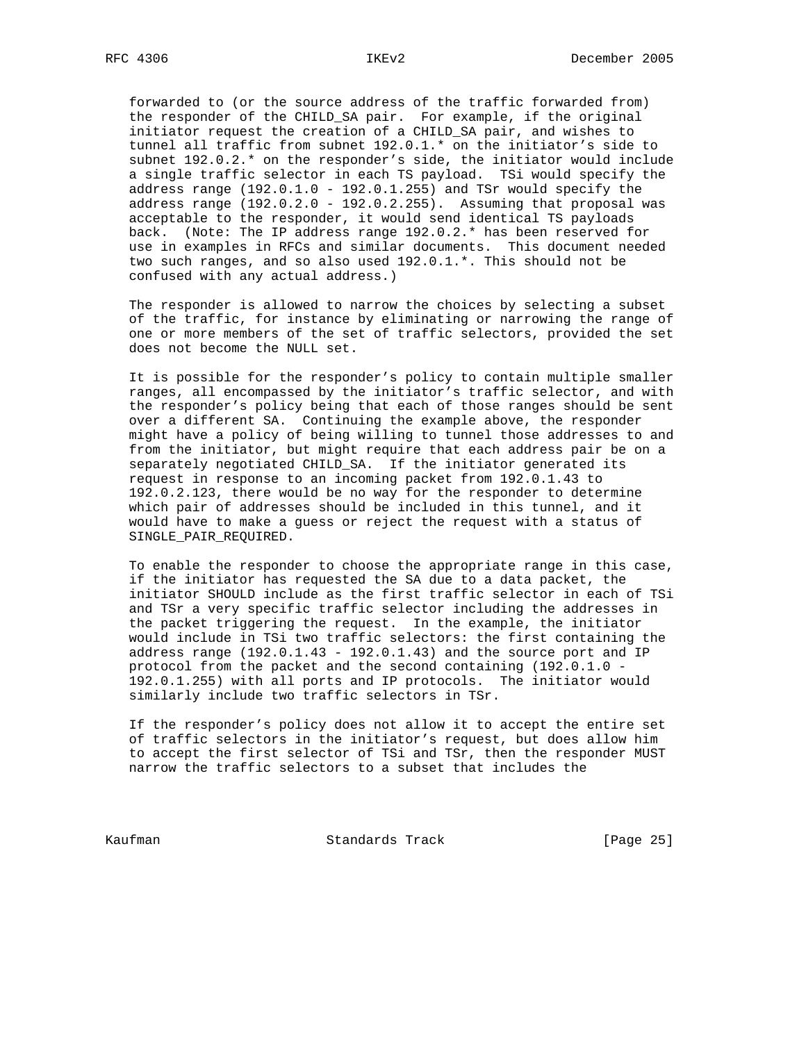forwarded to (or the source address of the traffic forwarded from) the responder of the CHILD\_SA pair. For example, if the original initiator request the creation of a CHILD\_SA pair, and wishes to tunnel all traffic from subnet 192.0.1.\* on the initiator's side to subnet 192.0.2.\* on the responder's side, the initiator would include a single traffic selector in each TS payload. TSi would specify the address range  $(192.0.1.0 - 192.0.1.255)$  and TSr would specify the address range  $(192.0.2.0 - 192.0.2.255)$ . Assuming that proposal was acceptable to the responder, it would send identical TS payloads back. (Note: The IP address range 192.0.2.\* has been reserved for use in examples in RFCs and similar documents. This document needed two such ranges, and so also used 192.0.1.\*. This should not be confused with any actual address.)

 The responder is allowed to narrow the choices by selecting a subset of the traffic, for instance by eliminating or narrowing the range of one or more members of the set of traffic selectors, provided the set does not become the NULL set.

 It is possible for the responder's policy to contain multiple smaller ranges, all encompassed by the initiator's traffic selector, and with the responder's policy being that each of those ranges should be sent over a different SA. Continuing the example above, the responder might have a policy of being willing to tunnel those addresses to and from the initiator, but might require that each address pair be on a separately negotiated CHILD\_SA. If the initiator generated its request in response to an incoming packet from 192.0.1.43 to 192.0.2.123, there would be no way for the responder to determine which pair of addresses should be included in this tunnel, and it would have to make a guess or reject the request with a status of SINGLE PAIR REQUIRED.

 To enable the responder to choose the appropriate range in this case, if the initiator has requested the SA due to a data packet, the initiator SHOULD include as the first traffic selector in each of TSi and TSr a very specific traffic selector including the addresses in the packet triggering the request. In the example, the initiator would include in TSi two traffic selectors: the first containing the address range  $(192.0.1.43 - 192.0.1.43)$  and the source port and IP protocol from the packet and the second containing (192.0.1.0 - 192.0.1.255) with all ports and IP protocols. The initiator would similarly include two traffic selectors in TSr.

 If the responder's policy does not allow it to accept the entire set of traffic selectors in the initiator's request, but does allow him to accept the first selector of TSi and TSr, then the responder MUST narrow the traffic selectors to a subset that includes the

Kaufman **Standards Track** [Page 25]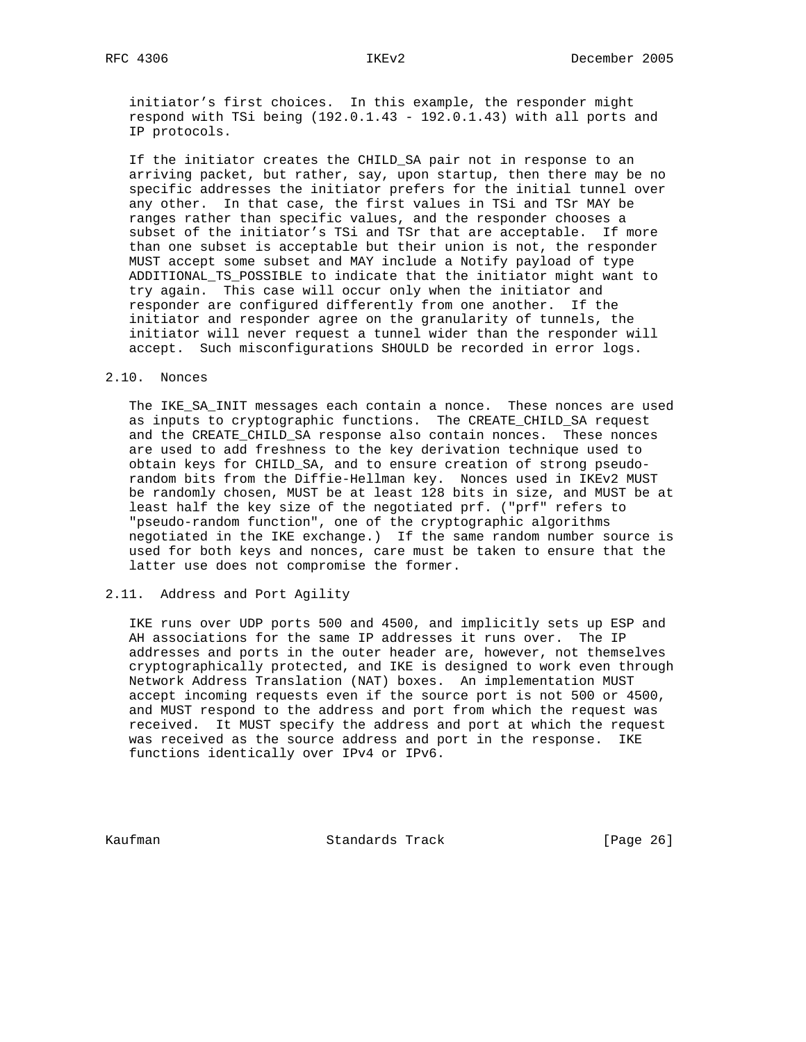initiator's first choices. In this example, the responder might respond with TSi being (192.0.1.43 - 192.0.1.43) with all ports and IP protocols.

 If the initiator creates the CHILD\_SA pair not in response to an arriving packet, but rather, say, upon startup, then there may be no specific addresses the initiator prefers for the initial tunnel over any other. In that case, the first values in TSi and TSr MAY be ranges rather than specific values, and the responder chooses a subset of the initiator's TSi and TSr that are acceptable. If more than one subset is acceptable but their union is not, the responder MUST accept some subset and MAY include a Notify payload of type ADDITIONAL\_TS\_POSSIBLE to indicate that the initiator might want to try again. This case will occur only when the initiator and responder are configured differently from one another. If the initiator and responder agree on the granularity of tunnels, the initiator will never request a tunnel wider than the responder will accept. Such misconfigurations SHOULD be recorded in error logs.

#### 2.10. Nonces

 The IKE\_SA\_INIT messages each contain a nonce. These nonces are used as inputs to cryptographic functions. The CREATE\_CHILD\_SA request and the CREATE\_CHILD\_SA response also contain nonces. These nonces are used to add freshness to the key derivation technique used to obtain keys for CHILD\_SA, and to ensure creation of strong pseudo random bits from the Diffie-Hellman key. Nonces used in IKEv2 MUST be randomly chosen, MUST be at least 128 bits in size, and MUST be at least half the key size of the negotiated prf. ("prf" refers to "pseudo-random function", one of the cryptographic algorithms negotiated in the IKE exchange.) If the same random number source is used for both keys and nonces, care must be taken to ensure that the latter use does not compromise the former.

### 2.11. Address and Port Agility

 IKE runs over UDP ports 500 and 4500, and implicitly sets up ESP and AH associations for the same IP addresses it runs over. The IP addresses and ports in the outer header are, however, not themselves cryptographically protected, and IKE is designed to work even through Network Address Translation (NAT) boxes. An implementation MUST accept incoming requests even if the source port is not 500 or 4500, and MUST respond to the address and port from which the request was received. It MUST specify the address and port at which the request was received as the source address and port in the response. IKE functions identically over IPv4 or IPv6.

Kaufman **Standards Track** [Page 26]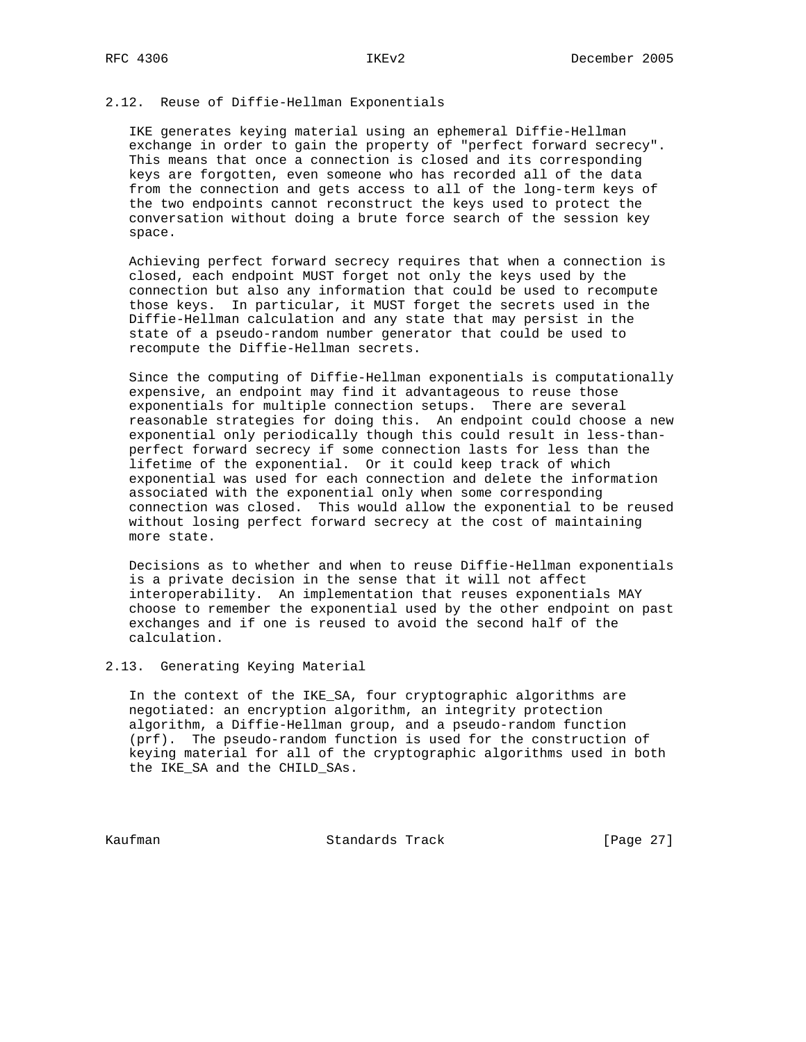## 2.12. Reuse of Diffie-Hellman Exponentials

 IKE generates keying material using an ephemeral Diffie-Hellman exchange in order to gain the property of "perfect forward secrecy". This means that once a connection is closed and its corresponding keys are forgotten, even someone who has recorded all of the data from the connection and gets access to all of the long-term keys of the two endpoints cannot reconstruct the keys used to protect the conversation without doing a brute force search of the session key space.

 Achieving perfect forward secrecy requires that when a connection is closed, each endpoint MUST forget not only the keys used by the connection but also any information that could be used to recompute those keys. In particular, it MUST forget the secrets used in the Diffie-Hellman calculation and any state that may persist in the state of a pseudo-random number generator that could be used to recompute the Diffie-Hellman secrets.

 Since the computing of Diffie-Hellman exponentials is computationally expensive, an endpoint may find it advantageous to reuse those exponentials for multiple connection setups. There are several reasonable strategies for doing this. An endpoint could choose a new exponential only periodically though this could result in less-than perfect forward secrecy if some connection lasts for less than the lifetime of the exponential. Or it could keep track of which exponential was used for each connection and delete the information associated with the exponential only when some corresponding connection was closed. This would allow the exponential to be reused without losing perfect forward secrecy at the cost of maintaining more state.

 Decisions as to whether and when to reuse Diffie-Hellman exponentials is a private decision in the sense that it will not affect interoperability. An implementation that reuses exponentials MAY choose to remember the exponential used by the other endpoint on past exchanges and if one is reused to avoid the second half of the calculation.

2.13. Generating Keying Material

 In the context of the IKE\_SA, four cryptographic algorithms are negotiated: an encryption algorithm, an integrity protection algorithm, a Diffie-Hellman group, and a pseudo-random function (prf). The pseudo-random function is used for the construction of keying material for all of the cryptographic algorithms used in both the IKE\_SA and the CHILD\_SAs.

Kaufman **Standards Track** [Page 27]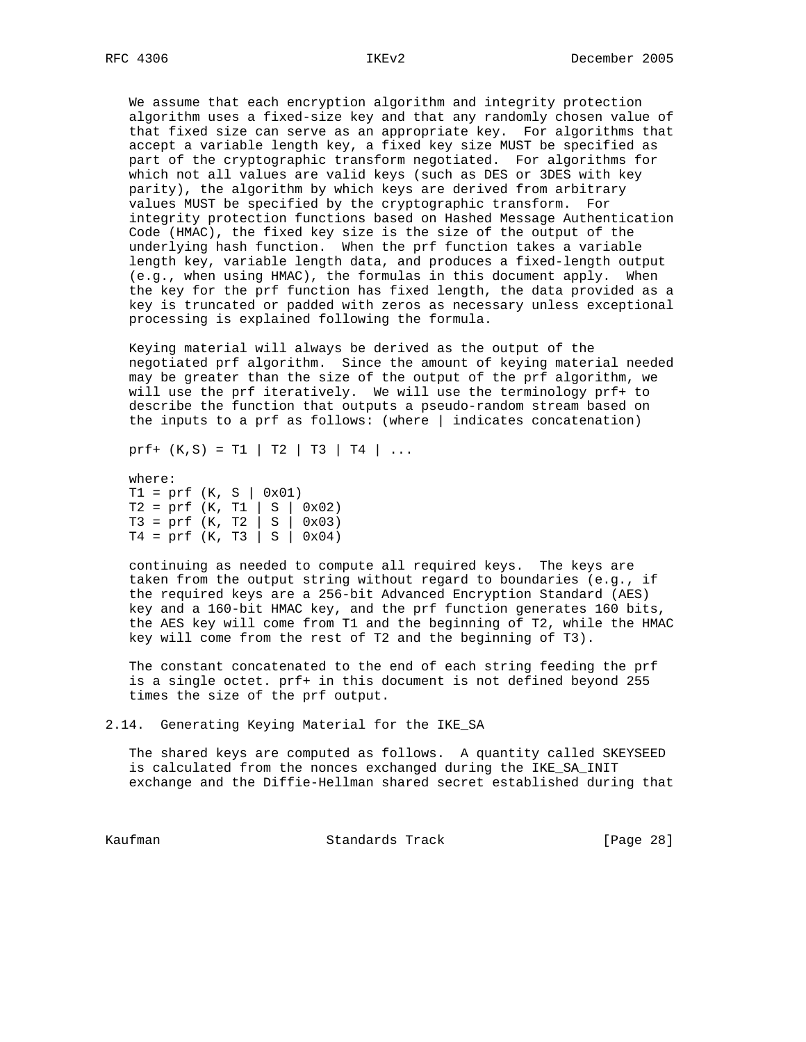We assume that each encryption algorithm and integrity protection algorithm uses a fixed-size key and that any randomly chosen value of that fixed size can serve as an appropriate key. For algorithms that accept a variable length key, a fixed key size MUST be specified as part of the cryptographic transform negotiated. For algorithms for which not all values are valid keys (such as DES or 3DES with key parity), the algorithm by which keys are derived from arbitrary values MUST be specified by the cryptographic transform. For integrity protection functions based on Hashed Message Authentication Code (HMAC), the fixed key size is the size of the output of the underlying hash function. When the prf function takes a variable length key, variable length data, and produces a fixed-length output (e.g., when using HMAC), the formulas in this document apply. When the key for the prf function has fixed length, the data provided as a key is truncated or padded with zeros as necessary unless exceptional processing is explained following the formula.

 Keying material will always be derived as the output of the negotiated prf algorithm. Since the amount of keying material needed may be greater than the size of the output of the prf algorithm, we will use the prf iteratively. We will use the terminology prf+ to describe the function that outputs a pseudo-random stream based on the inputs to a prf as follows: (where  $\vert$  indicates concatenation)

prf+  $(K, S) = T1 | T2 | T3 | T4 | ...$ 

 where:  $T1 = prf (K, S | 0x01)$  T2 = prf (K, T1 | S | 0x02) T3 = prf (K, T2 | S | 0x03)  $T4 = prf (K, T3 | S | 0x04)$ 

 continuing as needed to compute all required keys. The keys are taken from the output string without regard to boundaries (e.g., if the required keys are a 256-bit Advanced Encryption Standard (AES) key and a 160-bit HMAC key, and the prf function generates 160 bits, the AES key will come from T1 and the beginning of T2, while the HMAC key will come from the rest of T2 and the beginning of T3).

 The constant concatenated to the end of each string feeding the prf is a single octet. prf+ in this document is not defined beyond 255 times the size of the prf output.

2.14. Generating Keying Material for the IKE\_SA

 The shared keys are computed as follows. A quantity called SKEYSEED is calculated from the nonces exchanged during the IKE\_SA\_INIT exchange and the Diffie-Hellman shared secret established during that

Kaufman **Standards Track** [Page 28]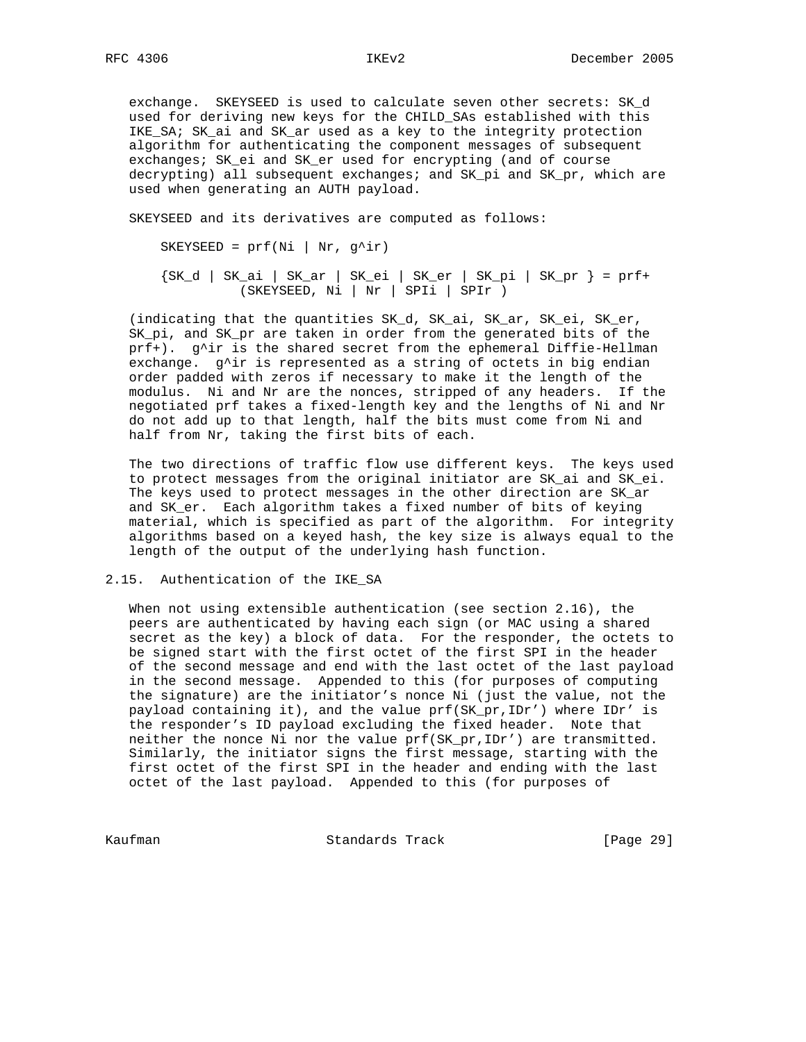exchange. SKEYSEED is used to calculate seven other secrets: SK\_d used for deriving new keys for the CHILD\_SAs established with this IKE\_SA; SK\_ai and SK\_ar used as a key to the integrity protection algorithm for authenticating the component messages of subsequent exchanges; SK\_ei and SK\_er used for encrypting (and of course decrypting) all subsequent exchanges; and SK\_pi and SK\_pr, which are used when generating an AUTH payload.

SKEYSEED and its derivatives are computed as follows:

SKEYSEED =  $prf(Ni \mid Nr, g^i)r)$ 

 {SK\_d | SK\_ai | SK\_ar | SK\_ei | SK\_er | SK\_pi | SK\_pr } = prf+ (SKEYSEED, Ni | Nr | SPIi | SPIr )

 (indicating that the quantities SK\_d, SK\_ai, SK\_ar, SK\_ei, SK\_er, SK\_pi, and SK\_pr are taken in order from the generated bits of the prf+). g^ir is the shared secret from the ephemeral Diffie-Hellman exchange. g^ir is represented as a string of octets in big endian order padded with zeros if necessary to make it the length of the modulus. Ni and Nr are the nonces, stripped of any headers. If the negotiated prf takes a fixed-length key and the lengths of Ni and Nr do not add up to that length, half the bits must come from Ni and half from Nr, taking the first bits of each.

 The two directions of traffic flow use different keys. The keys used to protect messages from the original initiator are SK\_ai and SK\_ei. The keys used to protect messages in the other direction are SK\_ar and SK\_er. Each algorithm takes a fixed number of bits of keying material, which is specified as part of the algorithm. For integrity algorithms based on a keyed hash, the key size is always equal to the length of the output of the underlying hash function.

2.15. Authentication of the IKE\_SA

 When not using extensible authentication (see section 2.16), the peers are authenticated by having each sign (or MAC using a shared secret as the key) a block of data. For the responder, the octets to be signed start with the first octet of the first SPI in the header of the second message and end with the last octet of the last payload in the second message. Appended to this (for purposes of computing the signature) are the initiator's nonce Ni (just the value, not the payload containing it), and the value prf(SK\_pr,IDr') where IDr' is the responder's ID payload excluding the fixed header. Note that neither the nonce Ni nor the value prf(SK\_pr,IDr') are transmitted. Similarly, the initiator signs the first message, starting with the first octet of the first SPI in the header and ending with the last octet of the last payload. Appended to this (for purposes of

Kaufman **Standards Track** [Page 29]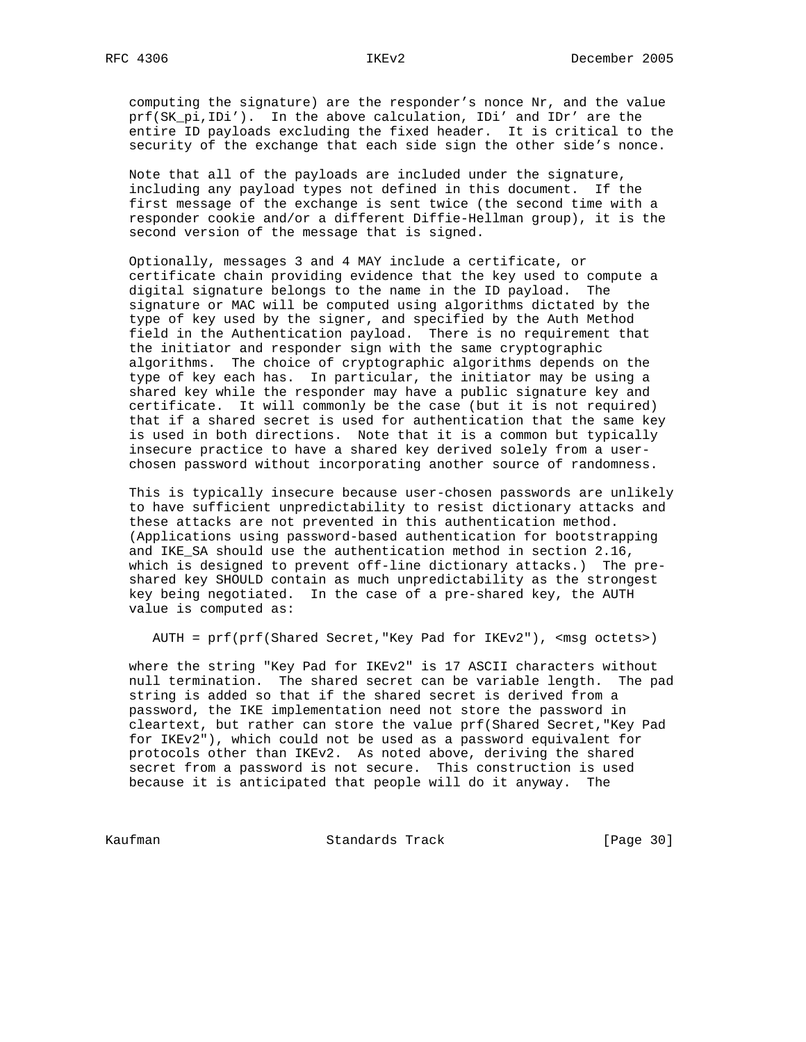computing the signature) are the responder's nonce Nr, and the value prf(SK\_pi,IDi'). In the above calculation, IDi' and IDr' are the entire ID payloads excluding the fixed header. It is critical to the security of the exchange that each side sign the other side's nonce.

 Note that all of the payloads are included under the signature, including any payload types not defined in this document. If the first message of the exchange is sent twice (the second time with a responder cookie and/or a different Diffie-Hellman group), it is the second version of the message that is signed.

 Optionally, messages 3 and 4 MAY include a certificate, or certificate chain providing evidence that the key used to compute a digital signature belongs to the name in the ID payload. The signature or MAC will be computed using algorithms dictated by the type of key used by the signer, and specified by the Auth Method field in the Authentication payload. There is no requirement that the initiator and responder sign with the same cryptographic algorithms. The choice of cryptographic algorithms depends on the type of key each has. In particular, the initiator may be using a shared key while the responder may have a public signature key and certificate. It will commonly be the case (but it is not required) that if a shared secret is used for authentication that the same key is used in both directions. Note that it is a common but typically insecure practice to have a shared key derived solely from a user chosen password without incorporating another source of randomness.

 This is typically insecure because user-chosen passwords are unlikely to have sufficient unpredictability to resist dictionary attacks and these attacks are not prevented in this authentication method. (Applications using password-based authentication for bootstrapping and IKE\_SA should use the authentication method in section 2.16, which is designed to prevent off-line dictionary attacks.) The pre shared key SHOULD contain as much unpredictability as the strongest key being negotiated. In the case of a pre-shared key, the AUTH value is computed as:

AUTH = prf(prf(Shared Secret,"Key Pad for IKEv2"), <msg octets>)

 where the string "Key Pad for IKEv2" is 17 ASCII characters without null termination. The shared secret can be variable length. The pad string is added so that if the shared secret is derived from a password, the IKE implementation need not store the password in cleartext, but rather can store the value prf(Shared Secret,"Key Pad for IKEv2"), which could not be used as a password equivalent for protocols other than IKEv2. As noted above, deriving the shared secret from a password is not secure. This construction is used because it is anticipated that people will do it anyway. The

Kaufman **Standards Track** [Page 30]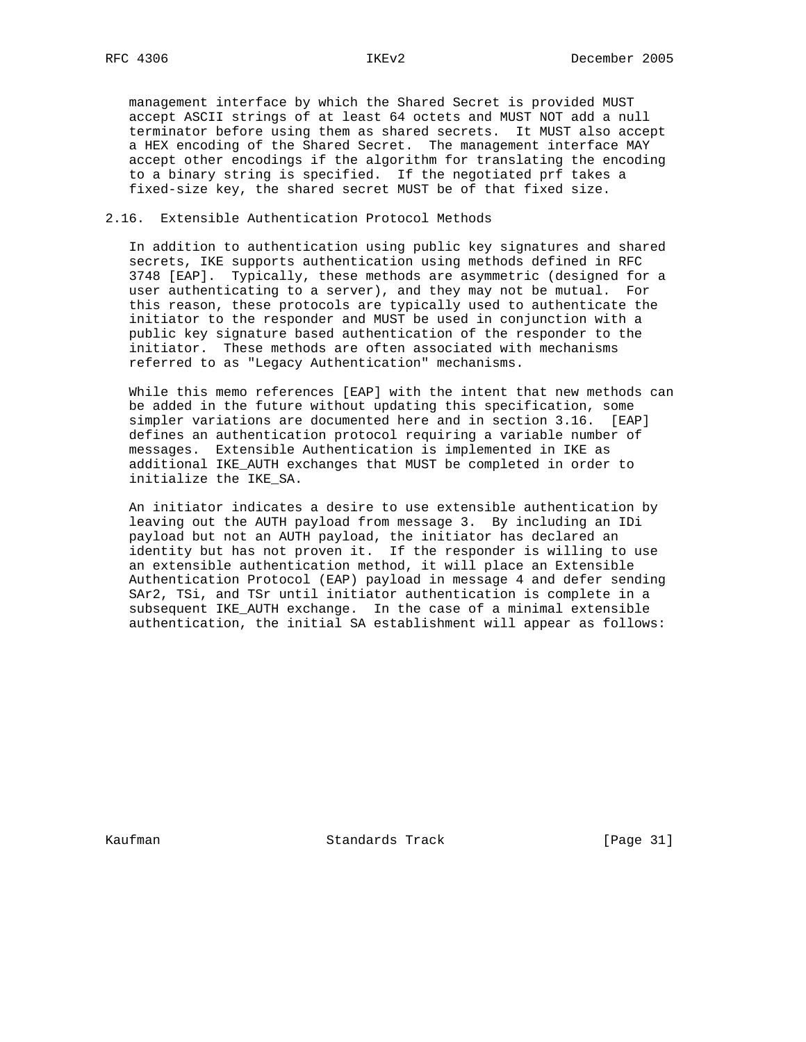management interface by which the Shared Secret is provided MUST accept ASCII strings of at least 64 octets and MUST NOT add a null terminator before using them as shared secrets. It MUST also accept a HEX encoding of the Shared Secret. The management interface MAY accept other encodings if the algorithm for translating the encoding to a binary string is specified. If the negotiated prf takes a fixed-size key, the shared secret MUST be of that fixed size.

### 2.16. Extensible Authentication Protocol Methods

 In addition to authentication using public key signatures and shared secrets, IKE supports authentication using methods defined in RFC 3748 [EAP]. Typically, these methods are asymmetric (designed for a user authenticating to a server), and they may not be mutual. For this reason, these protocols are typically used to authenticate the initiator to the responder and MUST be used in conjunction with a public key signature based authentication of the responder to the initiator. These methods are often associated with mechanisms referred to as "Legacy Authentication" mechanisms.

 While this memo references [EAP] with the intent that new methods can be added in the future without updating this specification, some simpler variations are documented here and in section 3.16. [EAP] defines an authentication protocol requiring a variable number of messages. Extensible Authentication is implemented in IKE as additional IKE\_AUTH exchanges that MUST be completed in order to initialize the IKE\_SA.

 An initiator indicates a desire to use extensible authentication by leaving out the AUTH payload from message 3. By including an IDi payload but not an AUTH payload, the initiator has declared an identity but has not proven it. If the responder is willing to use an extensible authentication method, it will place an Extensible Authentication Protocol (EAP) payload in message 4 and defer sending SAr2, TSi, and TSr until initiator authentication is complete in a subsequent IKE\_AUTH exchange. In the case of a minimal extensible authentication, the initial SA establishment will appear as follows:

Kaufman **Standards Track** [Page 31]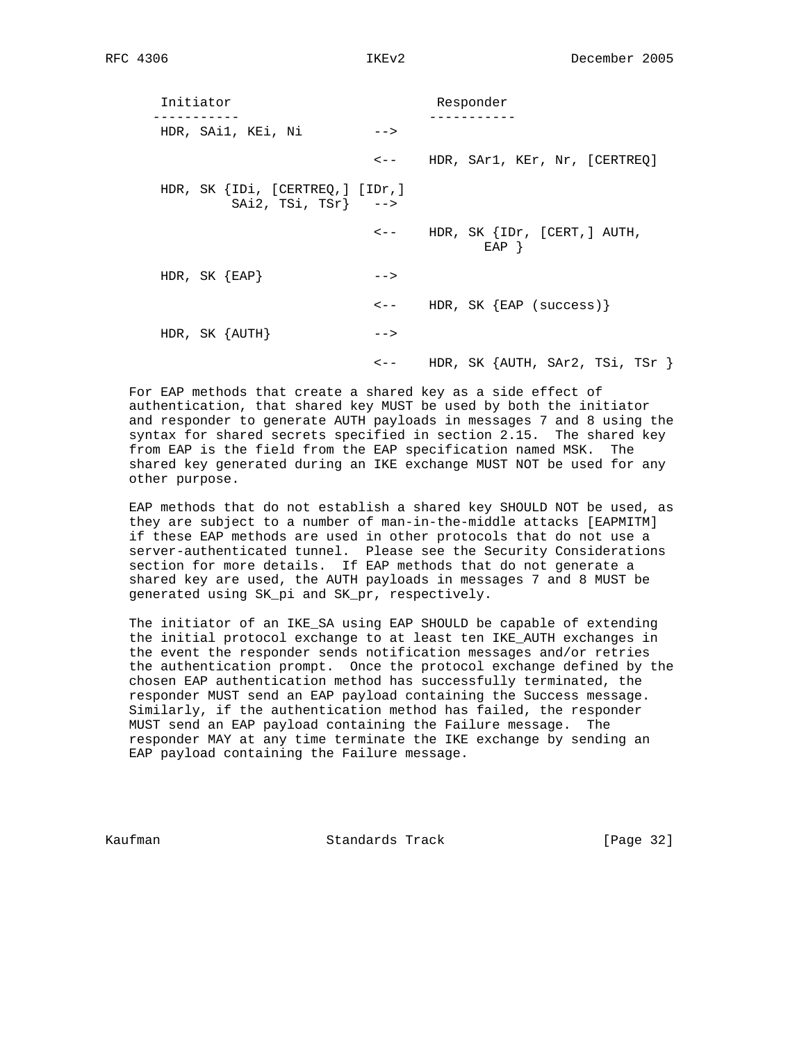Initiator Responder ----------- ----------- HDR, SAi1, KEi, Ni --> <-- HDR, SAr1, KEr, Nr, [CERTREQ] HDR, SK {IDi, [CERTREQ,] [IDr,] SAi2, TSi, TSr} --> <-- HDR, SK {IDr, [CERT,] AUTH,  $\begin{array}{c}\texttt{EAP} \end{array} \big\}$ HDR, SK  ${EAP}$  --> <-- HDR, SK {EAP (success)}  $HDR$ , SK  $\{AUTH\}$  --> <-- HDR, SK {AUTH, SAr2, TSi, TSr }

 For EAP methods that create a shared key as a side effect of authentication, that shared key MUST be used by both the initiator and responder to generate AUTH payloads in messages 7 and 8 using the syntax for shared secrets specified in section 2.15. The shared key from EAP is the field from the EAP specification named MSK. The shared key generated during an IKE exchange MUST NOT be used for any other purpose.

 EAP methods that do not establish a shared key SHOULD NOT be used, as they are subject to a number of man-in-the-middle attacks [EAPMITM] if these EAP methods are used in other protocols that do not use a server-authenticated tunnel. Please see the Security Considerations section for more details. If EAP methods that do not generate a shared key are used, the AUTH payloads in messages 7 and 8 MUST be generated using SK\_pi and SK\_pr, respectively.

 The initiator of an IKE\_SA using EAP SHOULD be capable of extending the initial protocol exchange to at least ten IKE\_AUTH exchanges in the event the responder sends notification messages and/or retries the authentication prompt. Once the protocol exchange defined by the chosen EAP authentication method has successfully terminated, the responder MUST send an EAP payload containing the Success message. Similarly, if the authentication method has failed, the responder MUST send an EAP payload containing the Failure message. The responder MAY at any time terminate the IKE exchange by sending an EAP payload containing the Failure message.

Kaufman Standards Track [Page 32]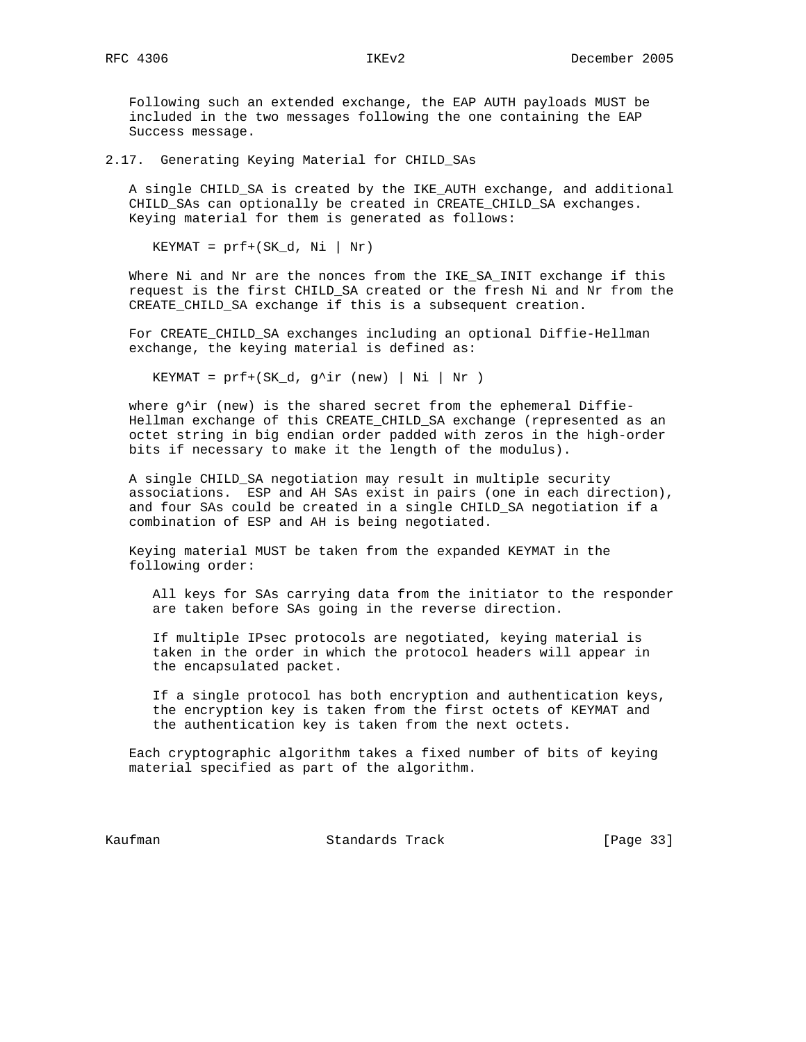Following such an extended exchange, the EAP AUTH payloads MUST be included in the two messages following the one containing the EAP Success message.

2.17. Generating Keying Material for CHILD\_SAs

 A single CHILD\_SA is created by the IKE\_AUTH exchange, and additional CHILD\_SAs can optionally be created in CREATE\_CHILD\_SA exchanges. Keying material for them is generated as follows:

 $KEYMAT = prf + (SK_d, Ni | Nr)$ 

 Where Ni and Nr are the nonces from the IKE\_SA\_INIT exchange if this request is the first CHILD\_SA created or the fresh Ni and Nr from the CREATE\_CHILD\_SA exchange if this is a subsequent creation.

 For CREATE\_CHILD\_SA exchanges including an optional Diffie-Hellman exchange, the keying material is defined as:

KEYMAT =  $prf+(SK_d, g^i)r$  (new) | Ni | Nr )

where  $g^{\wedge}$ ir (new) is the shared secret from the ephemeral Diffie- Hellman exchange of this CREATE\_CHILD\_SA exchange (represented as an octet string in big endian order padded with zeros in the high-order bits if necessary to make it the length of the modulus).

 A single CHILD\_SA negotiation may result in multiple security associations. ESP and AH SAs exist in pairs (one in each direction), and four SAs could be created in a single CHILD\_SA negotiation if a combination of ESP and AH is being negotiated.

 Keying material MUST be taken from the expanded KEYMAT in the following order:

 All keys for SAs carrying data from the initiator to the responder are taken before SAs going in the reverse direction.

 If multiple IPsec protocols are negotiated, keying material is taken in the order in which the protocol headers will appear in the encapsulated packet.

 If a single protocol has both encryption and authentication keys, the encryption key is taken from the first octets of KEYMAT and the authentication key is taken from the next octets.

 Each cryptographic algorithm takes a fixed number of bits of keying material specified as part of the algorithm.

Kaufman **Standards Track** [Page 33]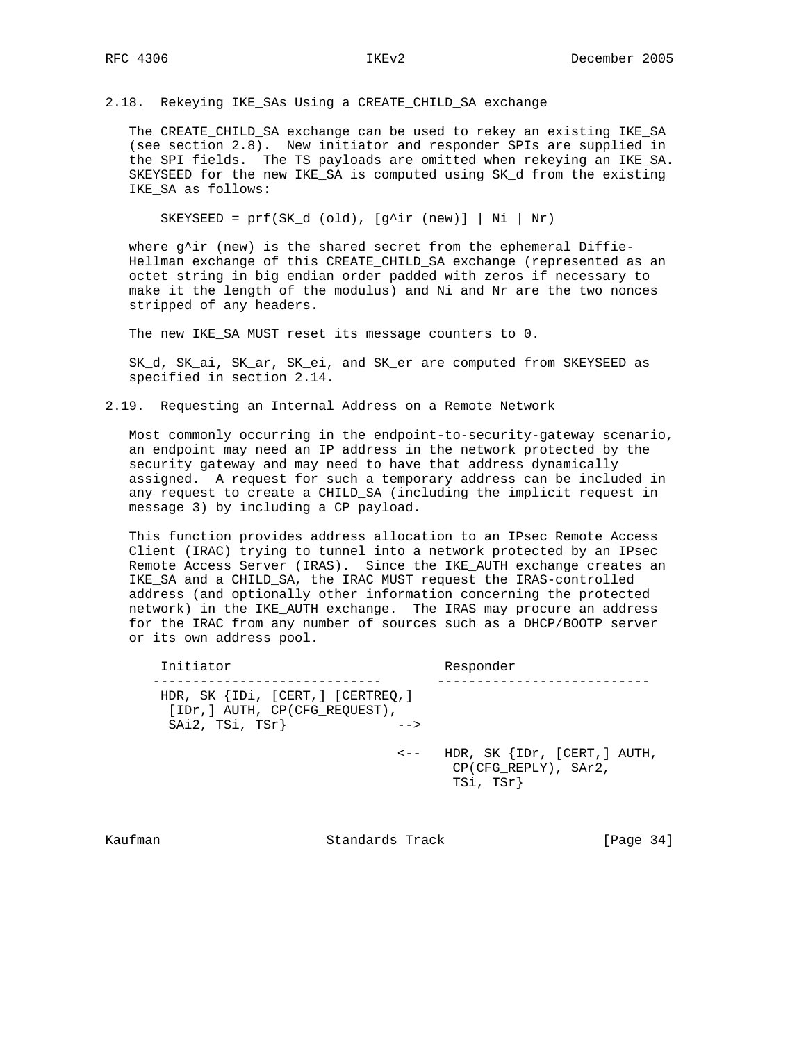2.18. Rekeying IKE\_SAs Using a CREATE\_CHILD\_SA exchange

 The CREATE\_CHILD\_SA exchange can be used to rekey an existing IKE\_SA (see section 2.8). New initiator and responder SPIs are supplied in the SPI fields. The TS payloads are omitted when rekeying an IKE\_SA. SKEYSEED for the new IKE\_SA is computed using SK\_d from the existing IKE\_SA as follows:

SKEYSEED =  $prf(SK_d (old), [g^iir (new)] | Ni | Nr)$ 

where g^ir (new) is the shared secret from the ephemeral Diffie- Hellman exchange of this CREATE\_CHILD\_SA exchange (represented as an octet string in big endian order padded with zeros if necessary to make it the length of the modulus) and Ni and Nr are the two nonces stripped of any headers.

The new IKE\_SA MUST reset its message counters to 0.

 SK\_d, SK\_ai, SK\_ar, SK\_ei, and SK\_er are computed from SKEYSEED as specified in section 2.14.

2.19. Requesting an Internal Address on a Remote Network

 Most commonly occurring in the endpoint-to-security-gateway scenario, an endpoint may need an IP address in the network protected by the security gateway and may need to have that address dynamically assigned. A request for such a temporary address can be included in any request to create a CHILD\_SA (including the implicit request in message 3) by including a CP payload.

 This function provides address allocation to an IPsec Remote Access Client (IRAC) trying to tunnel into a network protected by an IPsec Remote Access Server (IRAS). Since the IKE\_AUTH exchange creates an IKE\_SA and a CHILD\_SA, the IRAC MUST request the IRAS-controlled address (and optionally other information concerning the protected network) in the IKE\_AUTH exchange. The IRAS may procure an address for the IRAC from any number of sources such as a DHCP/BOOTP server or its own address pool.

| Initiator                                                                               |                   | Responder                                                         |
|-----------------------------------------------------------------------------------------|-------------------|-------------------------------------------------------------------|
| HDR, SK {IDi, [CERT, ] [CERTREQ, ]<br>[IDr, ] AUTH, CP(CFG REOUEST),<br>SAi2, TSi, TSr} | $--$<br>$\lt$ $-$ | HDR, SK {IDr, [CERT, ] AUTH,<br>CP(CFG REPLY), SAr2,<br>TSi, TSr} |
|                                                                                         |                   |                                                                   |

Kaufman Standards Track [Page 34]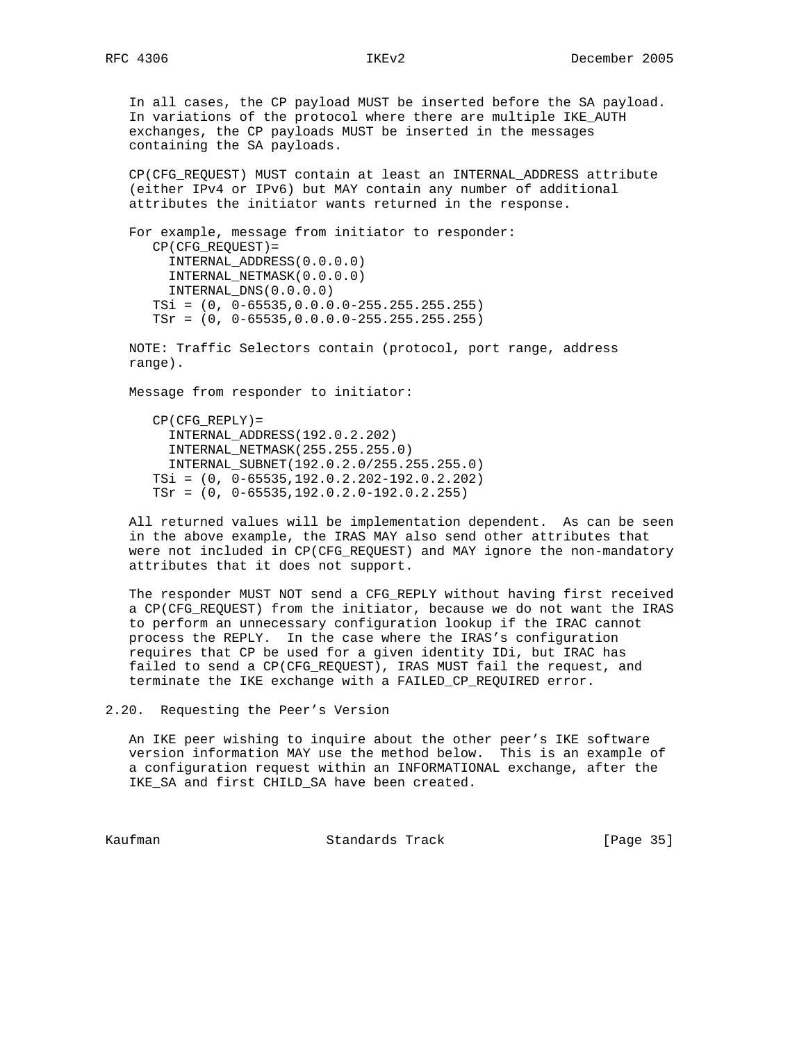In all cases, the CP payload MUST be inserted before the SA payload. In variations of the protocol where there are multiple IKE\_AUTH exchanges, the CP payloads MUST be inserted in the messages containing the SA payloads.

 CP(CFG\_REQUEST) MUST contain at least an INTERNAL\_ADDRESS attribute (either IPv4 or IPv6) but MAY contain any number of additional attributes the initiator wants returned in the response.

 For example, message from initiator to responder: CP(CFG\_REQUEST)= INTERNAL\_ADDRESS(0.0.0.0) INTERNAL\_NETMASK(0.0.0.0) INTERNAL\_DNS(0.0.0.0) TSi = (0, 0-65535,0.0.0.0-255.255.255.255) TSr = (0, 0-65535,0.0.0.0-255.255.255.255)

 NOTE: Traffic Selectors contain (protocol, port range, address range).

Message from responder to initiator:

 CP(CFG\_REPLY)= INTERNAL\_ADDRESS(192.0.2.202) INTERNAL\_NETMASK(255.255.255.0) INTERNAL\_SUBNET(192.0.2.0/255.255.255.0) TSi = (0, 0-65535,192.0.2.202-192.0.2.202) TSr = (0, 0-65535,192.0.2.0-192.0.2.255)

 All returned values will be implementation dependent. As can be seen in the above example, the IRAS MAY also send other attributes that were not included in CP(CFG\_REQUEST) and MAY ignore the non-mandatory attributes that it does not support.

 The responder MUST NOT send a CFG\_REPLY without having first received a CP(CFG\_REQUEST) from the initiator, because we do not want the IRAS to perform an unnecessary configuration lookup if the IRAC cannot process the REPLY. In the case where the IRAS's configuration requires that CP be used for a given identity IDi, but IRAC has failed to send a CP(CFG\_REQUEST), IRAS MUST fail the request, and terminate the IKE exchange with a FAILED\_CP\_REQUIRED error.

2.20. Requesting the Peer's Version

 An IKE peer wishing to inquire about the other peer's IKE software version information MAY use the method below. This is an example of a configuration request within an INFORMATIONAL exchange, after the IKE\_SA and first CHILD\_SA have been created.

Kaufman Standards Track [Page 35]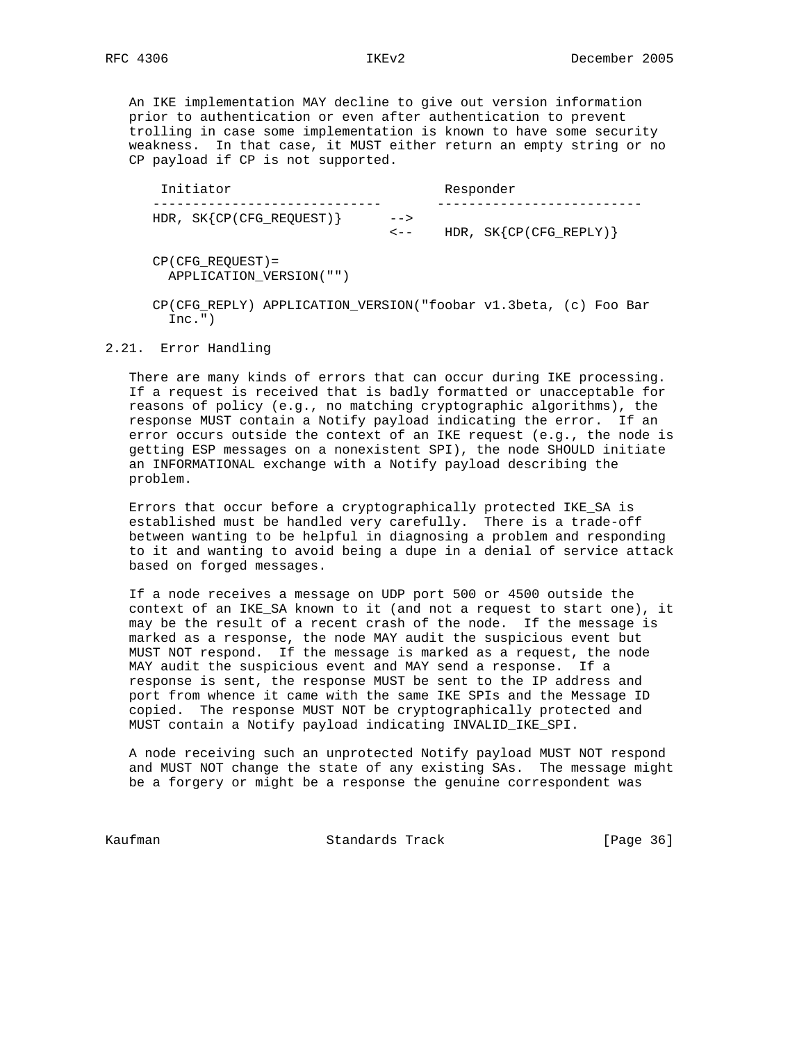An IKE implementation MAY decline to give out version information prior to authentication or even after authentication to prevent trolling in case some implementation is known to have some security weakness. In that case, it MUST either return an empty string or no CP payload if CP is not supported.

| Initiator                   |                   | Responder                 |
|-----------------------------|-------------------|---------------------------|
| HDR, $SK{CP(CFG\_REQUEST)}$ | $--$<br>$\lt$ $-$ | HDR, $SK{CP(CFG\_REPLY)}$ |

 CP(CFG\_REQUEST)= APPLICATION\_VERSION("")

 CP(CFG\_REPLY) APPLICATION\_VERSION("foobar v1.3beta, (c) Foo Bar  $Inc.")$ 

#### 2.21. Error Handling

 There are many kinds of errors that can occur during IKE processing. If a request is received that is badly formatted or unacceptable for reasons of policy (e.g., no matching cryptographic algorithms), the response MUST contain a Notify payload indicating the error. If an error occurs outside the context of an IKE request (e.g., the node is getting ESP messages on a nonexistent SPI), the node SHOULD initiate an INFORMATIONAL exchange with a Notify payload describing the problem.

 Errors that occur before a cryptographically protected IKE\_SA is established must be handled very carefully. There is a trade-off between wanting to be helpful in diagnosing a problem and responding to it and wanting to avoid being a dupe in a denial of service attack based on forged messages.

 If a node receives a message on UDP port 500 or 4500 outside the context of an IKE\_SA known to it (and not a request to start one), it may be the result of a recent crash of the node. If the message is marked as a response, the node MAY audit the suspicious event but MUST NOT respond. If the message is marked as a request, the node MAY audit the suspicious event and MAY send a response. If a response is sent, the response MUST be sent to the IP address and port from whence it came with the same IKE SPIs and the Message ID copied. The response MUST NOT be cryptographically protected and MUST contain a Notify payload indicating INVALID\_IKE\_SPI.

 A node receiving such an unprotected Notify payload MUST NOT respond and MUST NOT change the state of any existing SAs. The message might be a forgery or might be a response the genuine correspondent was

Kaufman **Standards Track** [Page 36]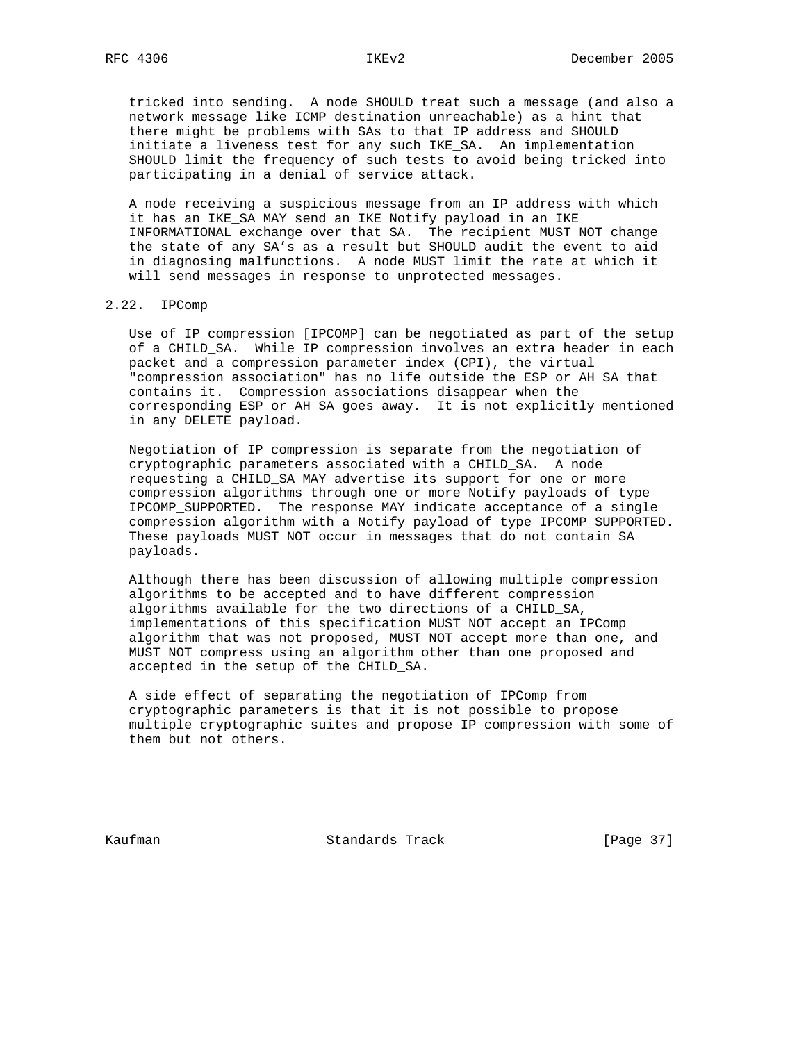tricked into sending. A node SHOULD treat such a message (and also a network message like ICMP destination unreachable) as a hint that there might be problems with SAs to that IP address and SHOULD initiate a liveness test for any such IKE\_SA. An implementation SHOULD limit the frequency of such tests to avoid being tricked into participating in a denial of service attack.

 A node receiving a suspicious message from an IP address with which it has an IKE\_SA MAY send an IKE Notify payload in an IKE INFORMATIONAL exchange over that SA. The recipient MUST NOT change the state of any SA's as a result but SHOULD audit the event to aid in diagnosing malfunctions. A node MUST limit the rate at which it will send messages in response to unprotected messages.

# 2.22. IPComp

 Use of IP compression [IPCOMP] can be negotiated as part of the setup of a CHILD\_SA. While IP compression involves an extra header in each packet and a compression parameter index (CPI), the virtual "compression association" has no life outside the ESP or AH SA that contains it. Compression associations disappear when the corresponding ESP or AH SA goes away. It is not explicitly mentioned in any DELETE payload.

 Negotiation of IP compression is separate from the negotiation of cryptographic parameters associated with a CHILD\_SA. A node requesting a CHILD\_SA MAY advertise its support for one or more compression algorithms through one or more Notify payloads of type IPCOMP\_SUPPORTED. The response MAY indicate acceptance of a single compression algorithm with a Notify payload of type IPCOMP\_SUPPORTED. These payloads MUST NOT occur in messages that do not contain SA payloads.

 Although there has been discussion of allowing multiple compression algorithms to be accepted and to have different compression algorithms available for the two directions of a CHILD\_SA, implementations of this specification MUST NOT accept an IPComp algorithm that was not proposed, MUST NOT accept more than one, and MUST NOT compress using an algorithm other than one proposed and accepted in the setup of the CHILD\_SA.

 A side effect of separating the negotiation of IPComp from cryptographic parameters is that it is not possible to propose multiple cryptographic suites and propose IP compression with some of them but not others.

Kaufman **Standards Track** [Page 37]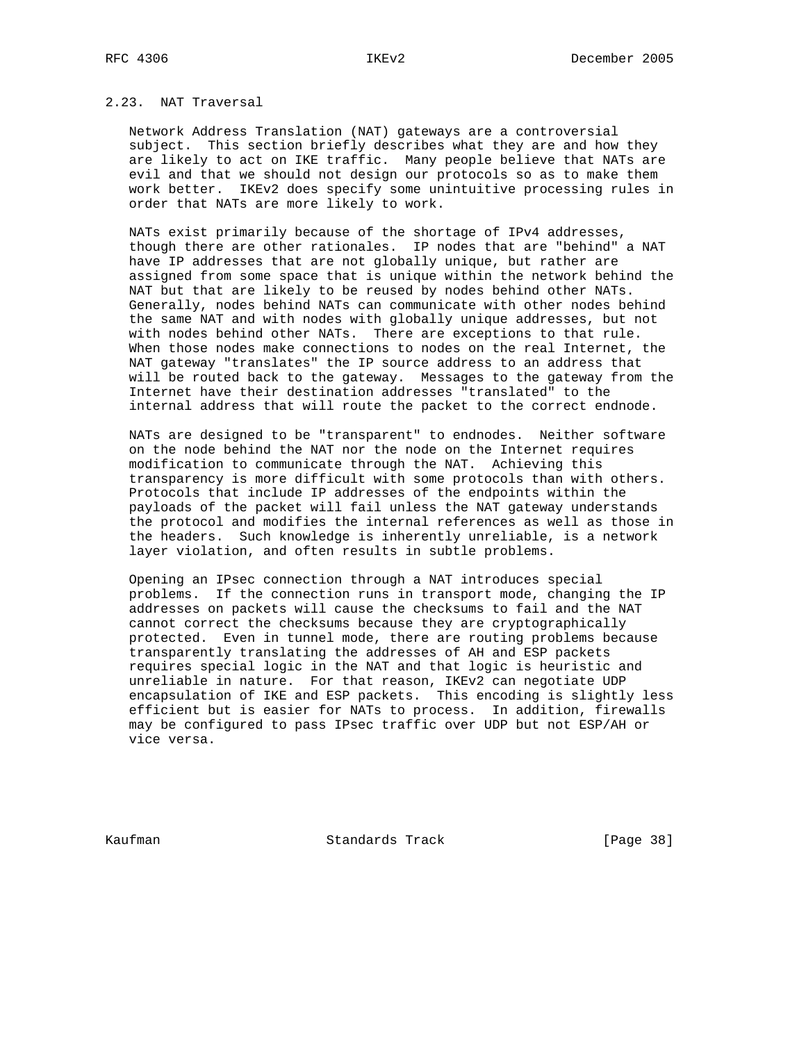# 2.23. NAT Traversal

 Network Address Translation (NAT) gateways are a controversial subject. This section briefly describes what they are and how they are likely to act on IKE traffic. Many people believe that NATs are evil and that we should not design our protocols so as to make them work better. IKEv2 does specify some unintuitive processing rules in order that NATs are more likely to work.

 NATs exist primarily because of the shortage of IPv4 addresses, though there are other rationales. IP nodes that are "behind" a NAT have IP addresses that are not globally unique, but rather are assigned from some space that is unique within the network behind the NAT but that are likely to be reused by nodes behind other NATs. Generally, nodes behind NATs can communicate with other nodes behind the same NAT and with nodes with globally unique addresses, but not with nodes behind other NATs. There are exceptions to that rule. When those nodes make connections to nodes on the real Internet, the NAT gateway "translates" the IP source address to an address that will be routed back to the gateway. Messages to the gateway from the Internet have their destination addresses "translated" to the internal address that will route the packet to the correct endnode.

 NATs are designed to be "transparent" to endnodes. Neither software on the node behind the NAT nor the node on the Internet requires modification to communicate through the NAT. Achieving this transparency is more difficult with some protocols than with others. Protocols that include IP addresses of the endpoints within the payloads of the packet will fail unless the NAT gateway understands the protocol and modifies the internal references as well as those in the headers. Such knowledge is inherently unreliable, is a network layer violation, and often results in subtle problems.

 Opening an IPsec connection through a NAT introduces special problems. If the connection runs in transport mode, changing the IP addresses on packets will cause the checksums to fail and the NAT cannot correct the checksums because they are cryptographically protected. Even in tunnel mode, there are routing problems because transparently translating the addresses of AH and ESP packets requires special logic in the NAT and that logic is heuristic and unreliable in nature. For that reason, IKEv2 can negotiate UDP encapsulation of IKE and ESP packets. This encoding is slightly less efficient but is easier for NATs to process. In addition, firewalls may be configured to pass IPsec traffic over UDP but not ESP/AH or vice versa.

Kaufman Standards Track [Page 38]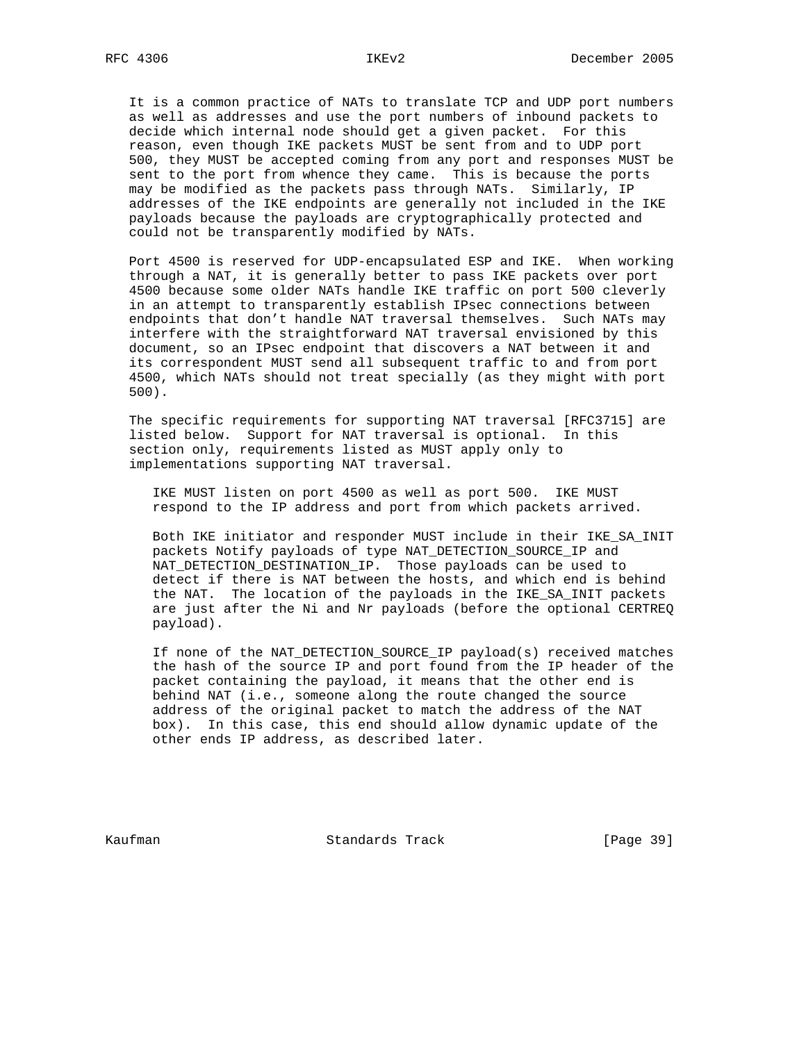It is a common practice of NATs to translate TCP and UDP port numbers as well as addresses and use the port numbers of inbound packets to decide which internal node should get a given packet. For this reason, even though IKE packets MUST be sent from and to UDP port 500, they MUST be accepted coming from any port and responses MUST be sent to the port from whence they came. This is because the ports may be modified as the packets pass through NATs. Similarly, IP addresses of the IKE endpoints are generally not included in the IKE payloads because the payloads are cryptographically protected and could not be transparently modified by NATs.

 Port 4500 is reserved for UDP-encapsulated ESP and IKE. When working through a NAT, it is generally better to pass IKE packets over port 4500 because some older NATs handle IKE traffic on port 500 cleverly in an attempt to transparently establish IPsec connections between endpoints that don't handle NAT traversal themselves. Such NATs may interfere with the straightforward NAT traversal envisioned by this document, so an IPsec endpoint that discovers a NAT between it and its correspondent MUST send all subsequent traffic to and from port 4500, which NATs should not treat specially (as they might with port 500).

 The specific requirements for supporting NAT traversal [RFC3715] are listed below. Support for NAT traversal is optional. In this section only, requirements listed as MUST apply only to implementations supporting NAT traversal.

 IKE MUST listen on port 4500 as well as port 500. IKE MUST respond to the IP address and port from which packets arrived.

 Both IKE initiator and responder MUST include in their IKE\_SA\_INIT packets Notify payloads of type NAT\_DETECTION\_SOURCE\_IP and NAT\_DETECTION\_DESTINATION\_IP. Those payloads can be used to detect if there is NAT between the hosts, and which end is behind the NAT. The location of the payloads in the IKE\_SA\_INIT packets are just after the Ni and Nr payloads (before the optional CERTREQ payload).

 If none of the NAT\_DETECTION\_SOURCE\_IP payload(s) received matches the hash of the source IP and port found from the IP header of the packet containing the payload, it means that the other end is behind NAT (i.e., someone along the route changed the source address of the original packet to match the address of the NAT box). In this case, this end should allow dynamic update of the other ends IP address, as described later.

Kaufman Standards Track [Page 39]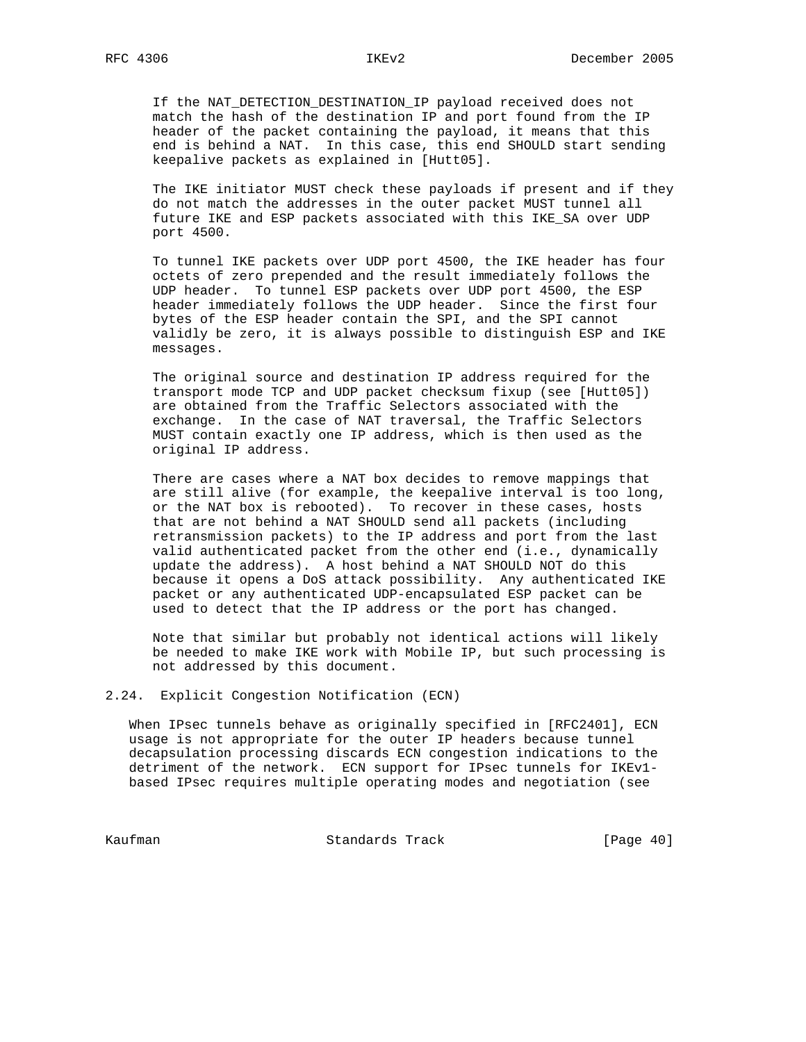If the NAT\_DETECTION\_DESTINATION\_IP payload received does not match the hash of the destination IP and port found from the IP header of the packet containing the payload, it means that this end is behind a NAT. In this case, this end SHOULD start sending keepalive packets as explained in [Hutt05].

 The IKE initiator MUST check these payloads if present and if they do not match the addresses in the outer packet MUST tunnel all future IKE and ESP packets associated with this IKE\_SA over UDP port 4500.

 To tunnel IKE packets over UDP port 4500, the IKE header has four octets of zero prepended and the result immediately follows the UDP header. To tunnel ESP packets over UDP port 4500, the ESP header immediately follows the UDP header. Since the first four bytes of the ESP header contain the SPI, and the SPI cannot validly be zero, it is always possible to distinguish ESP and IKE messages.

 The original source and destination IP address required for the transport mode TCP and UDP packet checksum fixup (see [Hutt05]) are obtained from the Traffic Selectors associated with the exchange. In the case of NAT traversal, the Traffic Selectors MUST contain exactly one IP address, which is then used as the original IP address.

 There are cases where a NAT box decides to remove mappings that are still alive (for example, the keepalive interval is too long, or the NAT box is rebooted). To recover in these cases, hosts that are not behind a NAT SHOULD send all packets (including retransmission packets) to the IP address and port from the last valid authenticated packet from the other end (i.e., dynamically update the address). A host behind a NAT SHOULD NOT do this because it opens a DoS attack possibility. Any authenticated IKE packet or any authenticated UDP-encapsulated ESP packet can be used to detect that the IP address or the port has changed.

 Note that similar but probably not identical actions will likely be needed to make IKE work with Mobile IP, but such processing is not addressed by this document.

2.24. Explicit Congestion Notification (ECN)

 When IPsec tunnels behave as originally specified in [RFC2401], ECN usage is not appropriate for the outer IP headers because tunnel decapsulation processing discards ECN congestion indications to the detriment of the network. ECN support for IPsec tunnels for IKEv1 based IPsec requires multiple operating modes and negotiation (see

Kaufman **Standards Track** [Page 40]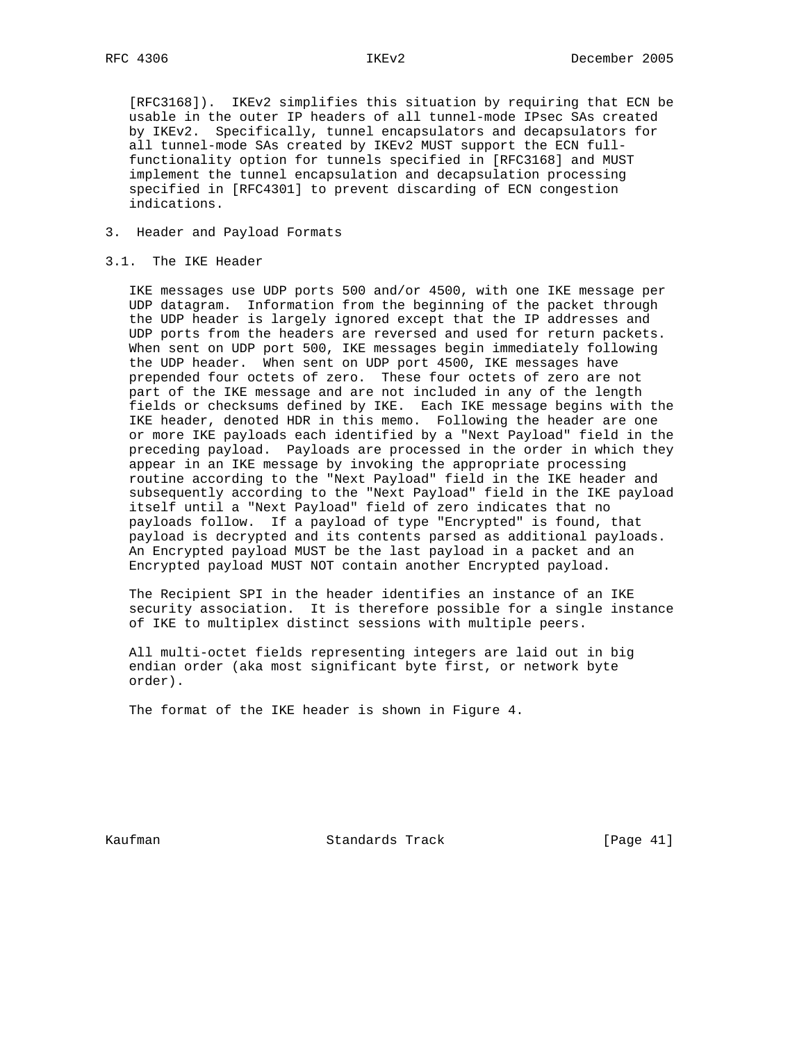[RFC3168]). IKEv2 simplifies this situation by requiring that ECN be usable in the outer IP headers of all tunnel-mode IPsec SAs created by IKEv2. Specifically, tunnel encapsulators and decapsulators for all tunnel-mode SAs created by IKEv2 MUST support the ECN full functionality option for tunnels specified in [RFC3168] and MUST implement the tunnel encapsulation and decapsulation processing specified in [RFC4301] to prevent discarding of ECN congestion indications.

3. Header and Payload Formats

# 3.1. The IKE Header

 IKE messages use UDP ports 500 and/or 4500, with one IKE message per UDP datagram. Information from the beginning of the packet through the UDP header is largely ignored except that the IP addresses and UDP ports from the headers are reversed and used for return packets. When sent on UDP port 500, IKE messages begin immediately following the UDP header. When sent on UDP port 4500, IKE messages have prepended four octets of zero. These four octets of zero are not part of the IKE message and are not included in any of the length fields or checksums defined by IKE. Each IKE message begins with the IKE header, denoted HDR in this memo. Following the header are one or more IKE payloads each identified by a "Next Payload" field in the preceding payload. Payloads are processed in the order in which they appear in an IKE message by invoking the appropriate processing routine according to the "Next Payload" field in the IKE header and subsequently according to the "Next Payload" field in the IKE payload itself until a "Next Payload" field of zero indicates that no payloads follow. If a payload of type "Encrypted" is found, that payload is decrypted and its contents parsed as additional payloads. An Encrypted payload MUST be the last payload in a packet and an Encrypted payload MUST NOT contain another Encrypted payload.

 The Recipient SPI in the header identifies an instance of an IKE security association. It is therefore possible for a single instance of IKE to multiplex distinct sessions with multiple peers.

 All multi-octet fields representing integers are laid out in big endian order (aka most significant byte first, or network byte order).

The format of the IKE header is shown in Figure 4.

Kaufman **Standards Track** [Page 41]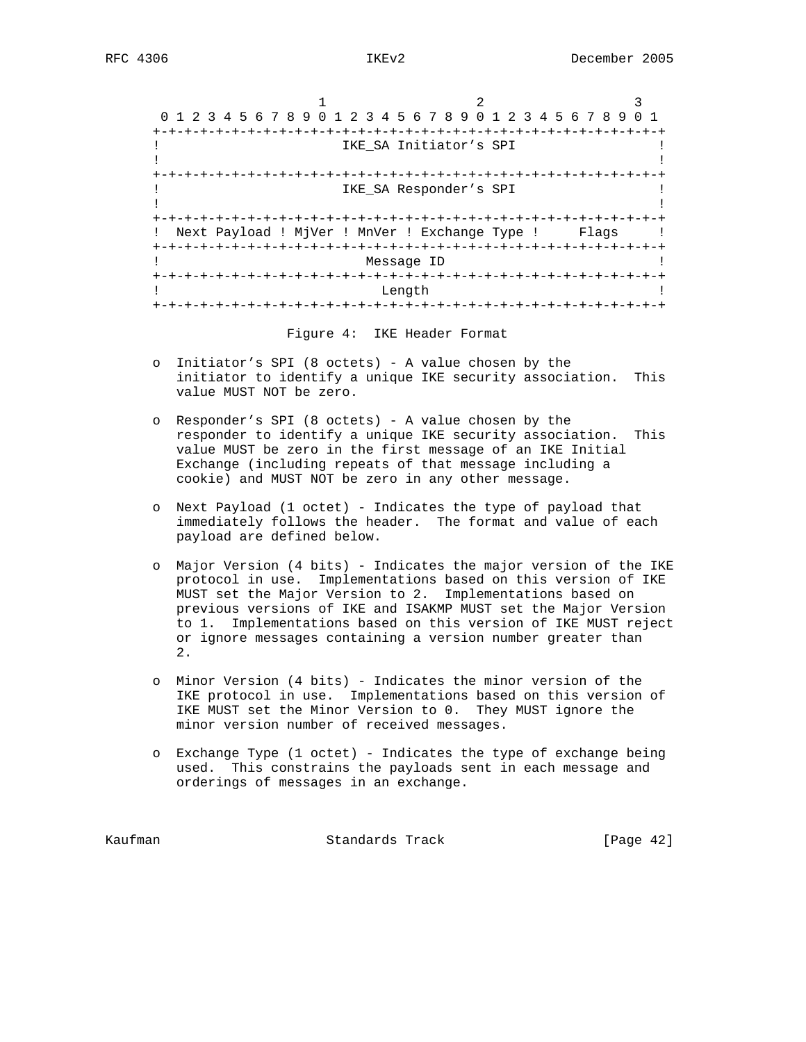| 0 1 2 3 4 5 6 7 8 9 0 1 2 3 4 5 6 7 8 9 0 1 2 3 4 5 6 7 8 9 0 1 |                        |                           |       |
|-----------------------------------------------------------------|------------------------|---------------------------|-------|
|                                                                 |                        |                           |       |
|                                                                 | IKE SA Initiator's SPI |                           |       |
|                                                                 |                        |                           |       |
|                                                                 |                        |                           |       |
|                                                                 | IKE SA Responder's SPI |                           |       |
|                                                                 |                        |                           |       |
|                                                                 |                        |                           |       |
| Next Payload ! MjVer ! MnVer ! Exchange Type !                  |                        |                           | Flags |
|                                                                 |                        | -+-+-+-+-+-+-+-+-+-+-+-+- |       |
|                                                                 | Message ID             |                           |       |
|                                                                 |                        |                           |       |
|                                                                 | Length                 |                           |       |
|                                                                 | $-+ - + - + - + - +$   |                           |       |

- o Initiator's SPI (8 octets) A value chosen by the initiator to identify a unique IKE security association. This value MUST NOT be zero.
- o Responder's SPI (8 octets) A value chosen by the responder to identify a unique IKE security association. This value MUST be zero in the first message of an IKE Initial Exchange (including repeats of that message including a cookie) and MUST NOT be zero in any other message.
- o Next Payload (1 octet) Indicates the type of payload that immediately follows the header. The format and value of each payload are defined below.
- o Major Version (4 bits) Indicates the major version of the IKE protocol in use. Implementations based on this version of IKE MUST set the Major Version to 2. Implementations based on previous versions of IKE and ISAKMP MUST set the Major Version to 1. Implementations based on this version of IKE MUST reject or ignore messages containing a version number greater than 2.
- o Minor Version (4 bits) Indicates the minor version of the IKE protocol in use. Implementations based on this version of IKE MUST set the Minor Version to 0. They MUST ignore the minor version number of received messages.
- o Exchange Type (1 octet) Indicates the type of exchange being used. This constrains the payloads sent in each message and orderings of messages in an exchange.

Kaufman **Standards Track** [Page 42]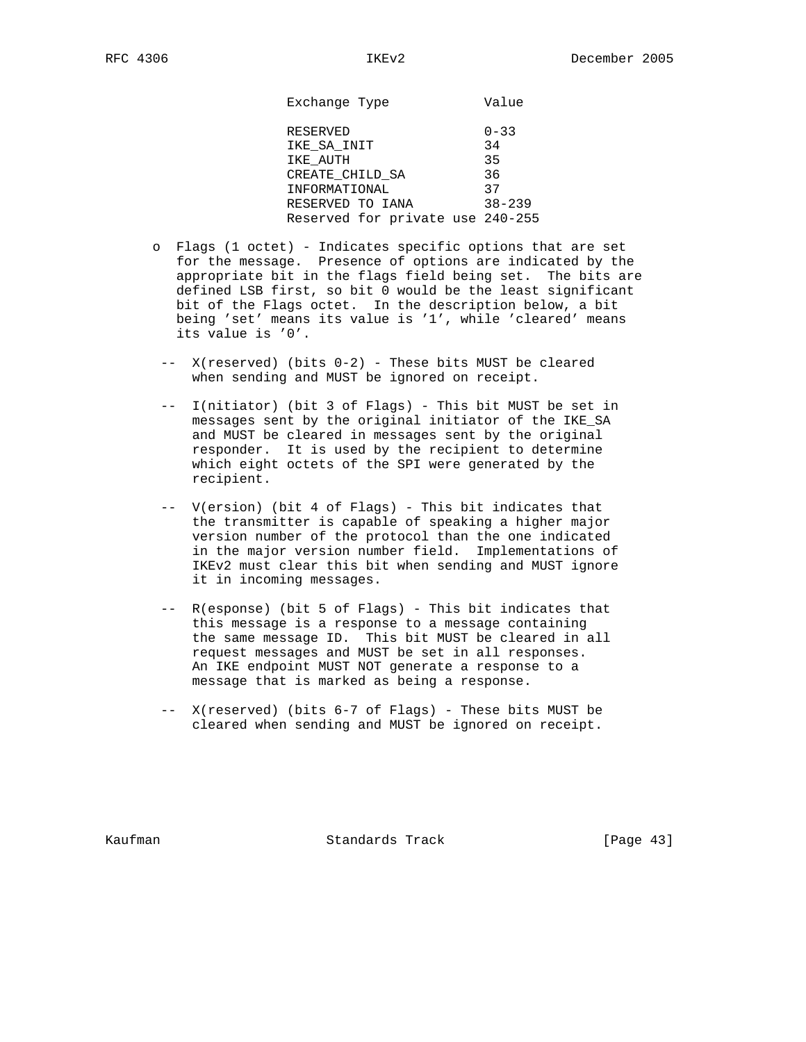Exchange Type **Value** 

| RESERVED                         | $0 - 33$   |
|----------------------------------|------------|
| IKE SA INIT                      | 34         |
| IKE AUTH                         | 35         |
| CREATE CHILD SA                  | 36         |
| INFORMATIONAL                    | 37         |
| RESERVED TO IANA                 | $38 - 239$ |
| Reserved for private use 240-255 |            |

- o Flags (1 octet) Indicates specific options that are set for the message. Presence of options are indicated by the appropriate bit in the flags field being set. The bits are defined LSB first, so bit 0 would be the least significant bit of the Flags octet. In the description below, a bit being 'set' means its value is '1', while 'cleared' means its value is '0'.
	- -- X(reserved) (bits 0-2) These bits MUST be cleared when sending and MUST be ignored on receipt.
	- -- I(nitiator) (bit 3 of Flags) This bit MUST be set in messages sent by the original initiator of the IKE\_SA and MUST be cleared in messages sent by the original responder. It is used by the recipient to determine which eight octets of the SPI were generated by the recipient.
	- -- V(ersion) (bit 4 of Flags) This bit indicates that the transmitter is capable of speaking a higher major version number of the protocol than the one indicated in the major version number field. Implementations of IKEv2 must clear this bit when sending and MUST ignore it in incoming messages.
	- -- R(esponse) (bit 5 of Flags) This bit indicates that this message is a response to a message containing the same message ID. This bit MUST be cleared in all request messages and MUST be set in all responses. An IKE endpoint MUST NOT generate a response to a message that is marked as being a response.
	- -- X(reserved) (bits 6-7 of Flags) These bits MUST be cleared when sending and MUST be ignored on receipt.

Kaufman Standards Track [Page 43]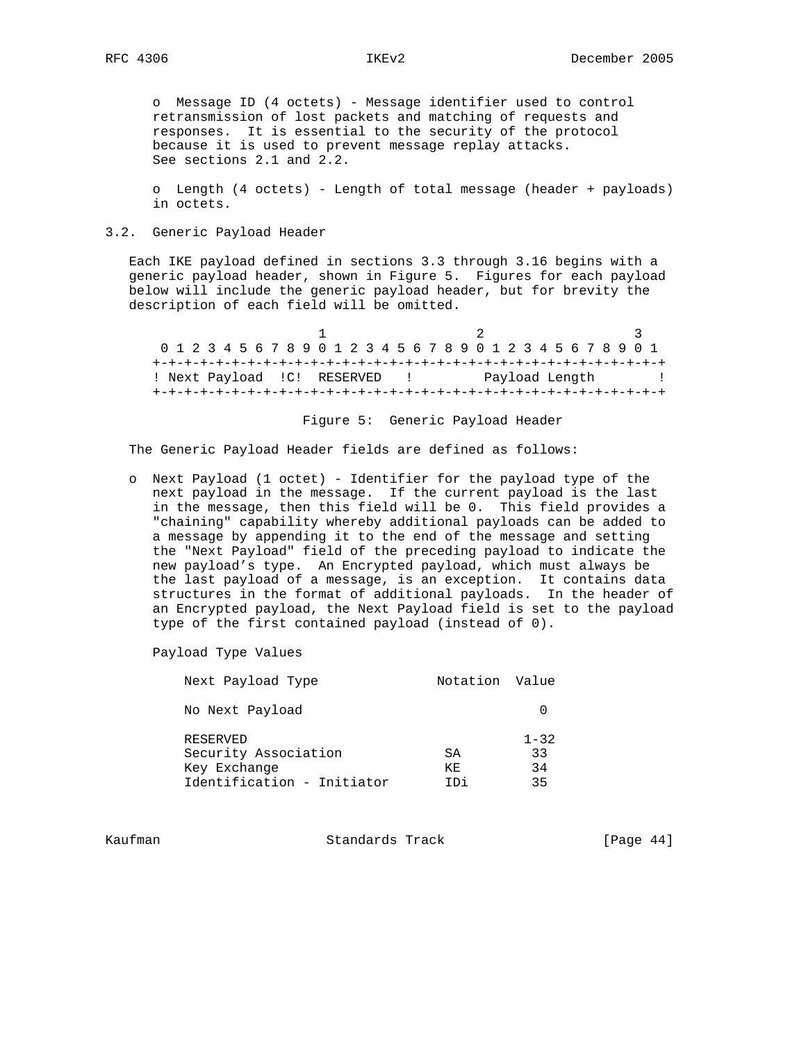o Message ID (4 octets) - Message identifier used to control retransmission of lost packets and matching of requests and responses. It is essential to the security of the protocol because it is used to prevent message replay attacks. See sections 2.1 and 2.2.

 o Length (4 octets) - Length of total message (header + payloads) in octets.

# 3.2. Generic Payload Header

 Each IKE payload defined in sections 3.3 through 3.16 begins with a generic payload header, shown in Figure 5. Figures for each payload below will include the generic payload header, but for brevity the description of each field will be omitted.

1 2 3 0 1 2 3 4 5 6 7 8 9 0 1 2 3 4 5 6 7 8 9 0 1 2 3 4 5 6 7 8 9 0 1 +-+-+-+-+-+-+-+-+-+-+-+-+-+-+-+-+-+-+-+-+-+-+-+-+-+-+-+-+-+-+-+-+ ! Next Payload !C! RESERVED ! Payload Length ! +-+-+-+-+-+-+-+-+-+-+-+-+-+-+-+-+-+-+-+-+-+-+-+-+-+-+-+-+-+-+-+-+

## Figure 5: Generic Payload Header

The Generic Payload Header fields are defined as follows:

 o Next Payload (1 octet) - Identifier for the payload type of the next payload in the message. If the current payload is the last in the message, then this field will be 0. This field provides a "chaining" capability whereby additional payloads can be added to a message by appending it to the end of the message and setting the "Next Payload" field of the preceding payload to indicate the new payload's type. An Encrypted payload, which must always be the last payload of a message, is an exception. It contains data structures in the format of additional payloads. In the header of an Encrypted payload, the Next Payload field is set to the payload type of the first contained payload (instead of 0).

Payload Type Values

| Next Payload Type                                                              | Notation Value   |                            |
|--------------------------------------------------------------------------------|------------------|----------------------------|
| No Next Payload                                                                |                  |                            |
| RESERVED<br>Security Association<br>Key Exchange<br>Identification - Initiator | SA<br>KF.<br>TDi | $1 - 32$<br>33<br>34<br>35 |

Kaufman **Standards Track** [Page 44]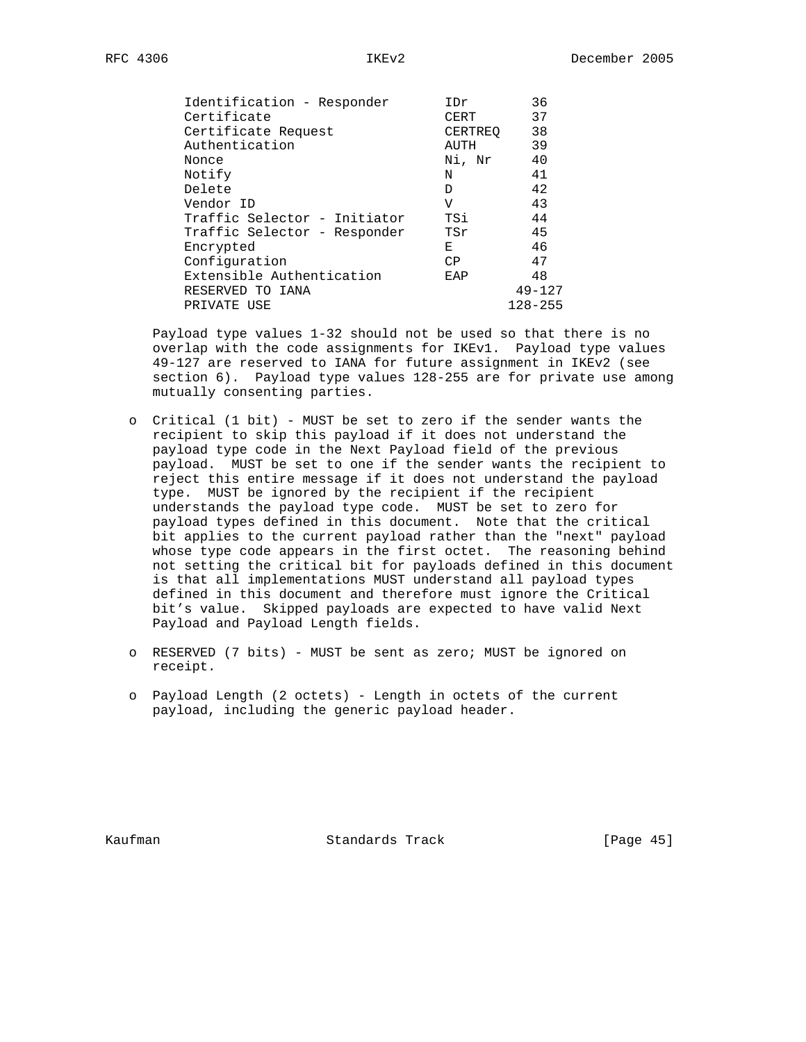| Identification - Responder   | IDr     | 36          |
|------------------------------|---------|-------------|
| Certificate                  | CERT    | 37          |
| Certificate Request          | CERTREO | 38          |
| Authentication               | AUTH    | 39          |
| Nonce                        | Ni, Nr  | 40          |
| Notify                       | N       | 41          |
| Delete                       | D       | 42          |
| Vendor ID                    | V       | 43          |
| Traffic Selector - Initiator | TSi     | 44          |
| Traffic Selector - Responder | TSr     | 45          |
| Encrypted                    | Е       | 46          |
| Configuration                | CP      | 47          |
| Extensible Authentication    | EAP     | 48          |
| RESERVED TO IANA             |         | $49 - 127$  |
| PRIVATE USE                  |         | $128 - 255$ |

 Payload type values 1-32 should not be used so that there is no overlap with the code assignments for IKEv1. Payload type values 49-127 are reserved to IANA for future assignment in IKEv2 (see section 6). Payload type values 128-255 are for private use among mutually consenting parties.

- o Critical (1 bit) MUST be set to zero if the sender wants the recipient to skip this payload if it does not understand the payload type code in the Next Payload field of the previous payload. MUST be set to one if the sender wants the recipient to reject this entire message if it does not understand the payload type. MUST be ignored by the recipient if the recipient understands the payload type code. MUST be set to zero for payload types defined in this document. Note that the critical bit applies to the current payload rather than the "next" payload whose type code appears in the first octet. The reasoning behind not setting the critical bit for payloads defined in this document is that all implementations MUST understand all payload types defined in this document and therefore must ignore the Critical bit's value. Skipped payloads are expected to have valid Next Payload and Payload Length fields.
- o RESERVED (7 bits) MUST be sent as zero; MUST be ignored on receipt.
- o Payload Length (2 octets) Length in octets of the current payload, including the generic payload header.

Kaufman **Standards Track** [Page 45]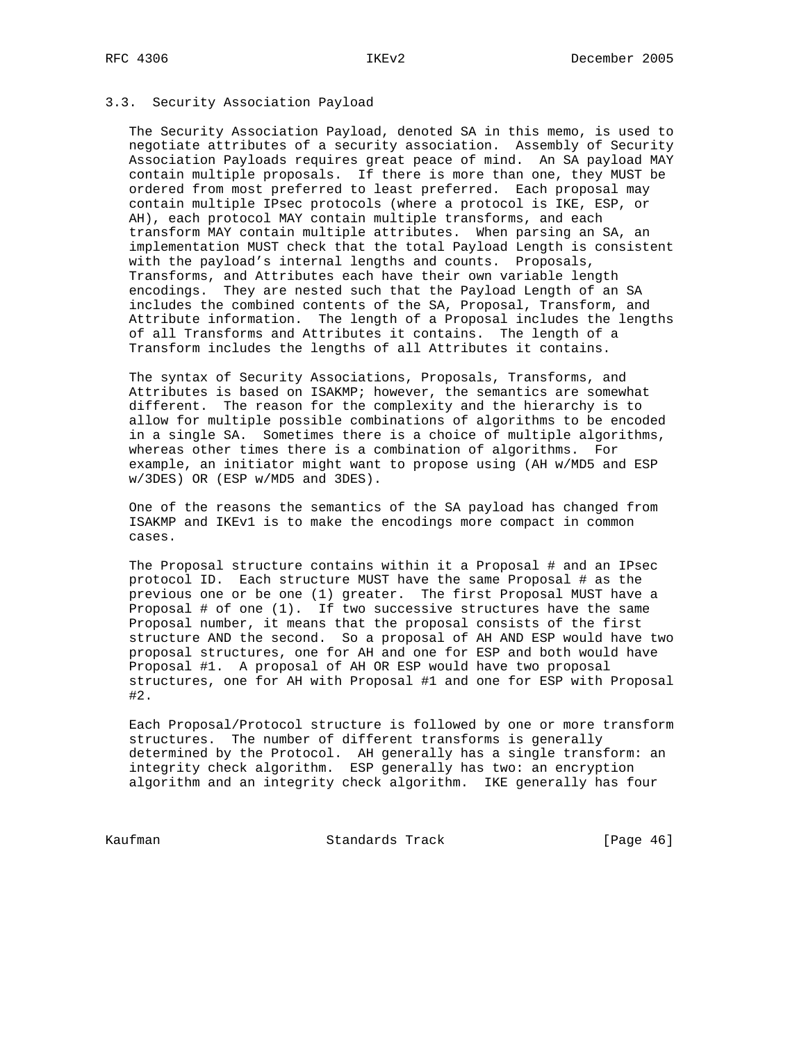# 3.3. Security Association Payload

 The Security Association Payload, denoted SA in this memo, is used to negotiate attributes of a security association. Assembly of Security Association Payloads requires great peace of mind. An SA payload MAY contain multiple proposals. If there is more than one, they MUST be ordered from most preferred to least preferred. Each proposal may contain multiple IPsec protocols (where a protocol is IKE, ESP, or AH), each protocol MAY contain multiple transforms, and each transform MAY contain multiple attributes. When parsing an SA, an implementation MUST check that the total Payload Length is consistent with the payload's internal lengths and counts. Proposals, Transforms, and Attributes each have their own variable length encodings. They are nested such that the Payload Length of an SA includes the combined contents of the SA, Proposal, Transform, and Attribute information. The length of a Proposal includes the lengths of all Transforms and Attributes it contains. The length of a Transform includes the lengths of all Attributes it contains.

 The syntax of Security Associations, Proposals, Transforms, and Attributes is based on ISAKMP; however, the semantics are somewhat different. The reason for the complexity and the hierarchy is to allow for multiple possible combinations of algorithms to be encoded in a single SA. Sometimes there is a choice of multiple algorithms, whereas other times there is a combination of algorithms. For example, an initiator might want to propose using (AH w/MD5 and ESP w/3DES) OR (ESP w/MD5 and 3DES).

 One of the reasons the semantics of the SA payload has changed from ISAKMP and IKEv1 is to make the encodings more compact in common cases.

 The Proposal structure contains within it a Proposal # and an IPsec protocol ID. Each structure MUST have the same Proposal # as the previous one or be one (1) greater. The first Proposal MUST have a Proposal # of one (1). If two successive structures have the same Proposal number, it means that the proposal consists of the first structure AND the second. So a proposal of AH AND ESP would have two proposal structures, one for AH and one for ESP and both would have Proposal #1. A proposal of AH OR ESP would have two proposal structures, one for AH with Proposal #1 and one for ESP with Proposal #2.

 Each Proposal/Protocol structure is followed by one or more transform structures. The number of different transforms is generally determined by the Protocol. AH generally has a single transform: an integrity check algorithm. ESP generally has two: an encryption algorithm and an integrity check algorithm. IKE generally has four

Kaufman **Standards Track** [Page 46]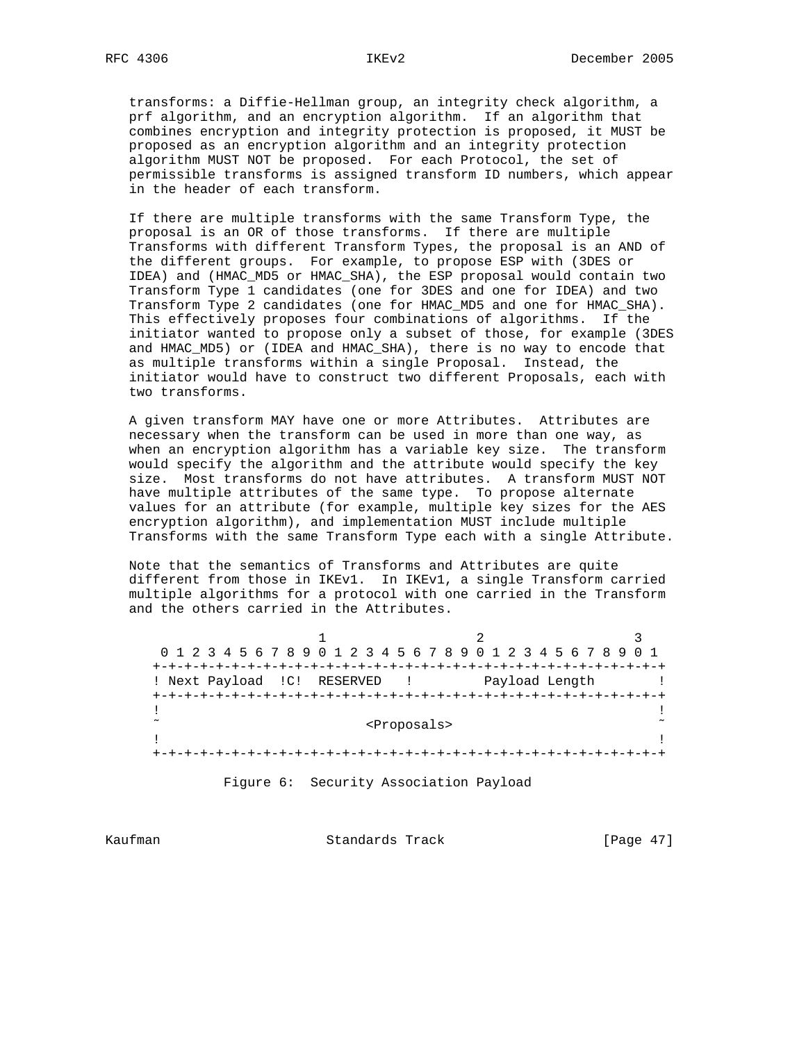transforms: a Diffie-Hellman group, an integrity check algorithm, a prf algorithm, and an encryption algorithm. If an algorithm that combines encryption and integrity protection is proposed, it MUST be proposed as an encryption algorithm and an integrity protection algorithm MUST NOT be proposed. For each Protocol, the set of permissible transforms is assigned transform ID numbers, which appear in the header of each transform.

 If there are multiple transforms with the same Transform Type, the proposal is an OR of those transforms. If there are multiple Transforms with different Transform Types, the proposal is an AND of the different groups. For example, to propose ESP with (3DES or IDEA) and (HMAC\_MD5 or HMAC\_SHA), the ESP proposal would contain two Transform Type 1 candidates (one for 3DES and one for IDEA) and two Transform Type 2 candidates (one for HMAC\_MD5 and one for HMAC\_SHA). This effectively proposes four combinations of algorithms. If the initiator wanted to propose only a subset of those, for example (3DES and HMAC\_MD5) or (IDEA and HMAC\_SHA), there is no way to encode that as multiple transforms within a single Proposal. Instead, the initiator would have to construct two different Proposals, each with two transforms.

 A given transform MAY have one or more Attributes. Attributes are necessary when the transform can be used in more than one way, as when an encryption algorithm has a variable key size. The transform would specify the algorithm and the attribute would specify the key size. Most transforms do not have attributes. A transform MUST NOT have multiple attributes of the same type. To propose alternate values for an attribute (for example, multiple key sizes for the AES encryption algorithm), and implementation MUST include multiple Transforms with the same Transform Type each with a single Attribute.

 Note that the semantics of Transforms and Attributes are quite different from those in IKEv1. In IKEv1, a single Transform carried multiple algorithms for a protocol with one carried in the Transform and the others carried in the Attributes.

1 2 3 0 1 2 3 4 5 6 7 8 9 0 1 2 3 4 5 6 7 8 9 0 1 2 3 4 5 6 7 8 9 0 1 +-+-+-+-+-+-+-+-+-+-+-+-+-+-+-+-+-+-+-+-+-+-+-+-+-+-+-+-+-+-+-+-+ ! Next Payload !C! RESERVED ! Payload Length ! +-+-+-+-+-+-+-+-+-+-+-+-+-+-+-+-+-+-+-+-+-+-+-+-+-+-+-+-+-+-+-+-+ . The contract of the contract of the contract of the contract of the contract of the contract of the contract ˜ <Proposals> ˜ . The contract of the contract of the contract of the contract of the contract of the contract of the contract +-+-+-+-+-+-+-+-+-+-+-+-+-+-+-+-+-+-+-+-+-+-+-+-+-+-+-+-+-+-+-+-+

Figure 6: Security Association Payload

Kaufman **Standards Track** [Page 47]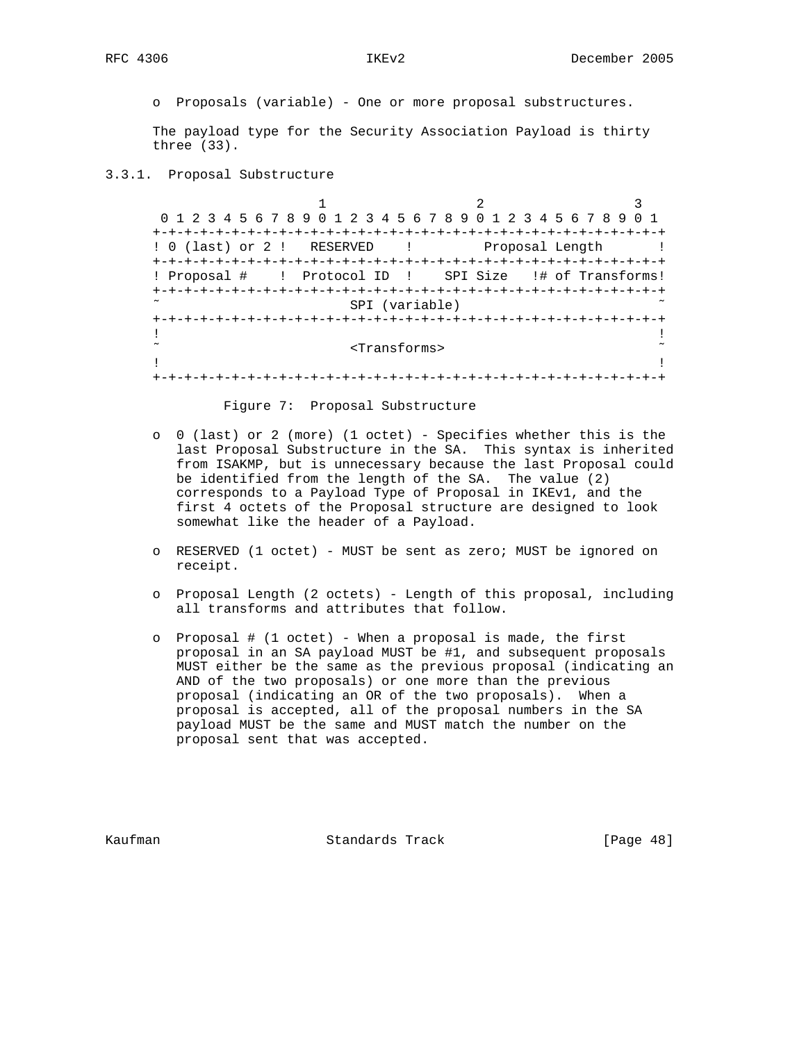o Proposals (variable) - One or more proposal substructures.

 The payload type for the Security Association Payload is thirty three (33).

3.3.1. Proposal Substructure

1 2 3 0 1 2 3 4 5 6 7 8 9 0 1 2 3 4 5 6 7 8 9 0 1 2 3 4 5 6 7 8 9 0 1 +-+-+-+-+-+-+-+-+-+-+-+-+-+-+-+-+-+-+-+-+-+-+-+-+-+-+-+-+-+-+-+-+ ! 0 (last) or 2 ! RESERVED ! Proposal Length ! +-+-+-+-+-+-+-+-+-+-+-+-+-+-+-+-+-+-+-+-+-+-+-+-+-+-+-+-+-+-+-+-+ ! Proposal # ! Protocol ID ! SPI Size !# of Transforms! +-+-+-+-+-+-+-+-+-+-+-+-+-+-+-+-+-+-+-+-+-+-+-+-+-+-+-+-+-+-+-+-+ SPI (variable) +-+-+-+-+-+-+-+-+-+-+-+-+-+-+-+-+-+-+-+-+-+-+-+-+-+-+-+-+-+-+-+-+ . The contract of the contract of the contract of the contract of the contract of the contract of the contract ˜ <Transforms> ˜ . The contract of the contract of the contract of the contract of the contract of the contract of the contract +-+-+-+-+-+-+-+-+-+-+-+-+-+-+-+-+-+-+-+-+-+-+-+-+-+-+-+-+-+-+-+-+

Figure 7: Proposal Substructure

- o 0 (last) or 2 (more) (1 octet) Specifies whether this is the last Proposal Substructure in the SA. This syntax is inherited from ISAKMP, but is unnecessary because the last Proposal could be identified from the length of the SA. The value (2) corresponds to a Payload Type of Proposal in IKEv1, and the first 4 octets of the Proposal structure are designed to look somewhat like the header of a Payload.
- o RESERVED (1 octet) MUST be sent as zero; MUST be ignored on receipt.
- o Proposal Length (2 octets) Length of this proposal, including all transforms and attributes that follow.
- o Proposal # (1 octet) When a proposal is made, the first proposal in an SA payload MUST be #1, and subsequent proposals MUST either be the same as the previous proposal (indicating an AND of the two proposals) or one more than the previous proposal (indicating an OR of the two proposals). When a proposal is accepted, all of the proposal numbers in the SA payload MUST be the same and MUST match the number on the proposal sent that was accepted.

Kaufman **Standards Track** [Page 48]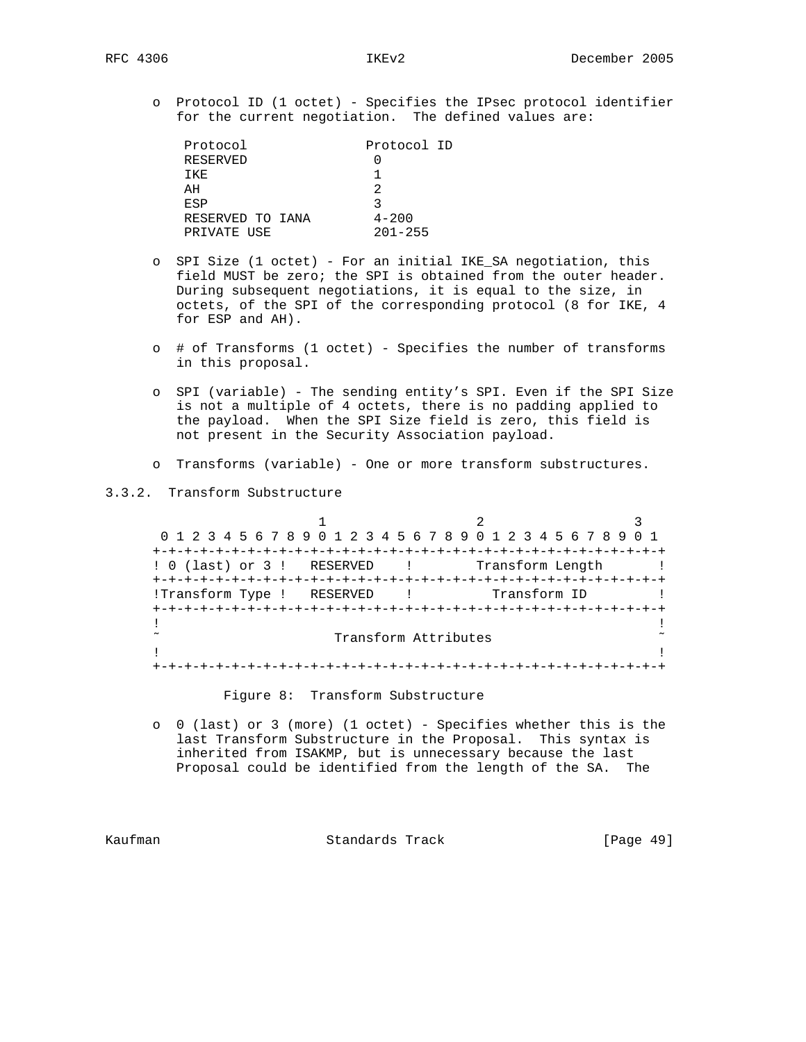o Protocol ID (1 octet) - Specifies the IPsec protocol identifier for the current negotiation. The defined values are:

| Protocol         | Protocol ID |
|------------------|-------------|
| RESERVED         |             |
| TKF.             |             |
| AH               | っ           |
| <b>ESP</b>       |             |
| RESERVED TO IANA | $4 - 200$   |
| PRIVATE USE      | $201 - 255$ |

- o SPI Size (1 octet) For an initial IKE\_SA negotiation, this field MUST be zero; the SPI is obtained from the outer header. During subsequent negotiations, it is equal to the size, in octets, of the SPI of the corresponding protocol (8 for IKE, 4 for ESP and AH).
- o # of Transforms (1 octet) Specifies the number of transforms in this proposal.
- o SPI (variable) The sending entity's SPI. Even if the SPI Size is not a multiple of 4 octets, there is no padding applied to the payload. When the SPI Size field is zero, this field is not present in the Security Association payload.
- o Transforms (variable) One or more transform substructures.

3.3.2. Transform Substructure

1 2 3 0 1 2 3 4 5 6 7 8 9 0 1 2 3 4 5 6 7 8 9 0 1 2 3 4 5 6 7 8 9 0 1 +-+-+-+-+-+-+-+-+-+-+-+-+-+-+-+-+-+-+-+-+-+-+-+-+-+-+-+-+-+-+-+-+ ! 0 (last) or 3 ! RESERVED ! Transform Length ! +-+-+-+-+-+-+-+-+-+-+-+-+-+-+-+-+-+-+-+-+-+-+-+-+-+-+-+-+-+-+-+-+ !Transform Type ! RESERVED ! Transform ID +-+-+-+-+-+-+-+-+-+-+-+-+-+-+-+-+-+-+-+-+-+-+-+-+-+-+-+-+-+-+-+-+ . The contract of the contract of the contract of the contract of the contract of the contract of the contract Transform Attributes  $\sim$ . The contract of the contract of the contract of the contract of the contract of the contract of the contract +-+-+-+-+-+-+-+-+-+-+-+-+-+-+-+-+-+-+-+-+-+-+-+-+-+-+-+-+-+-+-+-+

Figure 8: Transform Substructure

 o 0 (last) or 3 (more) (1 octet) - Specifies whether this is the last Transform Substructure in the Proposal. This syntax is inherited from ISAKMP, but is unnecessary because the last Proposal could be identified from the length of the SA. The

Kaufman Standards Track [Page 49]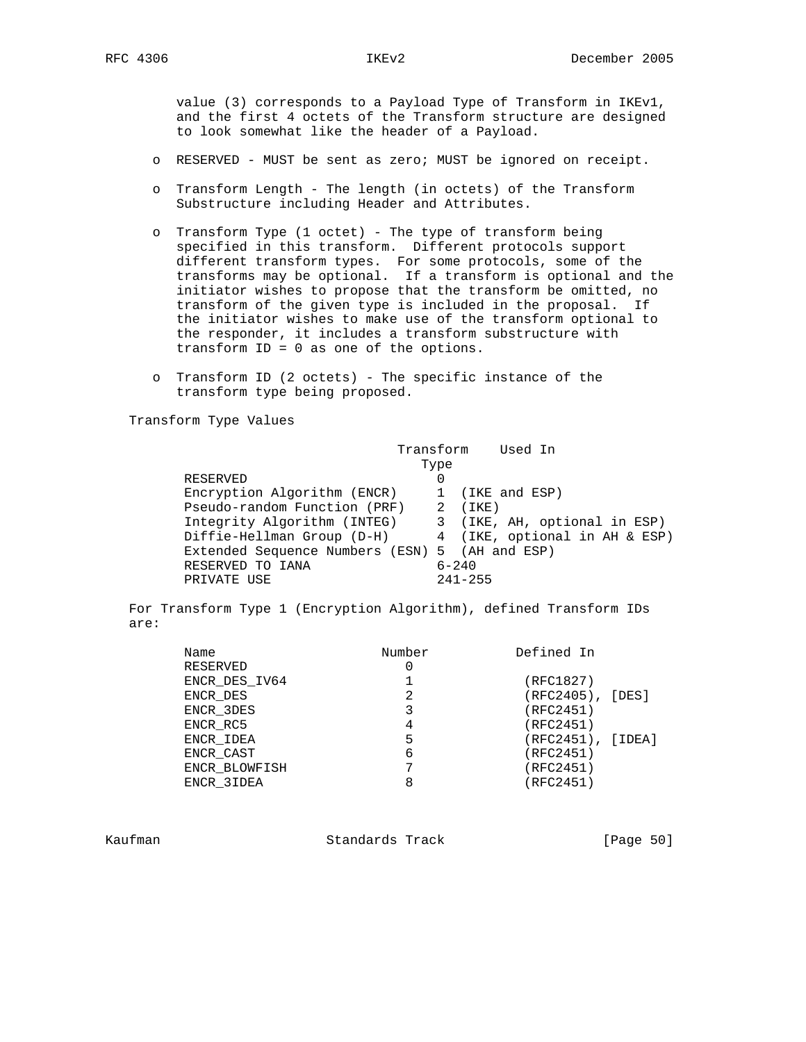value (3) corresponds to a Payload Type of Transform in IKEv1, and the first 4 octets of the Transform structure are designed to look somewhat like the header of a Payload.

- o RESERVED MUST be sent as zero; MUST be ignored on receipt.
- o Transform Length The length (in octets) of the Transform Substructure including Header and Attributes.
- o Transform Type (1 octet) The type of transform being specified in this transform. Different protocols support different transform types. For some protocols, some of the transforms may be optional. If a transform is optional and the initiator wishes to propose that the transform be omitted, no transform of the given type is included in the proposal. If the initiator wishes to make use of the transform optional to the responder, it includes a transform substructure with transform ID = 0 as one of the options.
- o Transform ID (2 octets) The specific instance of the transform type being proposed.

Transform Type Values

|                                                | Transform Used In |                 |                               |  |
|------------------------------------------------|-------------------|-----------------|-------------------------------|--|
|                                                | Type              |                 |                               |  |
| RESERVED                                       | 0                 |                 |                               |  |
| Encryption Algorithm (ENCR)                    |                   | 1 (IKE and ESP) |                               |  |
| Pseudo-random Function (PRF) 2 (IKE)           |                   |                 |                               |  |
| Integrity Algorithm (INTEG)                    |                   |                 | 3 (IKE, AH, optional in ESP)  |  |
| Diffie-Hellman Group (D-H)                     |                   |                 | 4 (IKE, optional in AH & ESP) |  |
| Extended Sequence Numbers (ESN) 5 (AH and ESP) |                   |                 |                               |  |
| RESERVED TO IANA                               |                   | $6 - 240$       |                               |  |
| PRIVATE USE                                    |                   | $241 - 255$     |                               |  |
|                                                |                   |                 |                               |  |

 For Transform Type 1 (Encryption Algorithm), defined Transform IDs are:

| Name          | Number | Defined In        |
|---------------|--------|-------------------|
| RESERVED      |        |                   |
| ENCR DES IV64 |        | (RFC1827)         |
| ENCR DES      | 2      | (RFC2405), [DES]  |
| ENCR 3DES     |        | (RFC2451)         |
| ENCR RC5      | 4      | (RFC2451)         |
| ENCR IDEA     | 5      | (RFC2451), [IDEA] |
| ENCR CAST     | 6      | (RFC2451)         |
| ENCR BLOWFISH |        | (RFC2451)         |
| ENCR 3IDEA    | 8      | (RFC2451)         |
|               |        |                   |

Kaufman Standards Track [Page 50]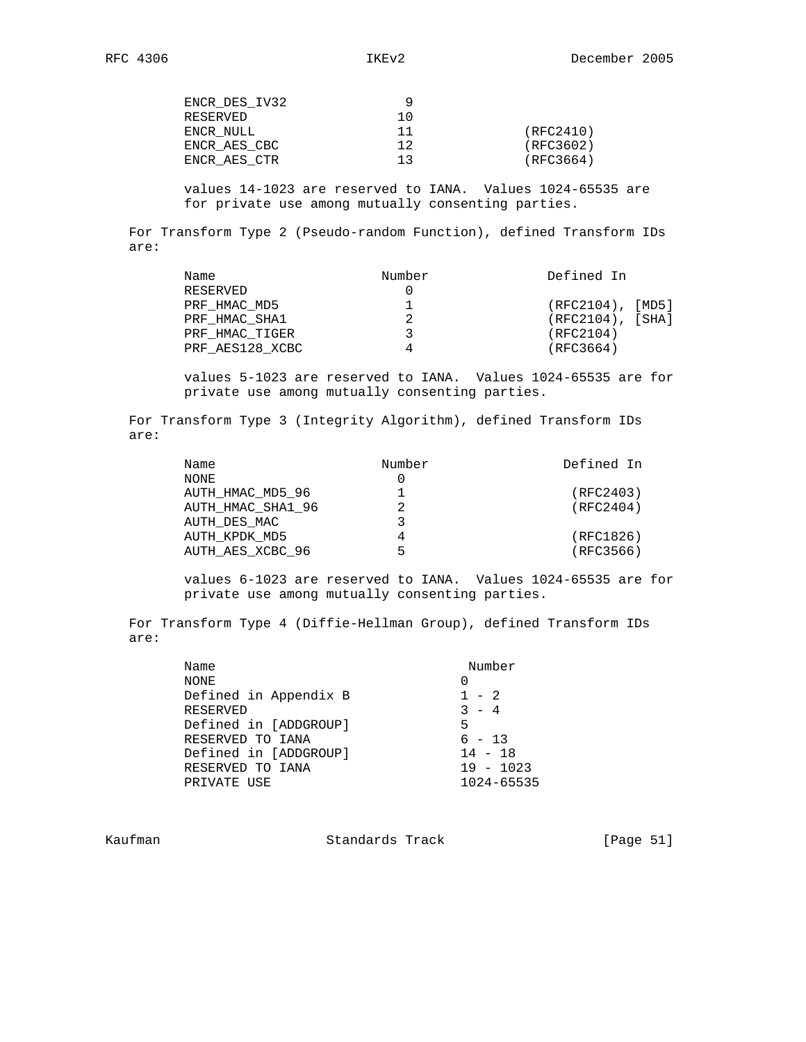values 14-1023 are reserved to IANA. Values 1024-65535 are for private use among mutually consenting parties.

 For Transform Type 2 (Pseudo-random Function), defined Transform IDs are:

| Name            | Number | Defined In            |
|-----------------|--------|-----------------------|
| RESERVED        |        |                       |
| PRF HMAC MD5    |        | $(RFC2104)$ , $[MD5]$ |
| PRF HMAC SHA1   |        | $(RFC2104)$ , [SHA]   |
| PRF HMAC TIGER  |        | (RFC2104)             |
| PRF AES128 XCBC |        | (RFC3664)             |

 values 5-1023 are reserved to IANA. Values 1024-65535 are for private use among mutually consenting parties.

 For Transform Type 3 (Integrity Algorithm), defined Transform IDs are:

| Name              | Number | Defined In |
|-------------------|--------|------------|
| NONE              |        |            |
| AUTH HMAC MD5 96  |        | (RFC2403)  |
| AUTH HMAC SHA1 96 |        | (RFC2404)  |
| AUTH DES MAC      |        |            |
| AUTH KPDK MD5     |        | (RFC1826)  |
| AUTH AES XCBC 96  | 5      | (RFC3566)  |

 values 6-1023 are reserved to IANA. Values 1024-65535 are for private use among mutually consenting parties.

 For Transform Type 4 (Diffie-Hellman Group), defined Transform IDs are:

| Name                  | Number               |
|-----------------------|----------------------|
| NONE                  |                      |
| Defined in Appendix B | $1 - 2$              |
| <b>RESERVED</b>       | $\mathcal{R}$<br>- 4 |
| Defined in [ADDGROUP] | 5                    |
| RESERVED TO IANA      | $6 - 13$             |
| Defined in [ADDGROUP] | $14 - 18$            |
| RESERVED TO IANA      | $19 - 1023$          |
| PRIVATE USE           | $1024 - 65535$       |
|                       |                      |

Kaufman **Standards Track** [Page 51]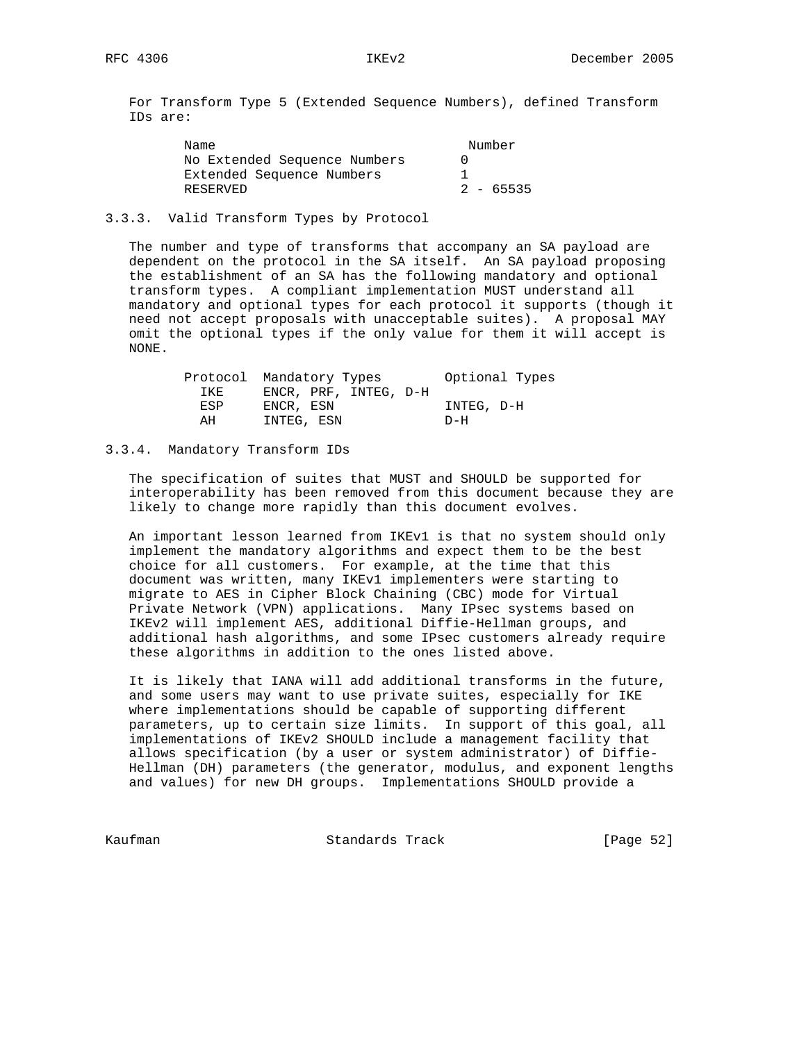For Transform Type 5 (Extended Sequence Numbers), defined Transform IDs are:

| Name                         | Number      |
|------------------------------|-------------|
| No Extended Sequence Numbers |             |
| Extended Sequence Numbers    |             |
| RESERVED                     | $2 - 65535$ |

# 3.3.3. Valid Transform Types by Protocol

 The number and type of transforms that accompany an SA payload are dependent on the protocol in the SA itself. An SA payload proposing the establishment of an SA has the following mandatory and optional transform types. A compliant implementation MUST understand all mandatory and optional types for each protocol it supports (though it need not accept proposals with unacceptable suites). A proposal MAY omit the optional types if the only value for them it will accept is NONE.

|      | Protocol Mandatory Types | Optional Types |
|------|--------------------------|----------------|
| TKF. | ENCR, PRF, INTEG, D-H    |                |
| ESP  | ENCR, ESN                | INTEG, D-H     |
| AH   | INTEG, ESN               | D-H            |

# 3.3.4. Mandatory Transform IDs

 The specification of suites that MUST and SHOULD be supported for interoperability has been removed from this document because they are likely to change more rapidly than this document evolves.

 An important lesson learned from IKEv1 is that no system should only implement the mandatory algorithms and expect them to be the best choice for all customers. For example, at the time that this document was written, many IKEv1 implementers were starting to migrate to AES in Cipher Block Chaining (CBC) mode for Virtual Private Network (VPN) applications. Many IPsec systems based on IKEv2 will implement AES, additional Diffie-Hellman groups, and additional hash algorithms, and some IPsec customers already require these algorithms in addition to the ones listed above.

 It is likely that IANA will add additional transforms in the future, and some users may want to use private suites, especially for IKE where implementations should be capable of supporting different parameters, up to certain size limits. In support of this goal, all implementations of IKEv2 SHOULD include a management facility that allows specification (by a user or system administrator) of Diffie- Hellman (DH) parameters (the generator, modulus, and exponent lengths and values) for new DH groups. Implementations SHOULD provide a

Kaufman Standards Track [Page 52]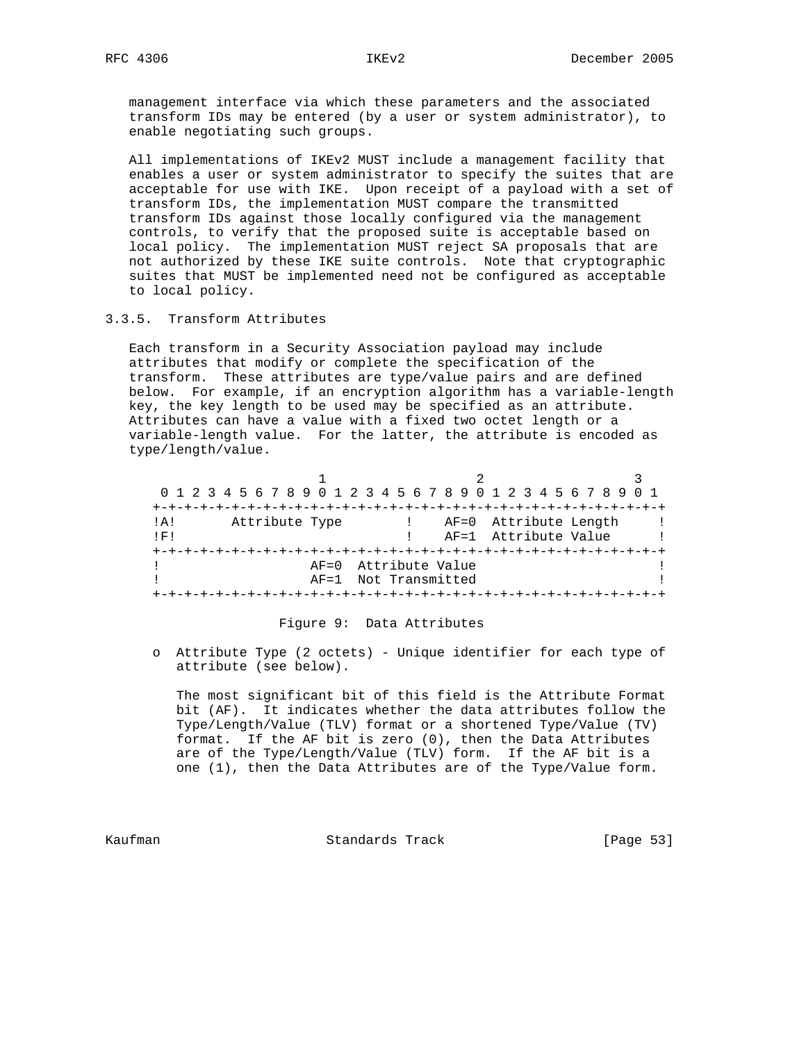management interface via which these parameters and the associated transform IDs may be entered (by a user or system administrator), to enable negotiating such groups.

 All implementations of IKEv2 MUST include a management facility that enables a user or system administrator to specify the suites that are acceptable for use with IKE. Upon receipt of a payload with a set of transform IDs, the implementation MUST compare the transmitted transform IDs against those locally configured via the management controls, to verify that the proposed suite is acceptable based on local policy. The implementation MUST reject SA proposals that are not authorized by these IKE suite controls. Note that cryptographic suites that MUST be implemented need not be configured as acceptable to local policy.

## 3.3.5. Transform Attributes

 Each transform in a Security Association payload may include attributes that modify or complete the specification of the transform. These attributes are type/value pairs and are defined below. For example, if an encryption algorithm has a variable-length key, the key length to be used may be specified as an attribute. Attributes can have a value with a fixed two octet length or a variable-length value. For the latter, the attribute is encoded as type/length/value.

|         |                | 0 1 2 3 4 5 6 7 8 9 0 1 2 3 4 5 6 7 8 9 0 1 2 3 4 5 6 7 8 9 0 1 |  |
|---------|----------------|-----------------------------------------------------------------|--|
|         |                |                                                                 |  |
| $!$ A ! | Attribute Type | ! AF=0 Attribute Length                                         |  |
| IF!     |                | AF=1 Attribute Value                                            |  |
|         |                |                                                                 |  |
|         |                | AF=0 Attribute Value                                            |  |
|         |                | AF=1 Not Transmitted                                            |  |
|         |                |                                                                 |  |

# Figure 9: Data Attributes

 o Attribute Type (2 octets) - Unique identifier for each type of attribute (see below).

 The most significant bit of this field is the Attribute Format bit (AF). It indicates whether the data attributes follow the Type/Length/Value (TLV) format or a shortened Type/Value (TV) format. If the AF bit is zero (0), then the Data Attributes are of the Type/Length/Value (TLV) form. If the AF bit is a one (1), then the Data Attributes are of the Type/Value form.

Kaufman **Standards Track** [Page 53]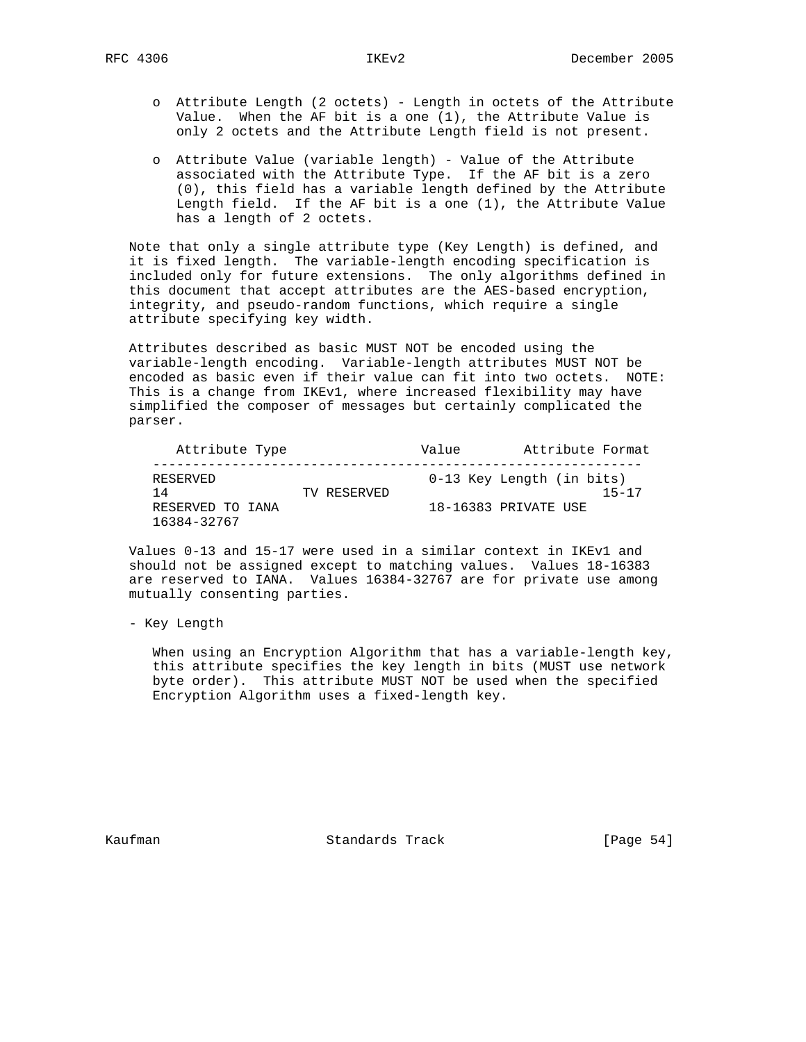- o Attribute Length (2 octets) Length in octets of the Attribute Value. When the AF bit is a one (1), the Attribute Value is only 2 octets and the Attribute Length field is not present.
- o Attribute Value (variable length) Value of the Attribute associated with the Attribute Type. If the AF bit is a zero (0), this field has a variable length defined by the Attribute Length field. If the AF bit is a one (1), the Attribute Value has a length of 2 octets.

 Note that only a single attribute type (Key Length) is defined, and it is fixed length. The variable-length encoding specification is included only for future extensions. The only algorithms defined in this document that accept attributes are the AES-based encryption, integrity, and pseudo-random functions, which require a single attribute specifying key width.

 Attributes described as basic MUST NOT be encoded using the variable-length encoding. Variable-length attributes MUST NOT be encoded as basic even if their value can fit into two octets. NOTE: This is a change from IKEv1, where increased flexibility may have simplified the composer of messages but certainly complicated the parser.

| Attribute Type                  |             | Value | Attribute Format                       |
|---------------------------------|-------------|-------|----------------------------------------|
| RESERVED<br>14                  | TV RESERVED |       | 0-13 Key Length (in bits)<br>$15 - 17$ |
| RESERVED TO IANA<br>16384-32767 |             |       | 18-16383 PRIVATE USE                   |

 Values 0-13 and 15-17 were used in a similar context in IKEv1 and should not be assigned except to matching values. Values 18-16383 are reserved to IANA. Values 16384-32767 are for private use among mutually consenting parties.

- Key Length

 When using an Encryption Algorithm that has a variable-length key, this attribute specifies the key length in bits (MUST use network byte order). This attribute MUST NOT be used when the specified Encryption Algorithm uses a fixed-length key.

Kaufman **Standards Track** [Page 54]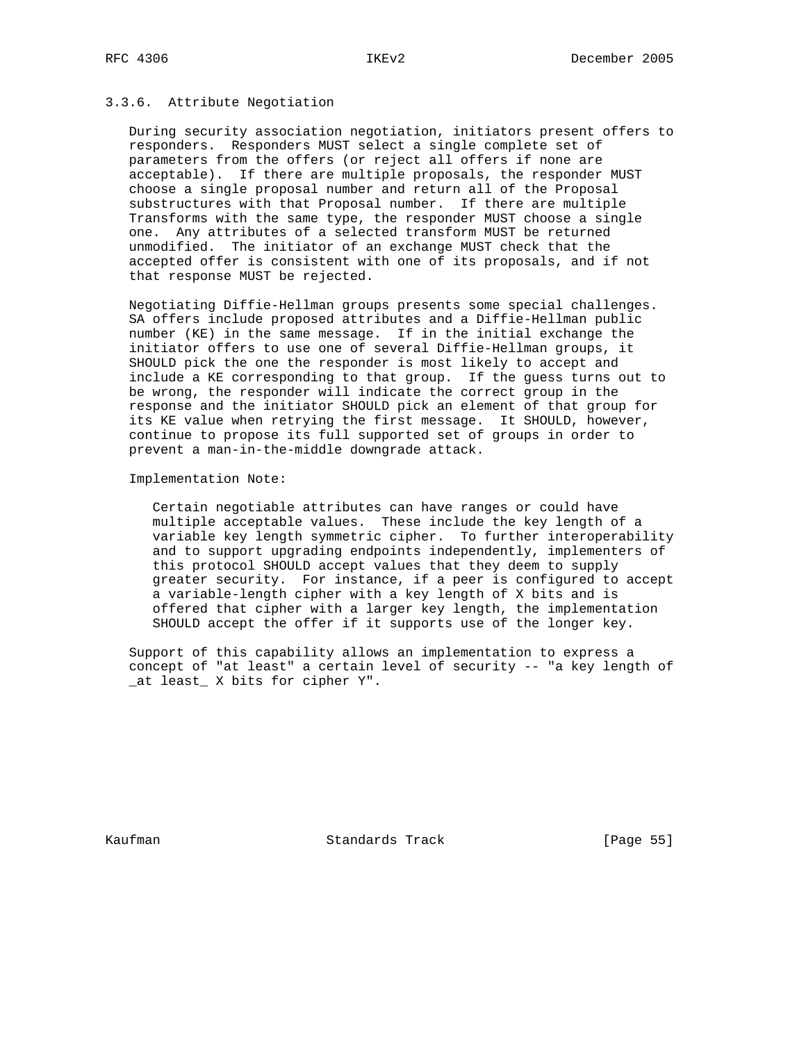## 3.3.6. Attribute Negotiation

 During security association negotiation, initiators present offers to responders. Responders MUST select a single complete set of parameters from the offers (or reject all offers if none are acceptable). If there are multiple proposals, the responder MUST choose a single proposal number and return all of the Proposal substructures with that Proposal number. If there are multiple Transforms with the same type, the responder MUST choose a single one. Any attributes of a selected transform MUST be returned unmodified. The initiator of an exchange MUST check that the accepted offer is consistent with one of its proposals, and if not that response MUST be rejected.

 Negotiating Diffie-Hellman groups presents some special challenges. SA offers include proposed attributes and a Diffie-Hellman public number (KE) in the same message. If in the initial exchange the initiator offers to use one of several Diffie-Hellman groups, it SHOULD pick the one the responder is most likely to accept and include a KE corresponding to that group. If the guess turns out to be wrong, the responder will indicate the correct group in the response and the initiator SHOULD pick an element of that group for its KE value when retrying the first message. It SHOULD, however, continue to propose its full supported set of groups in order to prevent a man-in-the-middle downgrade attack.

Implementation Note:

 Certain negotiable attributes can have ranges or could have multiple acceptable values. These include the key length of a variable key length symmetric cipher. To further interoperability and to support upgrading endpoints independently, implementers of this protocol SHOULD accept values that they deem to supply greater security. For instance, if a peer is configured to accept a variable-length cipher with a key length of X bits and is offered that cipher with a larger key length, the implementation SHOULD accept the offer if it supports use of the longer key.

 Support of this capability allows an implementation to express a concept of "at least" a certain level of security -- "a key length of \_at least\_ X bits for cipher Y".

Kaufman **Standards Track** [Page 55]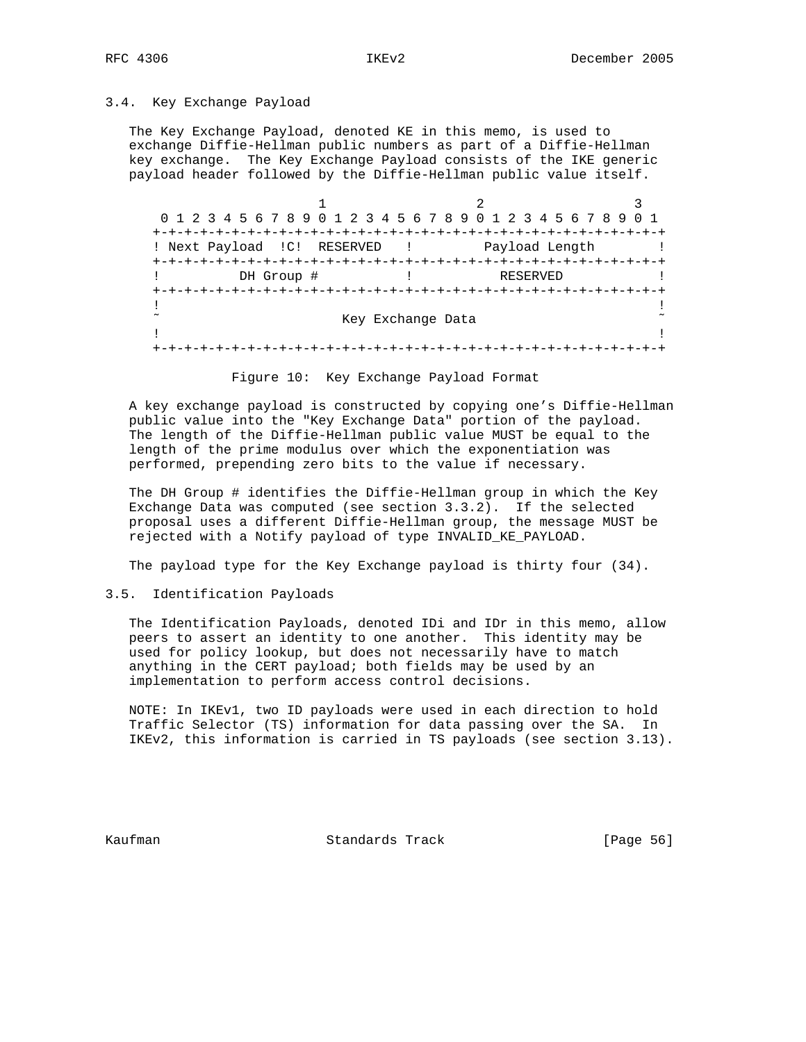## 3.4. Key Exchange Payload

 The Key Exchange Payload, denoted KE in this memo, is used to exchange Diffie-Hellman public numbers as part of a Diffie-Hellman key exchange. The Key Exchange Payload consists of the IKE generic payload header followed by the Diffie-Hellman public value itself.

| 0 1 2 3 4 5 6 7 8 9 0 1 2 3 4 5 6 7 8 9 0 1 2 3 4 5 6 7 8 9 |                                  |                |  |
|-------------------------------------------------------------|----------------------------------|----------------|--|
|                                                             |                                  |                |  |
| ! Next Payload !C! RESERVED                                 | and The Control                  | Payload Length |  |
|                                                             | +-+-+-+-+-+-+-+-+-+-+-+-+-+-+-+- |                |  |
| DH Group #                                                  |                                  | RESERVED       |  |
|                                                             |                                  |                |  |
|                                                             |                                  |                |  |
|                                                             | Key Exchange Data                |                |  |
|                                                             |                                  |                |  |
|                                                             |                                  |                |  |

Figure 10: Key Exchange Payload Format

 A key exchange payload is constructed by copying one's Diffie-Hellman public value into the "Key Exchange Data" portion of the payload. The length of the Diffie-Hellman public value MUST be equal to the length of the prime modulus over which the exponentiation was performed, prepending zero bits to the value if necessary.

 The DH Group # identifies the Diffie-Hellman group in which the Key Exchange Data was computed (see section 3.3.2). If the selected proposal uses a different Diffie-Hellman group, the message MUST be rejected with a Notify payload of type INVALID\_KE\_PAYLOAD.

The payload type for the Key Exchange payload is thirty four (34).

# 3.5. Identification Payloads

 The Identification Payloads, denoted IDi and IDr in this memo, allow peers to assert an identity to one another. This identity may be used for policy lookup, but does not necessarily have to match anything in the CERT payload; both fields may be used by an implementation to perform access control decisions.

 NOTE: In IKEv1, two ID payloads were used in each direction to hold Traffic Selector (TS) information for data passing over the SA. In IKEv2, this information is carried in TS payloads (see section 3.13).

Kaufman **Standards Track** [Page 56]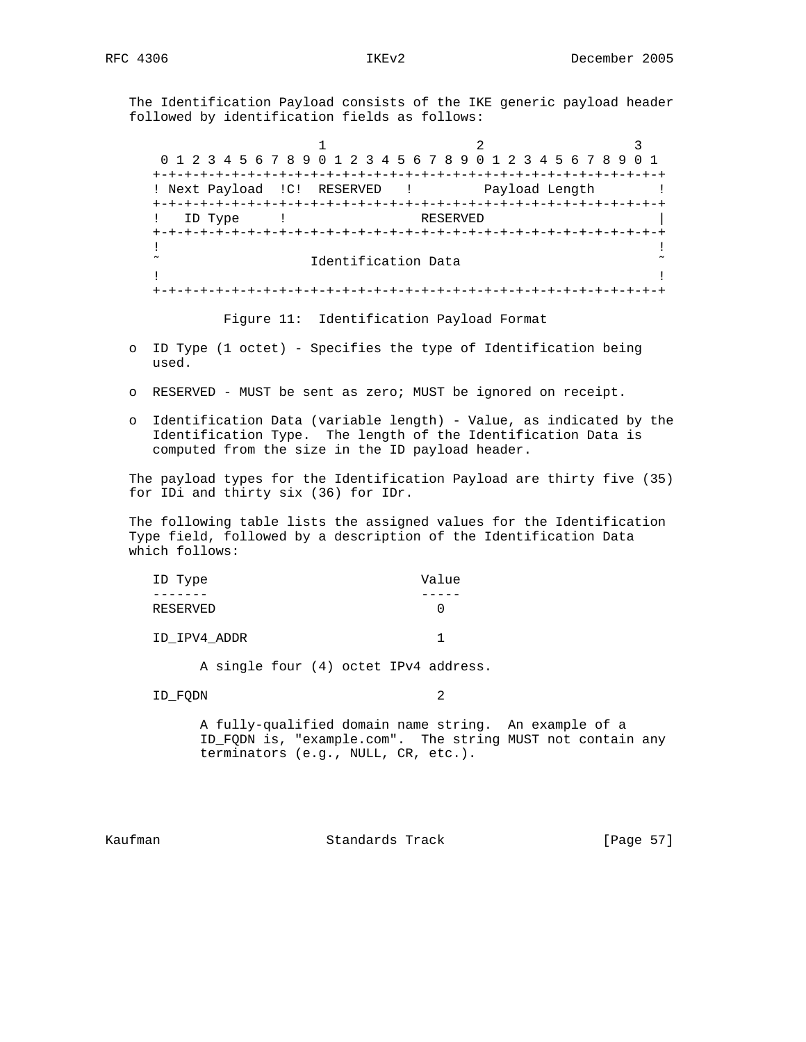The Identification Payload consists of the IKE generic payload header followed by identification fields as follows:

1 2 3 0 1 2 3 4 5 6 7 8 9 0 1 2 3 4 5 6 7 8 9 0 1 2 3 4 5 6 7 8 9 0 1 +-+-+-+-+-+-+-+-+-+-+-+-+-+-+-+-+-+-+-+-+-+-+-+-+-+-+-+-+-+-+-+-+ ! Next Payload !C! RESERVED ! Payload Length ! +-+-+-+-+-+-+-+-+-+-+-+-+-+-+-+-+-+-+-+-+-+-+-+-+-+-+-+-+-+-+-+-+ ! ID Type ! RESERVED +-+-+-+-+-+-+-+-+-+-+-+-+-+-+-+-+-+-+-+-+-+-+-+-+-+-+-+-+-+-+-+-+ . The contract of the contract of the contract of the contract of the contract of the contract of the contract  $\tilde{a}$  and  $\tilde{b}$  Identification Data  $\tilde{a}$ . The contract of the contract of the contract of the contract of the contract of the contract of the contract +-+-+-+-+-+-+-+-+-+-+-+-+-+-+-+-+-+-+-+-+-+-+-+-+-+-+-+-+-+-+-+-+

Figure 11: Identification Payload Format

- o ID Type (1 octet) Specifies the type of Identification being used.
- o RESERVED MUST be sent as zero; MUST be ignored on receipt.
- o Identification Data (variable length) Value, as indicated by the Identification Type. The length of the Identification Data is computed from the size in the ID payload header.

 The payload types for the Identification Payload are thirty five (35) for IDi and thirty six (36) for IDr.

 The following table lists the assigned values for the Identification Type field, followed by a description of the Identification Data which follows:

| ID Type      | Value |
|--------------|-------|
|              |       |
| RESERVED     |       |
| ID_IPV4_ADDR |       |

A single four (4) octet IPv4 address.

ID\_FQDN 2

 A fully-qualified domain name string. An example of a ID\_FQDN is, "example.com". The string MUST not contain any terminators (e.g., NULL, CR, etc.).

Kaufman **Standards Track** [Page 57]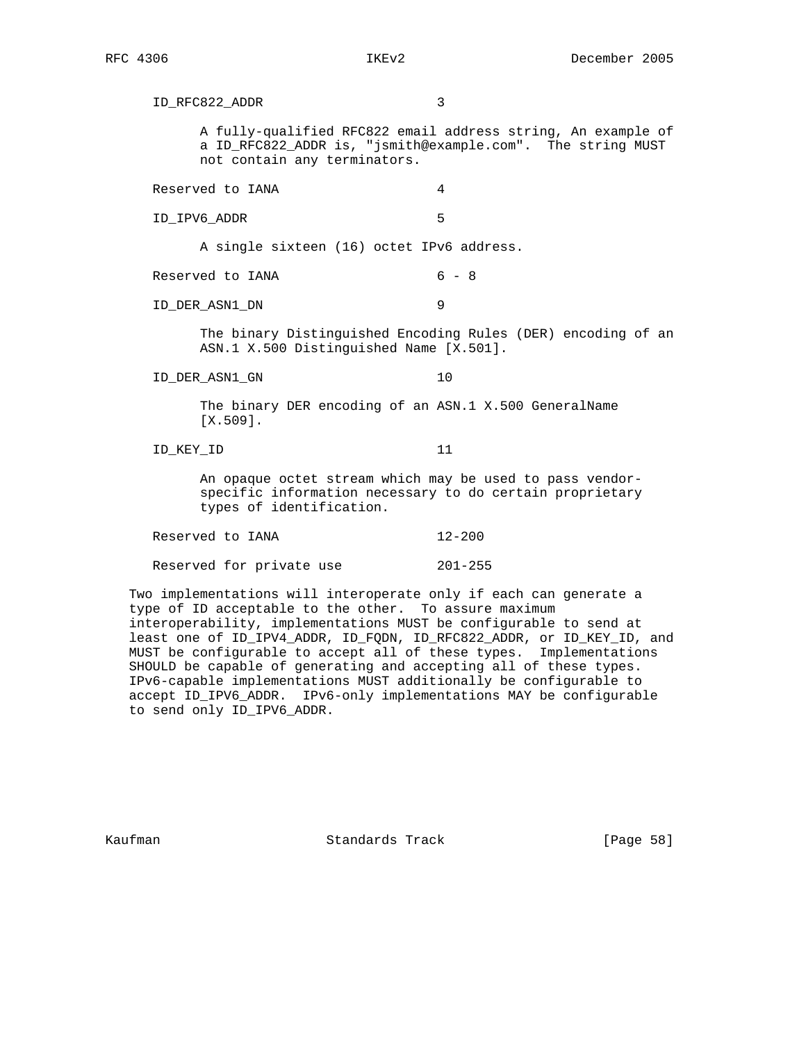ID\_RFC822\_ADDR 3 A fully-qualified RFC822 email address string, An example of a ID\_RFC822\_ADDR is, "jsmith@example.com". The string MUST not contain any terminators. Reserved to IANA 4 ID\_IPV6\_ADDR 5 A single sixteen (16) octet IPv6 address. Reserved to  $IANA$  6 - 8 ID\_DER\_ASN1\_DN 9 The binary Distinguished Encoding Rules (DER) encoding of an ASN.1 X.500 Distinguished Name [X.501]. ID\_DER\_ASN1\_GN 10 The binary DER encoding of an ASN.1 X.500 GeneralName [X.509]. ID\_KEY\_ID 11 An opaque octet stream which may be used to pass vendor specific information necessary to do certain proprietary types of identification. Reserved to IANA 12-200 Reserved for private use 201-255

 Two implementations will interoperate only if each can generate a type of ID acceptable to the other. To assure maximum interoperability, implementations MUST be configurable to send at least one of ID\_IPV4\_ADDR, ID\_FQDN, ID\_RFC822\_ADDR, or ID\_KEY\_ID, and MUST be configurable to accept all of these types. Implementations SHOULD be capable of generating and accepting all of these types. IPv6-capable implementations MUST additionally be configurable to accept ID\_IPV6\_ADDR. IPv6-only implementations MAY be configurable to send only ID\_IPV6\_ADDR.

Kaufman **Standards Track** [Page 58]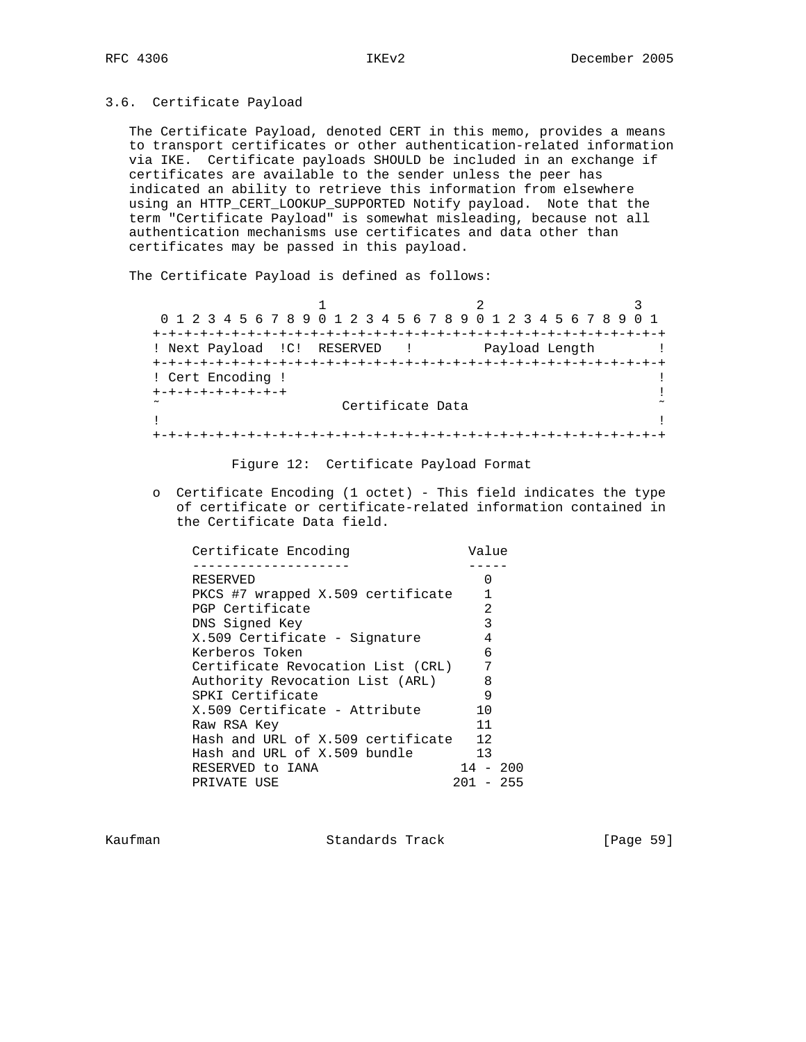# 3.6. Certificate Payload

 The Certificate Payload, denoted CERT in this memo, provides a means to transport certificates or other authentication-related information via IKE. Certificate payloads SHOULD be included in an exchange if certificates are available to the sender unless the peer has indicated an ability to retrieve this information from elsewhere using an HTTP\_CERT\_LOOKUP\_SUPPORTED Notify payload. Note that the term "Certificate Payload" is somewhat misleading, because not all authentication mechanisms use certificates and data other than certificates may be passed in this payload.

The Certificate Payload is defined as follows:

| 0 1 2 3 4 5 6 7 8 9 0 1 2 3 4 5 6 7 8 9 0 1 2 3 4 5 6 7 8 9 0 1 |                               |                |  |
|-----------------------------------------------------------------|-------------------------------|----------------|--|
|                                                                 |                               |                |  |
| ! Next Payload !C! RESERVED !                                   |                               | Payload Length |  |
|                                                                 | ----------------------------- |                |  |
| ! Cert Encoding !                                               |                               |                |  |
| +-+-+-+-+-+-+-+-+                                               |                               |                |  |
| $\tilde{}$                                                      | Certificate Data              |                |  |
|                                                                 |                               |                |  |
|                                                                 |                               |                |  |

Figure 12: Certificate Payload Format

 o Certificate Encoding (1 octet) - This field indicates the type of certificate or certificate-related information contained in the Certificate Data field.

| Certificate Encoding              | Value          |        |
|-----------------------------------|----------------|--------|
|                                   |                |        |
| RESERVED                          | 0              |        |
| PKCS #7 wrapped X.509 certificate |                |        |
| PGP Certificate                   | $\overline{2}$ |        |
| DNS Signed Key                    | 3              |        |
| X.509 Certificate - Signature     | 4              |        |
| Kerberos Token                    | 6              |        |
| Certificate Revocation List (CRL) | 7              |        |
| Authority Revocation List (ARL)   | 8              |        |
| SPKI Certificate                  | 9              |        |
| X.509 Certificate - Attribute     | 10             |        |
| Raw RSA Key                       | 11             |        |
| Hash and URL of X.509 certificate | 12             |        |
| Hash and URL of X.509 bundle      | 13             |        |
| RESERVED to IANA                  | $14 - 200$     |        |
| PRIVATE USE                       | 201            | $-255$ |
|                                   |                |        |

Kaufman **Standards Track** [Page 59]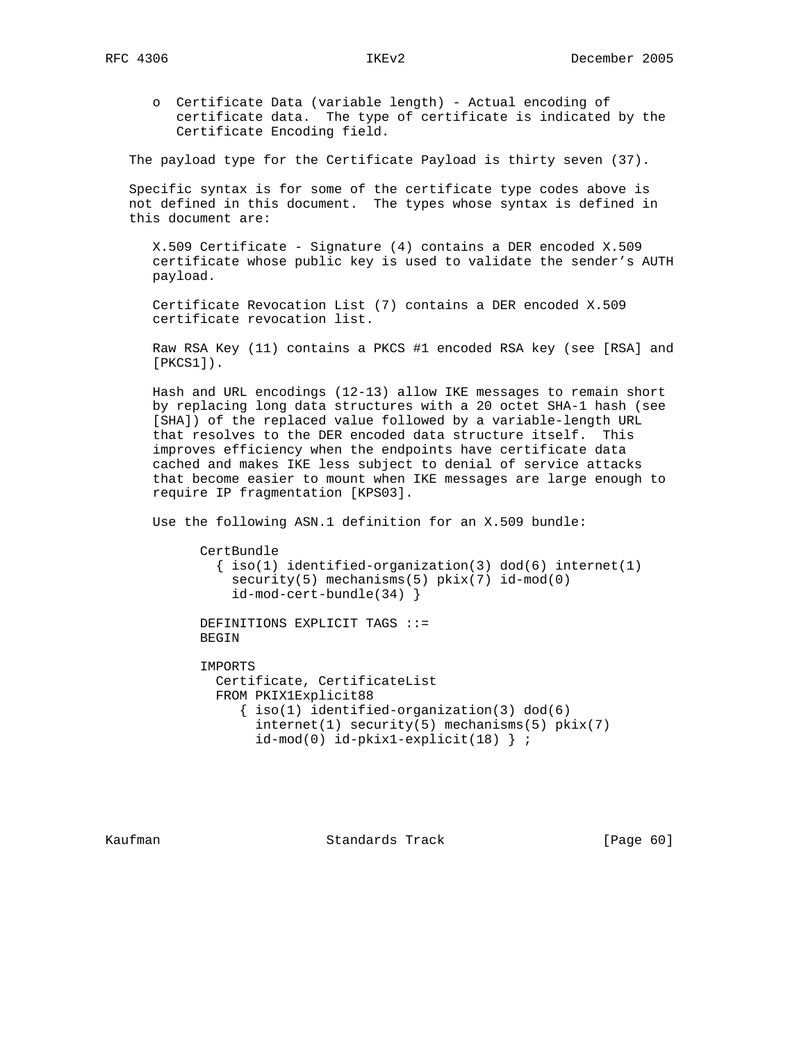o Certificate Data (variable length) - Actual encoding of certificate data. The type of certificate is indicated by the Certificate Encoding field.

The payload type for the Certificate Payload is thirty seven (37).

 Specific syntax is for some of the certificate type codes above is not defined in this document. The types whose syntax is defined in this document are:

 X.509 Certificate - Signature (4) contains a DER encoded X.509 certificate whose public key is used to validate the sender's AUTH payload.

 Certificate Revocation List (7) contains a DER encoded X.509 certificate revocation list.

 Raw RSA Key (11) contains a PKCS #1 encoded RSA key (see [RSA] and [PKCS1]).

 Hash and URL encodings (12-13) allow IKE messages to remain short by replacing long data structures with a 20 octet SHA-1 hash (see [SHA]) of the replaced value followed by a variable-length URL that resolves to the DER encoded data structure itself. This improves efficiency when the endpoints have certificate data cached and makes IKE less subject to denial of service attacks that become easier to mount when IKE messages are large enough to require IP fragmentation [KPS03].

Use the following ASN.1 definition for an X.509 bundle:

 CertBundle  $\{ iso(1) *identified-organization(3)  $dod(6) *internet(1)*$*$  security(5) mechanisms(5) pkix(7) id-mod(0) id-mod-cert-bundle(34) }

 DEFINITIONS EXPLICIT TAGS ::= BEGIN

 IMPORTS Certificate, CertificateList FROM PKIX1Explicit88 { iso(1) identified-organization(3) dod(6) internet(1) security(5) mechanisms(5) pkix(7) id-mod(0) id-pkix1-explicit(18) } ;

Kaufman **Standards Track** [Page 60]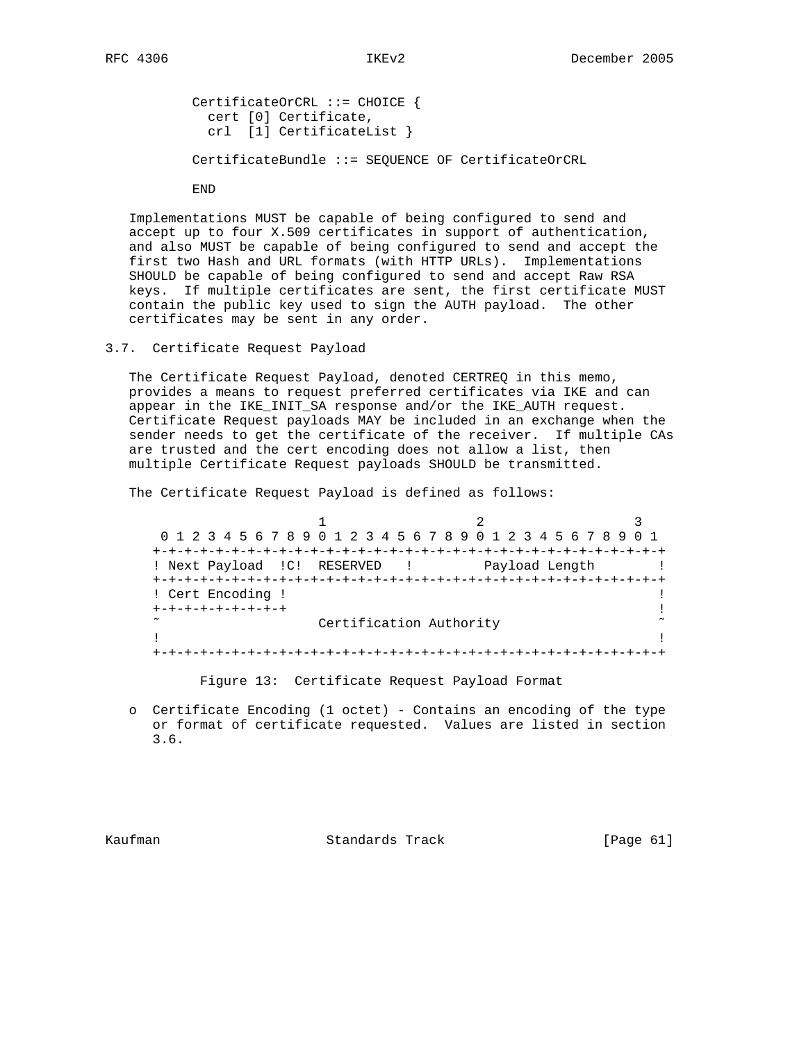CertificateOrCRL ::= CHOICE { cert [0] Certificate, crl [1] CertificateList } CertificateBundle ::= SEQUENCE OF CertificateOrCRL

END

 Implementations MUST be capable of being configured to send and accept up to four X.509 certificates in support of authentication, and also MUST be capable of being configured to send and accept the first two Hash and URL formats (with HTTP URLs). Implementations SHOULD be capable of being configured to send and accept Raw RSA keys. If multiple certificates are sent, the first certificate MUST contain the public key used to sign the AUTH payload. The other certificates may be sent in any order.

3.7. Certificate Request Payload

 The Certificate Request Payload, denoted CERTREQ in this memo, provides a means to request preferred certificates via IKE and can appear in the IKE\_INIT\_SA response and/or the IKE\_AUTH request. Certificate Request payloads MAY be included in an exchange when the sender needs to get the certificate of the receiver. If multiple CAs are trusted and the cert encoding does not allow a list, then multiple Certificate Request payloads SHOULD be transmitted.

The Certificate Request Payload is defined as follows:

1 2 3 0 1 2 3 4 5 6 7 8 9 0 1 2 3 4 5 6 7 8 9 0 1 2 3 4 5 6 7 8 9 0 1 +-+-+-+-+-+-+-+-+-+-+-+-+-+-+-+-+-+-+-+-+-+-+-+-+-+-+-+-+-+-+-+-+ ! Next Payload !C! RESERVED ! Payload Length ! +-+-+-+-+-+-+-+-+-+-+-+-+-+-+-+-+-+-+-+-+-+-+-+-+-+-+-+-+-+-+-+-+ ! Cert Encoding ! ! +-+-+-+-+-+-+-+-+ ! Certification Authority . The contract of the contract of the contract of the contract of the contract of the contract of the contract +-+-+-+-+-+-+-+-+-+-+-+-+-+-+-+-+-+-+-+-+-+-+-+-+-+-+-+-+-+-+-+-+

Figure 13: Certificate Request Payload Format

 o Certificate Encoding (1 octet) - Contains an encoding of the type or format of certificate requested. Values are listed in section 3.6.

Kaufman **Standards Track** [Page 61]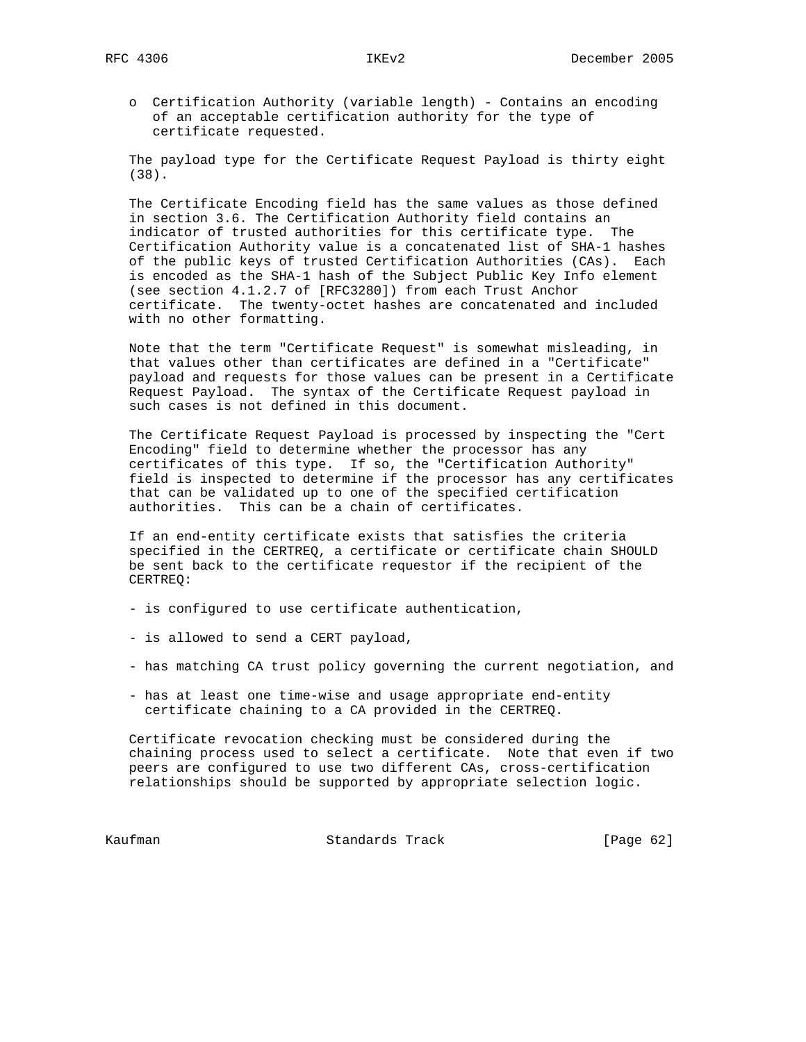o Certification Authority (variable length) - Contains an encoding of an acceptable certification authority for the type of certificate requested.

 The payload type for the Certificate Request Payload is thirty eight (38).

 The Certificate Encoding field has the same values as those defined in section 3.6. The Certification Authority field contains an indicator of trusted authorities for this certificate type. The Certification Authority value is a concatenated list of SHA-1 hashes of the public keys of trusted Certification Authorities (CAs). Each is encoded as the SHA-1 hash of the Subject Public Key Info element (see section 4.1.2.7 of [RFC3280]) from each Trust Anchor certificate. The twenty-octet hashes are concatenated and included with no other formatting.

 Note that the term "Certificate Request" is somewhat misleading, in that values other than certificates are defined in a "Certificate" payload and requests for those values can be present in a Certificate Request Payload. The syntax of the Certificate Request payload in such cases is not defined in this document.

 The Certificate Request Payload is processed by inspecting the "Cert Encoding" field to determine whether the processor has any certificates of this type. If so, the "Certification Authority" field is inspected to determine if the processor has any certificates that can be validated up to one of the specified certification authorities. This can be a chain of certificates.

 If an end-entity certificate exists that satisfies the criteria specified in the CERTREQ, a certificate or certificate chain SHOULD be sent back to the certificate requestor if the recipient of the CERTREQ:

- is configured to use certificate authentication,
- is allowed to send a CERT payload,
- has matching CA trust policy governing the current negotiation, and
- has at least one time-wise and usage appropriate end-entity certificate chaining to a CA provided in the CERTREQ.

 Certificate revocation checking must be considered during the chaining process used to select a certificate. Note that even if two peers are configured to use two different CAs, cross-certification relationships should be supported by appropriate selection logic.

Kaufman **Standards Track** [Page 62]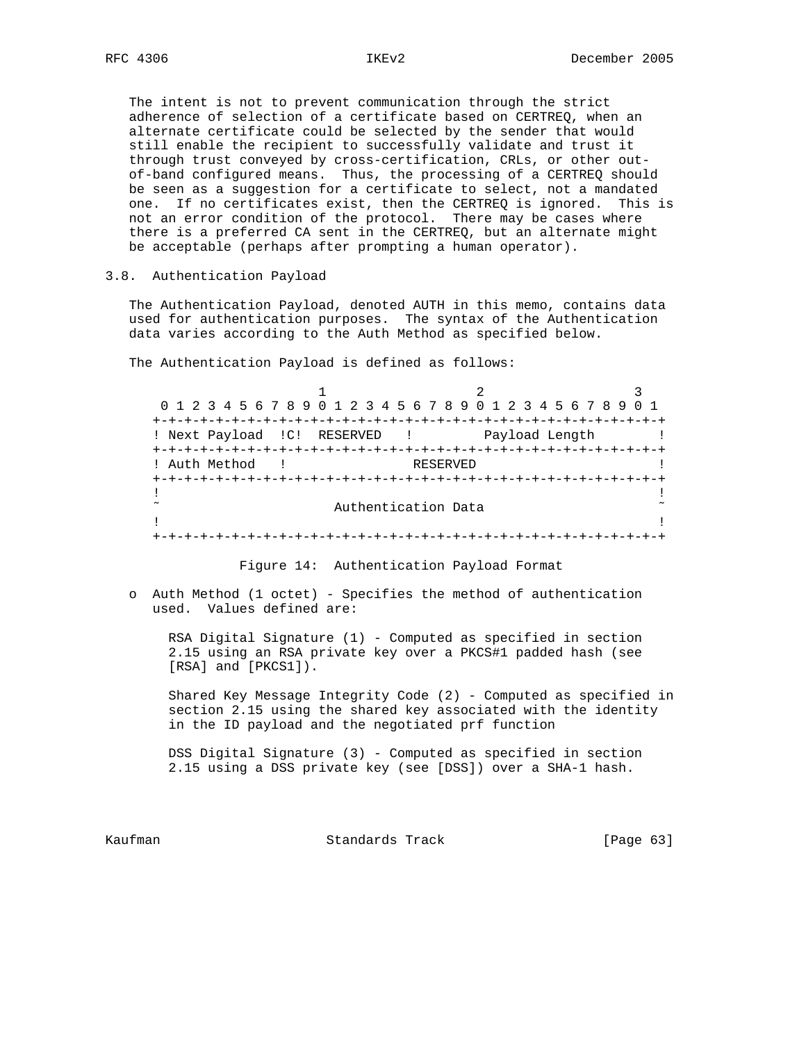The intent is not to prevent communication through the strict adherence of selection of a certificate based on CERTREQ, when an alternate certificate could be selected by the sender that would still enable the recipient to successfully validate and trust it through trust conveyed by cross-certification, CRLs, or other out of-band configured means. Thus, the processing of a CERTREQ should be seen as a suggestion for a certificate to select, not a mandated one. If no certificates exist, then the CERTREQ is ignored. This is not an error condition of the protocol. There may be cases where there is a preferred CA sent in the CERTREQ, but an alternate might be acceptable (perhaps after prompting a human operator).

# 3.8. Authentication Payload

 The Authentication Payload, denoted AUTH in this memo, contains data used for authentication purposes. The syntax of the Authentication data varies according to the Auth Method as specified below.

The Authentication Payload is defined as follows:

1 2 3 0 1 2 3 4 5 6 7 8 9 0 1 2 3 4 5 6 7 8 9 0 1 2 3 4 5 6 7 8 9 0 1 +-+-+-+-+-+-+-+-+-+-+-+-+-+-+-+-+-+-+-+-+-+-+-+-+-+-+-+-+-+-+-+-+ ! Next Payload ! C! RESERVED ! Payload Length ! +-+-+-+-+-+-+-+-+-+-+-+-+-+-+-+-+-+-+-+-+-+-+-+-+-+-+-+-+-+-+-+-+ ! Auth Method ! RESERVED ! +-+-+-+-+-+-+-+-+-+-+-+-+-+-+-+-+-+-+-+-+-+-+-+-+-+-+-+-+-+-+-+-+ . The contract of the contract of the contract of the contract of the contract of the contract of the contract ˜ Authentication Data ˜ . The contract of the contract of the contract of the contract of the contract of the contract of the contract +-+-+-+-+-+-+-+-+-+-+-+-+-+-+-+-+-+-+-+-+-+-+-+-+-+-+-+-+-+-+-+-+

Figure 14: Authentication Payload Format

 o Auth Method (1 octet) - Specifies the method of authentication used. Values defined are:

RSA Digital Signature  $(1)$  - Computed as specified in section 2.15 using an RSA private key over a PKCS#1 padded hash (see [RSA] and [PKCS1]).

 Shared Key Message Integrity Code (2) - Computed as specified in section 2.15 using the shared key associated with the identity in the ID payload and the negotiated prf function

 DSS Digital Signature (3) - Computed as specified in section 2.15 using a DSS private key (see [DSS]) over a SHA-1 hash.

Kaufman **Standards Track** [Page 63]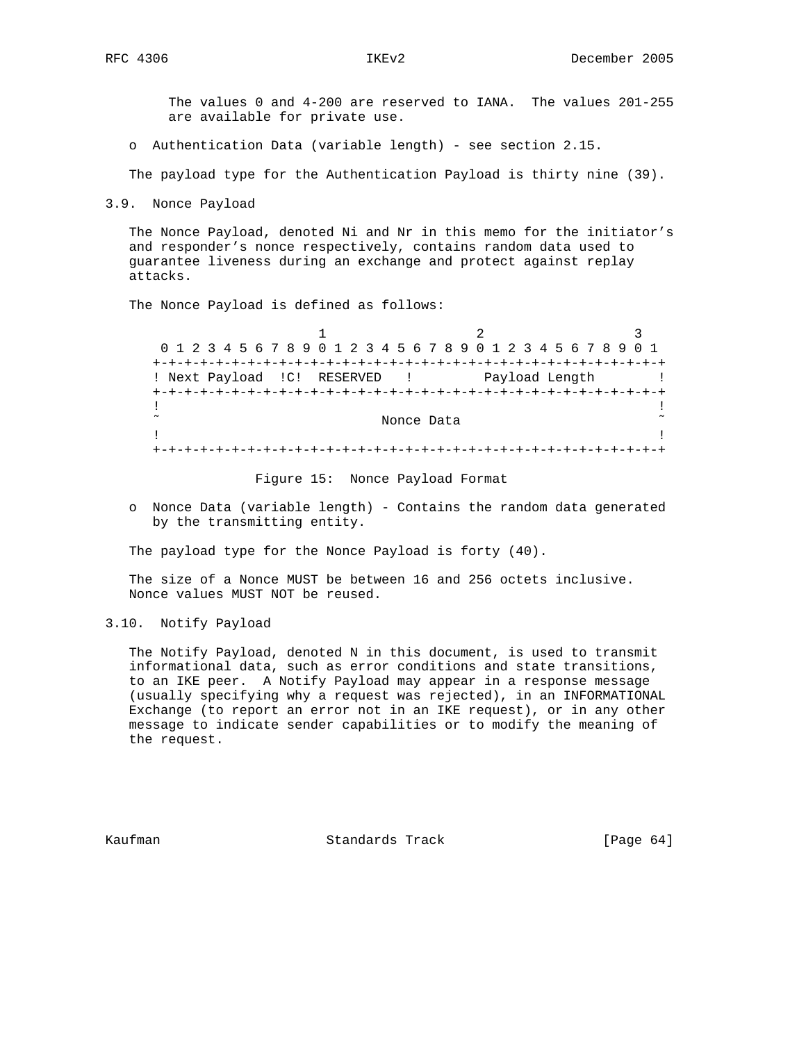The values 0 and 4-200 are reserved to IANA. The values 201-255 are available for private use.

o Authentication Data (variable length) - see section 2.15.

The payload type for the Authentication Payload is thirty nine (39).

3.9. Nonce Payload

 The Nonce Payload, denoted Ni and Nr in this memo for the initiator's and responder's nonce respectively, contains random data used to guarantee liveness during an exchange and protect against replay attacks.

The Nonce Payload is defined as follows:

1 2 3 0 1 2 3 4 5 6 7 8 9 0 1 2 3 4 5 6 7 8 9 0 1 2 3 4 5 6 7 8 9 0 1 +-+-+-+-+-+-+-+-+-+-+-+-+-+-+-+-+-+-+-+-+-+-+-+-+-+-+-+-+-+-+-+-+ ! Next Payload !C! RESERVED ! Payload Length ! +-+-+-+-+-+-+-+-+-+-+-+-+-+-+-+-+-+-+-+-+-+-+-+-+-+-+-+-+-+-+-+-+ . The contract of the contract of the contract of the contract of the contract of the contract of the contract Nonce Data  $\sim$ . The contract of the contract of the contract of the contract of the contract of the contract of the contract +-+-+-+-+-+-+-+-+-+-+-+-+-+-+-+-+-+-+-+-+-+-+-+-+-+-+-+-+-+-+-+-+

Figure 15: Nonce Payload Format

 o Nonce Data (variable length) - Contains the random data generated by the transmitting entity.

The payload type for the Nonce Payload is forty (40).

 The size of a Nonce MUST be between 16 and 256 octets inclusive. Nonce values MUST NOT be reused.

3.10. Notify Payload

 The Notify Payload, denoted N in this document, is used to transmit informational data, such as error conditions and state transitions, to an IKE peer. A Notify Payload may appear in a response message (usually specifying why a request was rejected), in an INFORMATIONAL Exchange (to report an error not in an IKE request), or in any other message to indicate sender capabilities or to modify the meaning of the request.

Kaufman **Standards Track** [Page 64]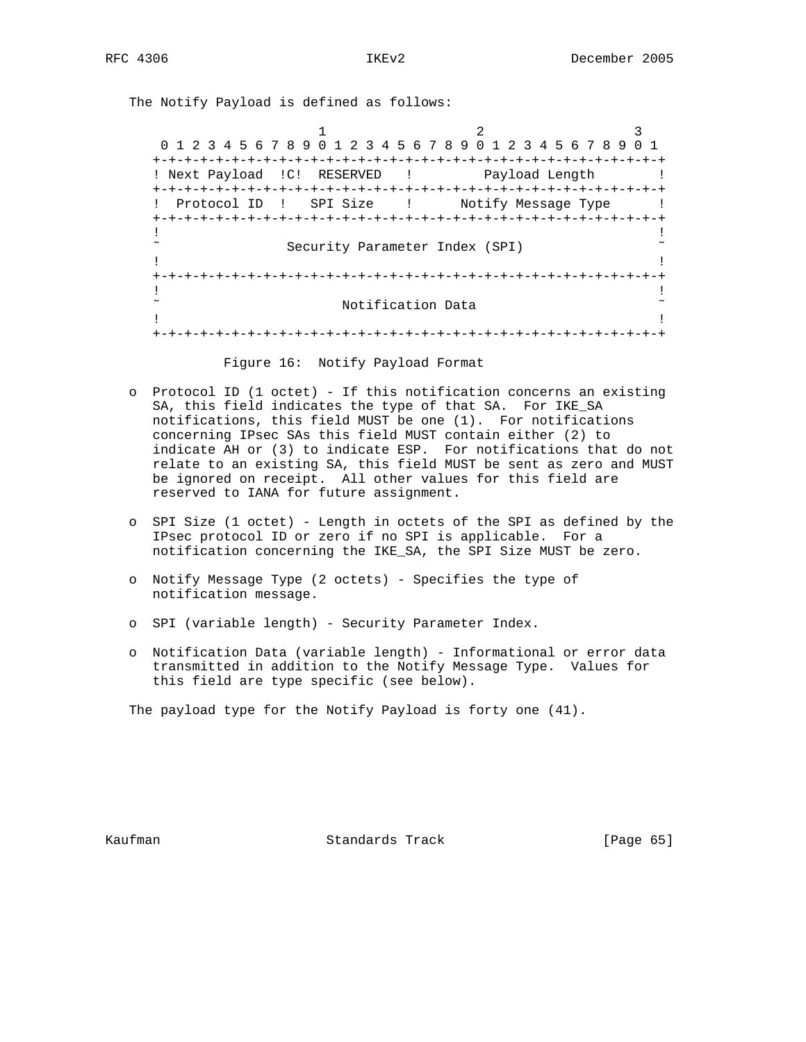The Notify Payload is defined as follows:

1 2 3 0 1 2 3 4 5 6 7 8 9 0 1 2 3 4 5 6 7 8 9 0 1 2 3 4 5 6 7 8 9 0 1 +-+-+-+-+-+-+-+-+-+-+-+-+-+-+-+-+-+-+-+-+-+-+-+-+-+-+-+-+-+-+-+-+ ! Next Payload ! C! RESERVED ! Payload Length ! +-+-+-+-+-+-+-+-+-+-+-+-+-+-+-+-+-+-+-+-+-+-+-+-+-+-+-+-+-+-+-+-+ ! Protocol ID ! SPI Size ! Notify Message Type ! +-+-+-+-+-+-+-+-+-+-+-+-+-+-+-+-+-+-+-+-+-+-+-+-+-+-+-+-+-+-+-+-+ . The contract of the contract of the contract of the contract of the contract of the contract of the contract Security Parameter Index (SPI) . The contract of the contract of the contract of the contract of the contract of the contract of the contract +-+-+-+-+-+-+-+-+-+-+-+-+-+-+-+-+-+-+-+-+-+-+-+-+-+-+-+-+-+-+-+-+ . The contract of the contract of the contract of the contract of the contract of the contract of the contract Notification Data . The contract of the contract of the contract of the contract of the contract of the contract of the contract +-+-+-+-+-+-+-+-+-+-+-+-+-+-+-+-+-+-+-+-+-+-+-+-+-+-+-+-+-+-+-+-+

Figure 16: Notify Payload Format

- o Protocol ID (1 octet) If this notification concerns an existing SA, this field indicates the type of that SA. For IKE\_SA notifications, this field MUST be one (1). For notifications concerning IPsec SAs this field MUST contain either (2) to indicate AH or (3) to indicate ESP. For notifications that do not relate to an existing SA, this field MUST be sent as zero and MUST be ignored on receipt. All other values for this field are reserved to IANA for future assignment.
- o SPI Size (1 octet) Length in octets of the SPI as defined by the IPsec protocol ID or zero if no SPI is applicable. For a notification concerning the IKE\_SA, the SPI Size MUST be zero.
- o Notify Message Type (2 octets) Specifies the type of notification message.
- o SPI (variable length) Security Parameter Index.
- o Notification Data (variable length) Informational or error data transmitted in addition to the Notify Message Type. Values for this field are type specific (see below).

The payload type for the Notify Payload is forty one (41).

Kaufman **Standards Track** [Page 65]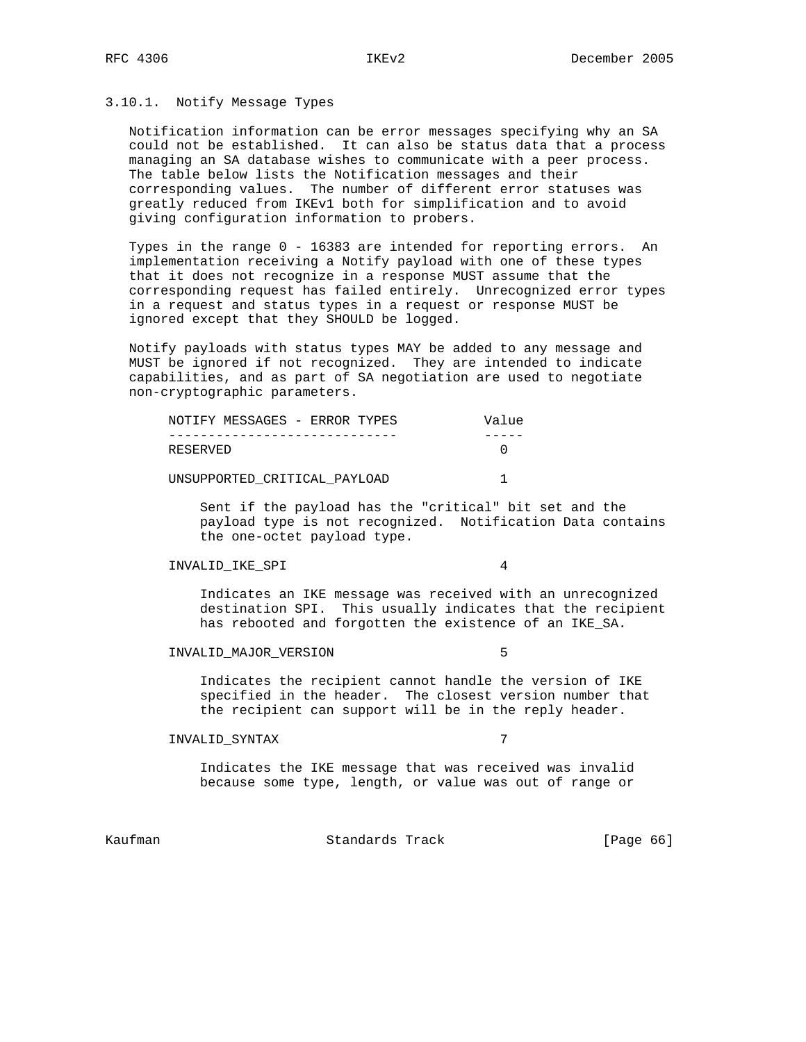# 3.10.1. Notify Message Types

 Notification information can be error messages specifying why an SA could not be established. It can also be status data that a process managing an SA database wishes to communicate with a peer process. The table below lists the Notification messages and their corresponding values. The number of different error statuses was greatly reduced from IKEv1 both for simplification and to avoid giving configuration information to probers.

 Types in the range 0 - 16383 are intended for reporting errors. An implementation receiving a Notify payload with one of these types that it does not recognize in a response MUST assume that the corresponding request has failed entirely. Unrecognized error types in a request and status types in a request or response MUST be ignored except that they SHOULD be logged.

 Notify payloads with status types MAY be added to any message and MUST be ignored if not recognized. They are intended to indicate capabilities, and as part of SA negotiation are used to negotiate non-cryptographic parameters.

|          | NOTIFY MESSAGES - ERROR TYPES |  |  | Value |
|----------|-------------------------------|--|--|-------|
|          |                               |  |  |       |
| RESERVED |                               |  |  |       |
|          |                               |  |  |       |

UNSUPPORTED\_CRITICAL\_PAYLOAD 1

 Sent if the payload has the "critical" bit set and the payload type is not recognized. Notification Data contains the one-octet payload type.

## INVALID\_IKE\_SPI 4

 Indicates an IKE message was received with an unrecognized destination SPI. This usually indicates that the recipient has rebooted and forgotten the existence of an IKE\_SA.

## INVALID\_MAJOR\_VERSION 5

 Indicates the recipient cannot handle the version of IKE specified in the header. The closest version number that the recipient can support will be in the reply header.

## INVALID\_SYNTAX 7

 Indicates the IKE message that was received was invalid because some type, length, or value was out of range or

Kaufman **Standards Track** [Page 66]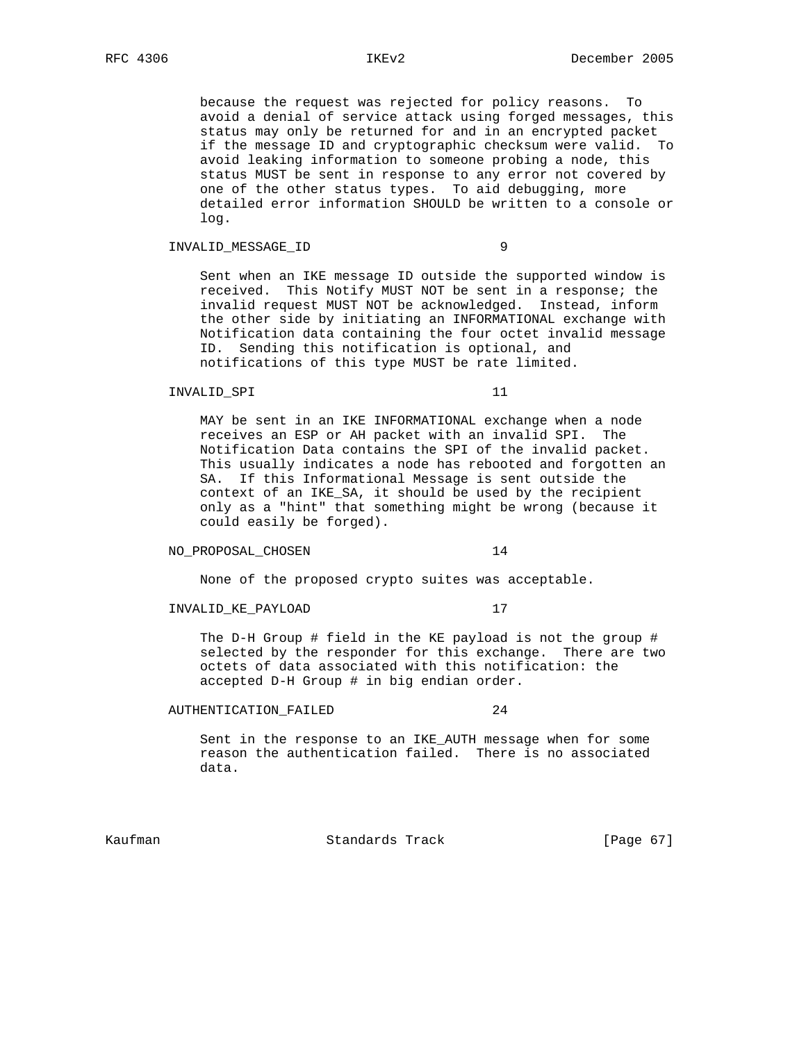because the request was rejected for policy reasons. To avoid a denial of service attack using forged messages, this status may only be returned for and in an encrypted packet if the message ID and cryptographic checksum were valid. To avoid leaking information to someone probing a node, this status MUST be sent in response to any error not covered by one of the other status types. To aid debugging, more detailed error information SHOULD be written to a console or log.

## INVALID\_MESSAGE\_ID 9

 Sent when an IKE message ID outside the supported window is received. This Notify MUST NOT be sent in a response; the invalid request MUST NOT be acknowledged. Instead, inform the other side by initiating an INFORMATIONAL exchange with Notification data containing the four octet invalid message ID. Sending this notification is optional, and notifications of this type MUST be rate limited.

### INVALID\_SPI 11

 MAY be sent in an IKE INFORMATIONAL exchange when a node receives an ESP or AH packet with an invalid SPI. The Notification Data contains the SPI of the invalid packet. This usually indicates a node has rebooted and forgotten an SA. If this Informational Message is sent outside the context of an IKE\_SA, it should be used by the recipient only as a "hint" that something might be wrong (because it could easily be forged).

## NO\_PROPOSAL\_CHOSEN 14

None of the proposed crypto suites was acceptable.

INVALID\_KE\_PAYLOAD 17

 The D-H Group # field in the KE payload is not the group # selected by the responder for this exchange. There are two octets of data associated with this notification: the accepted D-H Group # in big endian order.

## AUTHENTICATION\_FAILED 24

 Sent in the response to an IKE\_AUTH message when for some reason the authentication failed. There is no associated data.

Kaufman **Standards Track** [Page 67]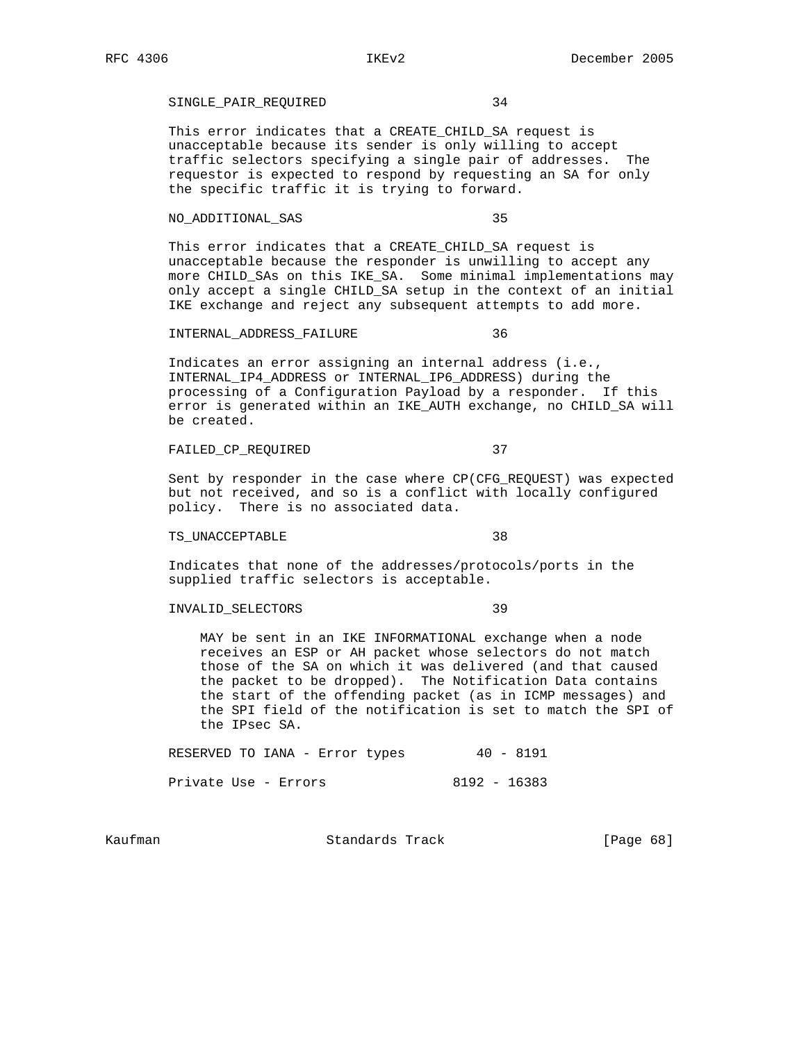# SINGLE\_PAIR\_REQUIRED 34

 This error indicates that a CREATE\_CHILD\_SA request is unacceptable because its sender is only willing to accept traffic selectors specifying a single pair of addresses. The requestor is expected to respond by requesting an SA for only the specific traffic it is trying to forward.

## NO\_ADDITIONAL\_SAS 35

 This error indicates that a CREATE\_CHILD\_SA request is unacceptable because the responder is unwilling to accept any more CHILD\_SAs on this IKE\_SA. Some minimal implementations may only accept a single CHILD\_SA setup in the context of an initial IKE exchange and reject any subsequent attempts to add more.

### INTERNAL\_ADDRESS\_FAILURE 36

 Indicates an error assigning an internal address (i.e., INTERNAL\_IP4\_ADDRESS or INTERNAL\_IP6\_ADDRESS) during the processing of a Configuration Payload by a responder. If this error is generated within an IKE\_AUTH exchange, no CHILD\_SA will be created.

## FAILED\_CP\_REQUIRED 37

 Sent by responder in the case where CP(CFG\_REQUEST) was expected but not received, and so is a conflict with locally configured policy. There is no associated data.

TS UNACCEPTABLE 38

 Indicates that none of the addresses/protocols/ports in the supplied traffic selectors is acceptable.

## INVALID\_SELECTORS 39

 MAY be sent in an IKE INFORMATIONAL exchange when a node receives an ESP or AH packet whose selectors do not match those of the SA on which it was delivered (and that caused the packet to be dropped). The Notification Data contains the start of the offending packet (as in ICMP messages) and the SPI field of the notification is set to match the SPI of the IPsec SA.

 RESERVED TO IANA - Error types 40 - 8191 Private Use - Errors 8192 - 16383

Kaufman **Standards Track** [Page 68]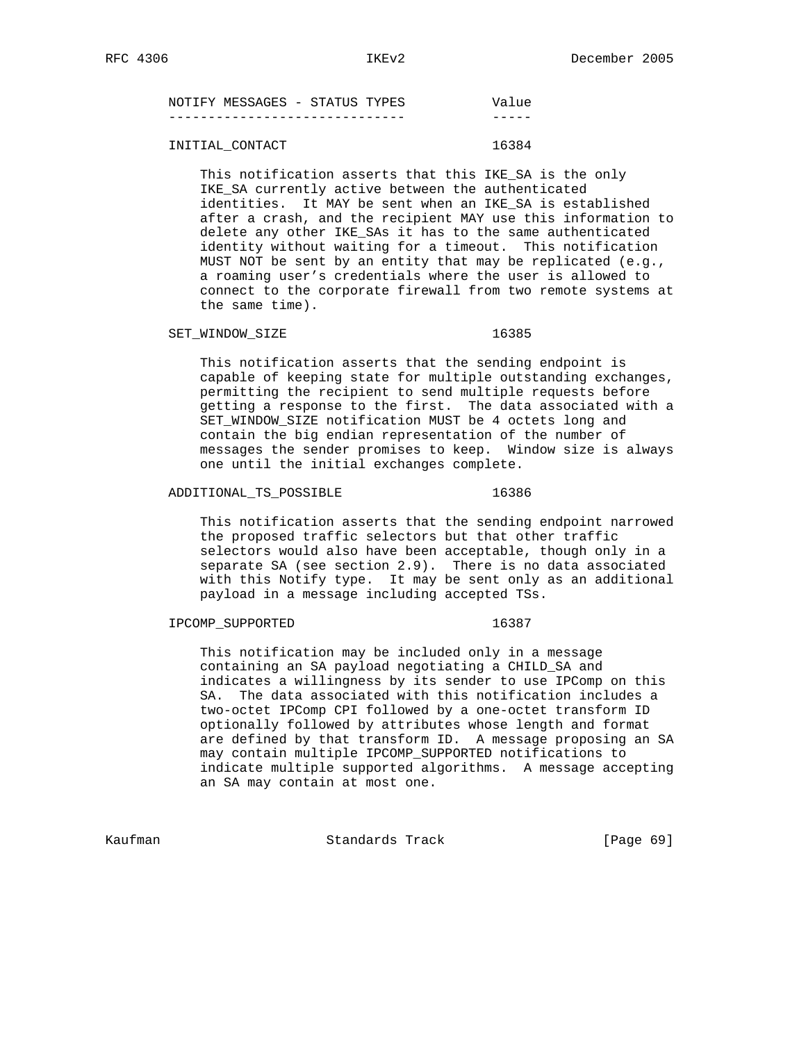| NOTIFY MESSAGES - STATUS TYPES |  |  | Value |
|--------------------------------|--|--|-------|
|                                |  |  |       |
|                                |  |  |       |

# INITIAL CONTACT 16384

 This notification asserts that this IKE\_SA is the only IKE\_SA currently active between the authenticated identities. It MAY be sent when an IKE\_SA is established after a crash, and the recipient MAY use this information to delete any other IKE\_SAs it has to the same authenticated identity without waiting for a timeout. This notification MUST NOT be sent by an entity that may be replicated (e.g., a roaming user's credentials where the user is allowed to connect to the corporate firewall from two remote systems at the same time).

## SET\_WINDOW\_SIZE 16385

 This notification asserts that the sending endpoint is capable of keeping state for multiple outstanding exchanges, permitting the recipient to send multiple requests before getting a response to the first. The data associated with a SET\_WINDOW\_SIZE notification MUST be 4 octets long and contain the big endian representation of the number of messages the sender promises to keep. Window size is always one until the initial exchanges complete.

### ADDITIONAL TS POSSIBLE 16386

 This notification asserts that the sending endpoint narrowed the proposed traffic selectors but that other traffic selectors would also have been acceptable, though only in a separate SA (see section 2.9). There is no data associated with this Notify type. It may be sent only as an additional payload in a message including accepted TSs.

# IPCOMP\_SUPPORTED 16387

 This notification may be included only in a message containing an SA payload negotiating a CHILD\_SA and indicates a willingness by its sender to use IPComp on this SA. The data associated with this notification includes a two-octet IPComp CPI followed by a one-octet transform ID optionally followed by attributes whose length and format are defined by that transform ID. A message proposing an SA may contain multiple IPCOMP\_SUPPORTED notifications to indicate multiple supported algorithms. A message accepting an SA may contain at most one.

Kaufman Standards Track [Page 69]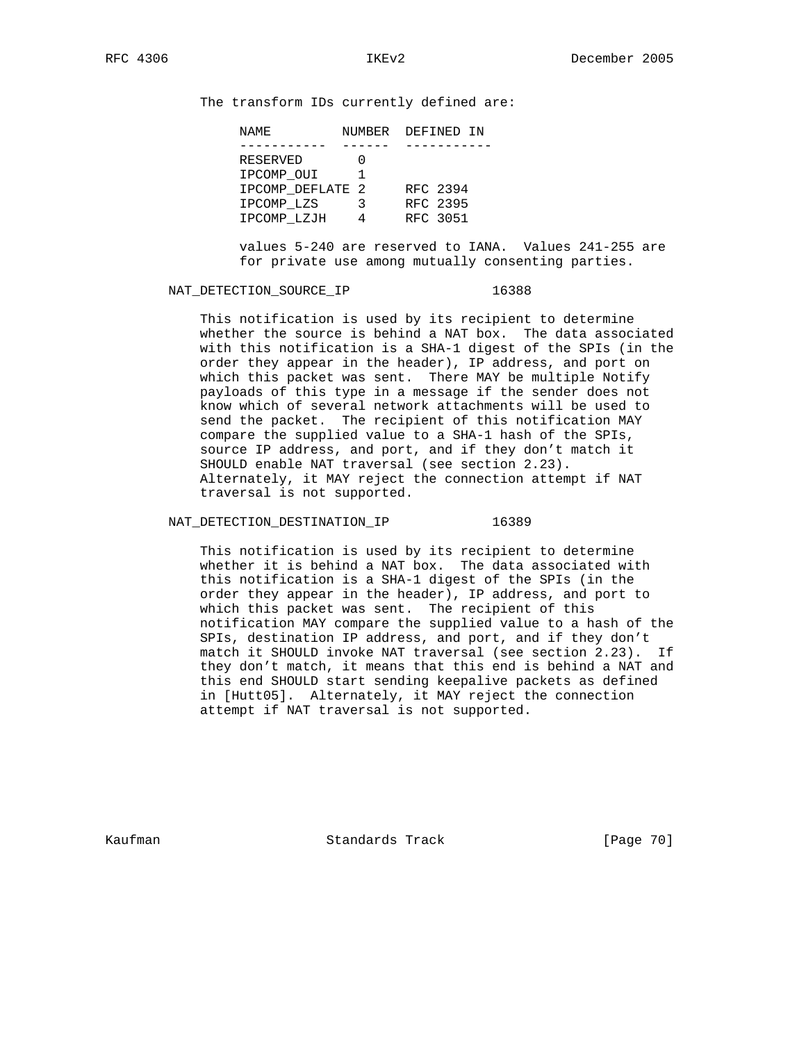The transform IDs currently defined are:

| NAME             |   | NUMBER DEFINED IN |
|------------------|---|-------------------|
|                  |   |                   |
| RESERVED         |   |                   |
| IPCOMP OUI       |   |                   |
| IPCOMP DEFLATE 2 |   | RFC 2394          |
| IPCOMP LZS       | ર | RFC 2395          |
| IPCOMP LZJH      |   | RFC 3051          |

 values 5-240 are reserved to IANA. Values 241-255 are for private use among mutually consenting parties.

## NAT\_DETECTION\_SOURCE\_IP 16388

 This notification is used by its recipient to determine whether the source is behind a NAT box. The data associated with this notification is a SHA-1 digest of the SPIs (in the order they appear in the header), IP address, and port on which this packet was sent. There MAY be multiple Notify payloads of this type in a message if the sender does not know which of several network attachments will be used to send the packet. The recipient of this notification MAY compare the supplied value to a SHA-1 hash of the SPIs, source IP address, and port, and if they don't match it SHOULD enable NAT traversal (see section 2.23). Alternately, it MAY reject the connection attempt if NAT traversal is not supported.

NAT\_DETECTION\_DESTINATION\_IP 16389

 This notification is used by its recipient to determine whether it is behind a NAT box. The data associated with this notification is a SHA-1 digest of the SPIs (in the order they appear in the header), IP address, and port to which this packet was sent. The recipient of this notification MAY compare the supplied value to a hash of the SPIs, destination IP address, and port, and if they don't match it SHOULD invoke NAT traversal (see section 2.23). If they don't match, it means that this end is behind a NAT and this end SHOULD start sending keepalive packets as defined in [Hutt05]. Alternately, it MAY reject the connection attempt if NAT traversal is not supported.

Kaufman **Standards Track** [Page 70]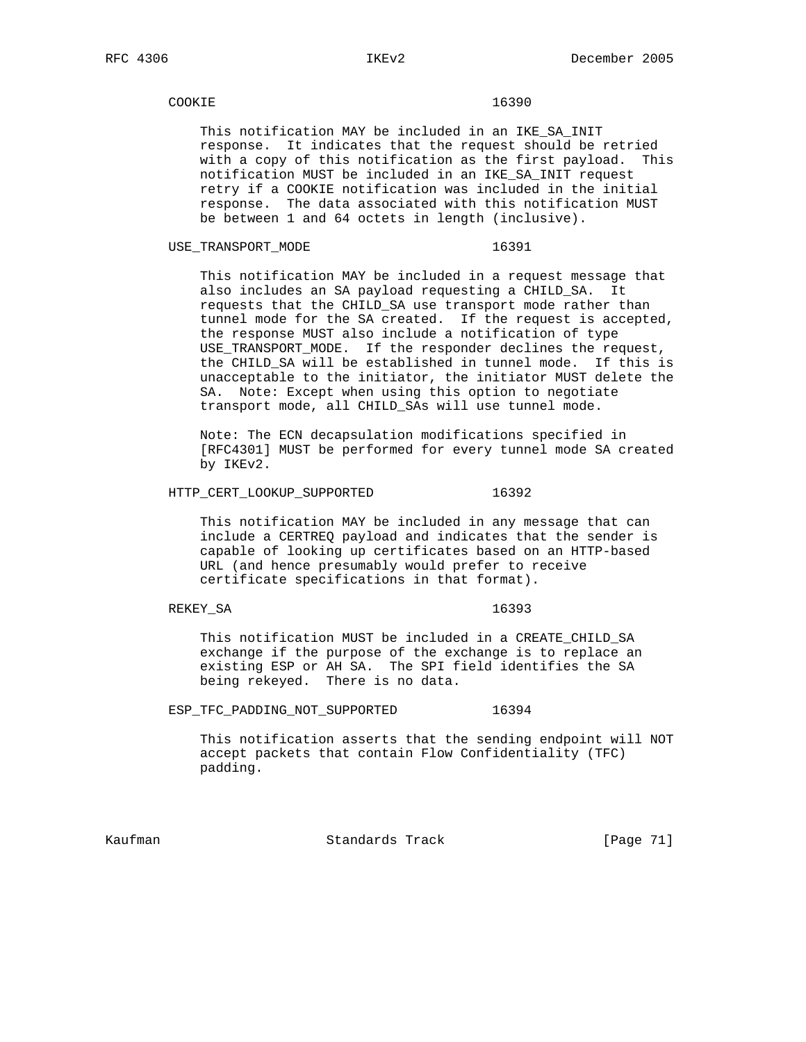## COOKIE 2000 16390

 This notification MAY be included in an IKE\_SA\_INIT response. It indicates that the request should be retried with a copy of this notification as the first payload. This notification MUST be included in an IKE\_SA\_INIT request retry if a COOKIE notification was included in the initial response. The data associated with this notification MUST be between 1 and 64 octets in length (inclusive).

USE\_TRANSPORT\_MODE 16391

 This notification MAY be included in a request message that also includes an SA payload requesting a CHILD\_SA. It requests that the CHILD\_SA use transport mode rather than tunnel mode for the SA created. If the request is accepted, the response MUST also include a notification of type USE\_TRANSPORT\_MODE. If the responder declines the request, the CHILD\_SA will be established in tunnel mode. If this is unacceptable to the initiator, the initiator MUST delete the SA. Note: Except when using this option to negotiate transport mode, all CHILD\_SAs will use tunnel mode.

 Note: The ECN decapsulation modifications specified in [RFC4301] MUST be performed for every tunnel mode SA created by IKEv2.

HTTP CERT LOOKUP SUPPORTED 16392

 This notification MAY be included in any message that can include a CERTREQ payload and indicates that the sender is capable of looking up certificates based on an HTTP-based URL (and hence presumably would prefer to receive certificate specifications in that format).

# REKEY\_SA 16393

 This notification MUST be included in a CREATE\_CHILD\_SA exchange if the purpose of the exchange is to replace an existing ESP or AH SA. The SPI field identifies the SA being rekeyed. There is no data.

ESP\_TFC\_PADDING\_NOT\_SUPPORTED 16394

 This notification asserts that the sending endpoint will NOT accept packets that contain Flow Confidentiality (TFC) padding.

Kaufman Standards Track [Page 71]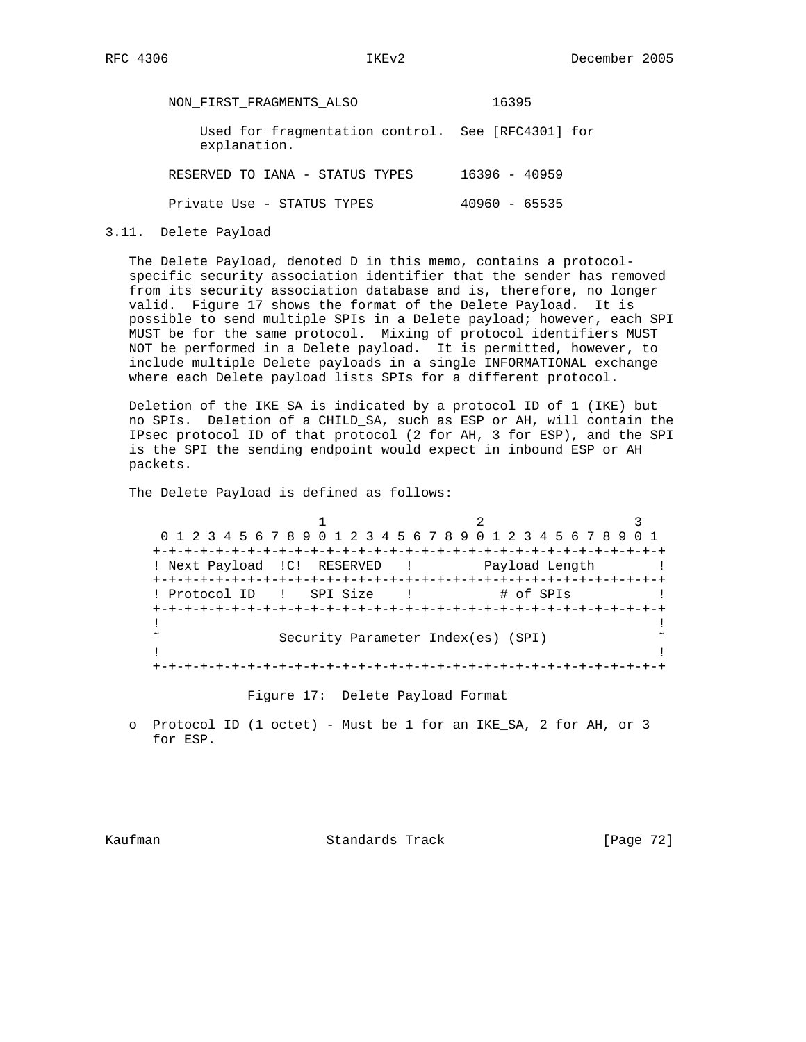NON\_FIRST\_FRAGMENTS\_ALSO 16395 Used for fragmentation control. See [RFC4301] for explanation. RESERVED TO IANA - STATUS TYPES 16396 - 40959 Private Use - STATUS TYPES 40960 - 65535

3.11. Delete Payload

 The Delete Payload, denoted D in this memo, contains a protocol specific security association identifier that the sender has removed from its security association database and is, therefore, no longer valid. Figure 17 shows the format of the Delete Payload. It is possible to send multiple SPIs in a Delete payload; however, each SPI MUST be for the same protocol. Mixing of protocol identifiers MUST NOT be performed in a Delete payload. It is permitted, however, to include multiple Delete payloads in a single INFORMATIONAL exchange where each Delete payload lists SPIs for a different protocol.

 Deletion of the IKE\_SA is indicated by a protocol ID of 1 (IKE) but no SPIs. Deletion of a CHILD\_SA, such as ESP or AH, will contain the IPsec protocol ID of that protocol (2 for AH, 3 for ESP), and the SPI is the SPI the sending endpoint would expect in inbound ESP or AH packets.

The Delete Payload is defined as follows:

1 2 3 0 1 2 3 4 5 6 7 8 9 0 1 2 3 4 5 6 7 8 9 0 1 2 3 4 5 6 7 8 9 0 1 +-+-+-+-+-+-+-+-+-+-+-+-+-+-+-+-+-+-+-+-+-+-+-+-+-+-+-+-+-+-+-+-+ ! Next Payload !C! RESERVED ! Payload Length ! +-+-+-+-+-+-+-+-+-+-+-+-+-+-+-+-+-+-+-+-+-+-+-+-+-+-+-+-+-+-+-+-+ ! Protocol ID ! SPI Size ! # of SPIs +-+-+-+-+-+-+-+-+-+-+-+-+-+-+-+-+-+-+-+-+-+-+-+-+-+-+-+-+-+-+-+-+ . The contract of the contract of the contract of the contract of the contract of the contract of the contract ˜ Security Parameter Index(es) (SPI) ˜ . The contract of the contract of the contract of the contract of the contract of the contract of the contract +-+-+-+-+-+-+-+-+-+-+-+-+-+-+-+-+-+-+-+-+-+-+-+-+-+-+-+-+-+-+-+-+

Figure 17: Delete Payload Format

 o Protocol ID (1 octet) - Must be 1 for an IKE\_SA, 2 for AH, or 3 for ESP.

Kaufman **Standards Track** [Page 72]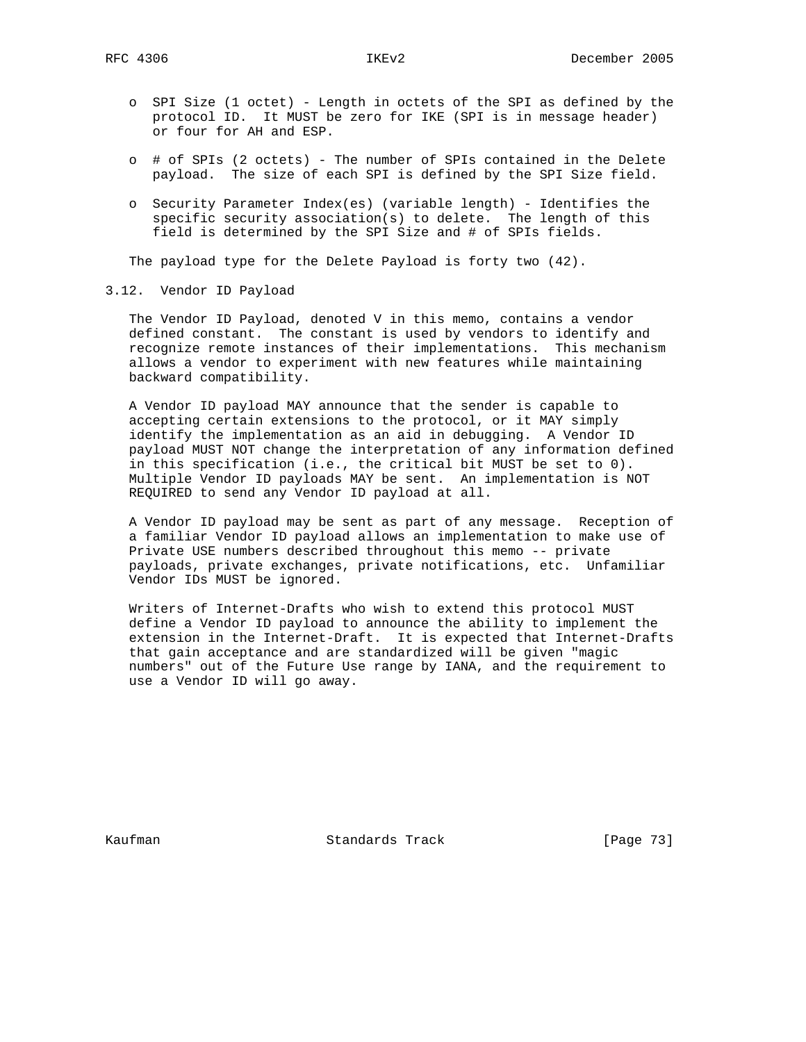- o SPI Size (1 octet) Length in octets of the SPI as defined by the protocol ID. It MUST be zero for IKE (SPI is in message header) or four for AH and ESP.
- o # of SPIs (2 octets) The number of SPIs contained in the Delete payload. The size of each SPI is defined by the SPI Size field.
- o Security Parameter Index(es) (variable length) Identifies the specific security association(s) to delete. The length of this field is determined by the SPI Size and # of SPIs fields.

The payload type for the Delete Payload is forty two (42).

## 3.12. Vendor ID Payload

 The Vendor ID Payload, denoted V in this memo, contains a vendor defined constant. The constant is used by vendors to identify and recognize remote instances of their implementations. This mechanism allows a vendor to experiment with new features while maintaining backward compatibility.

 A Vendor ID payload MAY announce that the sender is capable to accepting certain extensions to the protocol, or it MAY simply identify the implementation as an aid in debugging. A Vendor ID payload MUST NOT change the interpretation of any information defined in this specification (i.e., the critical bit MUST be set to 0). Multiple Vendor ID payloads MAY be sent. An implementation is NOT REQUIRED to send any Vendor ID payload at all.

 A Vendor ID payload may be sent as part of any message. Reception of a familiar Vendor ID payload allows an implementation to make use of Private USE numbers described throughout this memo -- private payloads, private exchanges, private notifications, etc. Unfamiliar Vendor IDs MUST be ignored.

 Writers of Internet-Drafts who wish to extend this protocol MUST define a Vendor ID payload to announce the ability to implement the extension in the Internet-Draft. It is expected that Internet-Drafts that gain acceptance and are standardized will be given "magic numbers" out of the Future Use range by IANA, and the requirement to use a Vendor ID will go away.

Kaufman **Standards Track** [Page 73]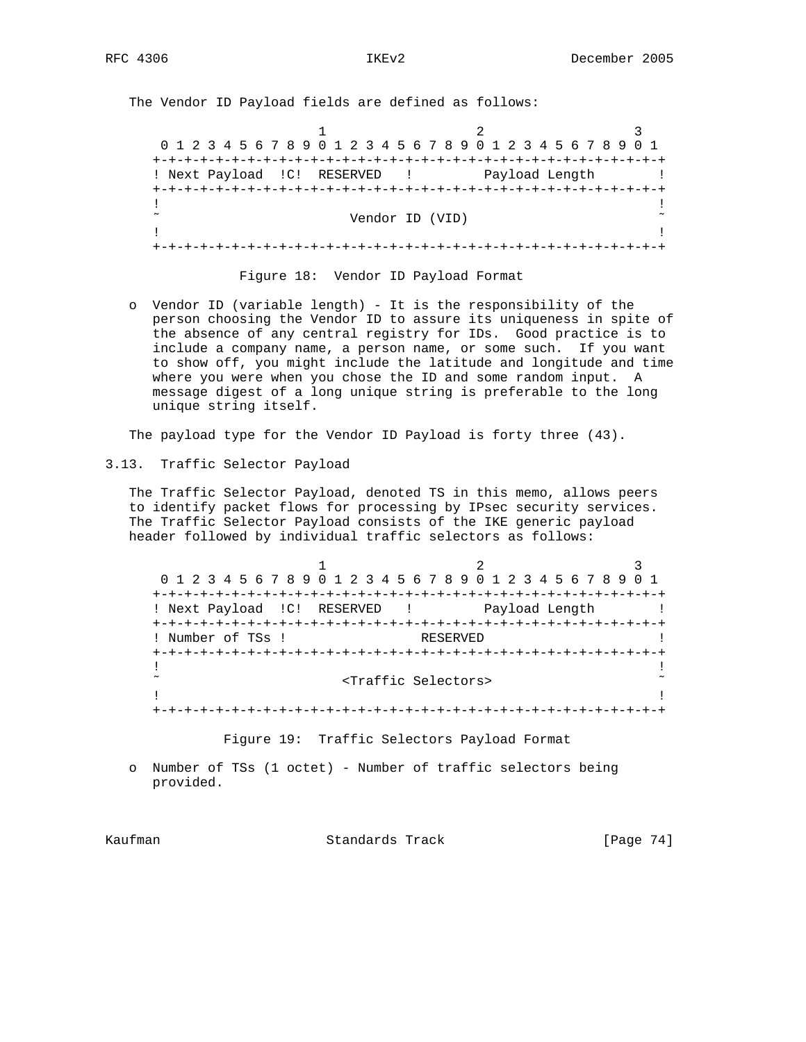The Vendor ID Payload fields are defined as follows:

1 2 3 0 1 2 3 4 5 6 7 8 9 0 1 2 3 4 5 6 7 8 9 0 1 2 3 4 5 6 7 8 9 0 1 +-+-+-+-+-+-+-+-+-+-+-+-+-+-+-+-+-+-+-+-+-+-+-+-+-+-+-+-+-+-+-+-+ ! Next Payload ! C! RESERVED ! Payload Length ! +-+-+-+-+-+-+-+-+-+-+-+-+-+-+-+-+-+-+-+-+-+-+-+-+-+-+-+-+-+-+-+-+ . The contract of the contract of the contract of the contract of the contract of the contract of the contract Vendor ID (VID)  $\sim$ . The contract of the contract of the contract of the contract of the contract of the contract of the contract +-+-+-+-+-+-+-+-+-+-+-+-+-+-+-+-+-+-+-+-+-+-+-+-+-+-+-+-+-+-+-+-+

#### Figure 18: Vendor ID Payload Format

 o Vendor ID (variable length) - It is the responsibility of the person choosing the Vendor ID to assure its uniqueness in spite of the absence of any central registry for IDs. Good practice is to include a company name, a person name, or some such. If you want to show off, you might include the latitude and longitude and time where you were when you chose the ID and some random input. A message digest of a long unique string is preferable to the long unique string itself.

The payload type for the Vendor ID Payload is forty three (43).

3.13. Traffic Selector Payload

 The Traffic Selector Payload, denoted TS in this memo, allows peers to identify packet flows for processing by IPsec security services. The Traffic Selector Payload consists of the IKE generic payload header followed by individual traffic selectors as follows:

1 2 3 0 1 2 3 4 5 6 7 8 9 0 1 2 3 4 5 6 7 8 9 0 1 2 3 4 5 6 7 8 9 0 1 +-+-+-+-+-+-+-+-+-+-+-+-+-+-+-+-+-+-+-+-+-+-+-+-+-+-+-+-+-+-+-+-+ ! Next Payload !C! RESERVED ! Payload Length ! +-+-+-+-+-+-+-+-+-+-+-+-+-+-+-+-+-+-+-+-+-+-+-+-+-+-+-+-+-+-+-+-+ ! Number of TSs ! RESERVED +-+-+-+-+-+-+-+-+-+-+-+-+-+-+-+-+-+-+-+-+-+-+-+-+-+-+-+-+-+-+-+-+ . The contract of the contract of the contract of the contract of the contract of the contract of the contract ˜ <Traffic Selectors> ˜ . The contract of the contract of the contract of the contract of the contract of the contract of the contract +-+-+-+-+-+-+-+-+-+-+-+-+-+-+-+-+-+-+-+-+-+-+-+-+-+-+-+-+-+-+-+-+

Figure 19: Traffic Selectors Payload Format

 o Number of TSs (1 octet) - Number of traffic selectors being provided.

Kaufman Standards Track [Page 74]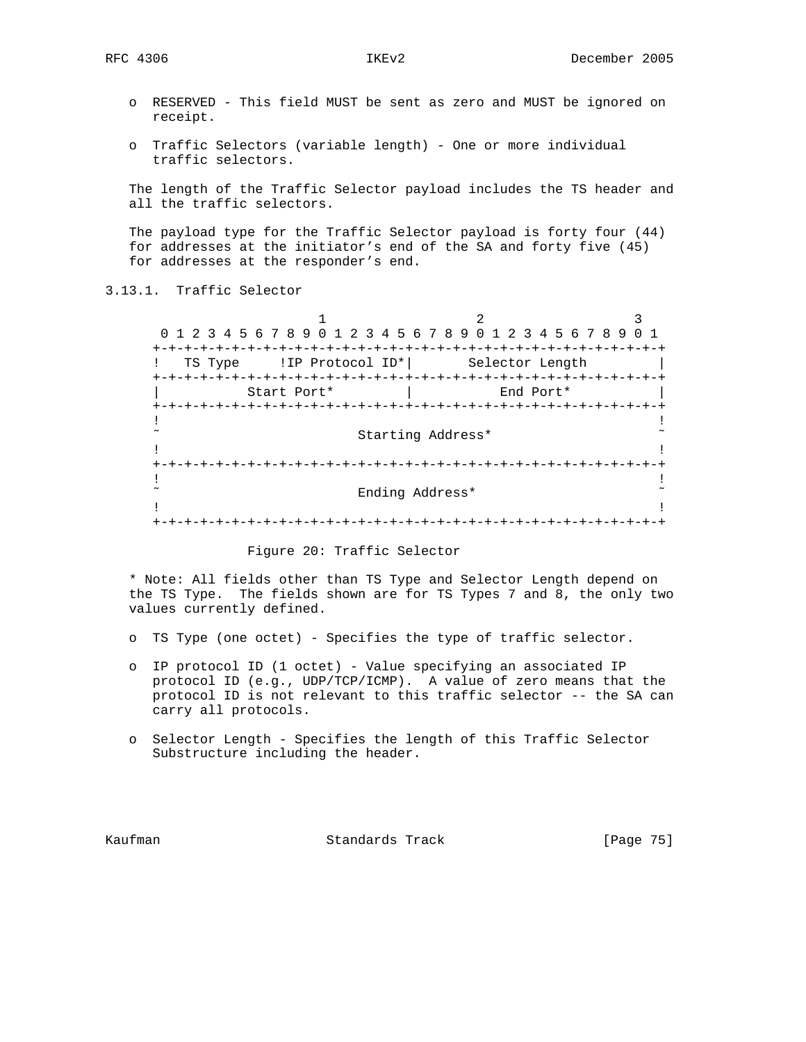- o RESERVED This field MUST be sent as zero and MUST be ignored on receipt.
- o Traffic Selectors (variable length) One or more individual traffic selectors.

 The length of the Traffic Selector payload includes the TS header and all the traffic selectors.

 The payload type for the Traffic Selector payload is forty four (44) for addresses at the initiator's end of the SA and forty five (45) for addresses at the responder's end.

# 3.13.1. Traffic Selector

 $1$   $2$   $3$  0 1 2 3 4 5 6 7 8 9 0 1 2 3 4 5 6 7 8 9 0 1 2 3 4 5 6 7 8 9 0 1 +-+-+-+-+-+-+-+-+-+-+-+-+-+-+-+-+-+-+-+-+-+-+-+-+-+-+-+-+-+-+-+-+ ! TS Type !IP Protocol ID\*| Selector Length | +-+-+-+-+-+-+-+-+-+-+-+-+-+-+-+-+-+-+-+-+-+-+-+-+-+-+-+-+-+-+-+-+ Start Port\* | End Port\* +-+-+-+-+-+-+-+-+-+-+-+-+-+-+-+-+-+-+-+-+-+-+-+-+-+-+-+-+-+-+-+-+ . The contract of the contract of the contract of the contract of the contract of the contract of the contract Starting Address\* . The contract of the contract of the contract of the contract of the contract of the contract of the contract +-+-+-+-+-+-+-+-+-+-+-+-+-+-+-+-+-+-+-+-+-+-+-+-+-+-+-+-+-+-+-+-+ . The contract of the contract of the contract of the contract of the contract of the contract of the contract ˜ Ending Address\* ˜ . The contract of the contract of the contract of the contract of the contract of the contract of the contract +-+-+-+-+-+-+-+-+-+-+-+-+-+-+-+-+-+-+-+-+-+-+-+-+-+-+-+-+-+-+-+-+

#### Figure 20: Traffic Selector

 \* Note: All fields other than TS Type and Selector Length depend on the TS Type. The fields shown are for TS Types 7 and 8, the only two values currently defined.

- o TS Type (one octet) Specifies the type of traffic selector.
- o IP protocol ID (1 octet) Value specifying an associated IP protocol ID (e.g., UDP/TCP/ICMP). A value of zero means that the protocol ID is not relevant to this traffic selector -- the SA can carry all protocols.
- o Selector Length Specifies the length of this Traffic Selector Substructure including the header.

Kaufman Standards Track [Page 75]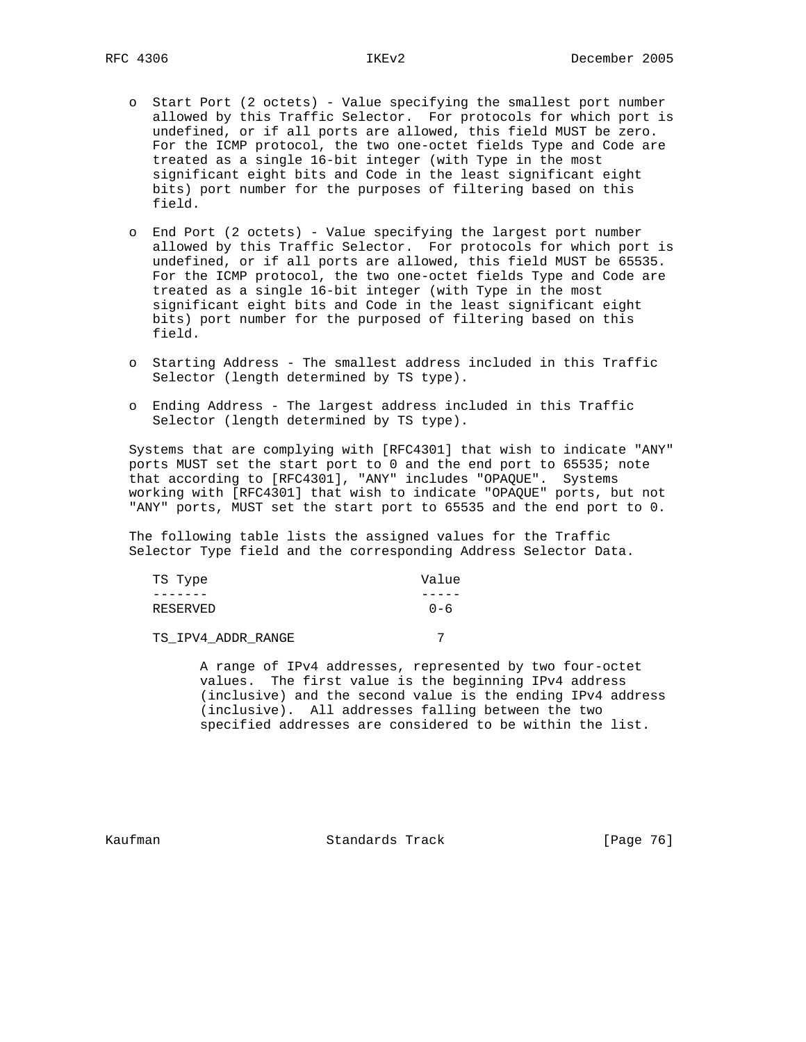- o Start Port (2 octets) Value specifying the smallest port number allowed by this Traffic Selector. For protocols for which port is undefined, or if all ports are allowed, this field MUST be zero. For the ICMP protocol, the two one-octet fields Type and Code are treated as a single 16-bit integer (with Type in the most significant eight bits and Code in the least significant eight bits) port number for the purposes of filtering based on this field.
- o End Port (2 octets) Value specifying the largest port number allowed by this Traffic Selector. For protocols for which port is undefined, or if all ports are allowed, this field MUST be 65535. For the ICMP protocol, the two one-octet fields Type and Code are treated as a single 16-bit integer (with Type in the most significant eight bits and Code in the least significant eight bits) port number for the purposed of filtering based on this field.
- o Starting Address The smallest address included in this Traffic Selector (length determined by TS type).
- o Ending Address The largest address included in this Traffic Selector (length determined by TS type).

 Systems that are complying with [RFC4301] that wish to indicate "ANY" ports MUST set the start port to 0 and the end port to 65535; note that according to [RFC4301], "ANY" includes "OPAQUE". Systems working with [RFC4301] that wish to indicate "OPAQUE" ports, but not "ANY" ports, MUST set the start port to 65535 and the end port to 0.

 The following table lists the assigned values for the Traffic Selector Type field and the corresponding Address Selector Data.

| TS Type  | Value   |
|----------|---------|
|          |         |
| RESERVED | $0 - 6$ |

TS\_IPV4\_ADDR\_RANGE 7

 A range of IPv4 addresses, represented by two four-octet values. The first value is the beginning IPv4 address (inclusive) and the second value is the ending IPv4 address (inclusive). All addresses falling between the two specified addresses are considered to be within the list.

Kaufman **Standards Track** [Page 76]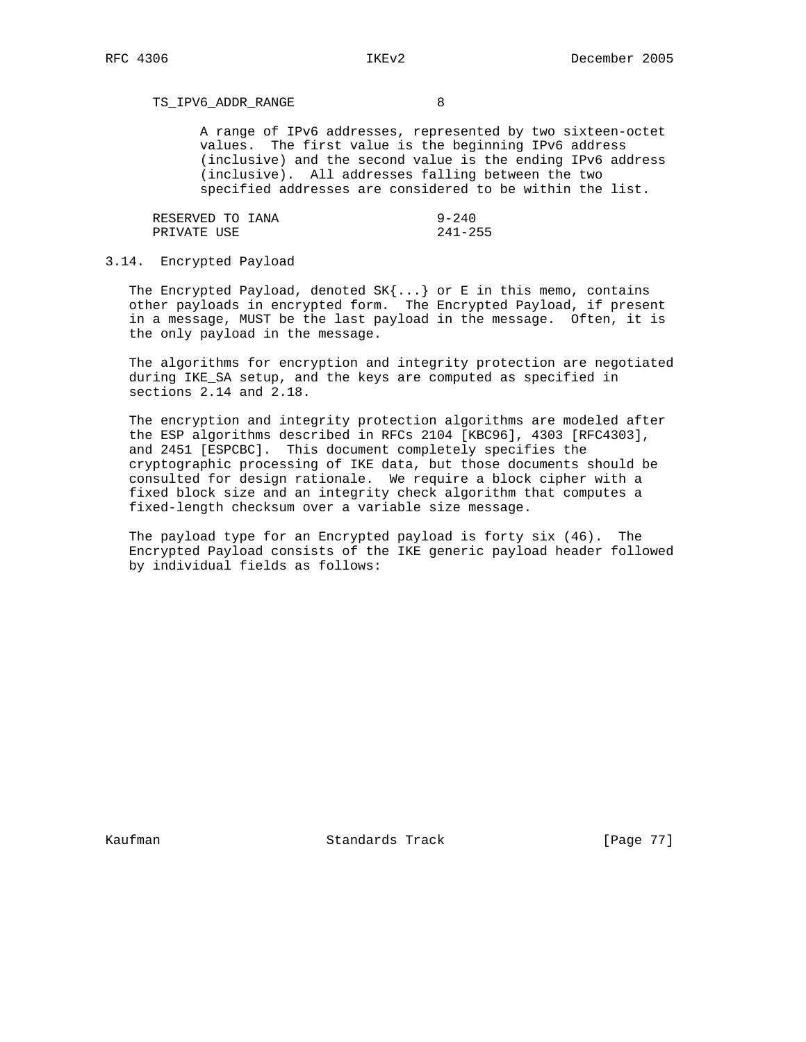TS\_IPV6\_ADDR\_RANGE 8

 A range of IPv6 addresses, represented by two sixteen-octet values. The first value is the beginning IPv6 address (inclusive) and the second value is the ending IPv6 address (inclusive). All addresses falling between the two specified addresses are considered to be within the list.

| RESERVED TO IANA | $9 - 240$   |
|------------------|-------------|
| PRIVATE USE      | $241 - 255$ |

## 3.14. Encrypted Payload

The Encrypted Payload, denoted  $SK{...}$  or E in this memo, contains other payloads in encrypted form. The Encrypted Payload, if present in a message, MUST be the last payload in the message. Often, it is the only payload in the message.

 The algorithms for encryption and integrity protection are negotiated during IKE\_SA setup, and the keys are computed as specified in sections 2.14 and 2.18.

 The encryption and integrity protection algorithms are modeled after the ESP algorithms described in RFCs 2104 [KBC96], 4303 [RFC4303], and 2451 [ESPCBC]. This document completely specifies the cryptographic processing of IKE data, but those documents should be consulted for design rationale. We require a block cipher with a fixed block size and an integrity check algorithm that computes a fixed-length checksum over a variable size message.

 The payload type for an Encrypted payload is forty six (46). The Encrypted Payload consists of the IKE generic payload header followed by individual fields as follows:

Kaufman **Standards Track** [Page 77]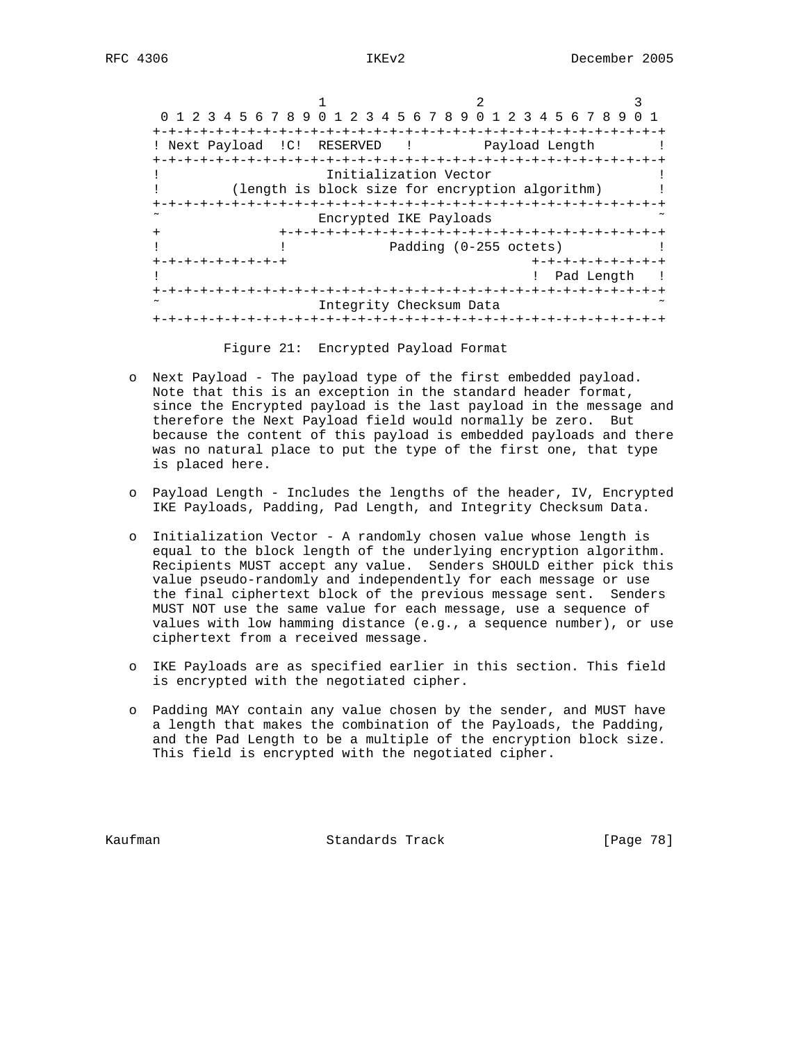|                          | 0 1 2 3 4 5 6 7 8 9 0 1 2 3 4 5 6 7 8 9 0 1 2 3 4 5 6 7 8 9 |                                   |                        |                    |  |
|--------------------------|-------------------------------------------------------------|-----------------------------------|------------------------|--------------------|--|
| ! Next Payload           | RESERVED<br>$\mathsf{IC}$ !                                 | and the state of the state of the |                        | Payload Length     |  |
|                          |                                                             | Initialization Vector             |                        |                    |  |
|                          | (length is block size for encryption algorithm)             |                                   |                        |                    |  |
| $\overline{\phantom{a}}$ |                                                             | Encrypted IKE Payloads            |                        | -+-+-+-+-+-+-+     |  |
| $\ddot{}$                |                                                             |                                   | Padding (0-255 octets) |                    |  |
|                          | +-+-+-+-+-+-+-+-+                                           |                                   |                        | +-+-+-+-+-+-+-+-+  |  |
|                          |                                                             |                                   |                        | Pad Length         |  |
|                          |                                                             |                                   |                        | -+-+-+-+-+-+-+-+-+ |  |
| ~                        |                                                             | Integrity Checksum Data           |                        |                    |  |
|                          |                                                             |                                   |                        |                    |  |

Figure 21: Encrypted Payload Format

- o Next Payload The payload type of the first embedded payload. Note that this is an exception in the standard header format, since the Encrypted payload is the last payload in the message and therefore the Next Payload field would normally be zero. But because the content of this payload is embedded payloads and there was no natural place to put the type of the first one, that type is placed here.
- o Payload Length Includes the lengths of the header, IV, Encrypted IKE Payloads, Padding, Pad Length, and Integrity Checksum Data.
- o Initialization Vector A randomly chosen value whose length is equal to the block length of the underlying encryption algorithm. Recipients MUST accept any value. Senders SHOULD either pick this value pseudo-randomly and independently for each message or use the final ciphertext block of the previous message sent. Senders MUST NOT use the same value for each message, use a sequence of values with low hamming distance (e.g., a sequence number), or use ciphertext from a received message.
- o IKE Payloads are as specified earlier in this section. This field is encrypted with the negotiated cipher.
- o Padding MAY contain any value chosen by the sender, and MUST have a length that makes the combination of the Payloads, the Padding, and the Pad Length to be a multiple of the encryption block size. This field is encrypted with the negotiated cipher.

Kaufman **Standards Track** [Page 78]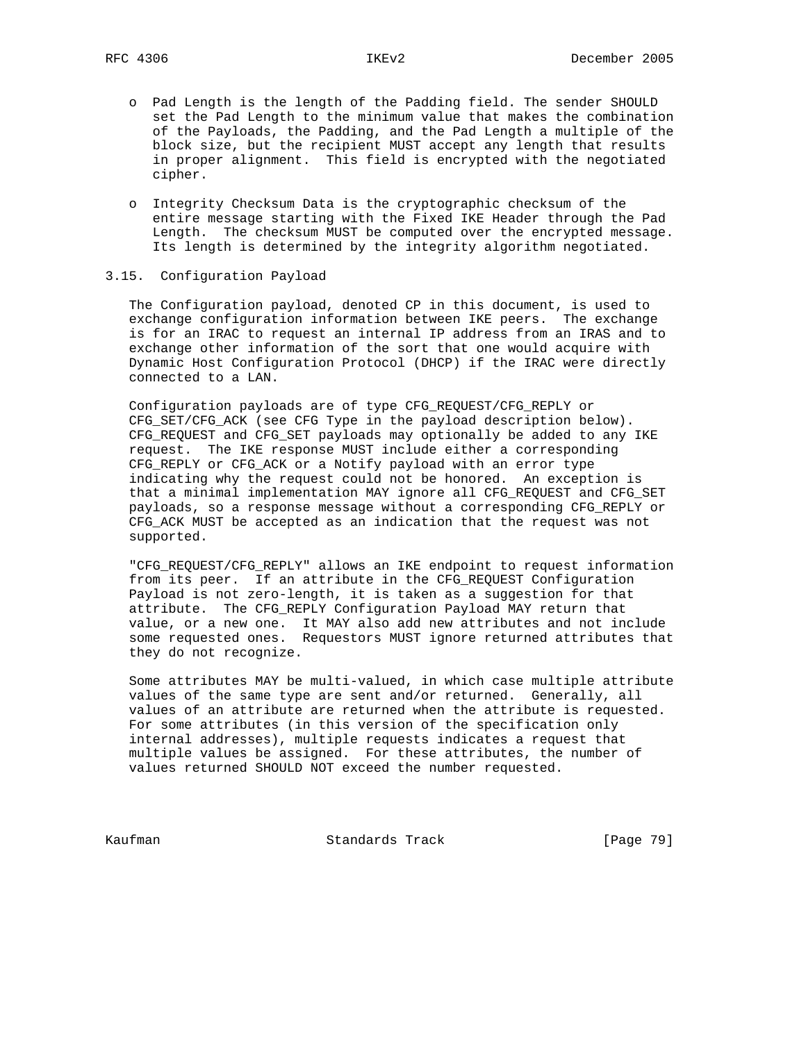- o Pad Length is the length of the Padding field. The sender SHOULD set the Pad Length to the minimum value that makes the combination of the Payloads, the Padding, and the Pad Length a multiple of the block size, but the recipient MUST accept any length that results in proper alignment. This field is encrypted with the negotiated cipher.
- o Integrity Checksum Data is the cryptographic checksum of the entire message starting with the Fixed IKE Header through the Pad Length. The checksum MUST be computed over the encrypted message. Its length is determined by the integrity algorithm negotiated.

## 3.15. Configuration Payload

 The Configuration payload, denoted CP in this document, is used to exchange configuration information between IKE peers. The exchange is for an IRAC to request an internal IP address from an IRAS and to exchange other information of the sort that one would acquire with Dynamic Host Configuration Protocol (DHCP) if the IRAC were directly connected to a LAN.

 Configuration payloads are of type CFG\_REQUEST/CFG\_REPLY or CFG\_SET/CFG\_ACK (see CFG Type in the payload description below). CFG\_REQUEST and CFG\_SET payloads may optionally be added to any IKE request. The IKE response MUST include either a corresponding CFG\_REPLY or CFG\_ACK or a Notify payload with an error type indicating why the request could not be honored. An exception is that a minimal implementation MAY ignore all CFG\_REQUEST and CFG\_SET payloads, so a response message without a corresponding CFG\_REPLY or CFG\_ACK MUST be accepted as an indication that the request was not supported.

 "CFG\_REQUEST/CFG\_REPLY" allows an IKE endpoint to request information from its peer. If an attribute in the CFG REQUEST Configuration Payload is not zero-length, it is taken as a suggestion for that attribute. The CFG\_REPLY Configuration Payload MAY return that value, or a new one. It MAY also add new attributes and not include some requested ones. Requestors MUST ignore returned attributes that they do not recognize.

 Some attributes MAY be multi-valued, in which case multiple attribute values of the same type are sent and/or returned. Generally, all values of an attribute are returned when the attribute is requested. For some attributes (in this version of the specification only internal addresses), multiple requests indicates a request that multiple values be assigned. For these attributes, the number of values returned SHOULD NOT exceed the number requested.

Kaufman **Standards Track** [Page 79]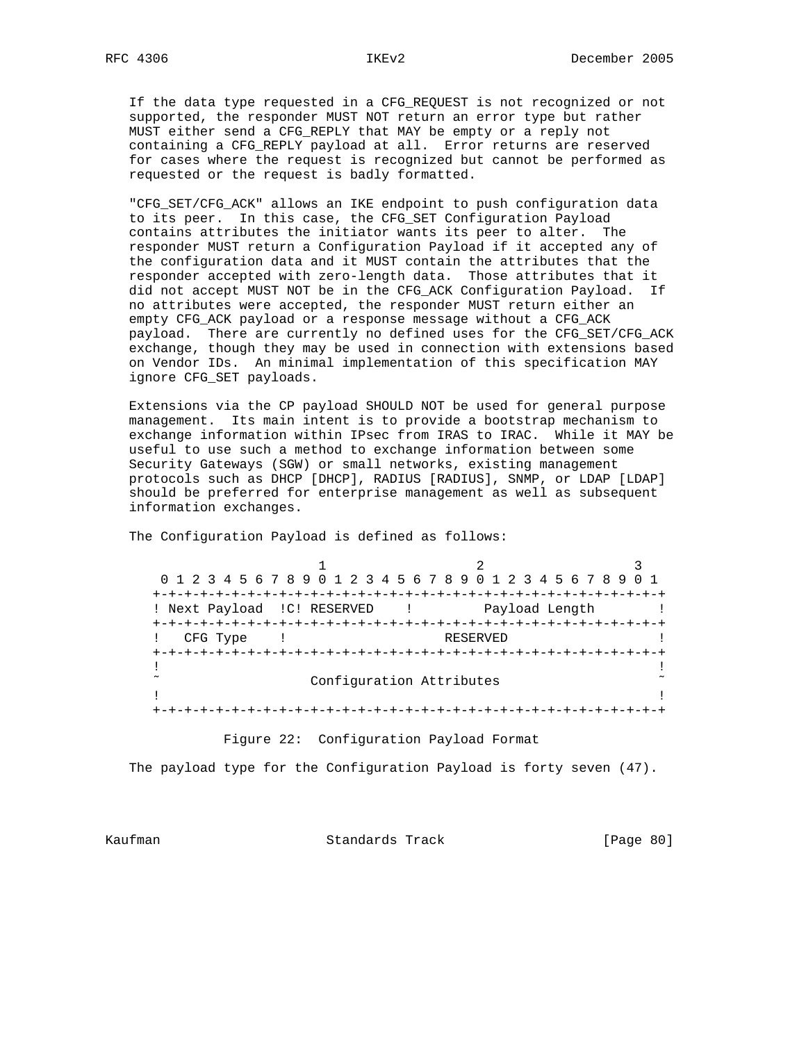If the data type requested in a CFG\_REQUEST is not recognized or not supported, the responder MUST NOT return an error type but rather MUST either send a CFG\_REPLY that MAY be empty or a reply not containing a CFG\_REPLY payload at all. Error returns are reserved for cases where the request is recognized but cannot be performed as requested or the request is badly formatted.

 "CFG\_SET/CFG\_ACK" allows an IKE endpoint to push configuration data to its peer. In this case, the CFG\_SET Configuration Payload contains attributes the initiator wants its peer to alter. The responder MUST return a Configuration Payload if it accepted any of the configuration data and it MUST contain the attributes that the responder accepted with zero-length data. Those attributes that it did not accept MUST NOT be in the CFG\_ACK Configuration Payload. If no attributes were accepted, the responder MUST return either an empty CFG\_ACK payload or a response message without a CFG\_ACK payload. There are currently no defined uses for the CFG\_SET/CFG\_ACK exchange, though they may be used in connection with extensions based on Vendor IDs. An minimal implementation of this specification MAY ignore CFG\_SET payloads.

 Extensions via the CP payload SHOULD NOT be used for general purpose management. Its main intent is to provide a bootstrap mechanism to exchange information within IPsec from IRAS to IRAC. While it MAY be useful to use such a method to exchange information between some Security Gateways (SGW) or small networks, existing management protocols such as DHCP [DHCP], RADIUS [RADIUS], SNMP, or LDAP [LDAP] should be preferred for enterprise management as well as subsequent information exchanges.

1 2 3 0 1 2 3 4 5 6 7 8 9 0 1 2 3 4 5 6 7 8 9 0 1 2 3 4 5 6 7 8 9 0 1 +-+-+-+-+-+-+-+-+-+-+-+-+-+-+-+-+-+-+-+-+-+-+-+-+-+-+-+-+-+-+-+-+ ! Next Payload ! C! RESERVED ! Payload Length ! +-+-+-+-+-+-+-+-+-+-+-+-+-+-+-+-+-+-+-+-+-+-+-+-+-+-+-+-+-+-+-+-+ ! CFG Type ! RESERVED +-+-+-+-+-+-+-+-+-+-+-+-+-+-+-+-+-+-+-+-+-+-+-+-+-+-+-+-+-+-+-+-+ . The contract of the contract of the contract of the contract of the contract of the contract of the contract Configuration Attributes . The contract of the contract of the contract of the contract of the contract of the contract of the contract +-+-+-+-+-+-+-+-+-+-+-+-+-+-+-+-+-+-+-+-+-+-+-+-+-+-+-+-+-+-+-+-+

The Configuration Payload is defined as follows:

Figure 22: Configuration Payload Format

The payload type for the Configuration Payload is forty seven (47).

Kaufman Standards Track [Page 80]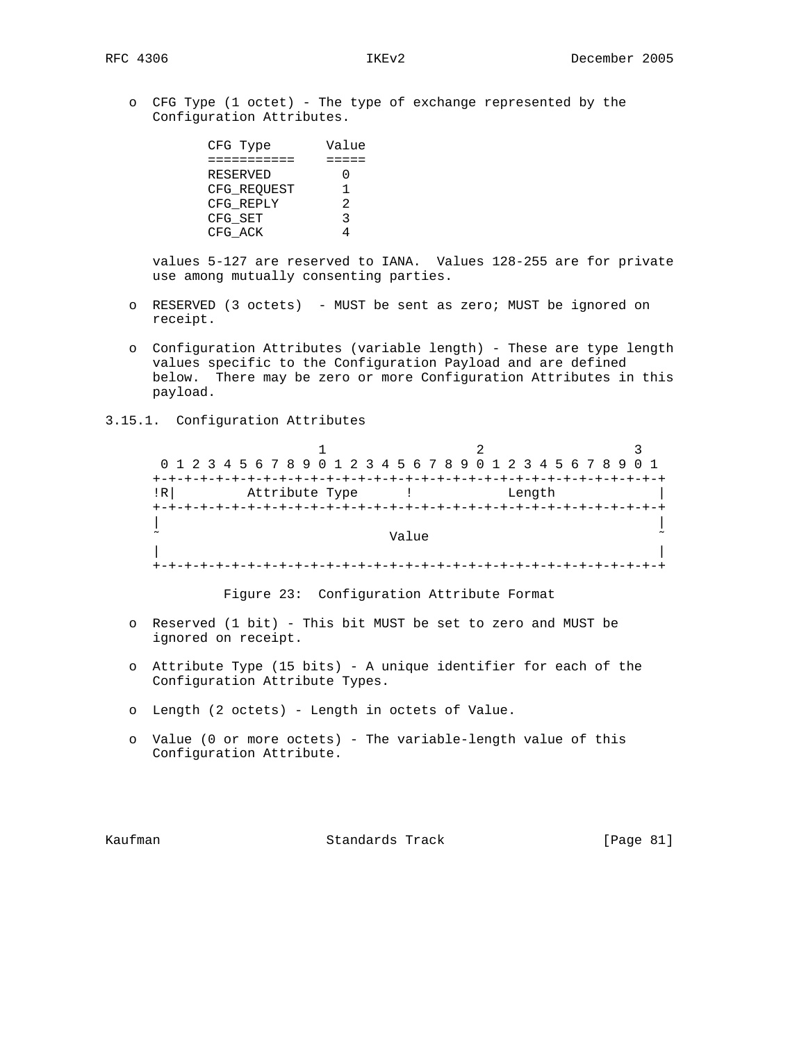o CFG Type (1 octet) - The type of exchange represented by the Configuration Attributes.

| CFG Type    | Value |
|-------------|-------|
|             |       |
| RESERVED    |       |
| CFG REOUEST |       |
| CFG REPLY   | 2.    |
| CFG SET     | २     |
| CFG ACK     |       |

 values 5-127 are reserved to IANA. Values 128-255 are for private use among mutually consenting parties.

- o RESERVED (3 octets) MUST be sent as zero; MUST be ignored on receipt.
- o Configuration Attributes (variable length) These are type length values specific to the Configuration Payload and are defined below. There may be zero or more Configuration Attributes in this payload.
- 3.15.1. Configuration Attributes

1 2 3 0 1 2 3 4 5 6 7 8 9 0 1 2 3 4 5 6 7 8 9 0 1 2 3 4 5 6 7 8 9 0 1 +-+-+-+-+-+-+-+-+-+-+-+-+-+-+-+-+-+-+-+-+-+-+-+-+-+-+-+-+-+-+-+-+ !R| Attribute Type ! Length | +-+-+-+-+-+-+-+-+-+-+-+-+-+-+-+-+-+-+-+-+-+-+-+-+-+-+-+-+-+-+-+-+ | | ˜ Value ˜ | | +-+-+-+-+-+-+-+-+-+-+-+-+-+-+-+-+-+-+-+-+-+-+-+-+-+-+-+-+-+-+-+-+

Figure 23: Configuration Attribute Format

- o Reserved (1 bit) This bit MUST be set to zero and MUST be ignored on receipt.
- o Attribute Type (15 bits) A unique identifier for each of the Configuration Attribute Types.
- o Length (2 octets) Length in octets of Value.
- o Value (0 or more octets) The variable-length value of this Configuration Attribute.

Kaufman **Standards Track** [Page 81]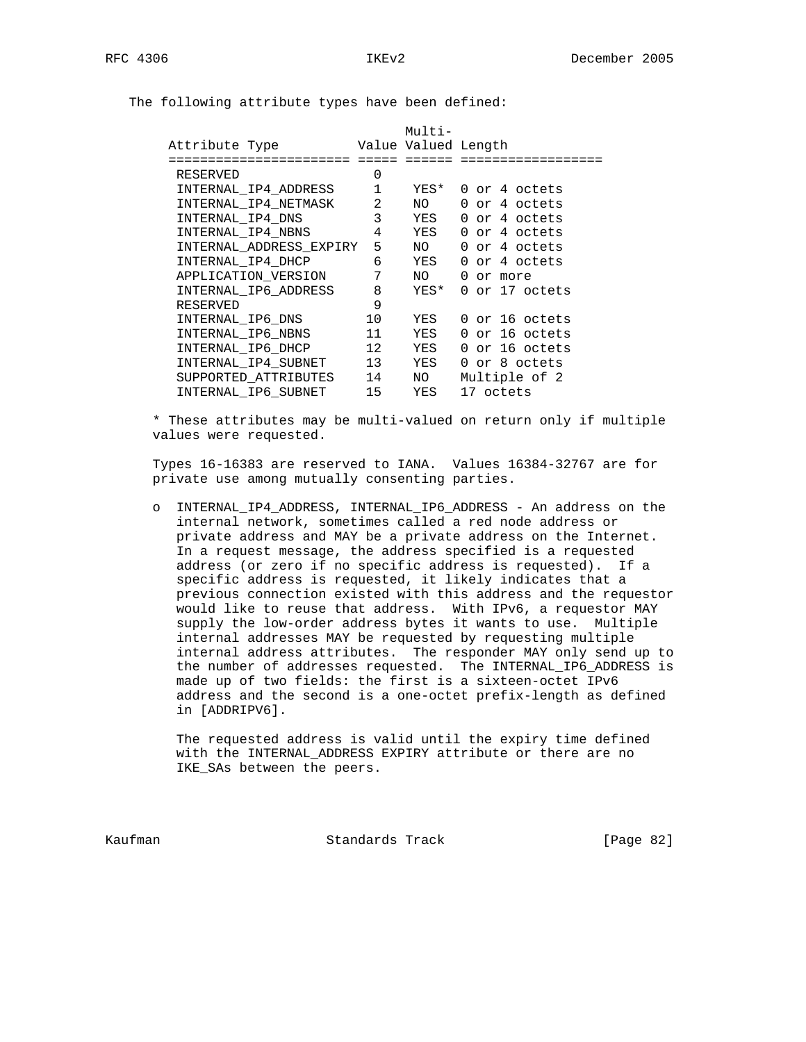The following attribute types have been defined:

|                         |                | Multi-              |                |
|-------------------------|----------------|---------------------|----------------|
| Attribute Type          |                | Value Valued Length |                |
|                         |                |                     |                |
| RESERVED                | 0              |                     |                |
| INTERNAL IP4 ADDRESS    | $\mathbf{1}$   | YES*                | 0 or 4 octets  |
| INTERNAL IP4 NETMASK    | $\overline{2}$ | NO                  | 0 or 4 octets  |
| INTERNAL IP4 DNS        | 3              | YES                 | 0 or 4 octets  |
| INTERNAL IP4 NBNS       | 4              | YES                 | 0 or 4 octets  |
| INTERNAL ADDRESS EXPIRY | 5              | NO L                | 0 or 4 octets  |
| INTERNAL IP4 DHCP       | 6              | YES                 | 0 or 4 octets  |
| APPLICATION VERSION     | 7              | NO L                | 0 or more      |
| INTERNAL IP6 ADDRESS    | 8              | YES*                | 0 or 17 octets |
| RESERVED                | 9              |                     |                |
| INTERNAL_IP6_DNS        | 10             | YES                 | 0 or 16 octets |
| INTERNAL IP6 NBNS       | 11             | YES                 | 0 or 16 octets |
| INTERNAL IP6 DHCP       | 12             | YES                 | 0 or 16 octets |
| INTERNAL_IP4_SUBNET     | 13             | YES                 | 0 or 8 octets  |
| SUPPORTED ATTRIBUTES    | 14             | NO                  | Multiple of 2  |
| INTERNAL IP6 SUBNET     | 15             | YES                 | 17 octets      |
|                         |                |                     |                |

 \* These attributes may be multi-valued on return only if multiple values were requested.

 Types 16-16383 are reserved to IANA. Values 16384-32767 are for private use among mutually consenting parties.

 o INTERNAL\_IP4\_ADDRESS, INTERNAL\_IP6\_ADDRESS - An address on the internal network, sometimes called a red node address or private address and MAY be a private address on the Internet. In a request message, the address specified is a requested address (or zero if no specific address is requested). If a specific address is requested, it likely indicates that a previous connection existed with this address and the requestor would like to reuse that address. With IPv6, a requestor MAY supply the low-order address bytes it wants to use. Multiple internal addresses MAY be requested by requesting multiple internal address attributes. The responder MAY only send up to the number of addresses requested. The INTERNAL\_IP6\_ADDRESS is made up of two fields: the first is a sixteen-octet IPv6 address and the second is a one-octet prefix-length as defined in [ADDRIPV6].

 The requested address is valid until the expiry time defined with the INTERNAL\_ADDRESS EXPIRY attribute or there are no IKE\_SAs between the peers.

Kaufman **Standards Track** [Page 82]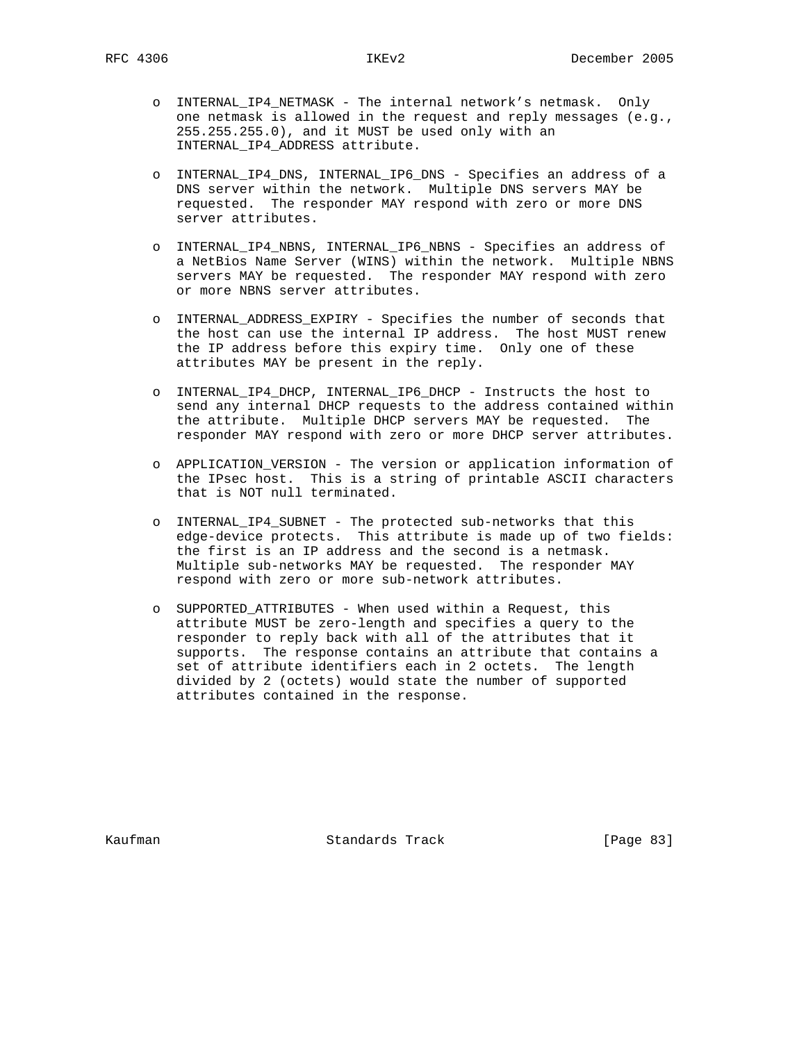- o INTERNAL\_IP4\_NETMASK The internal network's netmask. Only one netmask is allowed in the request and reply messages (e.g., 255.255.255.0), and it MUST be used only with an INTERNAL\_IP4\_ADDRESS attribute.
- o INTERNAL\_IP4\_DNS, INTERNAL\_IP6\_DNS Specifies an address of a DNS server within the network. Multiple DNS servers MAY be requested. The responder MAY respond with zero or more DNS server attributes.
- o INTERNAL\_IP4\_NBNS, INTERNAL\_IP6\_NBNS Specifies an address of a NetBios Name Server (WINS) within the network. Multiple NBNS servers MAY be requested. The responder MAY respond with zero or more NBNS server attributes.
- o INTERNAL\_ADDRESS\_EXPIRY Specifies the number of seconds that the host can use the internal IP address. The host MUST renew the IP address before this expiry time. Only one of these attributes MAY be present in the reply.
- o INTERNAL\_IP4\_DHCP, INTERNAL\_IP6\_DHCP Instructs the host to send any internal DHCP requests to the address contained within the attribute. Multiple DHCP servers MAY be requested. The responder MAY respond with zero or more DHCP server attributes.
- o APPLICATION\_VERSION The version or application information of the IPsec host. This is a string of printable ASCII characters that is NOT null terminated.
- o INTERNAL\_IP4\_SUBNET The protected sub-networks that this edge-device protects. This attribute is made up of two fields: the first is an IP address and the second is a netmask. Multiple sub-networks MAY be requested. The responder MAY respond with zero or more sub-network attributes.
- o SUPPORTED\_ATTRIBUTES When used within a Request, this attribute MUST be zero-length and specifies a query to the responder to reply back with all of the attributes that it supports. The response contains an attribute that contains a set of attribute identifiers each in 2 octets. The length divided by 2 (octets) would state the number of supported attributes contained in the response.

Kaufman **Standards Track** [Page 83]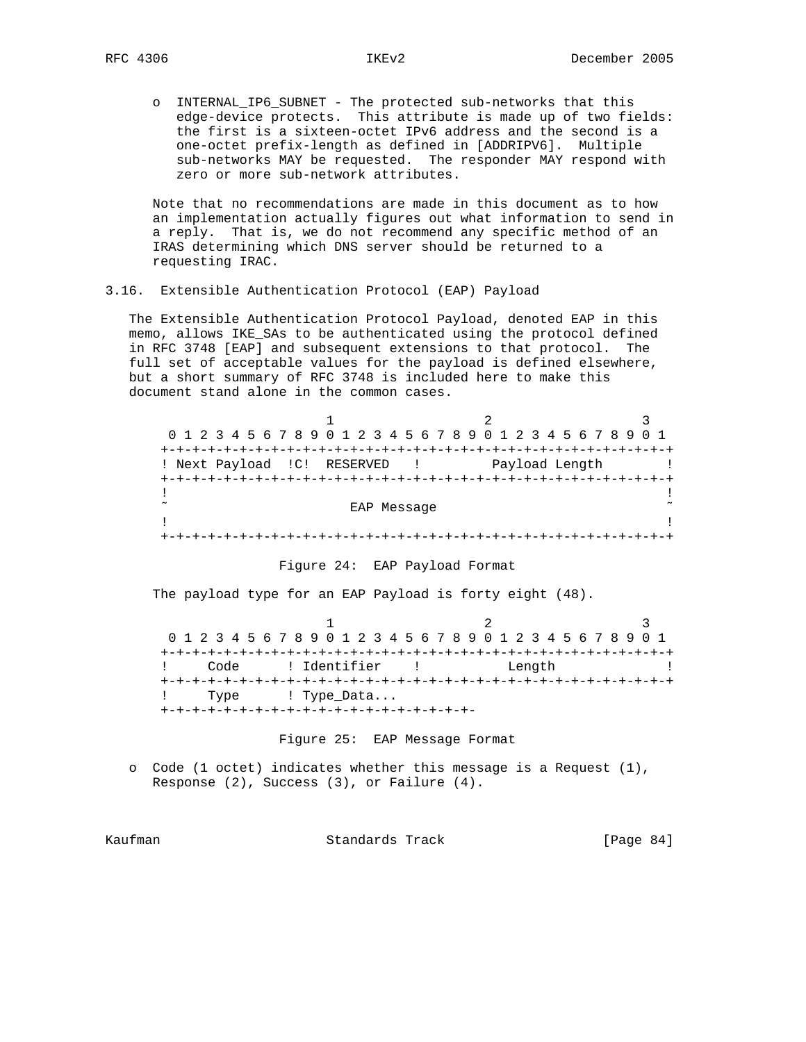o INTERNAL\_IP6\_SUBNET - The protected sub-networks that this edge-device protects. This attribute is made up of two fields: the first is a sixteen-octet IPv6 address and the second is a one-octet prefix-length as defined in [ADDRIPV6]. Multiple sub-networks MAY be requested. The responder MAY respond with zero or more sub-network attributes.

 Note that no recommendations are made in this document as to how an implementation actually figures out what information to send in a reply. That is, we do not recommend any specific method of an IRAS determining which DNS server should be returned to a requesting IRAC.

3.16. Extensible Authentication Protocol (EAP) Payload

 The Extensible Authentication Protocol Payload, denoted EAP in this memo, allows IKE\_SAs to be authenticated using the protocol defined in RFC 3748 [EAP] and subsequent extensions to that protocol. The full set of acceptable values for the payload is defined elsewhere, but a short summary of RFC 3748 is included here to make this document stand alone in the common cases.

| 0 1 2 3 4 5 6 7 8 9 0 1 2 3 4 5 6 7 8 9 0 1 2 3 4 5 6 7 8 9 0 1 |             |                |  |
|-----------------------------------------------------------------|-------------|----------------|--|
|                                                                 |             |                |  |
| ! Next Payload !C! RESERVED !                                   |             | Payload Length |  |
|                                                                 |             |                |  |
|                                                                 |             |                |  |
| $\sim$                                                          | EAP Message |                |  |
|                                                                 |             |                |  |
|                                                                 |             |                |  |

Figure 24: EAP Payload Format

The payload type for an EAP Payload is forty eight (48).

 $1$  2 3 0 1 2 3 4 5 6 7 8 9 0 1 2 3 4 5 6 7 8 9 0 1 2 3 4 5 6 7 8 9 0 1 +-+-+-+-+-+-+-+-+-+-+-+-+-+-+-+-+-+-+-+-+-+-+-+-+-+-+-+-+-+-+-+-+ ! Code ! Identifier ! Length ! +-+-+-+-+-+-+-+-+-+-+-+-+-+-+-+-+-+-+-+-+-+-+-+-+-+-+-+-+-+-+-+-+ ! Type ! Type\_Data... +-+-+-+-+-+-+-+-+-+-+-+-+-+-+-+-+-+-+-+-

Figure 25: EAP Message Format

 o Code (1 octet) indicates whether this message is a Request (1), Response (2), Success (3), or Failure (4).

Kaufman **Standards Track** [Page 84]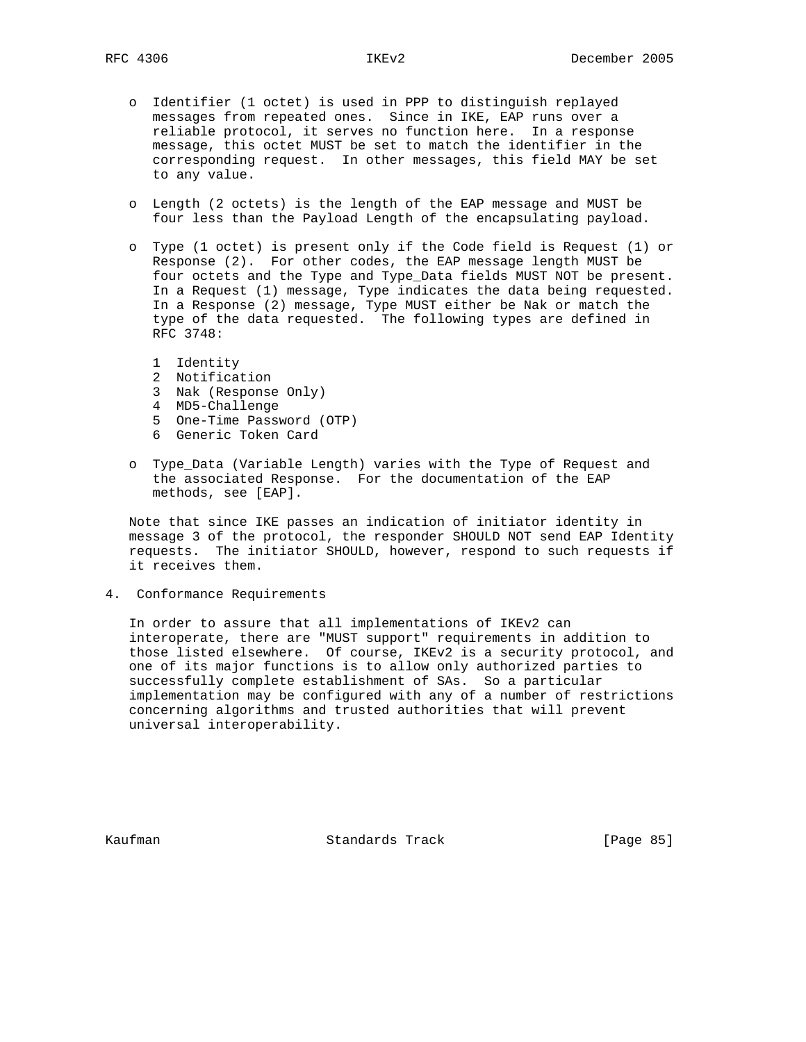- o Identifier (1 octet) is used in PPP to distinguish replayed messages from repeated ones. Since in IKE, EAP runs over a reliable protocol, it serves no function here. In a response message, this octet MUST be set to match the identifier in the corresponding request. In other messages, this field MAY be set to any value.
- o Length (2 octets) is the length of the EAP message and MUST be four less than the Payload Length of the encapsulating payload.
- o Type (1 octet) is present only if the Code field is Request (1) or Response (2). For other codes, the EAP message length MUST be four octets and the Type and Type\_Data fields MUST NOT be present. In a Request (1) message, Type indicates the data being requested. In a Response (2) message, Type MUST either be Nak or match the type of the data requested. The following types are defined in RFC 3748:
	- 1 Identity
	- 2 Notification
	- 3 Nak (Response Only)
	- 4 MD5-Challenge
	- 5 One-Time Password (OTP)
	- 6 Generic Token Card
- o Type\_Data (Variable Length) varies with the Type of Request and the associated Response. For the documentation of the EAP methods, see [EAP].

 Note that since IKE passes an indication of initiator identity in message 3 of the protocol, the responder SHOULD NOT send EAP Identity requests. The initiator SHOULD, however, respond to such requests if it receives them.

4. Conformance Requirements

 In order to assure that all implementations of IKEv2 can interoperate, there are "MUST support" requirements in addition to those listed elsewhere. Of course, IKEv2 is a security protocol, and one of its major functions is to allow only authorized parties to successfully complete establishment of SAs. So a particular implementation may be configured with any of a number of restrictions concerning algorithms and trusted authorities that will prevent universal interoperability.

Kaufman Standards Track [Page 85]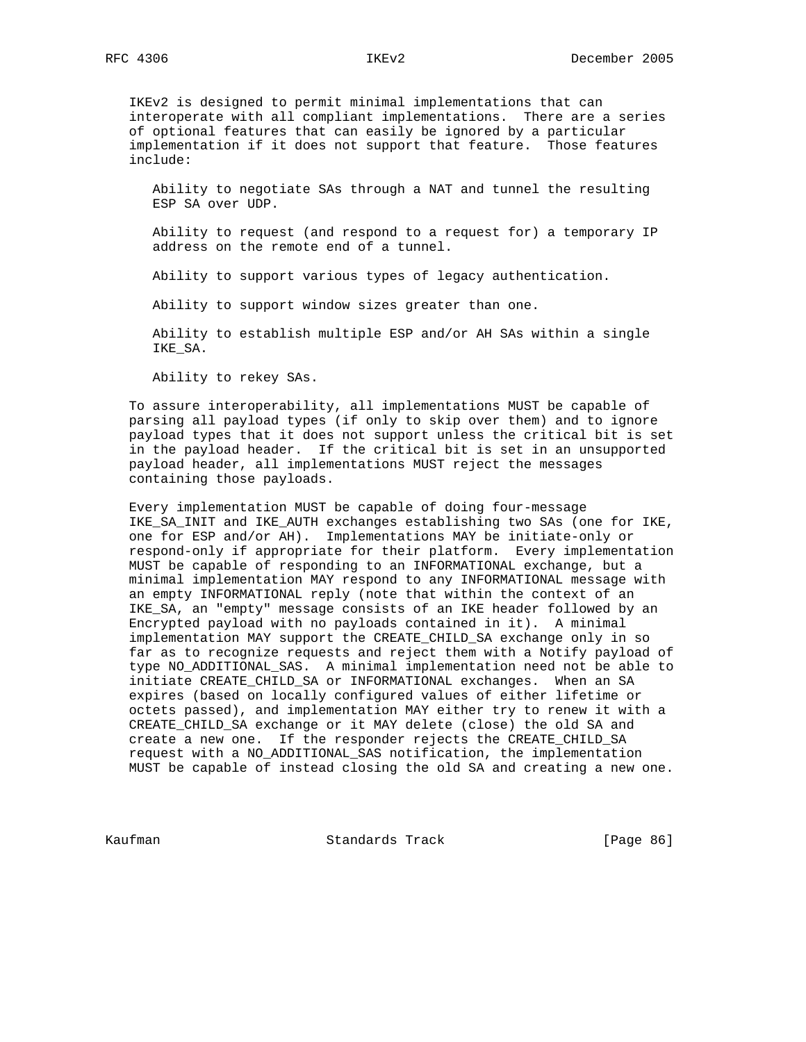IKEv2 is designed to permit minimal implementations that can interoperate with all compliant implementations. There are a series of optional features that can easily be ignored by a particular implementation if it does not support that feature. Those features include:

 Ability to negotiate SAs through a NAT and tunnel the resulting ESP SA over UDP.

 Ability to request (and respond to a request for) a temporary IP address on the remote end of a tunnel.

Ability to support various types of legacy authentication.

Ability to support window sizes greater than one.

 Ability to establish multiple ESP and/or AH SAs within a single IKE\_SA.

Ability to rekey SAs.

 To assure interoperability, all implementations MUST be capable of parsing all payload types (if only to skip over them) and to ignore payload types that it does not support unless the critical bit is set in the payload header. If the critical bit is set in an unsupported payload header, all implementations MUST reject the messages containing those payloads.

 Every implementation MUST be capable of doing four-message IKE\_SA\_INIT and IKE\_AUTH exchanges establishing two SAs (one for IKE, one for ESP and/or AH). Implementations MAY be initiate-only or respond-only if appropriate for their platform. Every implementation MUST be capable of responding to an INFORMATIONAL exchange, but a minimal implementation MAY respond to any INFORMATIONAL message with an empty INFORMATIONAL reply (note that within the context of an IKE\_SA, an "empty" message consists of an IKE header followed by an Encrypted payload with no payloads contained in it). A minimal implementation MAY support the CREATE\_CHILD\_SA exchange only in so far as to recognize requests and reject them with a Notify payload of type NO\_ADDITIONAL\_SAS. A minimal implementation need not be able to initiate CREATE\_CHILD\_SA or INFORMATIONAL exchanges. When an SA expires (based on locally configured values of either lifetime or octets passed), and implementation MAY either try to renew it with a CREATE\_CHILD\_SA exchange or it MAY delete (close) the old SA and create a new one. If the responder rejects the CREATE\_CHILD\_SA request with a NO\_ADDITIONAL\_SAS notification, the implementation MUST be capable of instead closing the old SA and creating a new one.

Kaufman **Standards Track** [Page 86]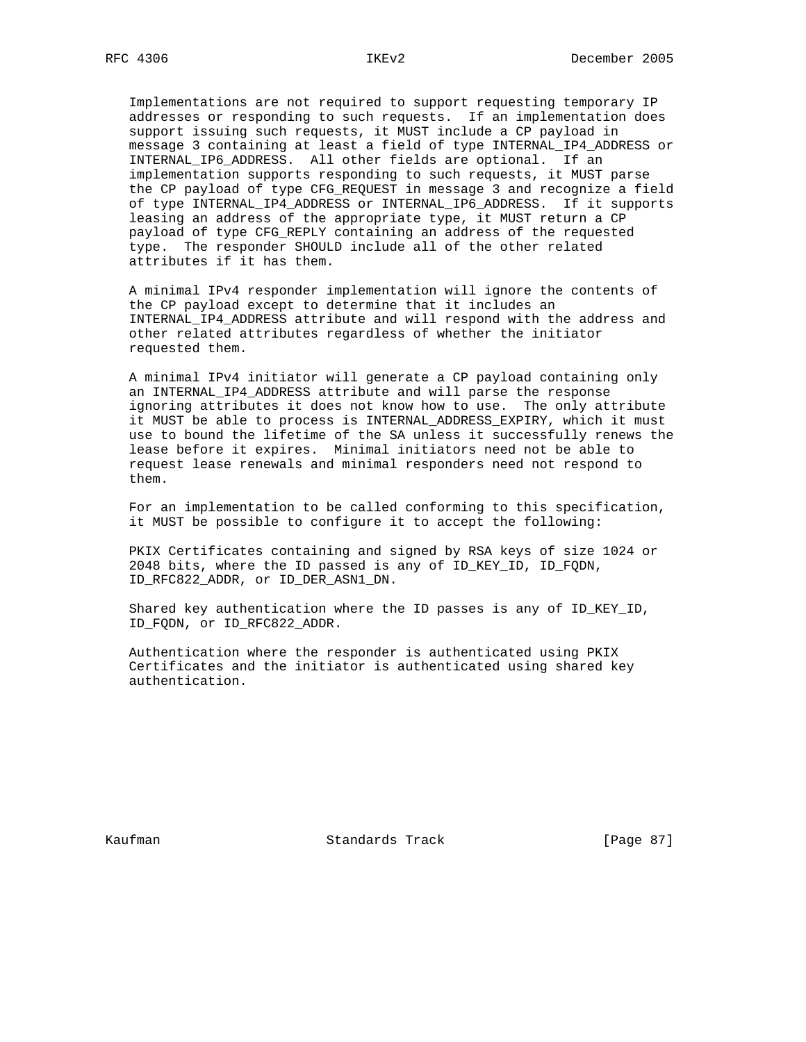Implementations are not required to support requesting temporary IP addresses or responding to such requests. If an implementation does support issuing such requests, it MUST include a CP payload in message 3 containing at least a field of type INTERNAL\_IP4\_ADDRESS or INTERNAL\_IP6\_ADDRESS. All other fields are optional. If an implementation supports responding to such requests, it MUST parse the CP payload of type CFG\_REQUEST in message 3 and recognize a field of type INTERNAL\_IP4\_ADDRESS or INTERNAL\_IP6\_ADDRESS. If it supports leasing an address of the appropriate type, it MUST return a CP payload of type CFG\_REPLY containing an address of the requested type. The responder SHOULD include all of the other related attributes if it has them.

 A minimal IPv4 responder implementation will ignore the contents of the CP payload except to determine that it includes an INTERNAL\_IP4\_ADDRESS attribute and will respond with the address and other related attributes regardless of whether the initiator requested them.

 A minimal IPv4 initiator will generate a CP payload containing only an INTERNAL\_IP4\_ADDRESS attribute and will parse the response ignoring attributes it does not know how to use. The only attribute it MUST be able to process is INTERNAL\_ADDRESS\_EXPIRY, which it must use to bound the lifetime of the SA unless it successfully renews the lease before it expires. Minimal initiators need not be able to request lease renewals and minimal responders need not respond to them.

 For an implementation to be called conforming to this specification, it MUST be possible to configure it to accept the following:

 PKIX Certificates containing and signed by RSA keys of size 1024 or 2048 bits, where the ID passed is any of ID\_KEY\_ID, ID\_FQDN, ID\_RFC822\_ADDR, or ID\_DER\_ASN1\_DN.

 Shared key authentication where the ID passes is any of ID\_KEY\_ID, ID\_FQDN, or ID\_RFC822\_ADDR.

 Authentication where the responder is authenticated using PKIX Certificates and the initiator is authenticated using shared key authentication.

Kaufman **Standards Track** [Page 87]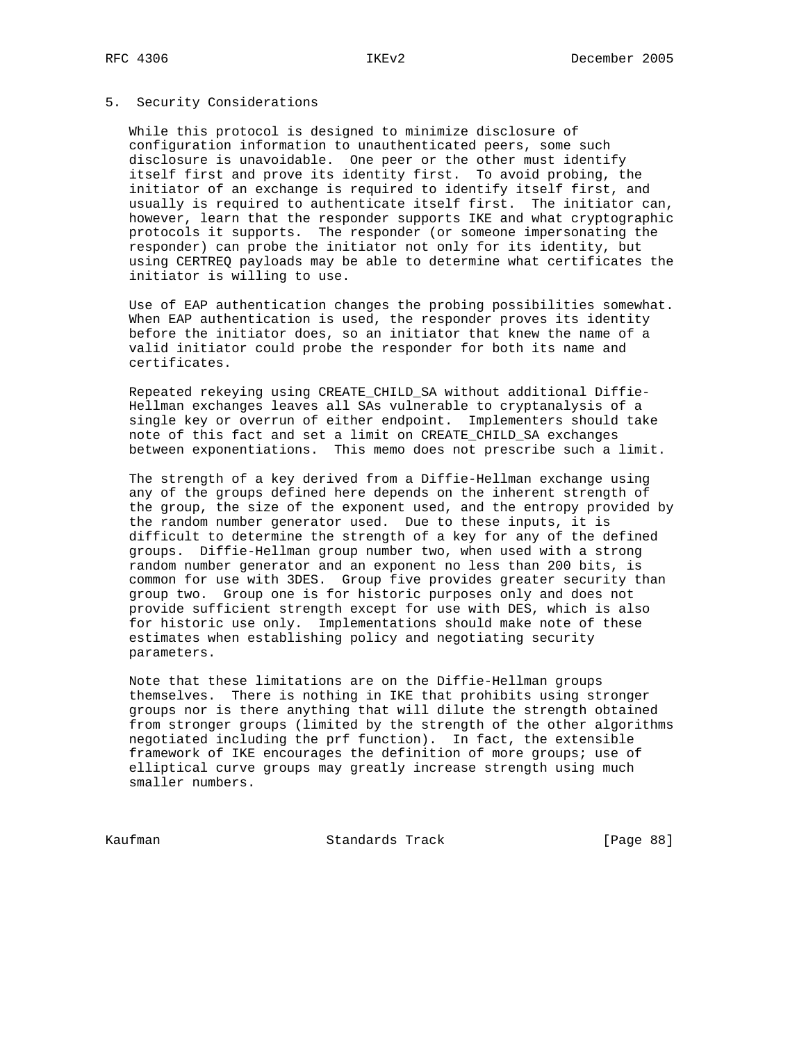## 5. Security Considerations

 While this protocol is designed to minimize disclosure of configuration information to unauthenticated peers, some such disclosure is unavoidable. One peer or the other must identify itself first and prove its identity first. To avoid probing, the initiator of an exchange is required to identify itself first, and usually is required to authenticate itself first. The initiator can, however, learn that the responder supports IKE and what cryptographic protocols it supports. The responder (or someone impersonating the responder) can probe the initiator not only for its identity, but using CERTREQ payloads may be able to determine what certificates the initiator is willing to use.

 Use of EAP authentication changes the probing possibilities somewhat. When EAP authentication is used, the responder proves its identity before the initiator does, so an initiator that knew the name of a valid initiator could probe the responder for both its name and certificates.

 Repeated rekeying using CREATE\_CHILD\_SA without additional Diffie- Hellman exchanges leaves all SAs vulnerable to cryptanalysis of a single key or overrun of either endpoint. Implementers should take note of this fact and set a limit on CREATE\_CHILD\_SA exchanges between exponentiations. This memo does not prescribe such a limit.

 The strength of a key derived from a Diffie-Hellman exchange using any of the groups defined here depends on the inherent strength of the group, the size of the exponent used, and the entropy provided by the random number generator used. Due to these inputs, it is difficult to determine the strength of a key for any of the defined groups. Diffie-Hellman group number two, when used with a strong random number generator and an exponent no less than 200 bits, is common for use with 3DES. Group five provides greater security than group two. Group one is for historic purposes only and does not provide sufficient strength except for use with DES, which is also for historic use only. Implementations should make note of these estimates when establishing policy and negotiating security parameters.

 Note that these limitations are on the Diffie-Hellman groups themselves. There is nothing in IKE that prohibits using stronger groups nor is there anything that will dilute the strength obtained from stronger groups (limited by the strength of the other algorithms negotiated including the prf function). In fact, the extensible framework of IKE encourages the definition of more groups; use of elliptical curve groups may greatly increase strength using much smaller numbers.

Kaufman **Standards Track** [Page 88]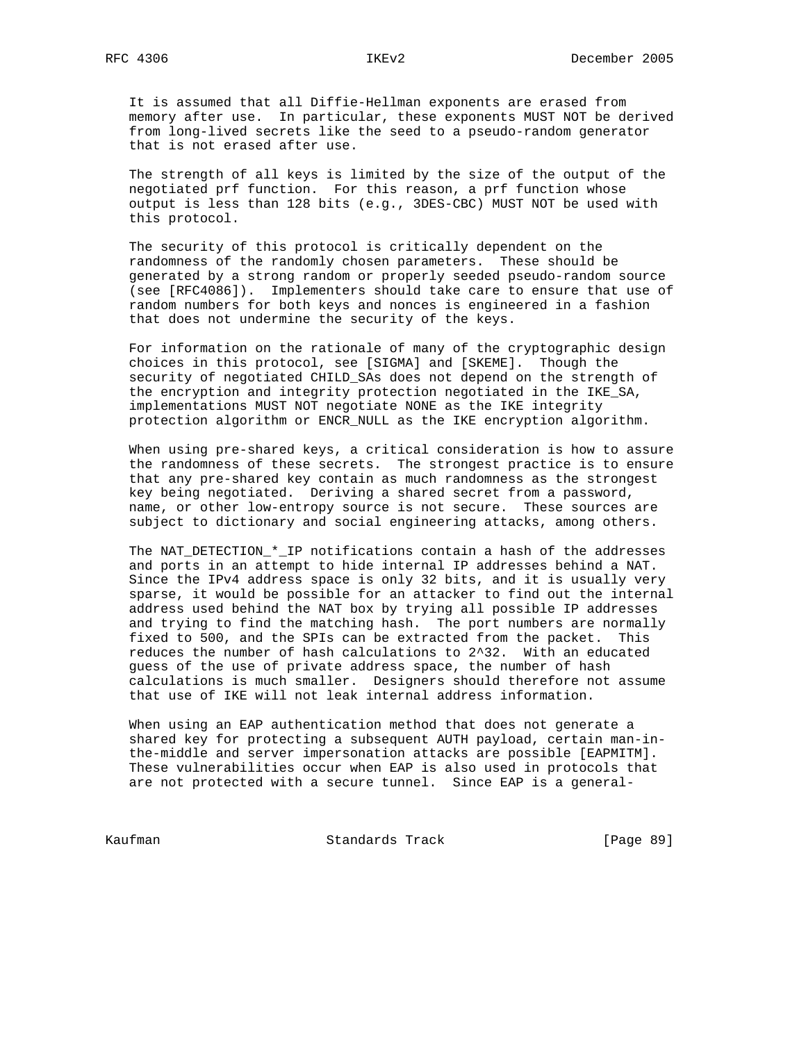It is assumed that all Diffie-Hellman exponents are erased from memory after use. In particular, these exponents MUST NOT be derived from long-lived secrets like the seed to a pseudo-random generator that is not erased after use.

 The strength of all keys is limited by the size of the output of the negotiated prf function. For this reason, a prf function whose output is less than 128 bits (e.g., 3DES-CBC) MUST NOT be used with this protocol.

 The security of this protocol is critically dependent on the randomness of the randomly chosen parameters. These should be generated by a strong random or properly seeded pseudo-random source (see [RFC4086]). Implementers should take care to ensure that use of random numbers for both keys and nonces is engineered in a fashion that does not undermine the security of the keys.

 For information on the rationale of many of the cryptographic design choices in this protocol, see [SIGMA] and [SKEME]. Though the security of negotiated CHILD\_SAs does not depend on the strength of the encryption and integrity protection negotiated in the IKE\_SA, implementations MUST NOT negotiate NONE as the IKE integrity protection algorithm or ENCR\_NULL as the IKE encryption algorithm.

 When using pre-shared keys, a critical consideration is how to assure the randomness of these secrets. The strongest practice is to ensure that any pre-shared key contain as much randomness as the strongest key being negotiated. Deriving a shared secret from a password, name, or other low-entropy source is not secure. These sources are subject to dictionary and social engineering attacks, among others.

 The NAT\_DETECTION\_\*\_IP notifications contain a hash of the addresses and ports in an attempt to hide internal IP addresses behind a NAT. Since the IPv4 address space is only 32 bits, and it is usually very sparse, it would be possible for an attacker to find out the internal address used behind the NAT box by trying all possible IP addresses and trying to find the matching hash. The port numbers are normally fixed to 500, and the SPIs can be extracted from the packet. This reduces the number of hash calculations to 2^32. With an educated guess of the use of private address space, the number of hash calculations is much smaller. Designers should therefore not assume that use of IKE will not leak internal address information.

 When using an EAP authentication method that does not generate a shared key for protecting a subsequent AUTH payload, certain man-in the-middle and server impersonation attacks are possible [EAPMITM]. These vulnerabilities occur when EAP is also used in protocols that are not protected with a secure tunnel. Since EAP is a general-

Kaufman **Standards Track** [Page 89]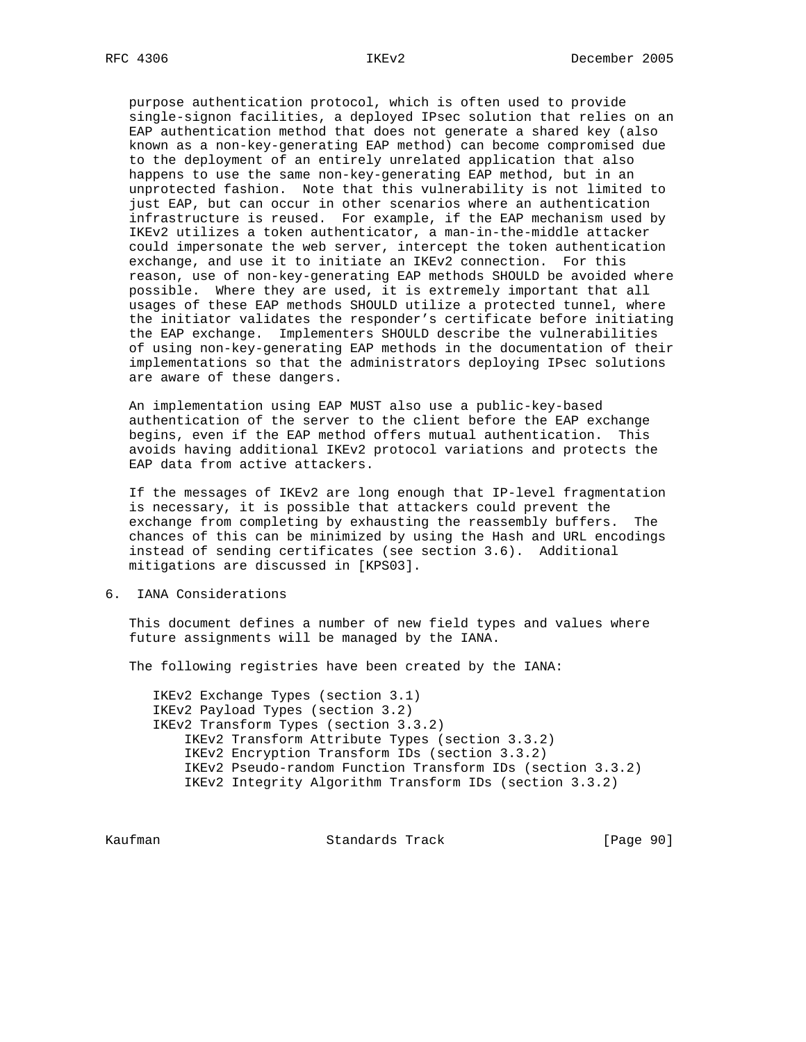purpose authentication protocol, which is often used to provide single-signon facilities, a deployed IPsec solution that relies on an EAP authentication method that does not generate a shared key (also known as a non-key-generating EAP method) can become compromised due to the deployment of an entirely unrelated application that also happens to use the same non-key-generating EAP method, but in an unprotected fashion. Note that this vulnerability is not limited to just EAP, but can occur in other scenarios where an authentication infrastructure is reused. For example, if the EAP mechanism used by IKEv2 utilizes a token authenticator, a man-in-the-middle attacker could impersonate the web server, intercept the token authentication exchange, and use it to initiate an IKEv2 connection. For this reason, use of non-key-generating EAP methods SHOULD be avoided where possible. Where they are used, it is extremely important that all usages of these EAP methods SHOULD utilize a protected tunnel, where the initiator validates the responder's certificate before initiating the EAP exchange. Implementers SHOULD describe the vulnerabilities of using non-key-generating EAP methods in the documentation of their implementations so that the administrators deploying IPsec solutions are aware of these dangers.

 An implementation using EAP MUST also use a public-key-based authentication of the server to the client before the EAP exchange begins, even if the EAP method offers mutual authentication. This avoids having additional IKEv2 protocol variations and protects the EAP data from active attackers.

 If the messages of IKEv2 are long enough that IP-level fragmentation is necessary, it is possible that attackers could prevent the exchange from completing by exhausting the reassembly buffers. The chances of this can be minimized by using the Hash and URL encodings instead of sending certificates (see section 3.6). Additional mitigations are discussed in [KPS03].

6. IANA Considerations

 This document defines a number of new field types and values where future assignments will be managed by the IANA.

The following registries have been created by the IANA:

 IKEv2 Exchange Types (section 3.1) IKEv2 Payload Types (section 3.2) IKEv2 Transform Types (section 3.3.2) IKEv2 Transform Attribute Types (section 3.3.2) IKEv2 Encryption Transform IDs (section 3.3.2) IKEv2 Pseudo-random Function Transform IDs (section 3.3.2) IKEv2 Integrity Algorithm Transform IDs (section 3.3.2)

Kaufman **Standards Track** [Page 90]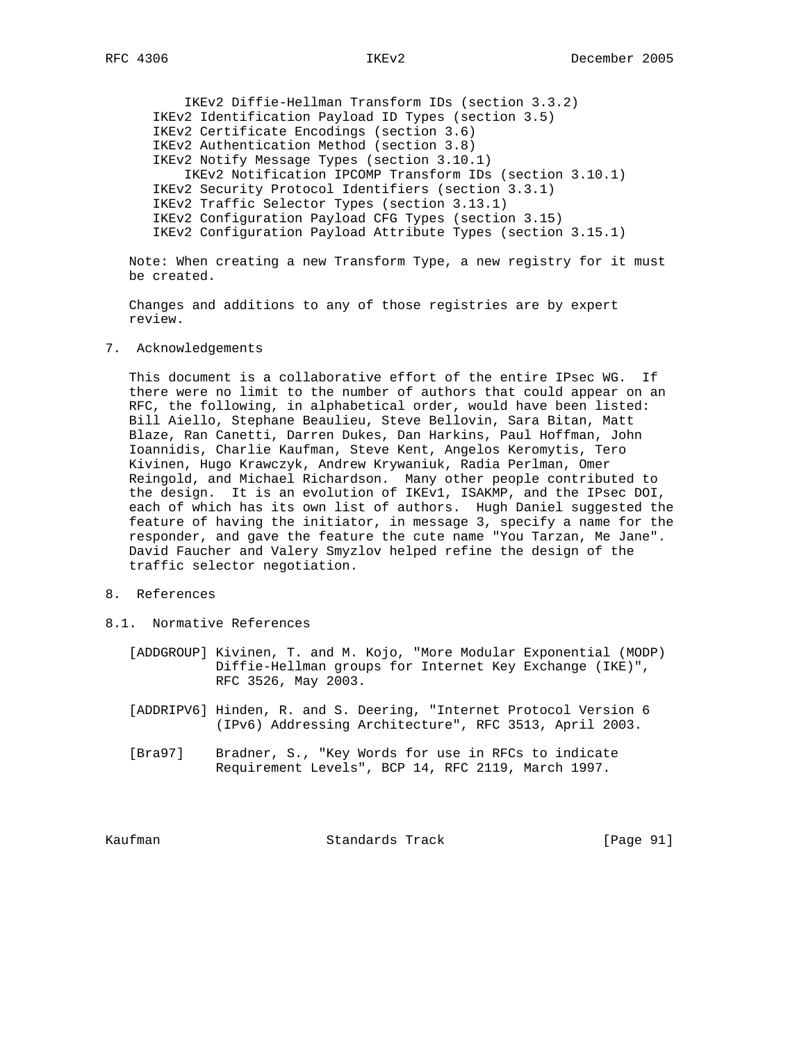IKEv2 Diffie-Hellman Transform IDs (section 3.3.2) IKEv2 Identification Payload ID Types (section 3.5) IKEv2 Certificate Encodings (section 3.6) IKEv2 Authentication Method (section 3.8) IKEv2 Notify Message Types (section 3.10.1) IKEv2 Notification IPCOMP Transform IDs (section 3.10.1) IKEv2 Security Protocol Identifiers (section 3.3.1) IKEv2 Traffic Selector Types (section 3.13.1) IKEv2 Configuration Payload CFG Types (section 3.15) IKEv2 Configuration Payload Attribute Types (section 3.15.1)

 Note: When creating a new Transform Type, a new registry for it must be created.

 Changes and additions to any of those registries are by expert review.

7. Acknowledgements

 This document is a collaborative effort of the entire IPsec WG. If there were no limit to the number of authors that could appear on an RFC, the following, in alphabetical order, would have been listed: Bill Aiello, Stephane Beaulieu, Steve Bellovin, Sara Bitan, Matt Blaze, Ran Canetti, Darren Dukes, Dan Harkins, Paul Hoffman, John Ioannidis, Charlie Kaufman, Steve Kent, Angelos Keromytis, Tero Kivinen, Hugo Krawczyk, Andrew Krywaniuk, Radia Perlman, Omer Reingold, and Michael Richardson. Many other people contributed to the design. It is an evolution of IKEv1, ISAKMP, and the IPsec DOI, each of which has its own list of authors. Hugh Daniel suggested the feature of having the initiator, in message 3, specify a name for the responder, and gave the feature the cute name "You Tarzan, Me Jane". David Faucher and Valery Smyzlov helped refine the design of the traffic selector negotiation.

- 8. References
- 8.1. Normative References
	- [ADDGROUP] Kivinen, T. and M. Kojo, "More Modular Exponential (MODP) Diffie-Hellman groups for Internet Key Exchange (IKE)", RFC 3526, May 2003.
	- [ADDRIPV6] Hinden, R. and S. Deering, "Internet Protocol Version 6 (IPv6) Addressing Architecture", RFC 3513, April 2003.
	- [Bra97] Bradner, S., "Key Words for use in RFCs to indicate Requirement Levels", BCP 14, RFC 2119, March 1997.

Kaufman Standards Track [Page 91]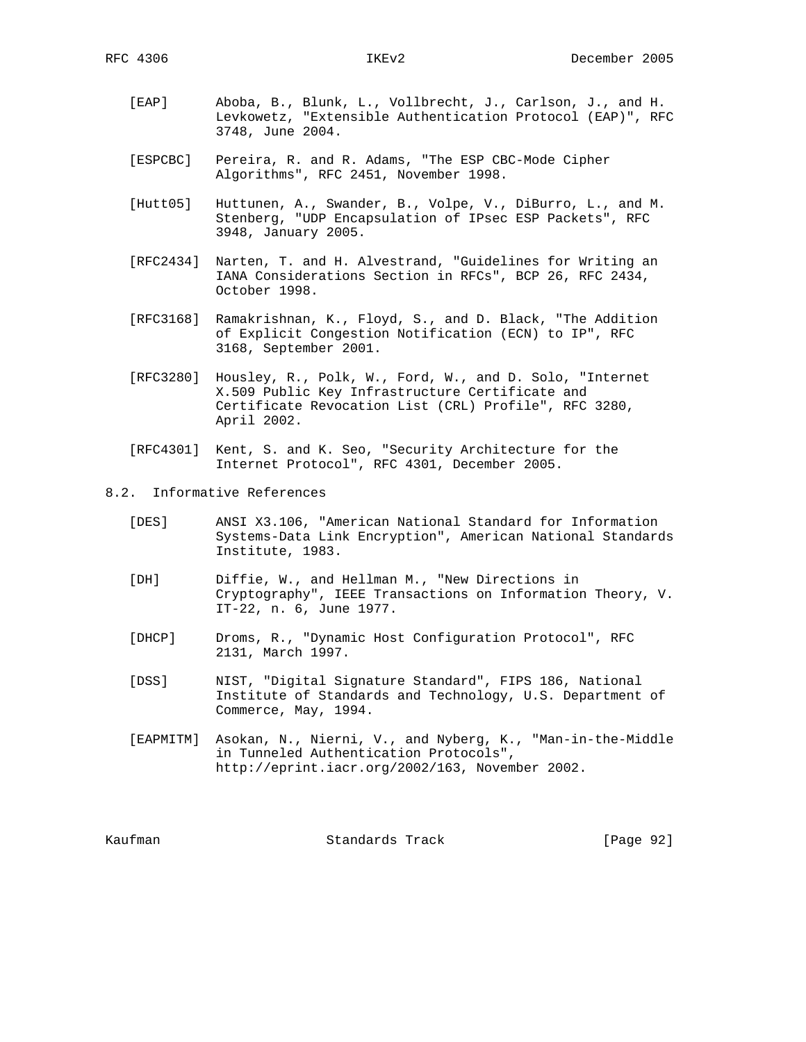- [EAP] Aboba, B., Blunk, L., Vollbrecht, J., Carlson, J., and H. Levkowetz, "Extensible Authentication Protocol (EAP)", RFC 3748, June 2004.
- [ESPCBC] Pereira, R. and R. Adams, "The ESP CBC-Mode Cipher Algorithms", RFC 2451, November 1998.
- [Hutt05] Huttunen, A., Swander, B., Volpe, V., DiBurro, L., and M. Stenberg, "UDP Encapsulation of IPsec ESP Packets", RFC 3948, January 2005.
- [RFC2434] Narten, T. and H. Alvestrand, "Guidelines for Writing an IANA Considerations Section in RFCs", BCP 26, RFC 2434, October 1998.
- [RFC3168] Ramakrishnan, K., Floyd, S., and D. Black, "The Addition of Explicit Congestion Notification (ECN) to IP", RFC 3168, September 2001.
- [RFC3280] Housley, R., Polk, W., Ford, W., and D. Solo, "Internet X.509 Public Key Infrastructure Certificate and Certificate Revocation List (CRL) Profile", RFC 3280, April 2002.
- [RFC4301] Kent, S. and K. Seo, "Security Architecture for the Internet Protocol", RFC 4301, December 2005.

8.2. Informative References

- [DES] ANSI X3.106, "American National Standard for Information Systems-Data Link Encryption", American National Standards Institute, 1983.
- [DH] Diffie, W., and Hellman M., "New Directions in Cryptography", IEEE Transactions on Information Theory, V. IT-22, n. 6, June 1977.
- [DHCP] Droms, R., "Dynamic Host Configuration Protocol", RFC 2131, March 1997.
- [DSS] NIST, "Digital Signature Standard", FIPS 186, National Institute of Standards and Technology, U.S. Department of Commerce, May, 1994.
- [EAPMITM] Asokan, N., Nierni, V., and Nyberg, K., "Man-in-the-Middle in Tunneled Authentication Protocols", http://eprint.iacr.org/2002/163, November 2002.

Kaufman Standards Track [Page 92]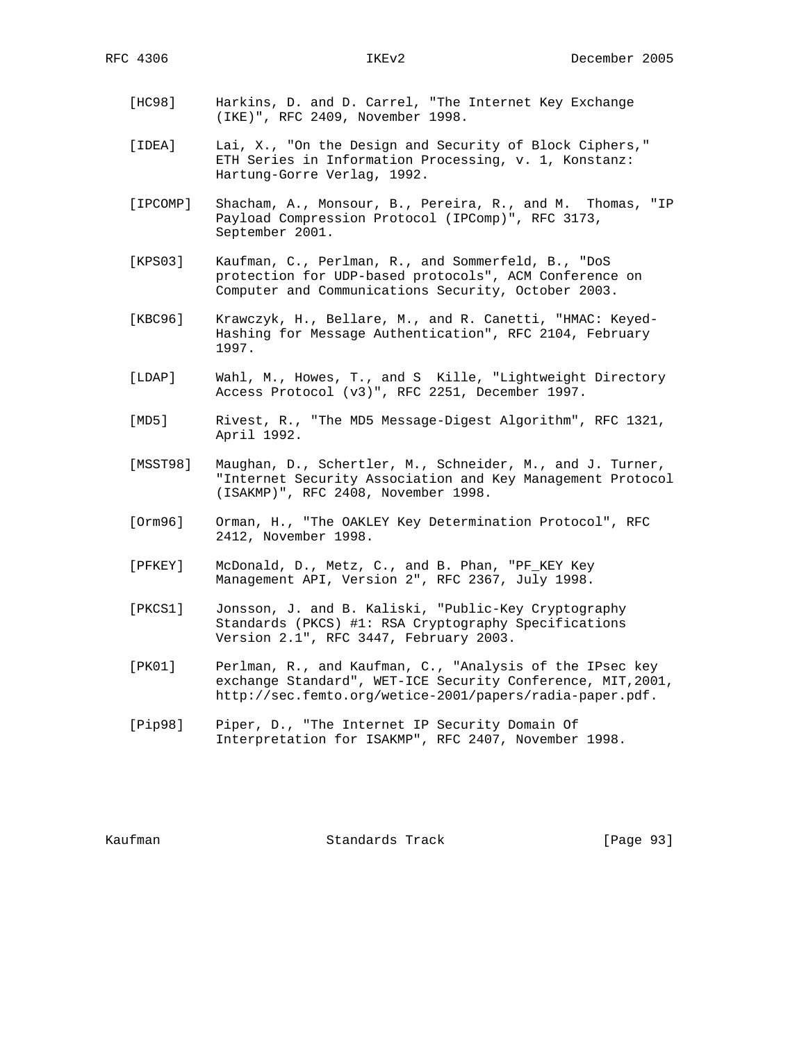- [HC98] Harkins, D. and D. Carrel, "The Internet Key Exchange (IKE)", RFC 2409, November 1998.
- [IDEA] Lai, X., "On the Design and Security of Block Ciphers," ETH Series in Information Processing, v. 1, Konstanz: Hartung-Gorre Verlag, 1992.
- [IPCOMP] Shacham, A., Monsour, B., Pereira, R., and M. Thomas, "IP Payload Compression Protocol (IPComp)", RFC 3173, September 2001.
- [KPS03] Kaufman, C., Perlman, R., and Sommerfeld, B., "DoS protection for UDP-based protocols", ACM Conference on Computer and Communications Security, October 2003.
- [KBC96] Krawczyk, H., Bellare, M., and R. Canetti, "HMAC: Keyed- Hashing for Message Authentication", RFC 2104, February 1997.
- [LDAP] Wahl, M., Howes, T., and S Kille, "Lightweight Directory Access Protocol (v3)", RFC 2251, December 1997.
- [MD5] Rivest, R., "The MD5 Message-Digest Algorithm", RFC 1321, April 1992.
- [MSST98] Maughan, D., Schertler, M., Schneider, M., and J. Turner, "Internet Security Association and Key Management Protocol (ISAKMP)", RFC 2408, November 1998.
- [Orm96] Orman, H., "The OAKLEY Key Determination Protocol", RFC 2412, November 1998.
- [PFKEY] McDonald, D., Metz, C., and B. Phan, "PF\_KEY Key Management API, Version 2", RFC 2367, July 1998.
- [PKCS1] Jonsson, J. and B. Kaliski, "Public-Key Cryptography Standards (PKCS) #1: RSA Cryptography Specifications Version 2.1", RFC 3447, February 2003.
- [PK01] Perlman, R., and Kaufman, C., "Analysis of the IPsec key exchange Standard", WET-ICE Security Conference, MIT,2001, http://sec.femto.org/wetice-2001/papers/radia-paper.pdf.
- [Pip98] Piper, D., "The Internet IP Security Domain Of Interpretation for ISAKMP", RFC 2407, November 1998.

Kaufman Standards Track [Page 93]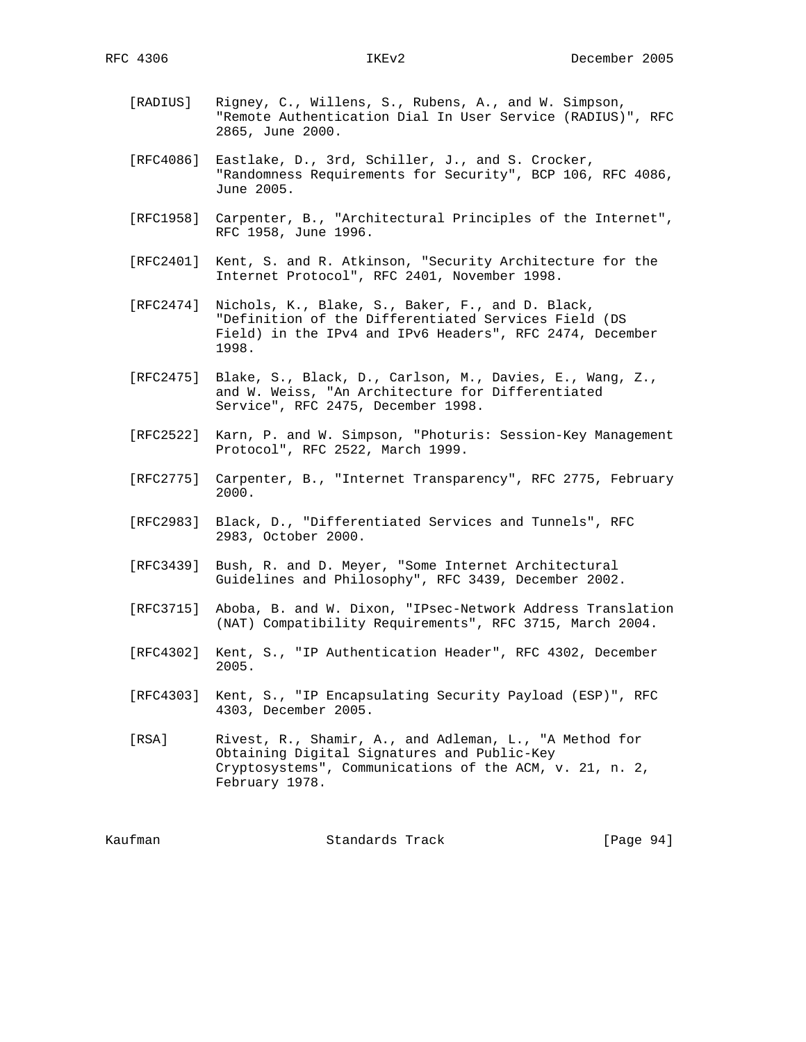- [RADIUS] Rigney, C., Willens, S., Rubens, A., and W. Simpson, "Remote Authentication Dial In User Service (RADIUS)", RFC 2865, June 2000.
- [RFC4086] Eastlake, D., 3rd, Schiller, J., and S. Crocker, "Randomness Requirements for Security", BCP 106, RFC 4086, June 2005.
- [RFC1958] Carpenter, B., "Architectural Principles of the Internet", RFC 1958, June 1996.
- [RFC2401] Kent, S. and R. Atkinson, "Security Architecture for the Internet Protocol", RFC 2401, November 1998.
- [RFC2474] Nichols, K., Blake, S., Baker, F., and D. Black, "Definition of the Differentiated Services Field (DS Field) in the IPv4 and IPv6 Headers", RFC 2474, December 1998.
- [RFC2475] Blake, S., Black, D., Carlson, M., Davies, E., Wang, Z., and W. Weiss, "An Architecture for Differentiated Service", RFC 2475, December 1998.
- [RFC2522] Karn, P. and W. Simpson, "Photuris: Session-Key Management Protocol", RFC 2522, March 1999.
- [RFC2775] Carpenter, B., "Internet Transparency", RFC 2775, February 2000.
- [RFC2983] Black, D., "Differentiated Services and Tunnels", RFC 2983, October 2000.
- [RFC3439] Bush, R. and D. Meyer, "Some Internet Architectural Guidelines and Philosophy", RFC 3439, December 2002.
- [RFC3715] Aboba, B. and W. Dixon, "IPsec-Network Address Translation (NAT) Compatibility Requirements", RFC 3715, March 2004.
- [RFC4302] Kent, S., "IP Authentication Header", RFC 4302, December 2005.
- [RFC4303] Kent, S., "IP Encapsulating Security Payload (ESP)", RFC 4303, December 2005.
- [RSA] Rivest, R., Shamir, A., and Adleman, L., "A Method for Obtaining Digital Signatures and Public-Key Cryptosystems", Communications of the ACM, v. 21, n. 2, February 1978.

Kaufman **Standards Track** [Page 94]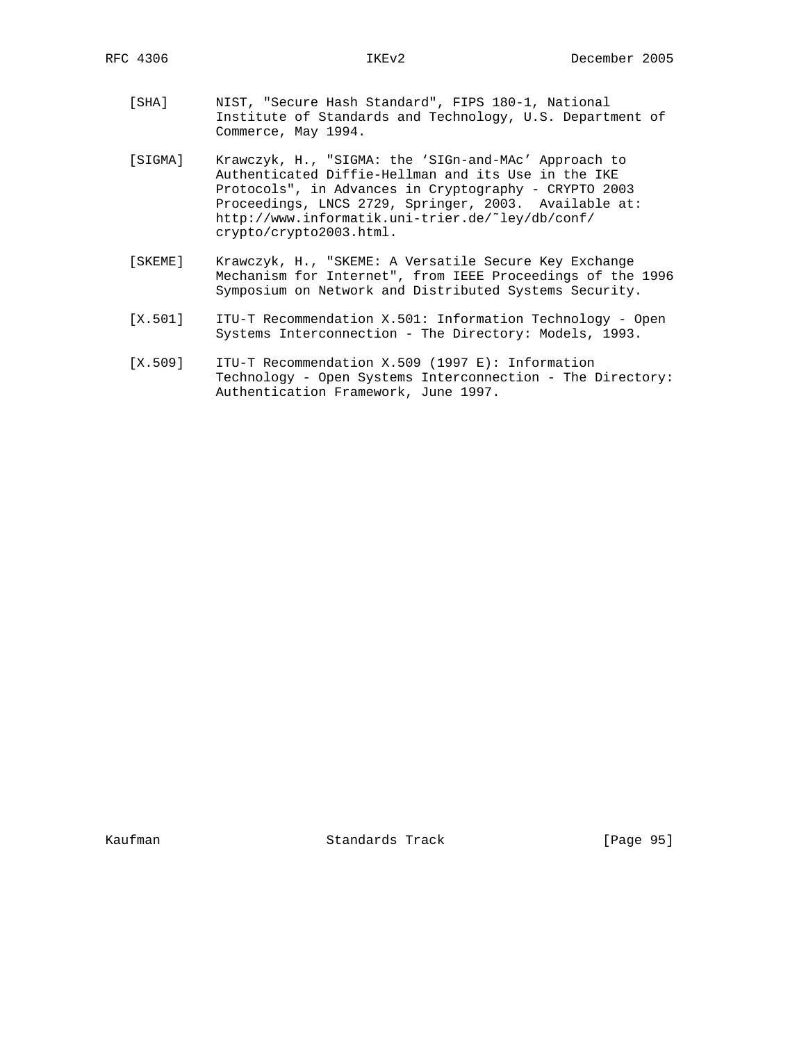- [SHA] NIST, "Secure Hash Standard", FIPS 180-1, National Institute of Standards and Technology, U.S. Department of Commerce, May 1994.
- [SIGMA] Krawczyk, H., "SIGMA: the 'SIGn-and-MAc' Approach to Authenticated Diffie-Hellman and its Use in the IKE Protocols", in Advances in Cryptography - CRYPTO 2003 Proceedings, LNCS 2729, Springer, 2003. Available at: http://www.informatik.uni-trier.de/˜ley/db/conf/ crypto/crypto2003.html.
- [SKEME] Krawczyk, H., "SKEME: A Versatile Secure Key Exchange Mechanism for Internet", from IEEE Proceedings of the 1996 Symposium on Network and Distributed Systems Security.
- [X.501] ITU-T Recommendation X.501: Information Technology Open Systems Interconnection - The Directory: Models, 1993.
- [X.509] ITU-T Recommendation X.509 (1997 E): Information Technology - Open Systems Interconnection - The Directory: Authentication Framework, June 1997.

Kaufman Standards Track [Page 95]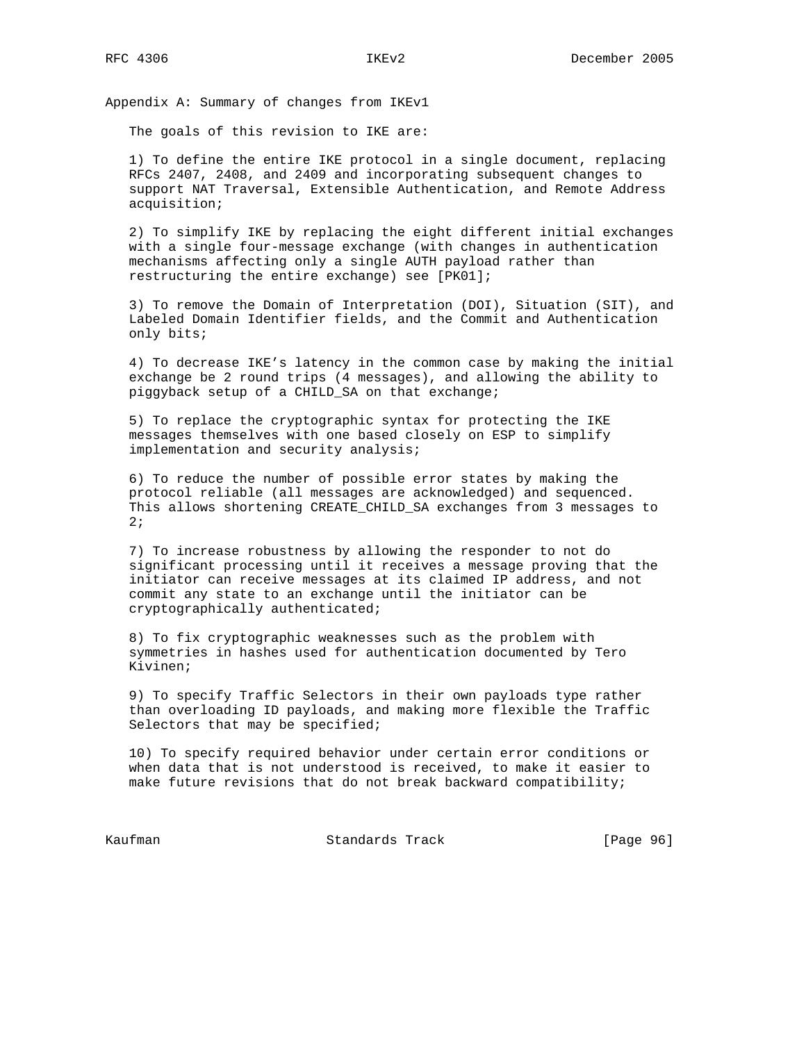Appendix A: Summary of changes from IKEv1

The goals of this revision to IKE are:

 1) To define the entire IKE protocol in a single document, replacing RFCs 2407, 2408, and 2409 and incorporating subsequent changes to support NAT Traversal, Extensible Authentication, and Remote Address acquisition;

 2) To simplify IKE by replacing the eight different initial exchanges with a single four-message exchange (with changes in authentication mechanisms affecting only a single AUTH payload rather than restructuring the entire exchange) see [PK01];

 3) To remove the Domain of Interpretation (DOI), Situation (SIT), and Labeled Domain Identifier fields, and the Commit and Authentication only bits;

 4) To decrease IKE's latency in the common case by making the initial exchange be 2 round trips (4 messages), and allowing the ability to piggyback setup of a CHILD\_SA on that exchange;

 5) To replace the cryptographic syntax for protecting the IKE messages themselves with one based closely on ESP to simplify implementation and security analysis;

 6) To reduce the number of possible error states by making the protocol reliable (all messages are acknowledged) and sequenced. This allows shortening CREATE\_CHILD\_SA exchanges from 3 messages to 2;

 7) To increase robustness by allowing the responder to not do significant processing until it receives a message proving that the initiator can receive messages at its claimed IP address, and not commit any state to an exchange until the initiator can be cryptographically authenticated;

 8) To fix cryptographic weaknesses such as the problem with symmetries in hashes used for authentication documented by Tero Kivinen;

 9) To specify Traffic Selectors in their own payloads type rather than overloading ID payloads, and making more flexible the Traffic Selectors that may be specified;

 10) To specify required behavior under certain error conditions or when data that is not understood is received, to make it easier to make future revisions that do not break backward compatibility;

Kaufman **Standards Track** [Page 96]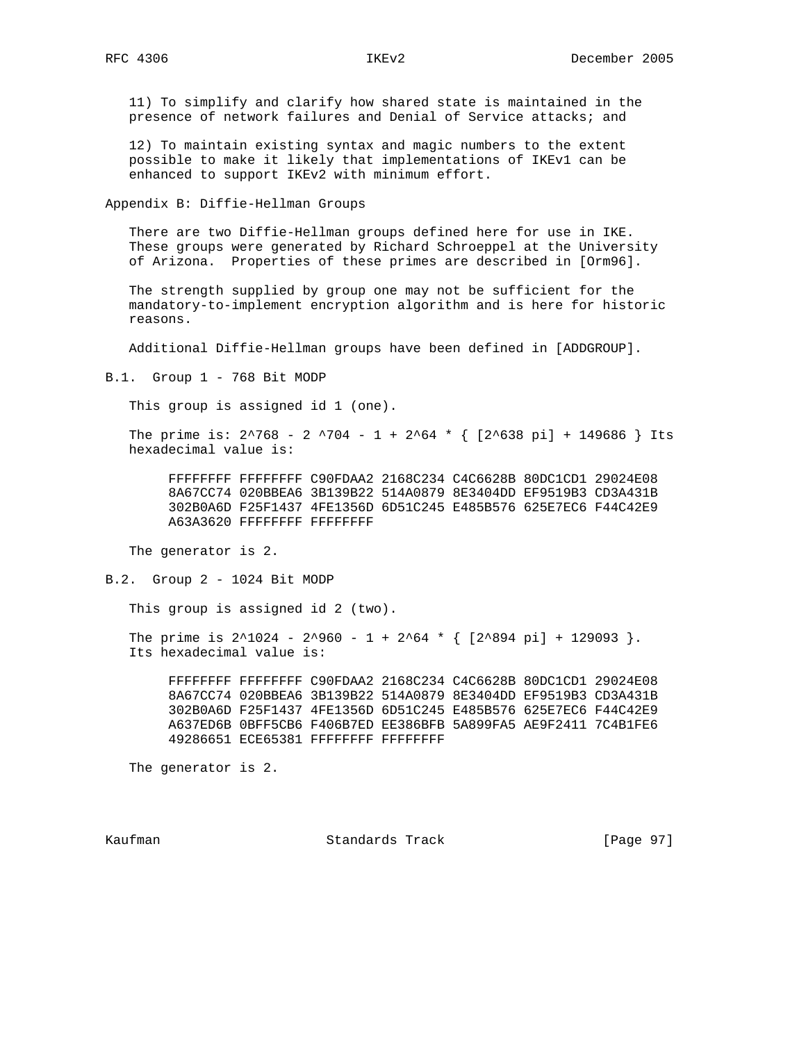11) To simplify and clarify how shared state is maintained in the presence of network failures and Denial of Service attacks; and

 12) To maintain existing syntax and magic numbers to the extent possible to make it likely that implementations of IKEv1 can be enhanced to support IKEv2 with minimum effort.

Appendix B: Diffie-Hellman Groups

 There are two Diffie-Hellman groups defined here for use in IKE. These groups were generated by Richard Schroeppel at the University of Arizona. Properties of these primes are described in [Orm96].

 The strength supplied by group one may not be sufficient for the mandatory-to-implement encryption algorithm and is here for historic reasons.

Additional Diffie-Hellman groups have been defined in [ADDGROUP].

B.1. Group 1 - 768 Bit MODP

This group is assigned id 1 (one).

The prime is:  $2^{\lambda}768 - 2^{\lambda}704 - 1 + 2^{\lambda}64 \times \{ [2^{\lambda}638 \text{ pi}] + 149686 \}$  Its hexadecimal value is:

 FFFFFFFF FFFFFFFF C90FDAA2 2168C234 C4C6628B 80DC1CD1 29024E08 8A67CC74 020BBEA6 3B139B22 514A0879 8E3404DD EF9519B3 CD3A431B 302B0A6D F25F1437 4FE1356D 6D51C245 E485B576 625E7EC6 F44C42E9 A63A3620 FFFFFFFF FFFFFFFF

The generator is 2.

B.2. Group 2 - 1024 Bit MODP

This group is assigned id 2 (two).

The prime is  $2^1024 - 2^960 - 1 + 2^64 \cdot {\binom{2^894}{1}} + 129093$ . Its hexadecimal value is:

 FFFFFFFF FFFFFFFF C90FDAA2 2168C234 C4C6628B 80DC1CD1 29024E08 8A67CC74 020BBEA6 3B139B22 514A0879 8E3404DD EF9519B3 CD3A431B 302B0A6D F25F1437 4FE1356D 6D51C245 E485B576 625E7EC6 F44C42E9 A637ED6B 0BFF5CB6 F406B7ED EE386BFB 5A899FA5 AE9F2411 7C4B1FE6 49286651 ECE65381 FFFFFFFF FFFFFFFF

The generator is 2.

Kaufman Standards Track [Page 97]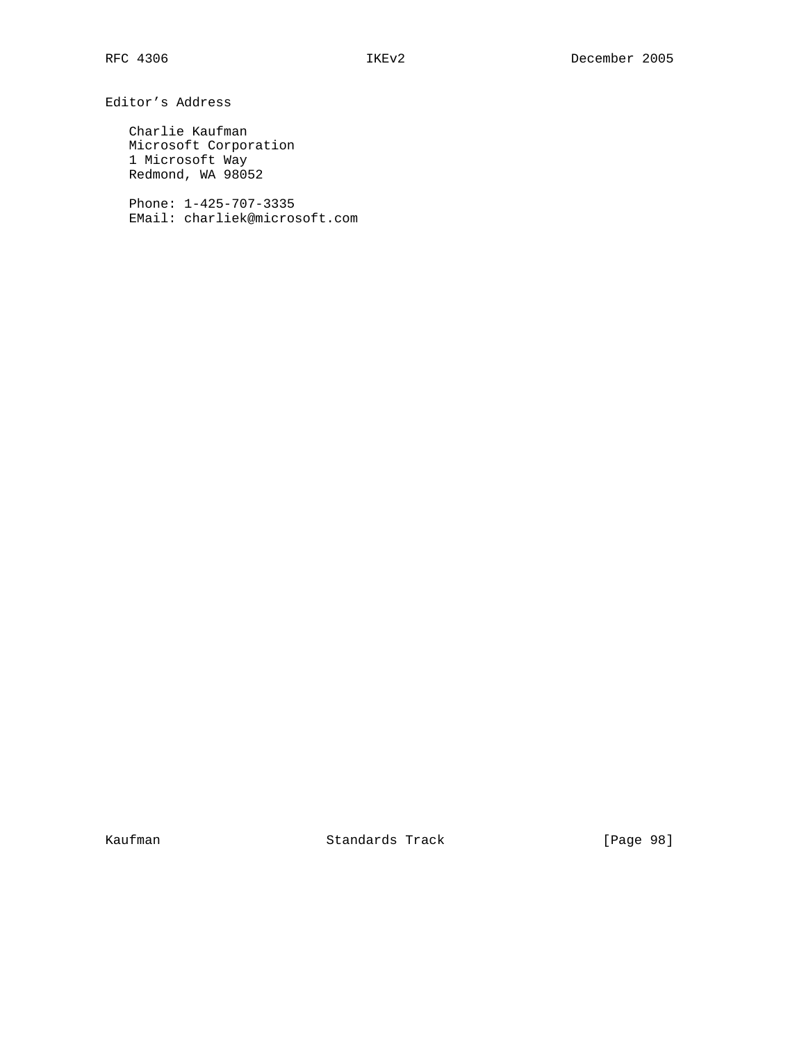Editor's Address

 Charlie Kaufman Microsoft Corporation 1 Microsoft Way Redmond, WA 98052

 Phone: 1-425-707-3335 EMail: charliek@microsoft.com

Kaufman Standards Track [Page 98]